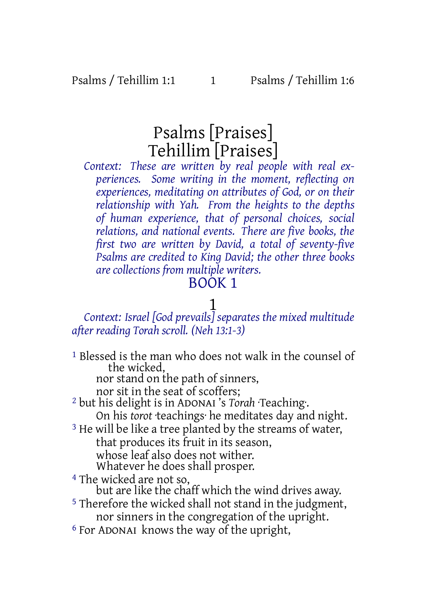# Psalms [Praises] Tehillim [Praises]

*Context: These are written by real people with real experiences. Some writing in the moment, reflecting on experiences, meditating on attributes of God, or on their relationship with Yah. From the heights to the depths of human experience, that of personal choices, social relations, and national events. There are five books, the first two are written by David, a total of seventy-five Psalms are credited to King David; the other three books are collections from multiple writers.*

## BOOK 1

# 1

*Context: Israel [God prevails] separates the mixed multitude after reading Torah scroll. (Neh 13:1-3)*

1 Blessed is the man who does not walk in the counsel of the wicked,

nor stand on the path of sinners,

nor sit in the seat of scoffers;

- 2 but his delight is in ADONAI 's *Torah* ·Teaching·. On his *torot* ·teachings· he meditates day and night.
- <sup>3</sup> He will be like a tree planted by the streams of water, that produces its fruit in its season, whose leaf also does not wither.

Whatever he does shall prosper.

4 The wicked are not so,

but are like the chaff which the wind drives away.

- 5 Therefore the wicked shall not stand in the judgment, nor sinners in the congregation of the upright.
- 6 For ADONAI knows the way of the upright,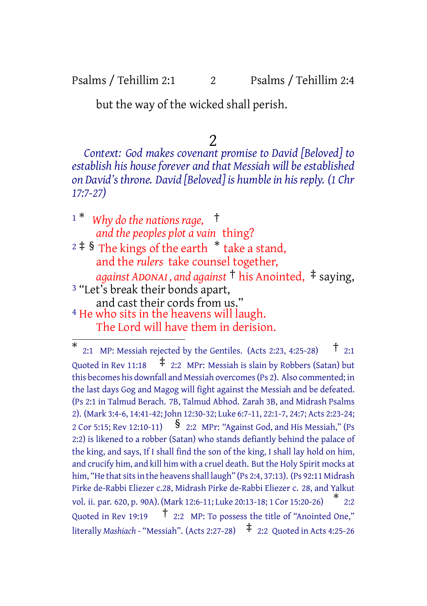### Psalms / Tehillim 2:1 2 Psalms / Tehillim 2:4

but the way of the wicked shall perish.

2

*Context: God makes covenant promise to David [Beloved] to establish his houseforever and that Messiah will beestablished on David's throne. David [Beloved] is humblein hisreply. (1 Chr 17:7-27)*

<sup>1</sup> \* *Why do the nations rage,* † *and the peoples plot a vain* thing?  $2 \nmid 5$  The kings of the earth  $*$  take a stand, and the *rulers* take counsel together, *against ADONAI , and against* † his Anointed, ‡ saying, <sup>3</sup> "Let's break their bonds apart, and cast their cords from us." 4 He who sits in the heavens will laugh. The Lord will have them in derision.

<sup>\*</sup> 2:1 MP: Messiah rejected by the Gentiles. (Acts 2:23, 4:25-28)  $\uparrow$  2:1 Quoted in Rev 11:18  $\pm$  2:2 MPr: Messiah is slain by Robbers (Satan) but this becomes his downfall and Messiah overcomes(Ps 2). Also commented; in the last days Gog and Magog will fight against the Messiah and be defeated. (Ps 2:1 in Talmud Berach. 7B, Talmud Abhod. Zarah 3B, and Midrash Psalms 2). (Mark 3:4-6, 14:41-42; John 12:30-32; Luke 6:7-11, 22:1-7, 24:7; Acts 2:23-24; <sup>2</sup> Cor 5:15; Rev 12:10-11) § 2:2 MPr: "Against God, and His Messiah," (Ps 2:2) is likened to a robber (Satan) who stands defiantly behind the palace of the king, and says, If I shall find the son of the king, I shall lay hold on him, and crucify him, and kill him with a cruel death. But the Holy Spirit mocks at him, "He that sits in the heavens shall laugh" (Ps 2:4, 37:13). (Ps 92:11 Midrash Pirke de-Rabbi Eliezer c.28, Midrash Pirke de-Rabbi Eliezer c. 28, and Yalkut vol. ii. par. 620, p. 90A). (Mark 12:6-11; Luke 20:13-18; <sup>1</sup> Cor 15:20-26) \* 2:2 Quoted in Rev 19:19 † 2:2 MP: To possess the title of "Anointed One," literally *Mashiach* - "Messiah". (Acts 2:27-28) ‡ 2:2 Quoted in Acts 4:25-26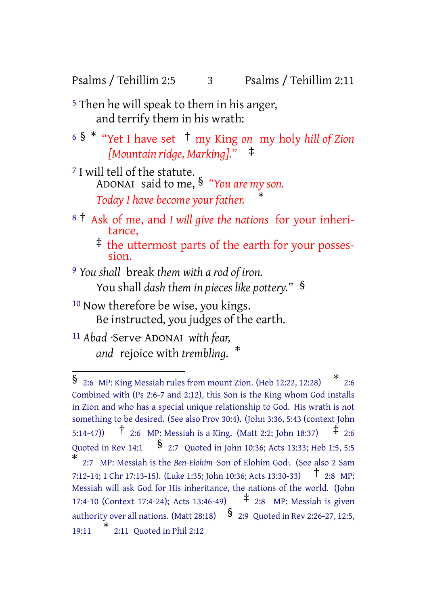Psalms / Tehillim 2:5 3 Psalms / Tehillim 2:11

- 5 Then he will speak to them in his anger, and terrify them in his wrath:
- <sup>6</sup> § \* "Yet I have set † my King *on* my holy *hill of Zion [Mountain ridge, Marking]."* ‡
- 7 I will tell of the statute. ADONAI said to me, § *"You are my son. Today I have become your father.* \*
- <sup>8</sup> † Ask of me, and *I will give the nations* for your inheritance,
	- ‡ the uttermost parts of the earth for your possession.
- 9 *You shall* break *them with a rod of iron.* You shall *dash them in pieces like pottery."* §
- 10 Now therefore be wise, you kings. Be instructed, you judges of the earth.
- 11 *Abad* ·Serve· ADONAI *with fear, and* rejoice with *trembling.* \*

<sup>§</sup> 2:6 MP: King Messiah rules from mount Zion. (Heb 12:22, 12:28) \* 2:6 Combined with (Ps 2:6-7 and 2:12), this Son is the King whom God installs in Zion and who has a special unique relationship to God. His wrath is not something to be desired. (See also Prov 30:4). (John 3:36, 5:43 (context John 5:14-47)) † 2:6 MP: Messiah is <sup>a</sup> King. (Matt 2:2; John 18:37) ‡ 2:6 Quoted in Rev 14:1  $\frac{\$}$  2:7 Quoted in John 10:36; Acts 13:33; Heb 1:5, 5:5 \* 2:7 MP: Messiah is the *Ben-Elohim* ·Son of Elohim God·. (See also 2 Sam 7:12-14; <sup>1</sup> Chr 17:13-15). (Luke 1:35; John 10:36; Acts 13:30-33) † 2:8 MP: Messiah will ask God for His inheritance, the nations of the world. (John 17:4-10 (Context 17:4-24); Acts 13:46-49) ‡ 2:8 MP: Messiah is given authority over all nations. (Matt 28:18)  $\frac{8}{2}$  2:9 Quoted in Rev 2:26-27, 12:5, 19:11 \* 2:11 Quoted in Phil 2:12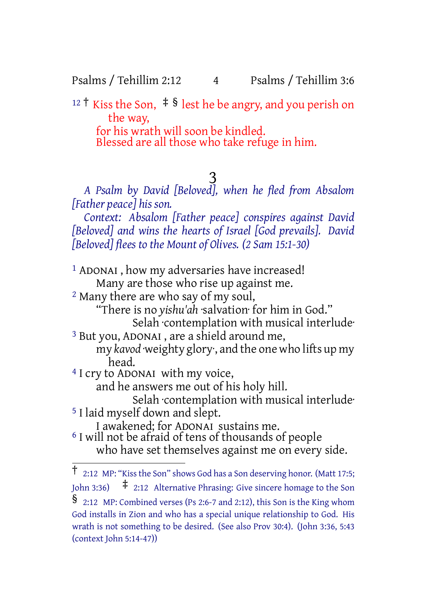Psalms / Tehillim 2:12 4 Psalms / Tehillim 3:6

<sup>12</sup> <sup>†</sup> Kiss the Son,  $\neq$  § lest he be angry, and you perish on the way, for his wrath will soon be kindled. Blessed are all those who take refuge in him.

 $\frac{3}{2}$ 

*A Psalm by David [Beloved], when he fled from Absalom [Father peace] his son.*

*Context: Absalom [Father peace] conspires against David [Beloved] and wins the hearts of Israel [God prevails]. David [Beloved] flees to the Mount of Olives. (2 Sam 15:1-30)*

1 ADONAI , how my adversaries have increased! Many are those who rise up against me. 2 Many there are who say of my soul, "There is no *yishu'ah* ·salvation· for him in God." Selah contemplation with musical interlude 3 But you, ADONAI , are a shield around me, my *kavod* ·weighty glory·, and the one who lifts up my head. 4 I cry to ADONAI with my voice, and he answers me out of his holy hill. Selah ·contemplation with musical interlude· 5 I laid myself down and slept. I awakened; for ADONAI sustains me. 6 I will not be afraid of tens of thousands of people who have set themselves against me on every side.

<sup>†</sup> 2:12 MP: "Kiss the Son" shows God has <sup>a</sup> Son deserving honor. (Matt 17:5; John 3:36)  $\pm$  2:12 Alternative Phrasing: Give sincere homage to the Son § 2:12 MP: Combined verses (Ps 2:6-7 and 2:12), this Son is the King whom God installs in Zion and who has a special unique relationship to God. His wrath is not something to be desired. (See also Prov 30:4). (John 3:36, 5:43 (context John 5:14-47))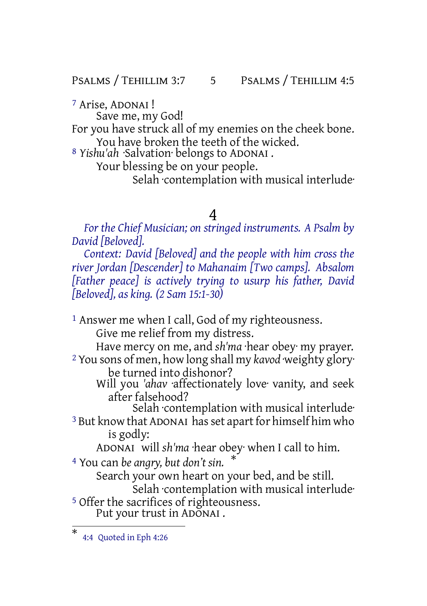PSALMS / TEHILLIM 3:7 5 PSALMS / TEHILLIM 4:5

7 Arise, ADONAI !

Save me, my God! For you have struck all of my enemies on the cheek bone. You have broken the teeth of the wicked.

8 *Yishu'ah* ·Salvation· belongs to ADONAI .

Your blessing be on your people.

Selah contemplation with musical interlude

### 4

*For the Chief Musician; on stringed instruments. A Psalm by David [Beloved].*

*Context: David [Beloved] and the people with him cross the river Jordan [Descender] to Mahanaim [Two camps]. Absalom [Father peace] is actively trying to usurp his father, David [Beloved], as king. (2 Sam 15:1-30)*

1 Answer me when I call, God of my righteousness. Give me relief from my distress.

Have mercy on me, and *sh'ma* ·hear obey· my prayer.

2 You sons of men, how long shall my *kavod* ·weighty glory· be turned into dishonor?

Will you *'ahav* ·affectionately love· vanity, and seek after falsehood?

Selah contemplation with musical interlude <sup>3</sup> But know that ADONAI has set apart for himself him who

is godly:

ADONAI will *sh'ma* ·hear obey· when I call to him.

<sup>4</sup> You can *be angry, but don't sin.* \*

Search your own heart on your bed, and be still.

Selah contemplation with musical interlude

5 Offer the sacrifices of righteousness. Put your trust in ADONAI .

<sup>\*</sup> 4:4 Quoted in Eph 4:26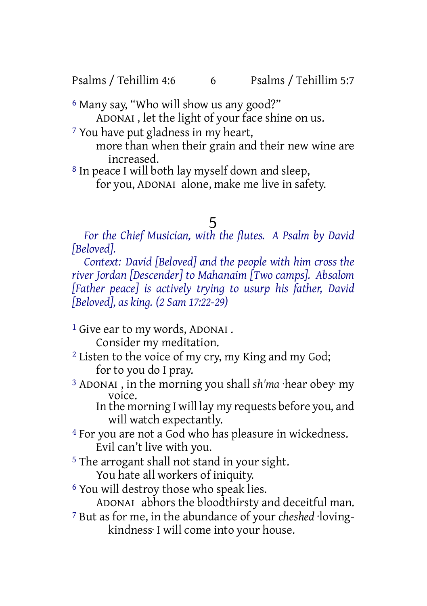Psalms / Tehillim 4:6 6 Psalms / Tehillim 5:7

6 Many say, "Who will show us any good?"

ADONAI , let the light of your face shine on us.

7 You have put gladness in my heart,

more than when their grain and their new wine are increased.

8 In peace I will both lay myself down and sleep,

for you, ADONAI alone, make me live in safety.

# 5

*For the Chief Musician, with the flutes. A Psalm by David [Beloved].*

*Context: David [Beloved] and the people with him cross the river Jordan [Descender] to Mahanaim [Two camps]. Absalom [Father peace] is actively trying to usurp his father, David [Beloved], as king. (2 Sam 17:22-29)*

<sup>1</sup> Give ear to my words, ADONAI.

Consider my meditation.

- <sup>2</sup> Listen to the voice of my cry, my King and my God; for to you do I pray.
- 3 ADONAI , in the morning you shall *sh'ma* ·hear obey· my voice.

In the morning I will lay my requests before you, and will watch expectantly.

- 4 For you are not a God who has pleasure in wickedness. Evil can't live with you.
- 5 The arrogant shall not stand in your sight. You hate all workers of iniquity.
- 6 You will destroy those who speak lies. ADONAI abhors the bloodthirsty and deceitful man.
- 7 But as for me, in the abundance of your *cheshed* ·lovingkindness· I will come into your house.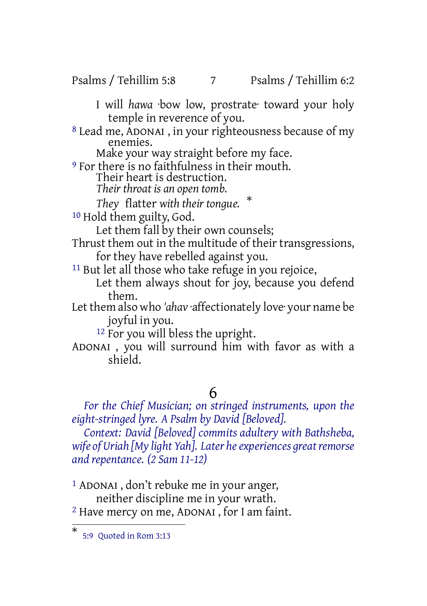#### Psalms / Tehillim 5:8 7 Psalms / Tehillim 6:2

I will *hawa* ·bow low, prostrate· toward your holy temple in reverence of you.

8 Lead me, ADONAI , in your righteousness because of my enemies.

Make your way straight before my face.

9 For there is no faithfulness in their mouth. Their heart is destruction.

*Their throat is an open tomb.*

*They* flatter *with their tongue.* \*

10 Hold them guilty, God.

Let them fall by their own counsels;

Thrust them out in the multitude of their transgressions, for they have rebelled against you.

<sup>11</sup> But let all those who take refuge in you rejoice,

Let them always shout for joy, because you defend them.

Let them also who *'ahav* ·affectionately love· your name be joyful in you.

12 For you will bless the upright.

ADONAI , you will surround him with favor as with a shield.

### 6

*For the Chief Musician; on stringed instruments, upon the eight-stringed lyre. A Psalm by David [Beloved].*

*Context: David [Beloved] commits adultery with Bathsheba, wife* of Uriah *[My light Yah]. Later he experiences great remorse and repentance. (2 Sam 11-12)*

1 ADONAI , don't rebuke me in your anger, neither discipline me in your wrath. 2 Have mercy on me, ADONAI , for I am faint.

<sup>\*</sup> 5:9 Quoted in Rom 3:13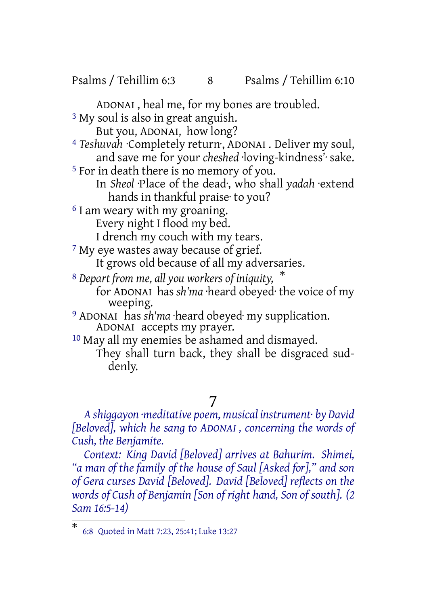Psalms / Tehillim 6:3 8 Psalms / Tehillim 6:10

ADONAI , heal me, for my bones are troubled.

<sup>3</sup> My soul is also in great anguish.

But you, ADONAI, how long?

4 *Teshuvah* ·Completely return·, ADONAI . Deliver my soul, and save me for your *cheshed* ·loving-kindness'· sake.

5 For in death there is no memory of you.

In *Sheol* ·Place of the dead·, who shall *yadah* ·extend hands in thankful praise· to you?

6 I am weary with my groaning. Every night I flood my bed.

I drench my couch with my tears.

<sup>7</sup> My eye wastes away because of grief.

It grows old because of all my adversaries.

<sup>8</sup> *Depart from me, all you workers of iniquity,* \* for ADONAI has *sh'ma* ·heard obeyed· the voice of my weeping.

9 ADONAI has *sh'ma* ·heard obeyed· my supplication. ADONAI accepts my prayer.

10 May all my enemies be ashamed and dismayed. They shall turn back, they shall be disgraced suddenly.

7

*A shiggayon ·meditative poem, musical instrument· by David [Beloved], which he sang to ADONAI , concerning the words of Cush, the Benjamite.*

*Context: King David [Beloved] arrives at Bahurim. Shimei, "a man of the family of the house of Saul [Asked for]," and son of Gera curses David [Beloved]. David [Beloved] reflects on the words of Cush of Benjamin [Son of right hand, Son of south]. (2 Sam 16:5-14)*

<sup>\*</sup> 6:8 Quoted in Matt 7:23, 25:41; Luke 13:27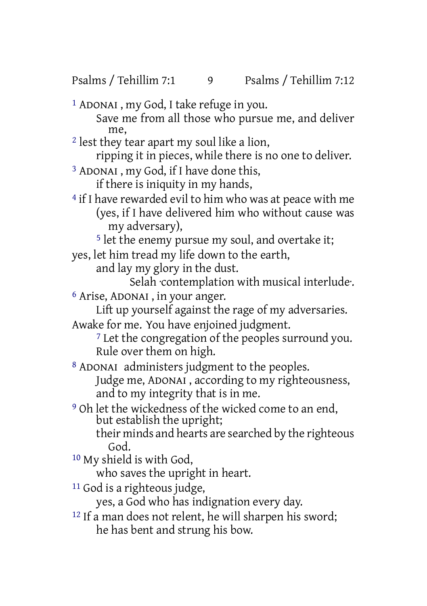- 1 ADONAI , my God, I take refuge in you. Save me from all those who pursue me, and deliver me,
- 2 lest they tear apart my soul like a lion,
	- ripping it in pieces, while there is no one to deliver.
- 3 ADONAI , my God, if I have done this,
	- if there is iniquity in my hands,
- 4 if I have rewarded evil to him who was at peace with me (yes, if I have delivered him who without cause was my adversary),
	- <sup>5</sup> let the enemy pursue my soul, and overtake it:
- yes, let him tread my life down to the earth,
	- and lay my glory in the dust.
		- Selah ·contemplation with musical interlude·.
- 6 Arise, ADONAI , in your anger.
	- Lift up yourself against the rage of my adversaries.
- Awake for me. You have enjoined judgment.
	- 7 Let the congregation of the peoples surround you. Rule over them on high.
- 8 ADONAI administers judgment to the peoples. Judge me, ADONAI , according to my righteousness, and to my integrity that is in me.
- 9 Oh let the wickedness of the wicked come to an end, but establish the upright;
	- their minds and hearts are searched by the righteous God.
- 10 My shield is with God,
	- who saves the upright in heart.
- 11 God is a righteous judge,
	- yes, a God who has indignation every day.
- 12 If a man does not relent, he will sharpen his sword; he has bent and strung his bow.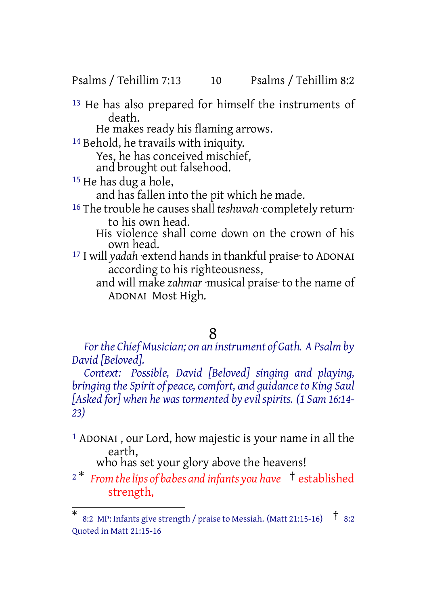Psalms / Tehillim 7:13 10 Psalms / Tehillim 8:2

13 He has also prepared for himself the instruments of death.

He makes ready his flaming arrows.

14 Behold, he travails with iniquity.

Yes, he has conceived mischief,

and brought out falsehood.

15 He has dug a hole,

and has fallen into the pit which he made.

<sup>16</sup> The trouble he causes shall *teshuvah* completely return· to his own head.

His violence shall come down on the crown of his own head.

17 I will *yadah* ·extend hands in thankful praise· to ADONAI according to his righteousness,

and will make *zahmar* ·musical praise· to the name of ADONAI Most High.

#### 8

*Forthe Chief Musician; on an instrument of Gath. A Psalm by David [Beloved].*

*Context: Possible, David [Beloved] singing and playing, bringing the Spirit of peace,comfort, and guidanceto King Saul [Asked for] when he was tormented by evil spirits. (1 Sam 16:14- 23)*

1 ADONAI , our Lord, how majestic is your name in all the earth, who has set your glory above the heavens!

<sup>2</sup> \* *From thelips of babes and infants you have* † established strength,

<sup>\*</sup> 8:2 MP: Infants give strength / praise to Messiah. (Matt 21:15-16) † 8:2 Quoted in Matt 21:15-16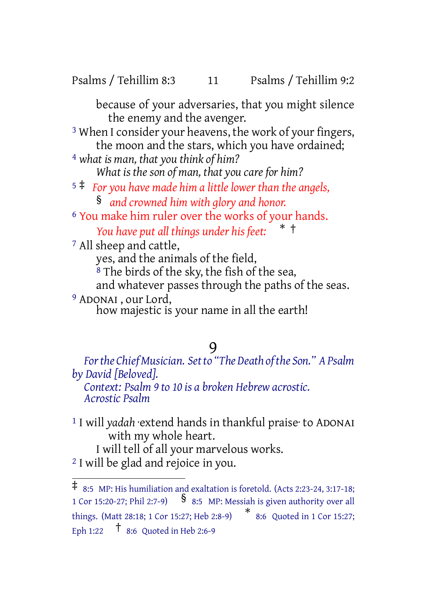Psalms / Tehillim 8:3 11 Psalms / Tehillim 9:2

because of your adversaries, that you might silence the enemy and the avenger.

3 When I consider your heavens, the work of your fingers, the moon and the stars, which you have ordained;

- 4 *what is man, that you think of him? What is the son of man, that you care for him?*
- <sup>5</sup> ‡ *For you have made him a little lower than the angels,* § *and crowned him with glory and honor.*
- 6 You make him ruler over the works of your hands. *You have put all things under his feet:* \* †
- 7 All sheep and cattle,

yes, and the animals of the field,

<sup>8</sup> The birds of the sky, the fish of the sea,

and whatever passes through the paths of the seas.

9 ADONAI , our Lord,

how majestic is your name in all the earth!

### 9

*Forthe ChiefMusician. Setto "The Death ofthe Son." APsalm by David [Beloved]. Context: Psalm 9 to 10 is a broken Hebrew acrostic. Acrostic Psalm*

1 I will *yadah* ·extend hands in thankful praise· to ADONAI with my whole heart. I will tell of all your marvelous works.

2 I will be glad and rejoice in you.

<sup>‡</sup> 8:5 MP: His humiliation and exaltation is foretold. (Acts 2:23-24, 3:17-18; <sup>1</sup> Cor 15:20-27; Phil 2:7-9) § 8:5 MP: Messiah is given authority over all things. (Matt 28:18; <sup>1</sup> Cor 15:27; Heb 2:8-9) \* 8:6 Quoted in 1 Cor 15:27; Eph 1:22 † 8:6 Quoted in Heb 2:6-9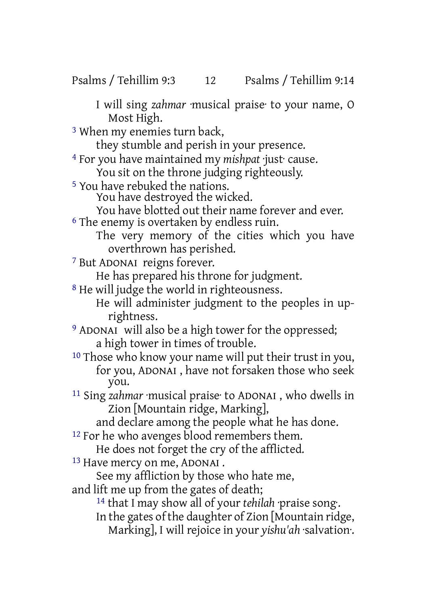I will sing *zahmar* ·musical praise· to your name, O Most High.

3 When my enemies turn back,

they stumble and perish in your presence.

4 For you have maintained my *mishpat* ·just· cause.

You sit on the throne judging righteously.

5 You have rebuked the nations.

You have destroyed the wicked.

You have blotted out their name forever and ever. 6 The enemy is overtaken by endless ruin.

The very memory of the cities which you have overthrown has perished.

7 But ADONAI reigns forever.

He has prepared his throne for judgment.

8 He will judge the world in righteousness.

He will administer judgment to the peoples in uprightness.

9 ADONAI will also be a high tower for the oppressed; a high tower in times of trouble.

10 Those who know your name will put their trust in you, for you, ADONAI , have not forsaken those who seek you.

11 Sing *zahmar* ·musical praise· to ADONAI , who dwells in Zion [Mountain ridge, Marking],

and declare among the people what he has done.

<sup>12</sup> For he who avenges blood remembers them.

He does not forget the cry of the afflicted.

13 Have mercy on me, ADONAI .

See my affliction by those who hate me,

and lift me up from the gates of death;

14 that I may show all of your *tehilah* ·praise song·.

In the gates of the daughter of Zion [Mountain ridge, Marking], I will rejoice in your *yishu'ah* ·salvation·.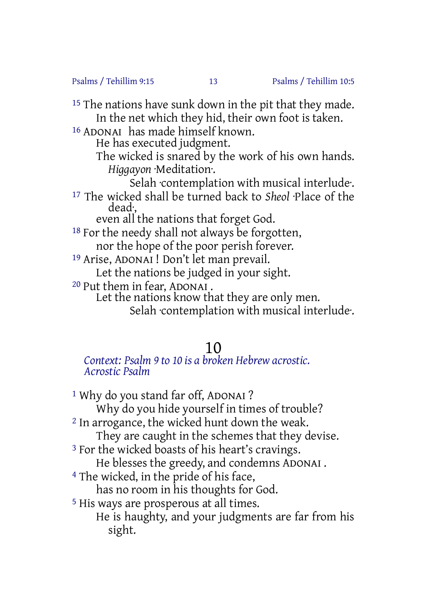Psalms / Tehillim 9:15 13 Psalms / Tehillim 10:5

<sup>15</sup> The nations have sunk down in the pit that they made. In the net which they hid, their own foot is taken.

16 ADONAI has made himself known.

He has executed judgment.

The wicked is snared by the work of his own hands. *Higgayon* ·Meditation·.

Selah ·contemplation with musical interlude·. 17 The wicked shall be turned back to *Sheol* ·Place of the dead·,

even all the nations that forget God.

 $18$  For the needy shall not always be forgotten, nor the hope of the poor perish forever.

19 Arise, ADONAI ! Don't let man prevail. Let the nations be judged in your sight.

20 Put them in fear, ADONAI .

Let the nations know that they are only men.

Selah contemplation with musical interlude.

## 10

#### *Context: Psalm 9 to 10 is a broken Hebrew acrostic. Acrostic Psalm*

<sup>1</sup> Why do you stand far off, ADONAI? Why do you hide yourself in times of trouble? 2 In arrogance, the wicked hunt down the weak. They are caught in the schemes that they devise. <sup>3</sup> For the wicked boasts of his heart's cravings. He blesses the greedy, and condemns ADONAI . 4 The wicked, in the pride of his face, has no room in his thoughts for God. 5 His ways are prosperous at all times. He is haughty, and your judgments are far from his sight.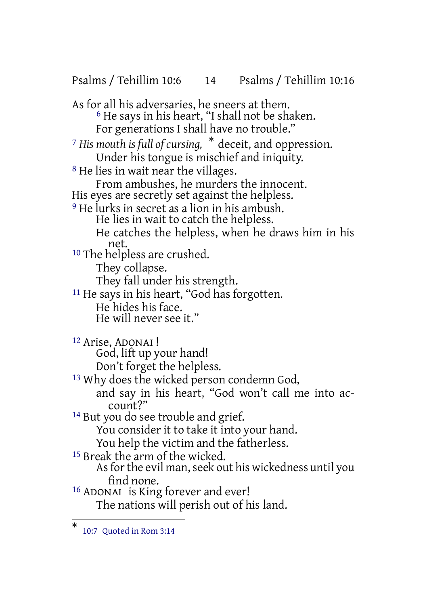Psalms / Tehillim 10:6 14 Psalms / Tehillim 10:16 As for all his adversaries, he sneers at them.  $6$  He says in his heart, "I shall not be shaken. For generations I shall have no trouble." <sup>7</sup> *His mouth is full of cursing,* \* deceit, and oppression. Under his tongue is mischief and iniquity. 8 He lies in wait near the villages. From ambushes, he murders the innocent. His eyes are secretly set against the helpless. 9 He lurks in secret as a lion in his ambush. He lies in wait to catch the helpless. He catches the helpless, when he draws him in his net. 10 The helpless are crushed. They collapse. They fall under his strength. <sup>11</sup> He says in his heart, "God has forgotten. He hides his face. He will never see it." 12 Arise, ADONAI ! God, lift up your hand! Don't forget the helpless. 13 Why does the wicked person condemn God, and say in his heart, "God won't call me into account?" <sup>14</sup> But you do see trouble and grief. You consider it to take it into your hand. You help the victim and the fatherless. <sup>15</sup> Break the arm of the wicked. As for the evil man, seek out his wickedness until you find none. 16 ADONAI is King forever and ever! The nations will perish out of his land.

<sup>\*</sup> 10:7 Quoted in Rom 3:14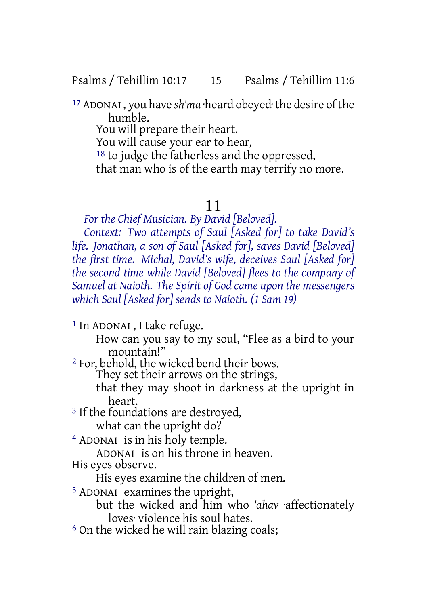Psalms / Tehillim 10:17 15 Psalms / Tehillim 11:6

17 ADONAI , you have *sh'ma* ·heard obeyed·the desire ofthe humble.

You will prepare their heart.

You will cause your ear to hear,

<sup>18</sup> to judge the fatherless and the oppressed,

that man who is of the earth may terrify no more.

## 11

*For the Chief Musician. By David [Beloved].*

*Context: Two attempts of Saul [Asked for] to take David's life. Jonathan, a son of Saul [Asked for], saves David [Beloved] the first time. Michal, David's wife, deceives Saul [Asked for] the second time while David [Beloved] flees to the company of Samuel at Naioth. The Spirit of God came upon the messengers which Saul [Asked for] sends to Naioth. (1 Sam 19)*

1 In ADONAI , I take refuge.

How can you say to my soul, "Flee as a bird to your mountain!"

2 For, behold, the wicked bend their bows.

They set their arrows on the strings,

that they may shoot in darkness at the upright in heart.

<sup>3</sup> If the foundations are destroyed, what can the upright do?

4 ADONAI is in his holy temple.

ADONAI is on his throne in heaven.

His eyes observe.

His eyes examine the children of men.

5 ADONAI examines the upright,

but the wicked and him who *'ahav* ·affectionately loves· violence his soul hates.

<sup>6</sup> On the wicked he will rain blazing coals;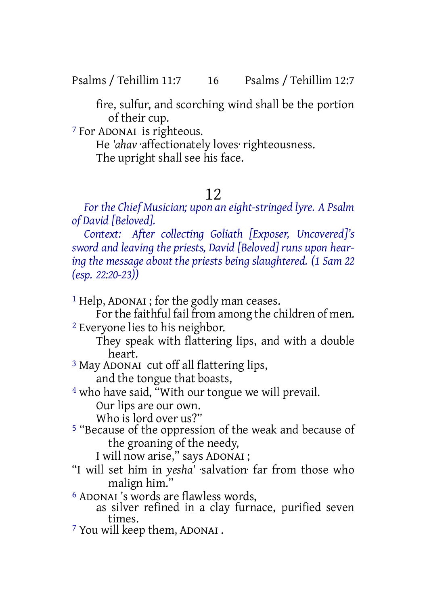Psalms / Tehillim 11:7 16 Psalms / Tehillim 12:7

fire, sulfur, and scorching wind shall be the portion of their cup.

7 For ADONAI is righteous.

He *'ahav* ·affectionately loves· righteousness. The upright shall see his face.

## 12

*For the Chief Musician; upon an eight-stringed lyre. A Psalm of David [Beloved].*

*Context: After collecting Goliath [Exposer, Uncovered]'s sword and leaving the priests, David [Beloved] runs upon hearing the message about the priests being slaughtered. (1 Sam 22 (esp. 22:20-23))*

1 Help, ADONAI ; for the godly man ceases.

For the faithful fail from among the children of men. 2 Everyone lies to his neighbor.

They speak with flattering lips, and with a double heart.

3 May ADONAI cut off all flattering lips, and the tongue that boasts,

4 who have said, "With our tongue we will prevail. Our lips are our own.

Who is lord over us?"

5 "Because of the oppression of the weak and because of the groaning of the needy,

I will now arise," says ADONAI ;

"I will set him in *yesha'* ·salvation· far from those who malign him."

6 ADONAI 's words are flawless words,

as silver refined in a clay furnace, purified seven times.

7 You will keep them, ADONAI .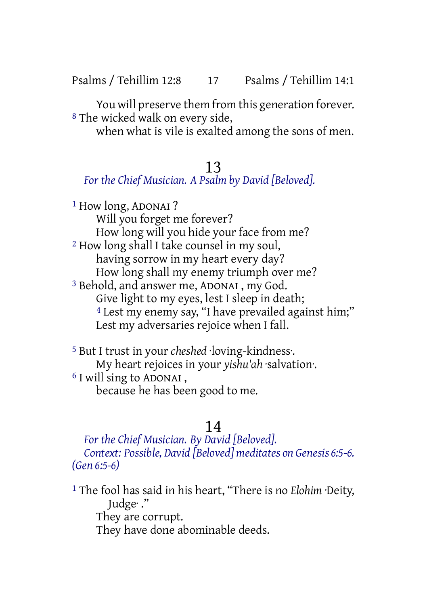Psalms / Tehillim 12:8 17 Psalms / Tehillim 14:1

You will preserve them from this generation forever. 8 The wicked walk on every side,

when what is vile is exalted among the sons of men.

## 13

## *For the Chief Musician. A Psalm by David [Beloved].*

1 How long, ADONAI ? Will you forget me forever? How long will you hide your face from me? 2 How long shall I take counsel in my soul, having sorrow in my heart every day? How long shall my enemy triumph over me? 3 Behold, and answer me, ADONAI , my God. Give light to my eyes, lest I sleep in death; 4 Lest my enemy say, "I have prevailed against him;" Lest my adversaries rejoice when I fall.

5 But I trust in your *cheshed* ·loving-kindness·. My heart rejoices in your *yishu'ah* ·salvation·. 6 I will sing to ADONAI , because he has been good to me.

## 14

*For the Chief Musician. By David [Beloved]. Context: Possible, David [Beloved] meditates on Genesis 6:5-6. (Gen 6:5-6)*

1 The fool has said in his heart, "There is no *Elohim* ·Deity, Judge· ." They are corrupt. They have done abominable deeds.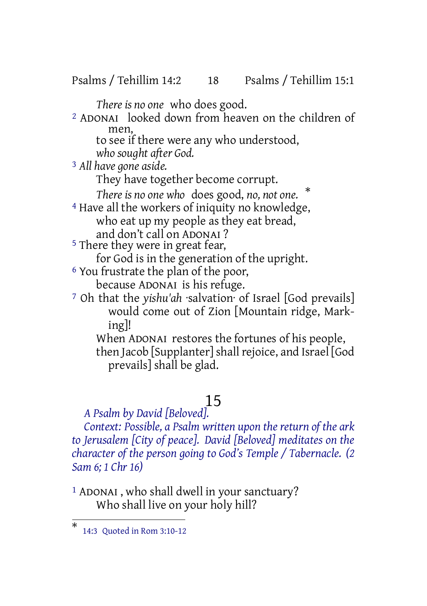Psalms / Tehillim 14:2 18 Psalms / Tehillim 15:1

*There is no one* who does good.

2 ADONAI looked down from heaven on the children of men,

to see if there were any who understood,

*who sought after God.*

3 *All have gone aside.*

They have together become corrupt.

*There is no one who* does good, *no, not one.* \*

4 Have all the workers of iniquity no knowledge, who eat up my people as they eat bread, and don't call on ADONAI ?

5 There they were in great fear,

for God is in the generation of the upright.

- 6 You frustrate the plan of the poor, because ADONAI is his refuge.
	-
- 7 Oh that the *yishu'ah* ·salvation· of Israel [God prevails] would come out of Zion [Mountain ridge, Marking]!

When ADONAI restores the fortunes of his people, then Jacob [Supplanter] shall rejoice, and Israel [God] prevails] shall be glad.

## 15

*A Psalm by David [Beloved].*

*Context: Possible, a Psalm written upon the return of the ark to Jerusalem [City of peace]. David [Beloved] meditates on the character of the person going to God's Temple / Tabernacle. (2 Sam 6; 1 Chr 16)*

1 ADONAI , who shall dwell in your sanctuary? Who shall live on your holy hill?

<sup>\*</sup> 14:3 Quoted in Rom 3:10-12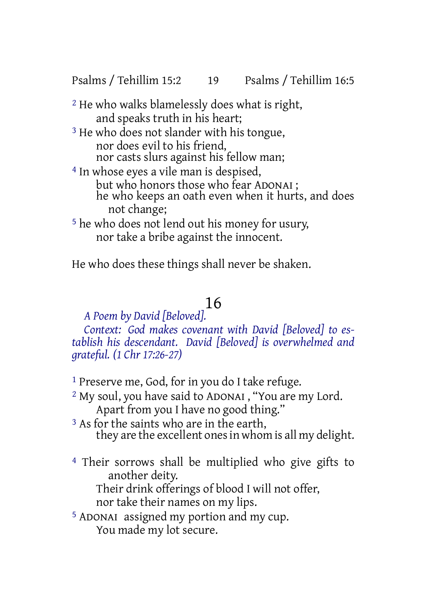Psalms / Tehillim 15:2 19 Psalms / Tehillim 16:5

- 2 He who walks blamelessly does what is right, and speaks truth in his heart;
- <sup>3</sup> He who does not slander with his tongue, nor does evil to his friend, nor casts slurs against his fellow man;
- 4 In whose eyes a vile man is despised, but who honors those who fear ADONAI ; he who keeps an oath even when it hurts, and does not change;
- 5 he who does not lend out his money for usury, nor take a bribe against the innocent.

He who does these things shall never be shaken.

## 16

*A Poem by David [Beloved].*

*Context: God makes covenant with David [Beloved] to establish his descendant. David [Beloved] is overwhelmed and grateful. (1 Chr 17:26-27)*

- 1 Preserve me, God, for in you do I take refuge.
- 2 My soul, you have said to ADONAI , "You are my Lord. Apart from you I have no good thing."
- <sup>3</sup> As for the saints who are in the earth, they are the excellent onesin whom is all my delight.
- 4 Their sorrows shall be multiplied who give gifts to another deity. Their drink offerings of blood I will not offer,

nor take their names on my lips.

5 ADONAI assigned my portion and my cup. You made my lot secure.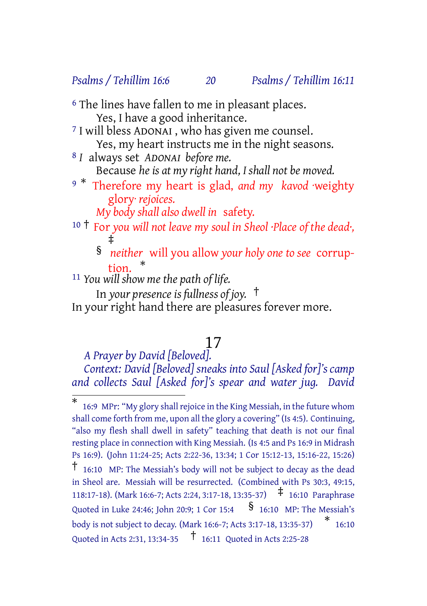#### *Psalms / Tehillim 16:6 20 Psalms / Tehillim 16:11*

- <sup>6</sup> The lines have fallen to me in pleasant places. Yes, I have a good inheritance.
- 7 I will bless ADONAI , who has given me counsel. Yes, my heart instructs me in the night seasons.
- 8 *I* always set *ADONAI before me.* Because *he is at my right hand, I shall not be moved.*
- <sup>9</sup> \* Therefore my heart is glad, *and my kavod* ·weighty glory· *rejoices.*

*My body shall also dwell in* safety.

- <sup>10</sup> † For *you will not leave my soul in Sheol ·Place of the dead·,* ‡
	- § *neither* will you allow *your holy one to see* corruption. \*
- 11 *You will show me the path of life.*

In *your presence is fullness of joy.* † In your right hand there are pleasures forever more.

## 17

*A Prayer by David [Beloved]. Context: David [Beloved] sneaks into Saul [Asked for]'s camp and collects Saul [Asked for]'s spear and water jug. David*

<sup>\*</sup> 16:9 MPr: "My glory shall rejoice in the King Messiah, in the future whom shall come forth from me, upon all the glory a covering" (Is 4:5). Continuing, "also my flesh shall dwell in safety" teaching that death is not our final resting place in connection with King Messiah. (Is 4:5 and Ps 16:9 in Midrash Ps 16:9). (John 11:24-25; Acts 2:22-36, 13:34; 1 Cor 15:12-13, 15:16-22, 15:26) † 16:10 MP: The Messiah's body will not be subject to decay as the dead in Sheol are. Messiah will be resurrected. (Combined with Ps 30:3, 49:15, 118:17-18). (Mark 16:6-7; Acts 2:24, 3:17-18, 13:35-37) ‡ 16:10 Paraphrase Quoted in Luke 24:46; John 20:9; 1 Cor 15:4  $\frac{\$}{\$}$  16:10 MP: The Messiah's body is not subject to decay. (Mark 16:6-7; Acts 3:17-18, 13:35-37) \* 16:10 Quoted in Acts 2:31, 13:34-35 † 16:11 Quoted in Acts 2:25-28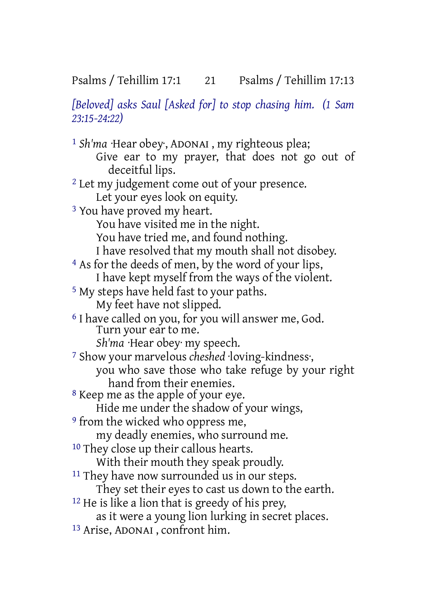*[Beloved] asks Saul [Asked for] to stop chasing him. (1 Sam 23:15-24:22)*

1 *Sh'ma* ·Hear obey·, ADONAI , my righteous plea; Give ear to my prayer, that does not go out of deceitful lips. <sup>2</sup> Let my judgement come out of your presence. Let your eyes look on equity. 3 You have proved my heart. You have visited me in the night. You have tried me, and found nothing. I have resolved that my mouth shall not disobey. 4 As for the deeds of men, by the word of your lips, I have kept myself from the ways of the violent. 5 My steps have held fast to your paths. My feet have not slipped. 6 I have called on you, for you will answer me, God. Turn your ear to me. *Sh'ma* ·Hear obey· my speech. 7 Show your marvelous *cheshed* ·loving-kindness·, you who save those who take refuge by your right hand from their enemies. 8 Keep me as the apple of your eye. Hide me under the shadow of your wings, 9 from the wicked who oppress me, my deadly enemies, who surround me. <sup>10</sup> They close up their callous hearts. With their mouth they speak proudly. <sup>11</sup> They have now surrounded us in our steps. They set their eyes to cast us down to the earth.  $12$  He is like a lion that is greedy of his prey, as it were a young lion lurking in secret places. 13 Arise, ADONAI , confront him.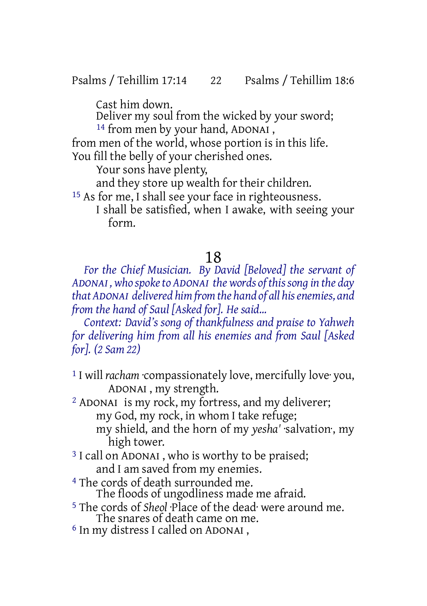Psalms / Tehillim 17:14 22 Psalms / Tehillim 18:6

Cast him down.

Deliver my soul from the wicked by your sword; <sup>14</sup> from men by your hand, ADONAI,

from men of the world, whose portion is in this life. You fill the belly of your cherished ones.

Your sons have plenty,

and they store up wealth for their children.

15 As for me, I shall see your face in righteousness. I shall be satisfied, when I awake, with seeing your form.

## 18

*For the Chief Musician. By David [Beloved] the servant of ADONAI , who spoketo ADONAI the words of thissong in the day that ADONAI delivered himfromthe hand of all hisenemies, and from the hand of Saul [Asked for]. He said...*

*Context: David's song of thankfulness and praise to Yahweh for delivering him from all his enemies and from Saul [Asked for]. (2 Sam 22)*

1 I will *racham* ·compassionately love, mercifully love· you, ADONAI , my strength.

2 ADONAI is my rock, my fortress, and my deliverer; my God, my rock, in whom I take refuge;

my shield, and the horn of my *yesha'* ·salvation·, my high tower.

- <sup>3</sup> I call on ADONAI, who is worthy to be praised; and I am saved from my enemies.
- 4 The cords of death surrounded me. The floods of ungodliness made me afraid.
- 5 The cords of *Sheol* ·Place of the dead· were around me. The snares of death came on me.
- 6 In my distress I called on ADONAI ,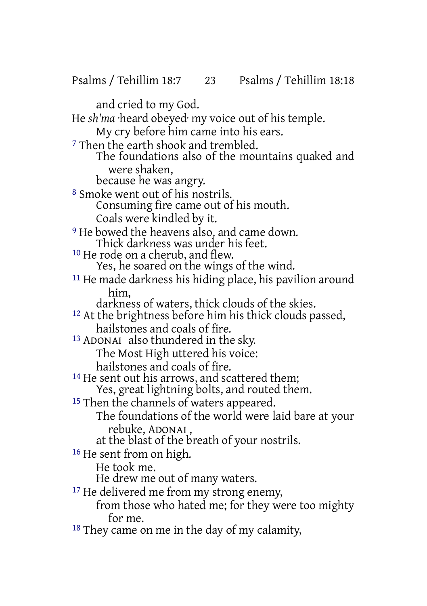Psalms / Tehillim 18:7 23 Psalms / Tehillim 18:18

and cried to my God. He *sh'ma* ·heard obeyed· my voice out of his temple. My cry before him came into his ears. <sup>7</sup> Then the earth shook and trembled. The foundations also of the mountains quaked and were shaken, because he was angry. 8 Smoke went out of his nostrils. Consuming fire came out of his mouth. Coals were kindled by it. <sup>9</sup> He bowed the heavens also, and came down. Thick darkness was under his feet. 10 He rode on a cherub, and flew. Yes, he soared on the wings of the wind. 11 He made darkness his hiding place, his pavilion around him, darkness of waters, thick clouds of the skies. 12 At the brightness before him his thick clouds passed, hailstones and coals of fire. 13 ADONAI also thundered in the sky. The Most High uttered his voice: hailstones and coals of fire. <sup>14</sup> He sent out his arrows, and scattered them; Yes, great lightning bolts, and routed them. <sup>15</sup> Then the channels of waters appeared. The foundations of the world were laid bare at your rebuke, ADONAI , at the blast of the breath of your nostrils. 16 He sent from on high. He took me. He drew me out of many waters. <sup>17</sup> He delivered me from my strong enemy, from those who hated me; for they were too mighty for me. <sup>18</sup> They came on me in the day of my calamity,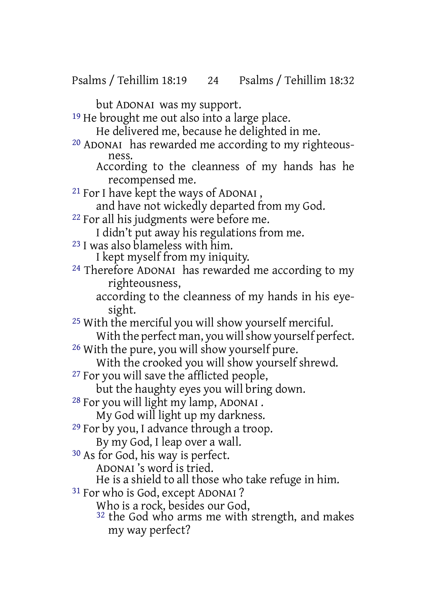Psalms / Tehillim 18:19 24 Psalms / Tehillim 18:32

but ADONAI was my support. <sup>19</sup> He brought me out also into a large place.

He delivered me, because he delighted in me.

- 20 ADONAI has rewarded me according to my righteousness.
	- According to the cleanness of my hands has he recompensed me.
- 21 For I have kept the ways of ADONAI ,
	- and have not wickedly departed from my God.
- 22 For all his judgments were before me.
	- I didn't put away his regulations from me.
- 23 I was also blameless with him.
	- I kept myself from my iniquity.
- 24 Therefore ADONAI has rewarded me according to my righteousness,
	- according to the cleanness of my hands in his eyesight.

25 With the merciful you will show yourself merciful. With the perfect man, you will show yourself perfect.

26 With the pure, you will show yourself pure.

With the crooked you will show yourself shrewd.

27 For you will save the afflicted people,

but the haughty eyes you will bring down.

28 For you will light my lamp, ADONAI .

My God will light up my darkness.

29 For by you, I advance through a troop.

- By my God, I leap over a wall.
- 30 As for God, his way is perfect.

ADONAI 's word is tried.

He is a shield to all those who take refuge in him.

- 31 For who is God, except ADONAI ?
	- Who is a rock, besides our God,
	- 32 the God who arms me with strength, and makes my way perfect?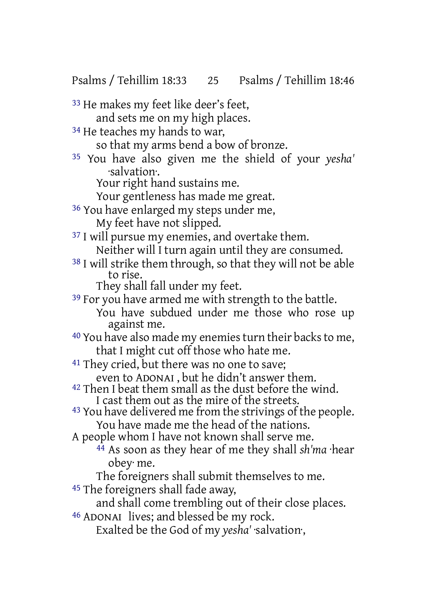Psalms / Tehillim 18:33 25 Psalms / Tehillim 18:46

33 He makes my feet like deer's feet, and sets me on my high places. <sup>34</sup> He teaches my hands to war, so that my arms bend a bow of bronze. 35 You have also given me the shield of your *yesha'* ·salvation·. Your right hand sustains me. Your gentleness has made me great. 36 You have enlarged my steps under me, My feet have not slipped. <sup>37</sup> I will pursue my enemies, and overtake them. Neither will I turn again until they are consumed. 38 I will strike them through, so that they will not be able to rise. They shall fall under my feet. <sup>39</sup> For you have armed me with strength to the battle. You have subdued under me those who rose up against me. <sup>40</sup> You have also made my enemies turn their backs to me, that I might cut off those who hate me. <sup>41</sup> They cried, but there was no one to save; even to ADONAI , but he didn't answer them.  $42$  Then I beat them small as the dust before the wind. I cast them out as the mire of the streets. 43 You have delivered me from the strivings of the people. You have made me the head of the nations. A people whom I have not known shall serve me. 44 As soon as they hear of me they shall *sh'ma* ·hear obey· me. The foreigners shall submit themselves to me. 45 The foreigners shall fade away, and shall come trembling out of their close places. 46 ADONAI lives; and blessed be my rock. Exalted be the God of my *yesha'* ·salvation·,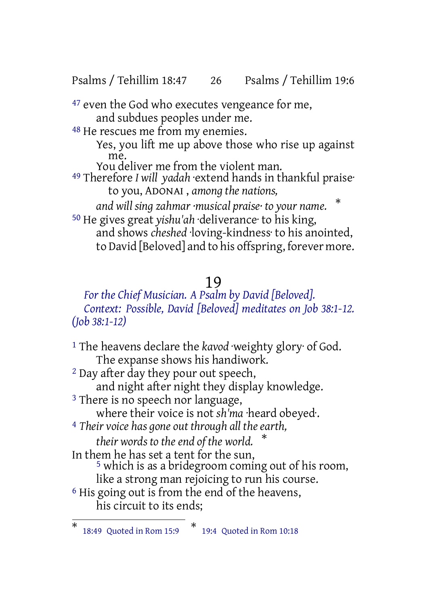Psalms / Tehillim 18:47 26 Psalms / Tehillim 19:6

<sup>47</sup> even the God who executes vengeance for me, and subdues peoples under me.

48 He rescues me from my enemies.

Yes, you lift me up above those who rise up against me.

You deliver me from the violent man. 49 Therefore *I will yadah* ·extend hands in thankful praise· to you, ADONAI , *among the nations,*

*and will sing zahmar ·musical praise· to your name.* \* 50 He gives great *yishu'ah* ·deliverance· to his king,

and shows *cheshed* ·loving-kindness· to his anointed, to David [Beloved] and to his offspring, forever more.

## 19

*For the Chief Musician. A Psalm by David [Beloved]. Context: Possible, David [Beloved] meditates on Job 38:1-12. (Job 38:1-12)*

1 The heavens declare the *kavod* ·weighty glory· of God. The expanse shows his handiwork. 2 Day after day they pour out speech, and night after night they display knowledge. <sup>3</sup> There is no speech nor language, where their voice is not *sh'ma* ·heard obeyed·. 4 *Their voice has gone out through all the earth, their words to the end of the world.* \* In them he has set a tent for the sun, 5 which is as a bridegroom coming out of his room, like a strong man rejoicing to run his course.

6 His going out is from the end of the heavens, his circuit to its ends;

<sup>\*</sup> 18:49 Quoted in Rom 15:9 \* 19:4 Quoted in Rom 10:18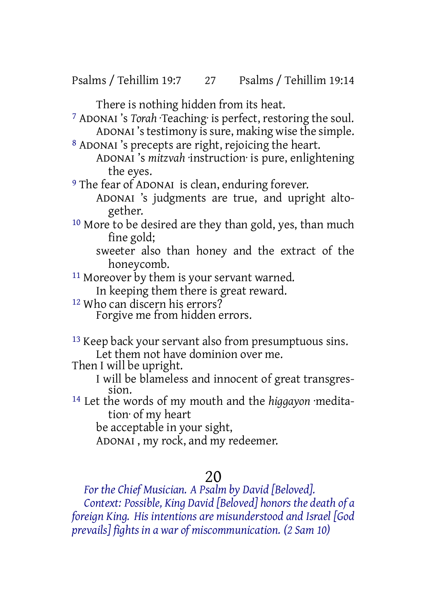There is nothing hidden from its heat.

7 ADONAI 's *Torah* ·Teaching· is perfect, restoring the soul. ADONAI's testimony is sure, making wise the simple.

8 ADONAI 's precepts are right, rejoicing the heart. ADONAI 's *mitzvah* ·instruction· is pure, enlightening

the eyes.

<sup>9</sup> The fear of ADONAI is clean, enduring forever.

ADONAI 's judgments are true, and upright altogether.

10 More to be desired are they than gold, yes, than much fine gold;

sweeter also than honey and the extract of the honeycomb.

<sup>11</sup> Moreover by them is your servant warned.

In keeping them there is great reward.

12 Who can discern his errors?

Forgive me from hidden errors.

13 Keep back your servant also from presumptuous sins. Let them not have dominion over me.

Then I will be upright.

I will be blameless and innocent of great transgression.

14 Let the words of my mouth and the *higgayon* ·meditation· of my heart

be acceptable in your sight,

ADONAI , my rock, and my redeemer.

## 20

*For the Chief Musician. A Psalm by David [Beloved].*

*Context: Possible, King David [Beloved] honors the death of a foreign King. His intentions are misunderstood and Israel [God prevails] fights in a war of miscommunication. (2 Sam 10)*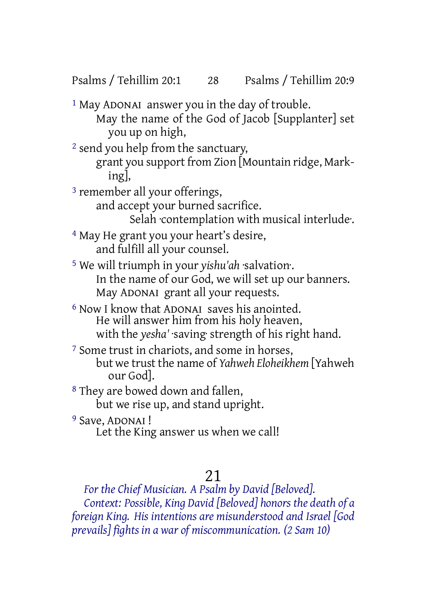Psalms / Tehillim 20:1 28 Psalms / Tehillim 20:9

1 May ADONAI answer you in the day of trouble. May the name of the God of Jacob [Supplanter] set you up on high,

2 send you help from the sanctuary,

grant you support from Zion [Mountain ridge, Marking],

3 remember all your offerings,

and accept your burned sacrifice.

Selah ·contemplation with musical interlude·.

4 May He grant you your heart's desire, and fulfill all your counsel.

5 We will triumph in your *yishu'ah* ·salvation·. In the name of our God, we will set up our banners. May ADONAI grant all your requests.

6 Now I know that ADONAI saves his anointed. He will answer him from his holy heaven, with the *yesha'* ·saving· strength of his right hand.

7 Some trust in chariots, and some in horses, but we trust the name of *Yahweh Eloheikhem* [Yahweh our God].

8 They are bowed down and fallen, but we rise up, and stand upright.

<sup>9</sup> Save, ADONAI ! Let the King answer us when we call!

## 21

*For the Chief Musician. A Psalm by David [Beloved]. Context: Possible, King David [Beloved] honors the death of a foreign King. His intentions are misunderstood and Israel [God prevails] fights in a war of miscommunication. (2 Sam 10)*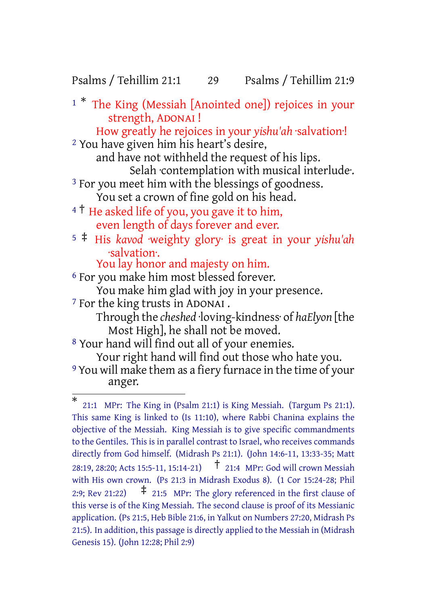## Psalms / Tehillim 21:1 29 Psalms / Tehillim 21:9

<sup>1</sup> \* The King (Messiah [Anointed one]) rejoices in your strength, ADONAI ! How greatly he rejoices in your *yishu'ah* ·salvation·! 2 You have given him his heart's desire, and have not withheld the request of his lips. Selah ·contemplation with musical interlude·. <sup>3</sup> For you meet him with the blessings of goodness. You set a crown of fine gold on his head. <sup>4</sup> <sup>†</sup> He asked life of you, you gave it to him, even length of days forever and ever. <sup>5</sup> ‡ His *kavod* ·weighty glory· is great in your *yishu'ah* ·salvation·. You lay honor and majesty on him. 6 For you make him most blessed forever.

You make him glad with joy in your presence.

7 For the king trusts in ADONAI .

Through the *cheshed* ·loving-kindness· of *haElyon* [the Most High], he shall not be moved.

8 Your hand will find out all of your enemies. Your right hand will find out those who hate you.

9 You will make them as a fiery furnace in the time of your anger.

<sup>\*</sup> 21:1 MPr: The King in (Psalm 21:1) is King Messiah. (Targum Ps 21:1). This same King is linked to (Is 11:10), where Rabbi Chanina explains the objective of the Messiah. King Messiah is to give specific commandments to the Gentiles. This is in parallel contrast to Israel, who receives commands directly from God himself. (Midrash Ps 21:1). (John 14:6-11, 13:33-35; Matt 28:19, 28:20; Acts 15:5-11, 15:14-21) † 21:4 MPr: God will crown Messiah with His own crown. (Ps 21:3 in Midrash Exodus 8). (1 Cor 15:24-28; Phil 2:9: Rev 21:22)  $\uparrow$  21:5 MPr: The glory referenced in the first clause of this verse is of the King Messiah. The second clause is proof of its Messianic application. (Ps 21:5, Heb Bible 21:6, in Yalkut on Numbers 27:20, Midrash Ps 21:5). In addition, this passage is directly applied to the Messiah in (Midrash Genesis 15). (John 12:28; Phil 2:9)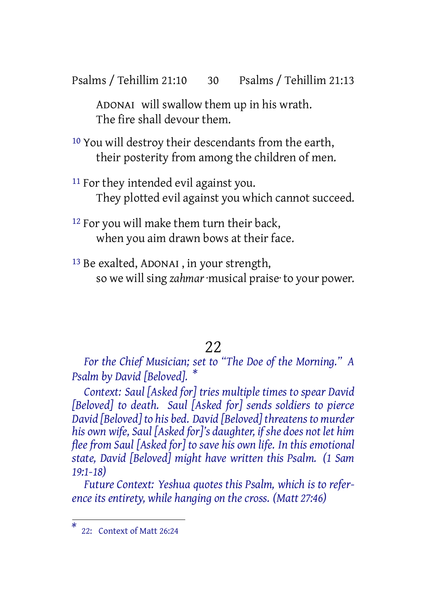Psalms / Tehillim 21:10 30 Psalms / Tehillim 21:13

ADONAI will swallow them up in his wrath. The fire shall devour them.

- 10 You will destroy their descendants from the earth, their posterity from among the children of men.
- <sup>11</sup> For they intended evil against you. They plotted evil against you which cannot succeed.
- 12 For you will make them turn their back, when you aim drawn bows at their face.
- 13 Be exalted, ADONAI , in your strength, so we will sing *zahmar* ·musical praise· to your power.

## 22

*For the Chief Musician; set to "The Doe of the Morning." A Psalm by David [Beloved]. \**

*Context: Saul [Asked for] tries multiple times to spear David [Beloved] to death. Saul [Asked for] sends soldiers to pierce David [Beloved] to his bed. David [Beloved] threatens to murder his own wife, Saul [Asked for]'s daughter, if she does not let him flee from Saul [Asked for] to save his own life. In this emotional state, David [Beloved] might have written this Psalm. (1 Sam 19:1-18)*

*Future Context: Yeshua quotes this Psalm, which is to reference its entirety, while hanging on the cross. (Matt 27:46)*

*<sup>\*</sup>* 22: Context of Matt 26:24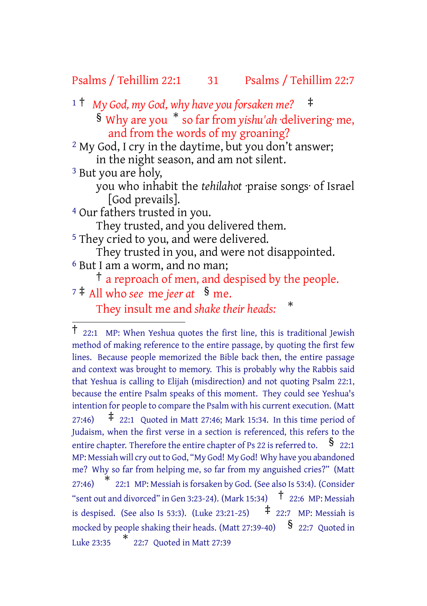## Psalms / Tehillim 22:1 31 Psalms / Tehillim 22:7

<sup>1</sup> † *My God, my God, why have you forsaken me?* ‡

§ Why are you \* so farfrom *yishu'ah* ·delivering· me, and from the words of my groaning?

2 My God, I cry in the daytime, but you don't answer; in the night season, and am not silent.

3 But you are holy,

you who inhabit the *tehilahot* ·praise songs· of Israel [God prevails].

4 Our fathers trusted in you.

They trusted, and you delivered them.

5 They cried to you, and were delivered.

They trusted in you, and were not disappointed.

6 But I am a worm, and no man;

† a reproach of men, and despised by the people.

<sup>7</sup> ‡ All who *see* me *jeer at* § me.

They insult me and *shake their heads:* \*

<sup>†</sup> 22:1 MP: When Yeshua quotes the first line, this is traditional Jewish method of making reference to the entire passage, by quoting the first few lines. Because people memorized the Bible back then, the entire passage and context was brought to memory. This is probably why the Rabbis said that Yeshua is calling to Elijah (misdirection) and not quoting Psalm 22:1, because the entire Psalm speaks of this moment. They could see Yeshua's intention for people to compare the Psalm with his current execution. (Matt 27:46)  $\uparrow$  22:1 Quoted in Matt 27:46; Mark 15:34. In this time period of Judaism, when the first verse in a section is referenced, this refers to the entire chapter. Therefore the entire chapter of Ps 22 is referred to.  $\frac{8}{22:1}$ MP: Messiah will cry out to God, "My God! My God! Why have you abandoned me? Why so far from helping me, so far from my anguished cries?" (Matt 27:46) \* 22:1 MP: Messiah isforsaken by God. (See also Is 53:4). (Consider "sent out and divorced" in Gen 3:23-24). (Mark 15:34)  $\uparrow$  22:6 MP: Messiah is despised. (See also Is 53:3). (Luke 23:21-25)  $\uparrow$  22:7 MP: Messiah is mocked by people shaking their heads. (Matt 27:39-40)  $\frac{1}{5}$  22:7 Quoted in Luke 23:35 \* 22:7 Quoted in Matt 27:39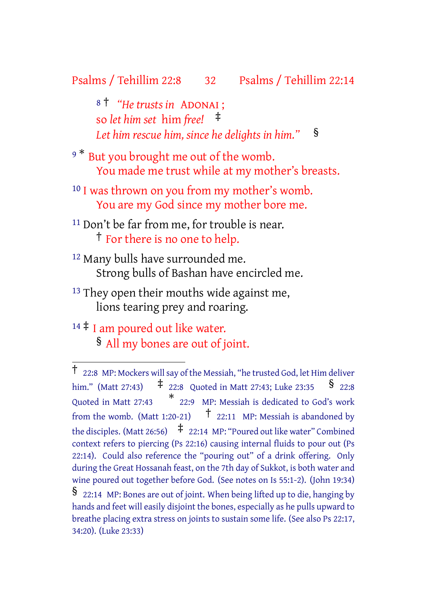### Psalms / Tehillim 22:8 32 Psalms / Tehillim 22:14

<sup>8</sup> † *"He trusts in* ADONAI ; so *let him set* him *free!* ‡ *Let him rescue him, since he delights in him."* §

- 9<sup>\*</sup> But you brought me out of the womb. You made me trust while at my mother's breasts.
- <sup>10</sup> I was thrown on you from my mother's womb. You are my God since my mother bore me.
- <sup>11</sup> Don't be far from me, for trouble is near. † For there is no one to help.
- 12 Many bulls have surrounded me. Strong bulls of Bashan have encircled me.
- <sup>13</sup> They open their mouths wide against me, lions tearing prey and roaring.
- $14 \ddagger$  I am poured out like water. § All my bones are out of joint.

<sup>†</sup> 22:8 MP: Mockers willsay of the Messiah, "he trusted God, let Him deliver him." (Matt 27:43)  $\qquad \qquad \neq 22:8$  Quoted in Matt 27:43; Luke 23:35  $\qquad \qquad$  § 22:8 Quoted in Matt 27:43 \* 22:9 MP: Messiah is dedicated to God's work from the womb. (Matt 1:20-21)  $\uparrow$  22:11 MP: Messiah is abandoned by the disciples. (Matt 26:56)  $\pm$  22:14 MP: "Poured out like water" Combined context refers to piercing (Ps 22:16) causing internal fluids to pour out (Ps 22:14). Could also reference the "pouring out" of a drink offering. Only during the Great Hossanah feast, on the 7th day of Sukkot, is both water and wine poured out together before God. (See notes on Is 55:1-2). (John 19:34) § 22:14 MP: Bones are out of joint. When being lifted up to die, hanging by hands and feet will easily disjoint the bones, especially as he pulls upward to breathe placing extra stress on joints to sustain some life. (See also Ps 22:17, 34:20). (Luke 23:33)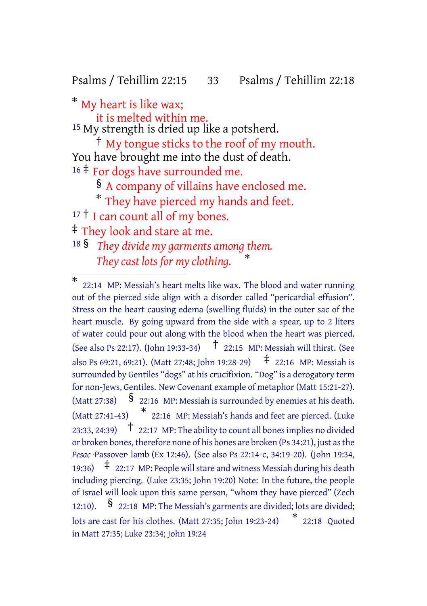Psalms / Tehillim 22:15 33 Psalms / Tehillim 22:18

\* My heart is like wax;

it is melted within me. <sup>15</sup> My strength is dried up like a potsherd.

† My tongue sticks to the roof of my mouth. You have brought me into the dust of death. 16  $\ddagger$  For dogs have surrounded me.

§ A company of villains have enclosed me.

\* They have pierced my hands and feet.

17<sup>†</sup> I can count all of my bones.

‡ They look and stare at me.

<sup>18</sup> § *They divide my garments among them. They cast lots for my clothing.* \*

<sup>\*</sup> 22:14 MP: Messiah's heart melts like wax. The blood and water running out of the pierced side align with a disorder called "pericardial effusion". Stress on the heart causing edema (swelling fluids) in the outer sac of the heart muscle. By going upward from the side with a spear, up to 2 liters of water could pour out along with the blood when the heart was pierced. (See also Ps 22:17). (John 19:33-34) † 22:15 MP: Messiah will thirst. (See also Ps 69:21, 69:21). (Matt 27:48: John 19:28-29)  $\uparrow$  22:16 MP: Messiah is surrounded by Gentiles "dogs" at his crucifixion. "Dog" is a derogatory term for non-Jews, Gentiles. New Covenant example of metaphor (Matt 15:21-27). (Matt 27:38)  $\S$  22:16 MP: Messiah is surrounded by enemies at his death. (Matt 27:41-43) \* 22:16 MP: Messiah's hands and feet are pierced. (Luke 23:33, 24:39)  $\uparrow$  22:17 MP: The ability to count all bones implies no divided or broken bones, therefore none of his bones are broken (Ps 34:21), just asthe *Pesac* ·Passover· lamb (Ex 12:46). (See also Ps 22:14-c, 34:19-20). (John 19:34, 19:36)  $\pm$  22:17 MP: People will stare and witness Messiah during his death including piercing. (Luke 23:35; John 19:20) Note: In the future, the people of Israel will look upon this same person, "whom they have pierced" (Zech 12:10).  $\delta$  22:18 MP: The Messiah's garments are divided; lots are divided; lots are cast for his clothes. (Matt 27:35; John 19:23-24) \* 22:18 Quoted in Matt 27:35; Luke 23:34; John 19:24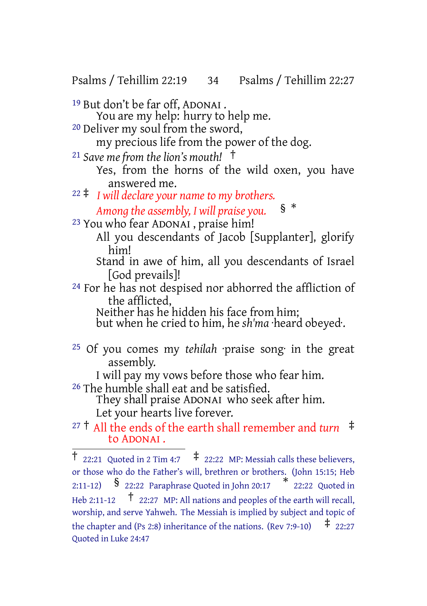Psalms / Tehillim 22:19 34 Psalms / Tehillim 22:27

- 19 But don't be far off, ADONAI .
- You are my help: hurry to help me. 20 Deliver my soul from the sword,
	-

my precious life from the power of the dog.

- <sup>21</sup> *Save me from the lion's mouth!* †
	- Yes, from the horns of the wild oxen, you have answered me.
- <sup>22</sup> ‡ *I will declare your name to my brothers. Among the assembly, I will praise you.* § \*
- 23 You who fear ADONAI , praise him!
	- All you descendants of Jacob [Supplanter], glorify him!

Stand in awe of him, all you descendants of Israel [God prevails]!

24 For he has not despised nor abhorred the affliction of the afflicted,

Neither has he hidden his face from him;

but when he cried to him, he *sh'ma* ·heard obeyed·.

25 Of you comes my *tehilah* ·praise song· in the great assembly.

I will pay my vows before those who fear him. 26 The humble shall eat and be satisfied.

They shall praise ADONAI who seek after him. Let your hearts live forever.

<sup>27</sup> † All the ends of the earth shall remember and *turn* ‡ to ADONAI .

<sup>&</sup>lt;sup>†</sup> 22:21 Quoted in 2 Tim 4:7  $\pm$  22:22 MP: Messiah calls these believers, or those who do the Father's will, brethren or brothers. (John 15:15; Heb 2:11-12) § 22:22 Paraphrase Quoted in John 20:17 \* 22:22 Quoted in Heb 2:11-12  $\uparrow$  22:27 MP: All nations and peoples of the earth will recall, worship, and serve Yahweh. The Messiah is implied by subject and topic of the chapter and (Ps 2:8) inheritance of the nations. (Rev 7:9-10)  $\pm$  22:27 Quoted in Luke 24:47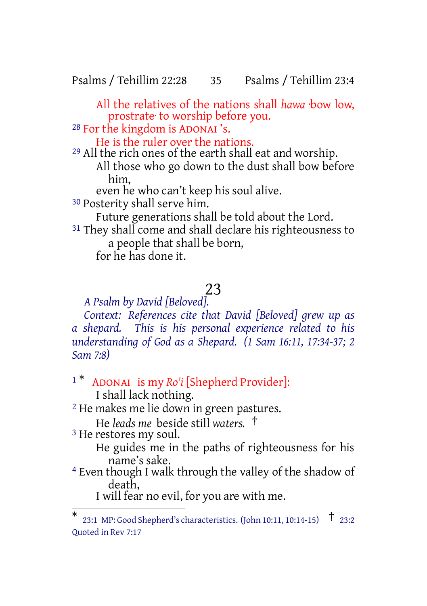Psalms / Tehillim 22:28 35 Psalms / Tehillim 23:4

All the relatives of the nations shall *hawa* ·bow low, prostrate· to worship before you.

28 For the kingdom is ADONAI 's.

He is the ruler over the nations.

29 All the rich ones of the earth shall eat and worship. All those who go down to the dust shall bow before him,

even he who can't keep his soul alive.

30 Posterity shall serve him.

Future generations shall be told about the Lord.

<sup>31</sup> They shall come and shall declare his righteousness to a people that shall be born,

for he has done it.

# 23

*A Psalm by David [Beloved].*

*Context: References cite that David [Beloved] grew up as a shepard. This is his personal experience related to his understanding of God as a Shepard. (1 Sam 16:11, 17:34-37; 2 Sam 7:8)*

# <sup>1</sup> \* ADONAI is my *Ro'i* [Shepherd Provider]:

I shall lack nothing.

2 He makes me lie down in green pastures.

He *leads me* beside still *waters.* †

3 He restores my soul.

He guides me in the paths of righteousness for his name's sake.

4 Even though I walk through the valley of the shadow of death,

I will fear no evil, for you are with me.

<sup>\*</sup> 23:1 MP: Good Shepherd's characteristics. (John 10:11, 10:14-15) † 23:2 Quoted in Rev 7:17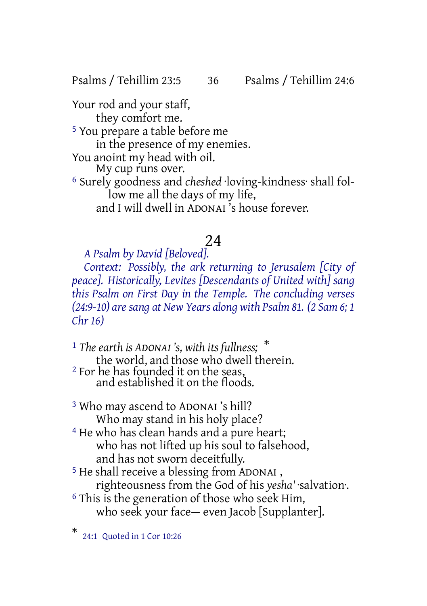Psalms / Tehillim 23:5 36 Psalms / Tehillim 24:6

Your rod and your staff, they comfort me. 5 You prepare a table before me in the presence of my enemies. You anoint my head with oil. My cup runs over. 6 Surely goodness and *cheshed* ·loving-kindness· shall follow me all the days of my life, and I will dwell in ADONAI 's house forever.

## 24

## *A Psalm by David [Beloved].*

*Context: Possibly, the ark returning to Jerusalem [City of peace]. Historically, Levites [Descendants of United with] sang this Psalm on First Day in the Temple. The concluding verses (24:9-10) aresang at New Years along with Psalm 81. (2 Sam 6; 1 Chr 16)*

<sup>1</sup> *The earth is ADONAI 's, with its fullness;* \* the world, and those who dwell therein. 2 For he has founded it on the seas, and established it on the floods.

3 Who may ascend to ADONAI 's hill? Who may stand in his holy place?

<sup>4</sup> He who has clean hands and a pure heart; who has not lifted up his soul to falsehood, and has not sworn deceitfully.

5 He shall receive a blessing from ADONAI , righteousness from the God of his *yesha'* ·salvation·. <sup>6</sup> This is the generation of those who seek Him, who seek your face— even Jacob [Supplanter].

<sup>\*</sup> 24:1 Quoted in 1 Cor 10:26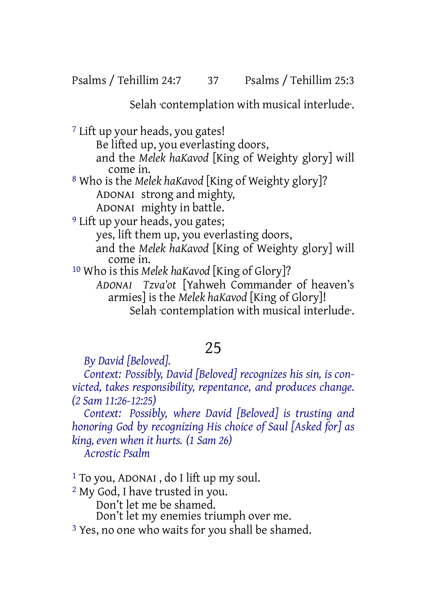Selah ·contemplation with musical interlude·.

7 Lift up your heads, you gates!

Be lifted up, you everlasting doors,

and the *Melek haKavod* [King of Weighty glory] will come in.

8 Who is the *Melek haKavod* [King of Weighty glory]? ADONAI strong and mighty,

ADONAI mighty in battle.

9 Lift up your heads, you gates;

yes, lift them up, you everlasting doors,

and the *Melek haKavod* [King of Weighty glory] will come in.

10 Who is this *Melek haKavod* [King of Glory]?

*ADONAI Tzva'ot* [Yahweh Commander of heaven's armies] is the *Melek haKavod* [King of Glory]! Selah contemplation with musical interlude.

# 25

*By David [Beloved].*

*Context: Possibly, David [Beloved] recognizes his sin, is convicted, takes responsibility, repentance, and produces change. (2 Sam 11:26-12:25)*

*Context: Possibly, where David [Beloved] is trusting and honoring God by recognizing His choice of Saul [Asked for] as king, even when it hurts. (1 Sam 26) Acrostic Psalm*

1 To you, ADONAI , do I lift up my soul.

2 My God, I have trusted in you.

Don't let me be shamed.

Don't let my enemies triumph over me.

<sup>3</sup> Yes, no one who waits for you shall be shamed.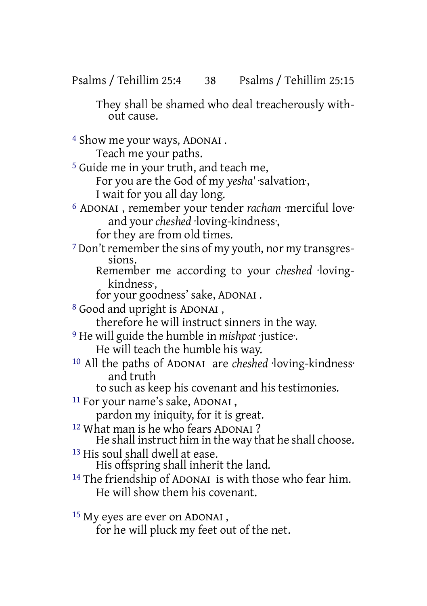They shall be shamed who deal treacherously without cause.

- 4 Show me your ways, ADONAI . Teach me your paths. 5 Guide me in your truth, and teach me, For you are the God of my *yesha'* ·salvation·, I wait for you all day long. 6 ADONAI , remember your tender *racham* ·merciful love· and your *cheshed* ·loving-kindness·, for they are from old times. <sup>7</sup> Don't remember the sins of my youth, nor my transgressions. Remember me according to your *cheshed* ·lovingkindness·, for your goodness' sake, ADONAI . 8 Good and upright is ADONAI , therefore he will instruct sinners in the way. 9 He will guide the humble in *mishpat* ·justice·. He will teach the humble his way. 10 All the paths of ADONAI are *cheshed* ·loving-kindness· and truth to such as keep his covenant and his testimonies. 11 For your name's sake, ADONAI , pardon my iniquity, for it is great. 12 What man is he who fears ADONAI ? He shall instruct him in the way that he shall choose. 13 His soul shall dwell at ease. His offspring shall inherit the land. 14 The friendship of ADONAI is with those who fear him. He will show them his covenant.
- 15 My eyes are ever on ADONAI , for he will pluck my feet out of the net.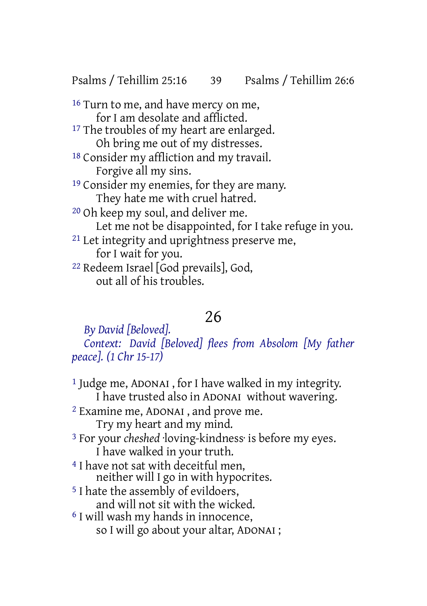Psalms / Tehillim 25:16 39 Psalms / Tehillim 26:6

<sup>16</sup> Turn to me, and have mercy on me, for I am desolate and afflicted. <sup>17</sup> The troubles of my heart are enlarged. Oh bring me out of my distresses. 18 Consider my affliction and my travail. Forgive all my sins. <sup>19</sup> Consider my enemies, for they are many. They hate me with cruel hatred. 20 Oh keep my soul, and deliver me. Let me not be disappointed, for I take refuge in you. 21 Let integrity and uprightness preserve me,

for I wait for you.

22 Redeem Israel [God prevails], God, out all of his troubles.

# 26

*By David [Beloved]. Context: David [Beloved] flees from Absolom [My father peace]. (1 Chr 15-17)*

1 Judge me, ADONAI , for I have walked in my integrity. I have trusted also in ADONAI without wavering. 2 Examine me, ADONAI , and prove me. Try my heart and my mind. 3 For your *cheshed* ·loving-kindness· is before my eyes. I have walked in your truth. <sup>4</sup> I have not sat with deceitful men, neither will I go in with hypocrites. 5 I hate the assembly of evildoers, and will not sit with the wicked. 6 I will wash my hands in innocence, so I will go about your altar, ADONAI ;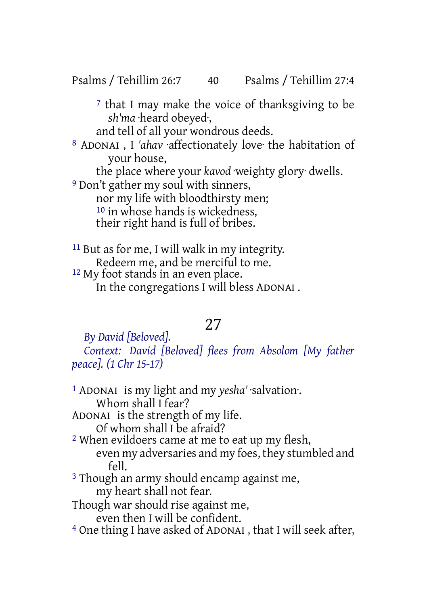Psalms / Tehillim 26:7 40 Psalms / Tehillim 27:4

7 that I may make the voice of thanksgiving to be *sh'ma* ·heard obeyed·,

and tell of all your wondrous deeds.

8 ADONAI , I *'ahav* ·affectionately love· the habitation of your house,

the place where your *kavod* ·weighty glory· dwells.

9 Don't gather my soul with sinners, nor my life with bloodthirsty men; 10 in whose hands is wickedness, their right hand is full of bribes.

11 But as for me, I will walk in my integrity. Redeem me, and be merciful to me. <sup>12</sup> My foot stands in an even place. In the congregations I will bless ADONAI .

# 27

*By David [Beloved]. Context: David [Beloved] flees from Absolom [My father peace]. (1 Chr 15-17)*

1 ADONAI is my light and my *yesha'* ·salvation·. Whom shall I fear? ADONAI is the strength of my life. Of whom shall I be afraid? 2 When evildoers came at me to eat up my flesh, even my adversaries and my foes, they stumbled and  $f_{\rho}$ || <sup>3</sup> Though an army should encamp against me, my heart shall not fear. Though war should rise against me, even then I will be confident. 4 One thing I have asked of ADONAI , that I will seek after,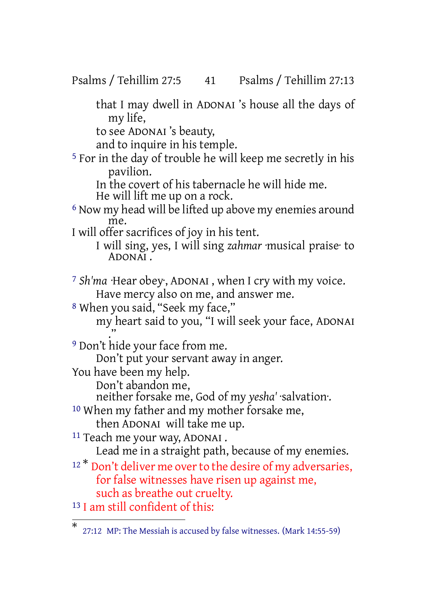Psalms / Tehillim 27:5 41 Psalms / Tehillim 27:13

that I may dwell in ADONAI 's house all the days of my life,

to see ADONAI 's beauty,

and to inquire in his temple.

5 For in the day of trouble he will keep me secretly in his pavilion.

In the covert of his tabernacle he will hide me. He will lift me up on a rock.

6 Now my head will be lifted up above my enemies around me.

I will offer sacrifices of joy in his tent.

I will sing, yes, I will sing *zahmar* ·musical praise· to ADONAI .

7 *Sh'ma* ·Hear obey·, ADONAI , when I cry with my voice. Have mercy also on me, and answer me.

8 When you said, "Seek my face," my heart said to you, "I will seek your face, ADONAI ."

9 Don't hide your face from me.

Don't put your servant away in anger.

You have been my help.

Don't abandon me,

neither forsake me, God of my *yesha'* ·salvation·.

10 When my father and my mother forsake me,

then ADONAI will take me up.

11 Teach me your way, ADONAI . Lead me in a straight path, because of my enemies.

<sup>12\*</sup> Don't deliver me over to the desire of my adversaries, for false witnesses have risen up against me, such as breathe out cruelty.

13 I am still confident of this:

<sup>\*</sup> 27:12 MP: The Messiah is accused by false witnesses. (Mark 14:55-59)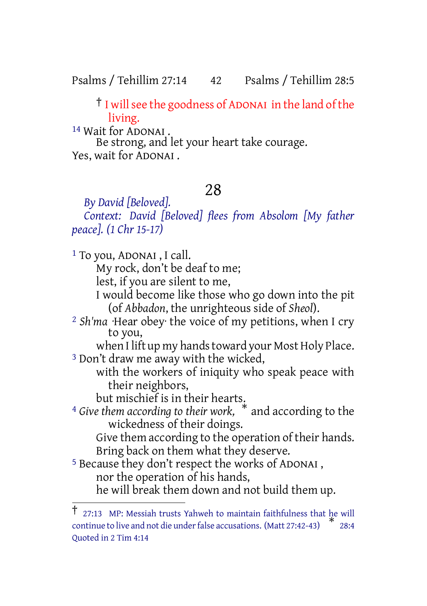Psalms / Tehillim 27:14 42 Psalms / Tehillim 28:5

† I willsee the goodness of ADONAI in the land of the living.

14 Wait for ADONAI . Be strong, and let your heart take courage. Yes, wait for ADONAI .

# 28

*By David [Beloved]. Context: David [Beloved] flees from Absolom [My father peace]. (1 Chr 15-17)*

1 To you, ADONAI , I call. My rock, don't be deaf to me; lest, if you are silent to me, I would become like those who go down into the pit (of *Abbadon*, the unrighteous side of *Sheol*). 2 *Sh'ma* ·Hear obey· the voice of my petitions, when I cry to you, when I lift up my hands toward your Most Holy Place. 3 Don't draw me away with the wicked, with the workers of iniquity who speak peace with their neighbors, but mischief is in their hearts. <sup>4</sup> *Give them according to their work,* \* and according to the wickedness of their doings. Give them according to the operation of their hands. Bring back on them what they deserve. 5 Because they don't respect the works of ADONAI , nor the operation of his hands, he will break them down and not build them up.

 $\overline{1}$  27:13 MP: Messiah trusts Yahweh to maintain faithfulness that  $he$  will continue to live and not die under false accusations. (Matt 27:42-43) 28:4 Quoted in 2 Tim 4:14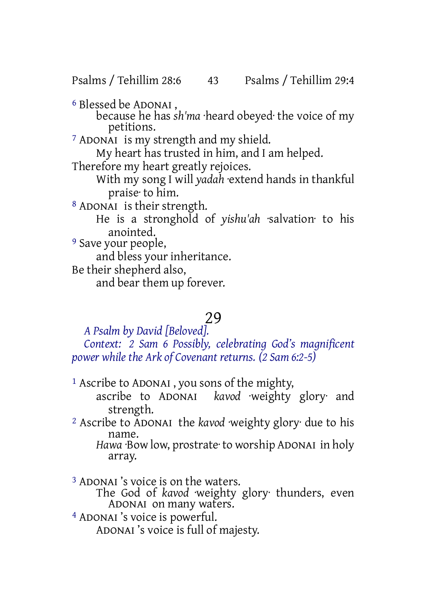Psalms / Tehillim 28:6 43 Psalms / Tehillim 29:4

6 Blessed be ADONAI ,

because he has *sh'ma* ·heard obeyed· the voice of my petitions.

7 ADONAI is my strength and my shield.

My heart has trusted in him, and I am helped.

Therefore my heart greatly rejoices.

With my song I will *yadah* ·extend hands in thankful praise· to him.

8 ADONAI is their strength.

He is a stronghold of *yishu'ah* ·salvation· to his anointed.

<sup>9</sup> Save your people,

and bless your inheritance.

Be their shepherd also,

and bear them up forever.

# 29

*A Psalm by David [Beloved]. Context: 2 Sam 6 Possibly, celebrating God's magnificent power while the Ark of Covenant returns. (2 Sam 6:2-5)*

1 Ascribe to ADONAI , you sons of the mighty,

ascribe to ADONAI *kavod* ·weighty glory· and strength.

2 Ascribe to ADONAI the *kavod* ·weighty glory· due to his name.

*Hawa* ·Bow low, prostrate· to worship ADONAI in holy array.

3 ADONAI 's voice is on the waters.

The God of *kavod* ·weighty glory· thunders, even ADONAI on many waters.

4 ADONAI 's voice is powerful.

ADONAI 's voice is full of majesty.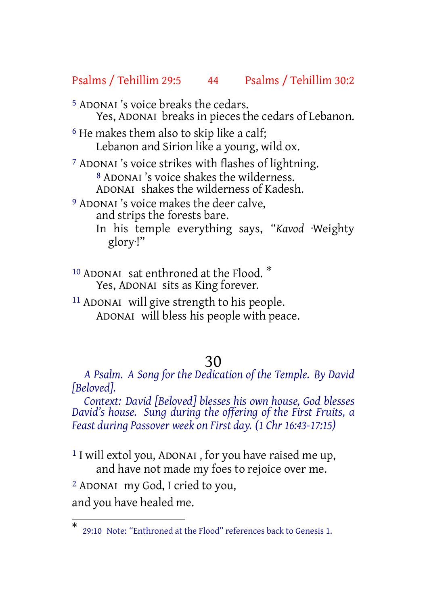#### Psalms / Tehillim 29:5 44 Psalms / Tehillim 30:2

- 5 ADONAI 's voice breaks the cedars. Yes, ADONAI breaks in pieces the cedars of Lebanon.
- 6 He makes them also to skip like a calf; Lebanon and Sirion like a young, wild ox.

 ADONAI 's voice strikes with flashes of lightning. ADONAI 's voice shakes the wilderness. ADONAI shakes the wilderness of Kadesh. ADONAI 's voice makes the deer calve,

- and strips the forests bare.
	- In his temple everything says, "*Kavod* ·Weighty glory·!"
- <sup>10</sup> ADONAI sat enthroned at the Flood.  $*$ Yes, ADONAI sits as King forever.
- 11 ADONAI will give strength to his people. ADONAI will bless his people with peace.

#### 30

*A Psalm. A Song for the Dedication of the Temple. By David [Beloved].*

*Context: David [Beloved] blesses his own house, God blesses David's house. Sung during the offering of the First Fruits, a Feast during Passover week on First day. (1 Chr 16:43-17:15)*

<sup>1</sup> I will extol you, ADONAI, for you have raised me up, and have not made my foes to rejoice over me.

2 ADONAI my God, I cried to you,

and you have healed me.

<sup>\*</sup> 29:10 Note: "Enthroned at the Flood" references back to Genesis 1.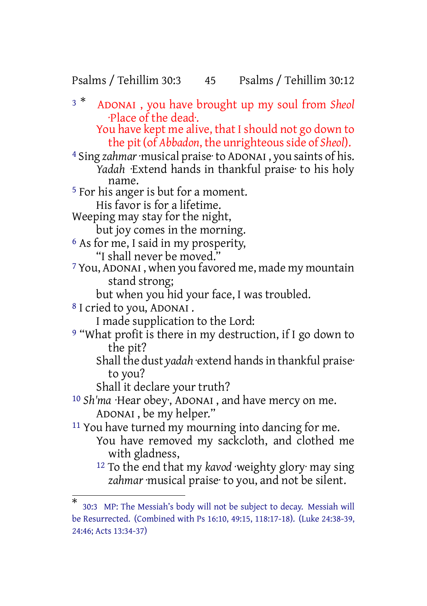## Psalms / Tehillim 30:3 45 Psalms / Tehillim 30:12

<sup>3</sup> \* ADONAI , you have brought up my soul from *Sheol* ·Place of the dead·. You have kept me alive, that I should not go down to the pit (of *Abbadon*, the unrighteous side of *Sheol*). 4 Sing *zahmar*·musical praise·to ADONAI , you saints of his. *Yadah* ·Extend hands in thankful praise· to his holy name. 5 For his anger is but for a moment. His favor is for a lifetime. Weeping may stay for the night, but joy comes in the morning. 6 As for me, I said in my prosperity, "I shall never be moved." 7 You, ADONAI , when you favored me, made my mountain stand strong; but when you hid your face, I was troubled. 8 I cried to you, ADONAI . I made supplication to the Lord: <sup>9</sup> "What profit is there in my destruction, if I go down to the pit? Shall the dust *yadah* extend hands in thankful praise<sup>.</sup> to you? Shall it declare your truth? 10 *Sh'ma* ·Hear obey·, ADONAI , and have mercy on me. ADONAI , be my helper." 11 You have turned my mourning into dancing for me. You have removed my sackcloth, and clothed me with gladness, 12 To the end that my *kavod* ·weighty glory· may sing *zahmar* ·musical praise· to you, and not be silent.

<sup>\*</sup> 30:3 MP: The Messiah's body will not be subject to decay. Messiah will be Resurrected. (Combined with Ps 16:10, 49:15, 118:17-18). (Luke 24:38-39, 24:46; Acts 13:34-37)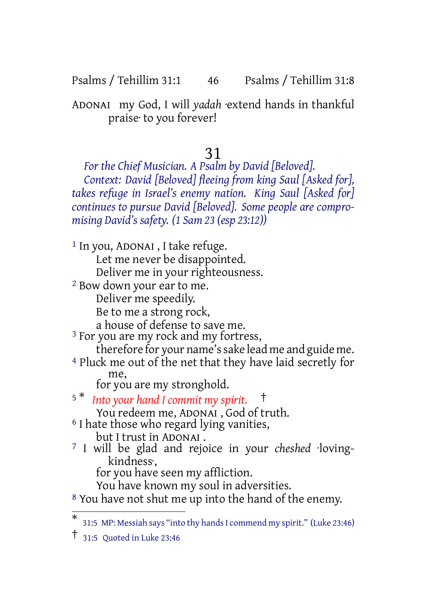Psalms / Tehillim 31:1 46 Psalms / Tehillim 31:8

ADONAI my God, I will *yadah* ·extend hands in thankful praise· to you forever!

31

*For the Chief Musician. A Psalm by David [Beloved]. Context: David [Beloved] fleeing from king Saul [Asked for], takes refuge in Israel's enemy nation. King Saul [Asked for] continues to pursue David [Beloved]. Some people are compromising David's safety. (1 Sam 23 (esp 23:12))*

1 In you, ADONAI , I take refuge. Let me never be disappointed. Deliver me in your righteousness. 2 Bow down your ear to me. Deliver me speedily. Be to me a strong rock, a house of defense to save me. <sup>3</sup> For you are my rock and my fortress, therefore for your name'ssake lead me and guide me. 4 Pluck me out of the net that they have laid secretly for me, for you are my stronghold. <sup>5</sup> \* *Into your hand I commit my spirit.* † You redeem me, ADONAI, God of truth. <sup>6</sup> I hate those who regard lying vanities, but I trust in ADONAI . 7 I will be glad and rejoice in your *cheshed* ·lovingkindness·, for you have seen my affliction. You have known my soul in adversities. 8 You have not shut me up into the hand of the enemy.

<sup>\*</sup> 31:5 MP: Messiah says "into thy handsI commend my spirit." (Luke 23:46)

<sup>†</sup> 31:5 Quoted in Luke 23:46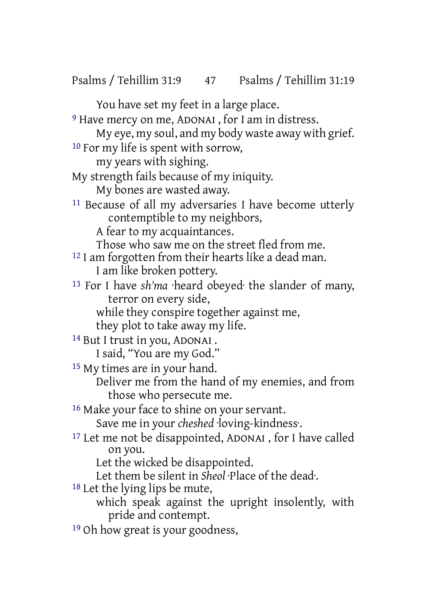Psalms / Tehillim 31:9 47 Psalms / Tehillim 31:19

You have set my feet in a large place.

9 Have mercy on me, ADONAI , for I am in distress.

My eye, my soul, and my body waste away with grief. 10 For my life is spent with sorrow,

my years with sighing.

My strength fails because of my iniquity.

My bones are wasted away.

11 Because of all my adversaries I have become utterly contemptible to my neighbors,

A fear to my acquaintances.

Those who saw me on the street fled from me.

12 I am forgotten from their hearts like a dead man. I am like broken pottery.

13 For I have *sh'ma* ·heard obeyed· the slander of many, terror on every side,

while they conspire together against me,

they plot to take away my life.

14 But I trust in you, ADONAI .

I said, "You are my God."

15 My times are in your hand.

Deliver me from the hand of my enemies, and from those who persecute me.

16 Make your face to shine on your servant.

Save me in your *cheshed* ·loving-kindness·.

17 Let me not be disappointed, ADONAI , for I have called on you.

Let the wicked be disappointed.

Let them be silent in *Sheol* ·Place of the dead·.

18 Let the lying lips be mute,

- which speak against the upright insolently, with pride and contempt.
- 19 Oh how great is your goodness,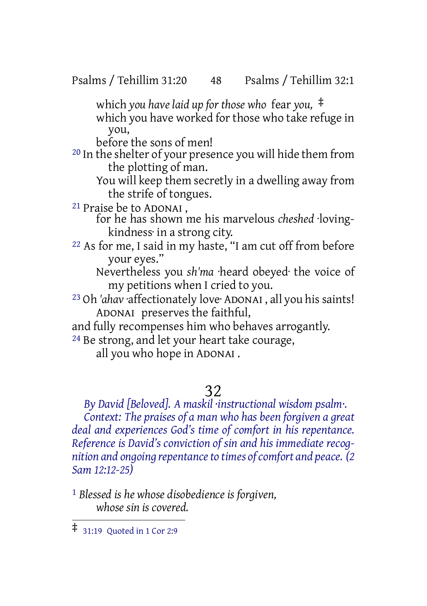Psalms / Tehillim 31:20 48 Psalms / Tehillim 32:1

which *you have laid up for those who* fear *you,* ‡

which you have worked for those who take refuge in you,

before the sons of men!

20 In the shelter of your presence you will hide them from the plotting of man.

You will keep them secretly in a dwelling away from the strife of tongues.

21 Praise be to ADONAI ,

for he has shown me his marvelous *cheshed* ·lovingkindness· in a strong city.

22 As for me, I said in my haste, "I am cut off from before your eyes."

Nevertheless you *sh'ma* ·heard obeyed· the voice of my petitions when I cried to you.

<sup>23</sup> Oh 'ahav affectionately love ADONAI, all you his saints! ADONAI preserves the faithful,

and fully recompenses him who behaves arrogantly.

24 Be strong, and let your heart take courage,

all you who hope in ADONAI .

# 32

*By David [Beloved]. A maskil ·instructional wisdom psalm·. Context: The praises of a man who has been forgiven a great deal and experiences God's time of comfort in his repentance. Reference is David's conviction of sin and his immediate recognition and ongoing repentanceto times ofcomfort and peace. (2 Sam 12:12-25)*

1 *Blessed is he whose disobedience is forgiven, whose sin is covered.*

<sup>‡</sup> 31:19 Quoted in <sup>1</sup> Cor 2:9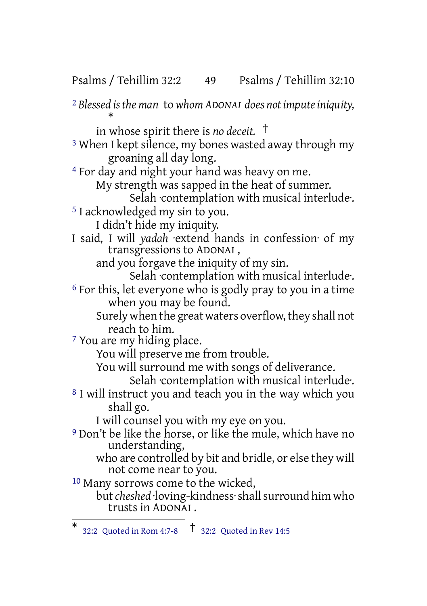Psalms / Tehillim 32:2 49 Psalms / Tehillim 32:10

2 *Blessed isthe man* to *whom ADONAI does notimputeiniquity,* \* in whose spirit there is *no deceit.* † 3 When I kept silence, my bones wasted away through my groaning all day long. 4 For day and night your hand was heavy on me. My strength was sapped in the heat of summer. Selah ·contemplation with musical interlude·. 5 I acknowledged my sin to you. I didn't hide my iniquity. I said, I will *yadah* ·extend hands in confession· of my transgressions to ADONAI , and you forgave the iniquity of my sin. Selah ·contemplation with musical interlude·. 6 For this, let everyone who is godly pray to you in a time when you may be found. Surely when the great waters overflow, they shall not reach to him. 7 You are my hiding place. You will preserve me from trouble. You will surround me with songs of deliverance. Selah contemplation with musical interlude. 8 I will instruct you and teach you in the way which you shall go. I will counsel you with my eye on you. 9 Don't be like the horse, or like the mule, which have no understanding, who are controlled by bit and bridle, or else they will not come near to you. 10 Many sorrows come to the wicked,

but *cheshed* ·loving-kindness·shall surround him who trusts in ADONAI .

<sup>\*</sup> 32:2 Quoted in Rom 4:7-8 † 32:2 Quoted in Rev 14:5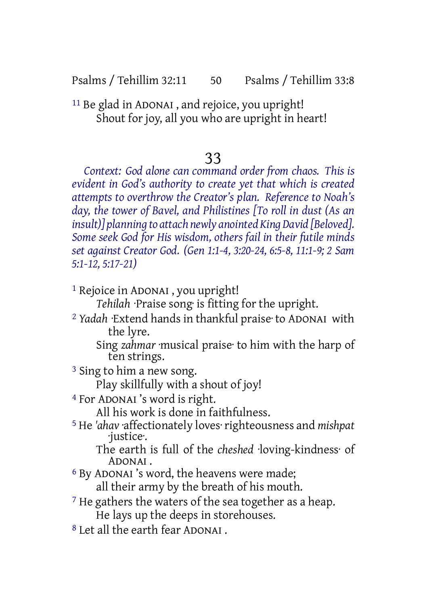Psalms / Tehillim 32:11 50 Psalms / Tehillim 33:8

11 Be glad in ADONAI , and rejoice, you upright! Shout for joy, all you who are upright in heart!

## 33

*Context: God alone can command order from chaos. This is evident in God's authority to create yet that which is created attempts to overthrow the Creator's plan. Reference to Noah's day, the tower of Bavel, and Philistines [To roll in dust (As an insult)] planning to attach newly anointed KingDavid [Beloved]. Some seek God for His wisdom, others fail in their futile minds set against Creator God. (Gen 1:1-4, 3:20-24, 6:5-8, 11:1-9; 2 Sam 5:1-12, 5:17-21)*

1 Rejoice in ADONAI , you upright!

*Tehilah* ·Praise song· is fitting for the upright.

2 *Yadah* ·Extend hands in thankful praise· to ADONAI with the lyre.

Sing *zahmar* ·musical praise· to him with the harp of ten strings.

3 Sing to him a new song.

Play skillfully with a shout of joy!

4 For ADONAI 's word is right.

All his work is done in faithfulness.

5 He *'ahav* ·affectionately loves· righteousness and *mishpat* ·justice·.

The earth is full of the *cheshed* ·loving-kindness· of ADONAI .

6 By ADONAI 's word, the heavens were made;

all their army by the breath of his mouth.

- <sup>7</sup> He gathers the waters of the sea together as a heap. He lays up the deeps in storehouses.
- 8 Let all the earth fear ADONAI .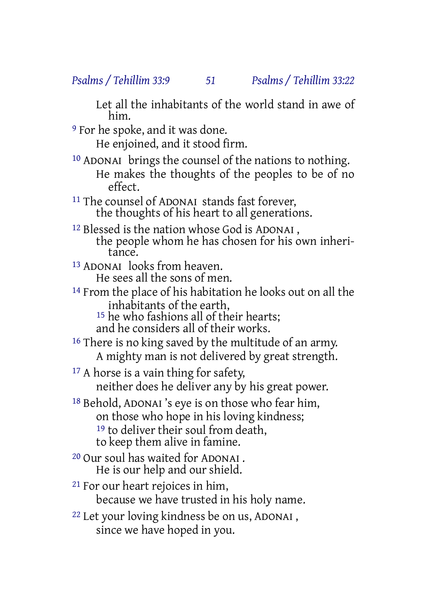Let all the inhabitants of the world stand in awe of him.

9 For he spoke, and it was done.

He enjoined, and it stood firm.

10 ADONAI brings the counsel of the nations to nothing. He makes the thoughts of the peoples to be of no effect.

11 The counsel of ADONAI stands fast forever, the thoughts of his heart to all generations.

- 12 Blessed is the nation whose God is ADONAI , the people whom he has chosen for his own inheritance.
- 13 ADONAI looks from heaven. He sees all the sons of men.
- 14 From the place of his habitation he looks out on all the inhabitants of the earth,

15 he who fashions all of their hearts;

and he considers all of their works.

- <sup>16</sup> There is no king saved by the multitude of an army. A mighty man is not delivered by great strength.
- <sup>17</sup> A horse is a vain thing for safety, neither does he deliver any by his great power.
- 18 Behold, ADONAI 's eye is on those who fear him, on those who hope in his loving kindness; <sup>19</sup> to deliver their soul from death, to keep them alive in famine.
- 20 Our soul has waited for ADONAI . He is our help and our shield.
- 21 For our heart rejoices in him, because we have trusted in his holy name.
- 22 Let your loving kindness be on us, ADONAI , since we have hoped in you.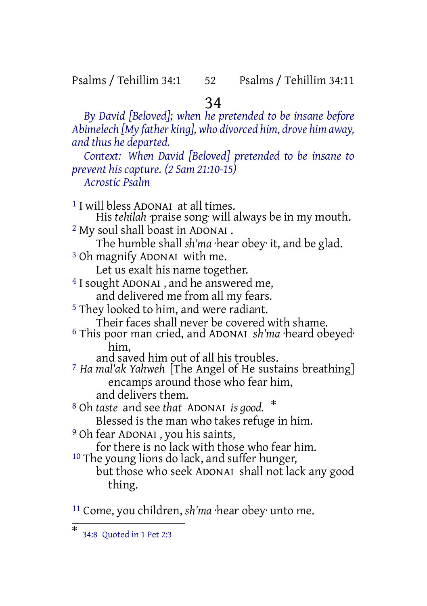## Psalms / Tehillim 34:1 52 Psalms / Tehillim 34:11

34

*By David [Beloved]; when he pretended to be insane before Abimelech [My father king], who divorced him, drove him away, and thus he departed. Context: When David [Beloved] pretended to be insane to prevent his capture. (2 Sam 21:10-15) Acrostic Psalm* 1 I will bless ADONAI at all times. His *tehilah* praise song will always be in my mouth. 2 My soul shall boast in ADONAI . The humble shall *sh'ma* ·hear obey· it, and be glad. 3 Oh magnify ADONAI with me. Let us exalt his name together. 4 I sought ADONAI , and he answered me, and delivered me from all my fears. 5 They looked to him, and were radiant. Their faces shall never be covered with shame. 6 This poor man cried, and ADONAI *sh'ma* ·heard obeyed· him, and saved him out of all his troubles. 7 *Ha mal'ak Yahweh* [The Angel of He sustains breathing] encamps around those who fear him, and delivers them. <sup>8</sup> Oh *taste* and see *that* ADONAI *is good.* \* Blessed is the man who takes refuge in him. 9 Oh fear ADONAI , you his saints, for there is no lack with those who fear him. <sup>10</sup> The young lions do lack, and suffer hunger, but those who seek ADONAI shall not lack any good thing. 11 Come, you children, *sh'ma* ·hear obey· unto me.

<sup>\*</sup> 34:8 Quoted in 1 Pet 2:3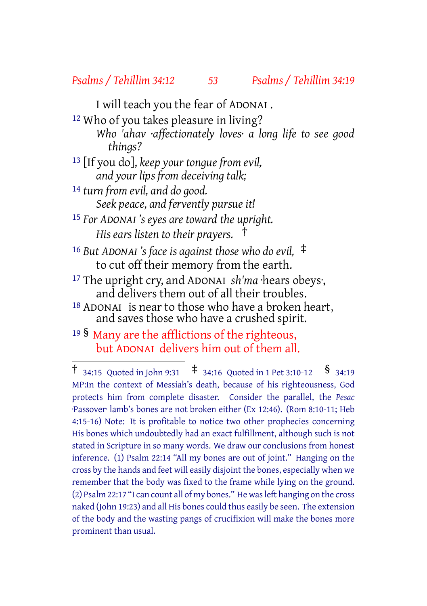#### *Psalms / Tehillim 34:12 53 Psalms / Tehillim 34:19*

I will teach you the fear of ADONAI .

12 Who of you takes pleasure in living?

- *Who 'ahav ·affectionately loves· a long life to see good things?*
- 13 [If you do], *keep your tongue from evil, and your lips from deceiving talk;*
- 14 *turn from evil, and do good. Seek peace, and fervently pursue it!*
- 15 *For ADONAI 's eyes are toward the upright. His ears listen to their prayers.* †

<sup>16</sup> *But ADONAI 's face is against those who do evil,* ‡ to cut off their memory from the earth.

17 The upright cry, and ADONAI *sh'ma* ·hears obeys·, and delivers them out of all their troubles.

18 ADONAI is near to those who have a broken heart, and saves those who have a crushed spirit.

<sup>19</sup> § Many are the afflictions of the righteous, but ADONAI delivers him out of them all.

<sup>†</sup> 34:15 Quoted in John 9:31 ‡ 34:16 Quoted in <sup>1</sup> Pet 3:10-12 § 34:19 MP:In the context of Messiah's death, because of his righteousness, God protects him from complete disaster. Consider the parallel, the *Pesac* ·Passover· lamb's bones are not broken either (Ex 12:46). (Rom 8:10-11; Heb 4:15-16) Note: It is profitable to notice two other prophecies concerning His bones which undoubtedly had an exact fulfillment, although such is not stated in Scripture in so many words. We draw our conclusions from honest inference. (1) Psalm 22:14 "All my bones are out of joint." Hanging on the cross by the hands and feet will easily disjoint the bones, especially when we remember that the body was fixed to the frame while lying on the ground. (2) Psalm 22:17 "I can count all of my bones." He was left hanging on the cross naked (John 19:23) and all His bones could thus easily be seen. The extension of the body and the wasting pangs of crucifixion will make the bones more prominent than usual.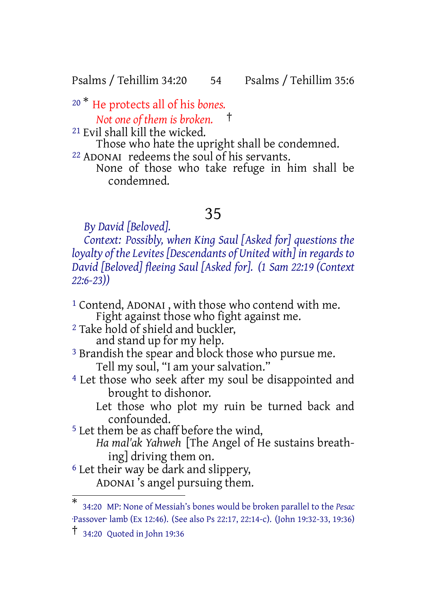Psalms / Tehillim 34:20 54 Psalms / Tehillim 35:6

<sup>20</sup> \* He protects all of his *bones.*

*Not one of them is broken.* †

21 Evil shall kill the wicked.

Those who hate the upright shall be condemned.

22 ADONAI redeems the soul of his servants. None of those who take refuge in him shall be condemned.

# 35

*By David [Beloved].*

*Context: Possibly, when King Saul [Asked for] questions the loyalty of the Levites [Descendants of United with] in regards to David [Beloved] fleeing Saul [Asked for]. (1 Sam 22:19 (Context 22:6-23))*

1 Contend, ADONAI , with those who contend with me. Fight against those who fight against me. 2 Take hold of shield and buckler, and stand up for my help. <sup>3</sup> Brandish the spear and block those who pursue me. Tell my soul, "I am your salvation." 4 Let those who seek after my soul be disappointed and brought to dishonor. Let those who plot my ruin be turned back and confounded. 5 Let them be as chaff before the wind, *Ha mal'ak Yahweh* [The Angel of He sustains breathing] driving them on. 6 Let their way be dark and slippery, ADONAI 's angel pursuing them.

<sup>\*</sup> 34:20 MP: None of Messiah's bones would be broken parallel to the *Pesac* ·Passover· lamb (Ex 12:46). (See also Ps 22:17, 22:14-c). (John 19:32-33, 19:36)

<sup>†</sup> 34:20 Quoted in John 19:36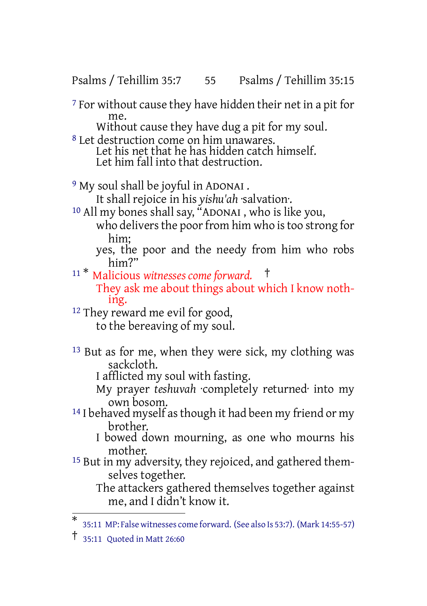Psalms / Tehillim 35:7 55 Psalms / Tehillim 35:15

7 For without cause they have hidden their net in a pit for me.

Without cause they have dug a pit for my soul.

8 Let destruction come on him unawares. Let his net that he has hidden catch himself. Let him fall into that destruction.

<sup>9</sup> My soul shall be joyful in ADONAI.

It shall rejoice in his *yishu'ah* ·salvation·.

10 All my bones shall say, "ADONAI , who is like you, who delivers the poor from him who is too strong for him;

yes, the poor and the needy from him who robs him?"

<sup>11</sup> \* Malicious *witnesses come forward.* † They ask me about things about which I know nothing.

<sup>12</sup> They reward me evil for good,

to the bereaving of my soul.

13 But as for me, when they were sick, my clothing was sackcloth.

I afflicted my soul with fasting.

- My prayer *teshuvah* ·completely returned· into my own bosom.
- <sup>14</sup> I behaved myself as though it had been my friend or my brother.
	- I bowed down mourning, as one who mourns his mother.
- <sup>15</sup> But in my adversity, they rejoiced, and gathered themselves together.

The attackers gathered themselves together against me, and I didn't know it.

<sup>\*</sup> 35:11 MP: False witnesses come forward. (See also Is 53:7). (Mark 14:55-57)

<sup>†</sup> 35:11 Quoted in Matt 26:60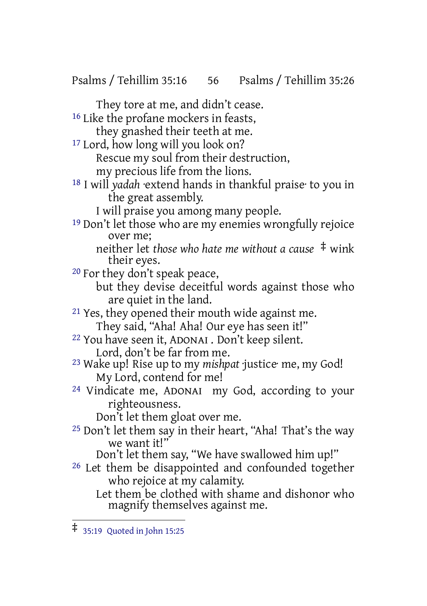Psalms / Tehillim 35:16 56 Psalms / Tehillim 35:26

They tore at me, and didn't cease. 16 Like the profane mockers in feasts, they gnashed their teeth at me. 17 Lord, how long will you look on? Rescue my soul from their destruction, my precious life from the lions. 18 I will *yadah* ·extend hands in thankful praise· to you in the great assembly. I will praise you among many people. 19 Don't let those who are my enemies wrongfully rejoice over me; neither let *those who hate me without a cause* ‡ wink their eyes. 20 For they don't speak peace, but they devise deceitful words against those who are quiet in the land. <sup>21</sup> Yes, they opened their mouth wide against me. They said, "Aha! Aha! Our eye has seen it!" 22 You have seen it, ADONAI . Don't keep silent. Lord, don't be far from me. 23 Wake up! Rise up to my *mishpat* ·justice· me, my God! My Lord, contend for me! 24 Vindicate me, ADONAI my God, according to your righteousness. Don't let them gloat over me. 25 Don't let them say in their heart, "Aha! That's the way we want it!" Don't let them say, "We have swallowed him up!" 26 Let them be disappointed and confounded together who rejoice at my calamity. Let them be clothed with shame and dishonor who magnify themselves against me.

<sup>‡</sup> 35:19 Quoted in John 15:25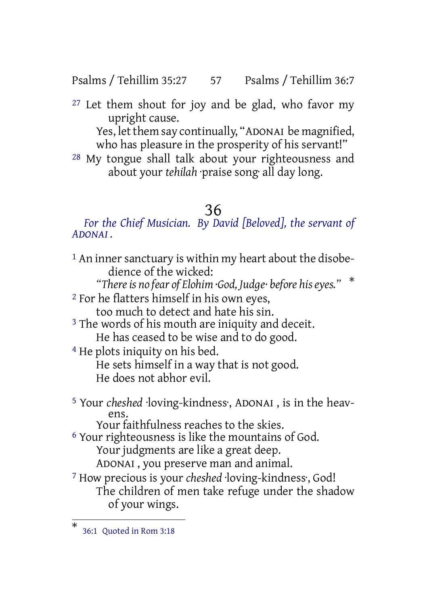Psalms / Tehillim 35:27 57 Psalms / Tehillim 36:7

 $27$  Let them shout for joy and be glad, who favor my upright cause.

Yes, let them say continually, "ADONAI be magnified, who has pleasure in the prosperity of his servant!"

28 My tongue shall talk about your righteousness and about your *tehilah* ·praise song· all day long.

# 36

*For the Chief Musician. By David [Beloved], the servant of ADONAI .*

<sup>1</sup> An inner sanctuary is within my heart about the disobedience of the wicked: *"Thereis no fear of Elohim ·God, Judge· before hiseyes."* \* 2 For he flatters himself in his own eyes, too much to detect and hate his sin. <sup>3</sup> The words of his mouth are iniquity and deceit. He has ceased to be wise and to do good. 4 He plots iniquity on his bed. He sets himself in a way that is not good. He does not abhor evil. 5 Your *cheshed* ·loving-kindness·, ADONAI , is in the heavens. Your faithfulness reaches to the skies. 6 Your righteousness is like the mountains of God. Your judgments are like a great deep.

ADONAI , you preserve man and animal.

7 How precious is your *cheshed* ·loving-kindness·, God! The children of men take refuge under the shadow of your wings.

<sup>\*</sup> 36:1 Quoted in Rom 3:18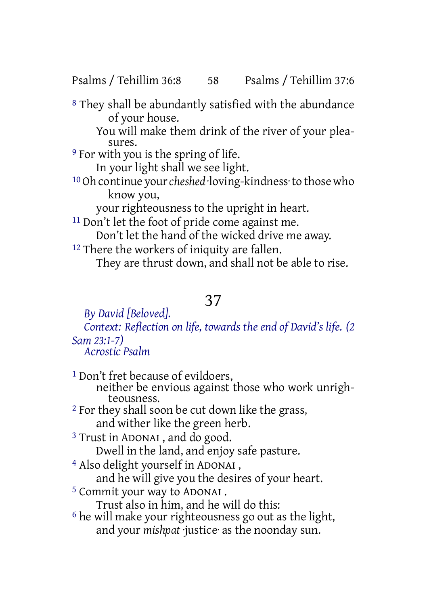Psalms / Tehillim 36:8 58 Psalms / Tehillim 37:6

8 They shall be abundantly satisfied with the abundance of your house. You will make them drink of the river of your pleasures. <sup>9</sup> For with you is the spring of life. In your light shall we see light. 10 Oh continue your*cheshed* ·loving-kindness·to those who know you, your righteousness to the upright in heart. 11 Don't let the foot of pride come against me. Don't let the hand of the wicked drive me away. <sup>12</sup> There the workers of iniquity are fallen. They are thrust down, and shall not be able to rise.

# 37

*By David [Beloved].*

*Context: Reflection on life, towards the end of David's life. (2 Sam 23:1-7)*

*Acrostic Psalm*

<sup>1</sup> Don't fret because of evildoers, neither be envious against those who work unrighteousness. 2 For they shall soon be cut down like the grass, and wither like the green herb. 3 Trust in ADONAI , and do good. Dwell in the land, and enjoy safe pasture. 4 Also delight yourself in ADONAI , and he will give you the desires of your heart. 5 Commit your way to ADONAI . Trust also in him, and he will do this: 6 he will make your righteousness go out as the light, and your *mishpat* ·justice· as the noonday sun.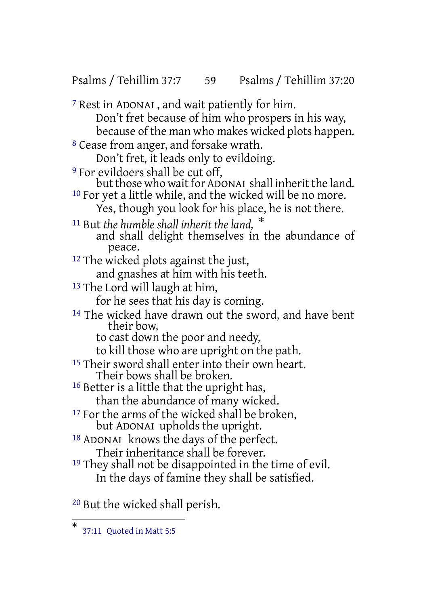7 Rest in ADONAI , and wait patiently for him. Don't fret because of him who prospers in his way, because of the man who makes wicked plots happen. 8 Cease from anger, and forsake wrath. Don't fret, it leads only to evildoing. <sup>9</sup> For evildoers shall be cut off, but those who wait for ADONAI shall inherit the land. <sup>10</sup> For yet a little while, and the wicked will be no more. Yes, though you look for his place, he is not there. <sup>11</sup> But *the humble shall inherit the land,* \* and shall delight themselves in the abundance of peace. <sup>12</sup> The wicked plots against the just, and gnashes at him with his teeth. <sup>13</sup> The Lord will laugh at him, for he sees that his day is coming. 14 The wicked have drawn out the sword, and have bent their bow,

Psalms / Tehillim 37:7 59 Psalms / Tehillim 37:20

- to cast down the poor and needy,
- to kill those who are upright on the path.
- <sup>15</sup> Their sword shall enter into their own heart. Their bows shall be broken.
- 16 Better is a little that the upright has, than the abundance of many wicked.
- <sup>17</sup> For the arms of the wicked shall be broken, but ADONAI upholds the upright.
- 18 ADONAI knows the days of the perfect. Their inheritance shall be forever.
- <sup>19</sup> They shall not be disappointed in the time of evil. In the days of famine they shall be satisfied.

20 But the wicked shall perish.

<sup>\*</sup> 37:11 Quoted in Matt 5:5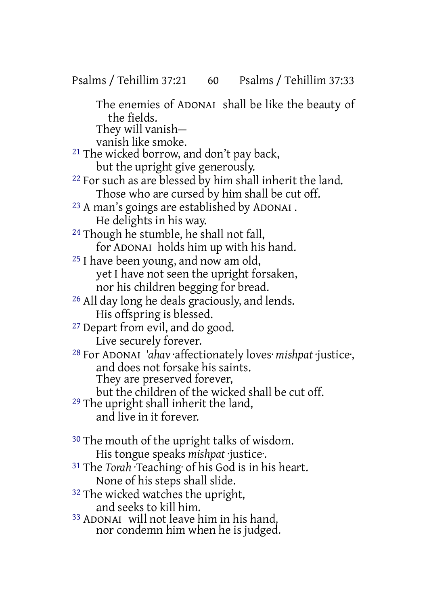The enemies of ADONAI shall be like the beauty of the fields. They will vanish—

vanish like smoke.

21 The wicked borrow, and don't pay back, but the upright give generously.

22 For such as are blessed by him shall inherit the land. Those who are cursed by him shall be cut off.

23 A man's goings are established by ADONAI . He delights in his way.

24 Though he stumble, he shall not fall, for ADONAI holds him up with his hand.

- 25 I have been young, and now am old, yet I have not seen the upright forsaken, nor his children begging for bread.
- 26 All day long he deals graciously, and lends. His offspring is blessed.

27 Depart from evil, and do good.

Live securely forever.

28 For ADONAI *'ahav* ·affectionately loves· *mishpat* ·justice·, and does not forsake his saints. They are preserved forever,

but the children of the wicked shall be cut off.

29 The upright shall inherit the land, and live in it forever.

<sup>30</sup> The mouth of the upright talks of wisdom. His tongue speaks *mishpat* ·justice·.

- 31 The *Torah* ·Teaching· of his God is in his heart. None of his steps shall slide.
- 32 The wicked watches the upright, and seeks to kill him.
- 33 ADONAI will not leave him in his hand, nor condemn him when he is judged.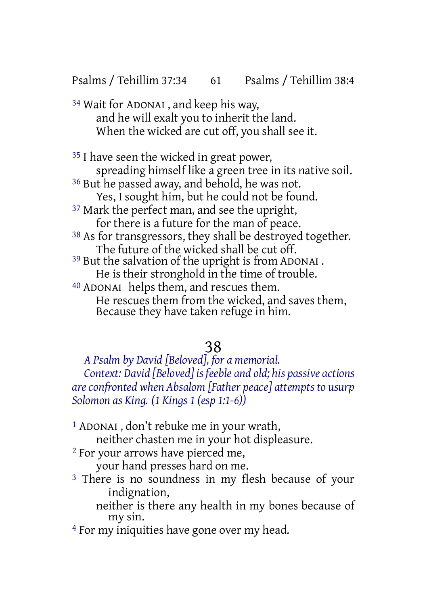Psalms / Tehillim 37:34 61 Psalms / Tehillim 38:4

34 Wait for ADONAI , and keep his way, and he will exalt you to inherit the land. When the wicked are cut off, you shall see it.

<sup>35</sup> I have seen the wicked in great power, spreading himself like a green tree in its native soil. 36 But he passed away, and behold, he was not. Yes, I sought him, but he could not be found. <sup>37</sup> Mark the perfect man, and see the upright, for there is a future for the man of peace. 38 As for transgressors, they shall be destroyed together. The future of the wicked shall be cut off. 39 But the salvation of the upright is from ADONAI . He is their stronghold in the time of trouble. 40 ADONAI helps them, and rescues them. He rescues them from the wicked, and saves them, Because they have taken refuge in him.

## 38

*A Psalm by David [Beloved], for a memorial. Context: David [Beloved] is feeble and old; his passive actions areconfronted when Absalom [Father peace] attempts to usurp Solomon as King. (1 Kings 1 (esp 1:1-6))*

- 1 ADONAI , don't rebuke me in your wrath, neither chasten me in your hot displeasure.
- 2 For your arrows have pierced me, your hand presses hard on me.
- <sup>3</sup> There is no soundness in my flesh because of your indignation,

neither is there any health in my bones because of my sin.

4 For my iniquities have gone over my head.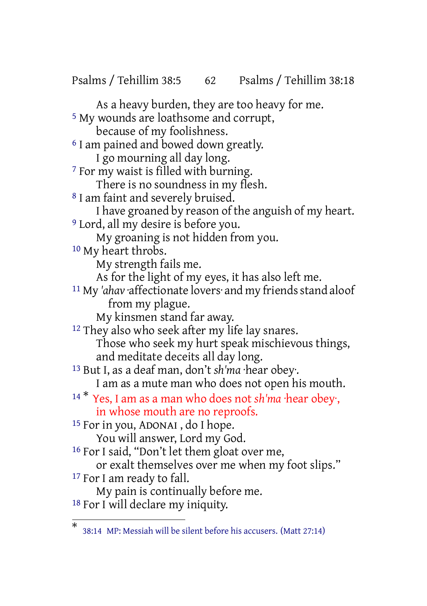Psalms / Tehillim 38:5 62 Psalms / Tehillim 38:18

As a heavy burden, they are too heavy for me. 5 My wounds are loathsome and corrupt, because of my foolishness. <sup>6</sup> I am pained and bowed down greatly. I go mourning all day long. 7 For my waist is filled with burning. There is no soundness in my flesh. 8 I am faint and severely bruised. I have groaned by reason of the anguish of my heart. 9 Lord, all my desire is before you. My groaning is not hidden from you. 10 My heart throbs. My strength fails me. As for the light of my eyes, it has also left me. <sup>11</sup> My 'ahav affectionate lovers<sup>.</sup> and my friends stand aloof from my plague. My kinsmen stand far away. <sup>12</sup> They also who seek after my life lay snares. Those who seek my hurt speak mischievous things, and meditate deceits all day long. 13 But I, as a deaf man, don't *sh'ma* ·hear obey·. I am as a mute man who does not open his mouth. <sup>14</sup> \* Yes, I am as a man who does not *sh'ma* ·hear obey·, in whose mouth are no reproofs. 15 For in you, ADONAI , do I hope. You will answer, Lord my God. 16 For I said, "Don't let them gloat over me, or exalt themselves over me when my foot slips." 17 For I am ready to fall. My pain is continually before me. 18 For I will declare my iniquity.

<sup>\*</sup> 38:14 MP: Messiah will be silent before his accusers. (Matt 27:14)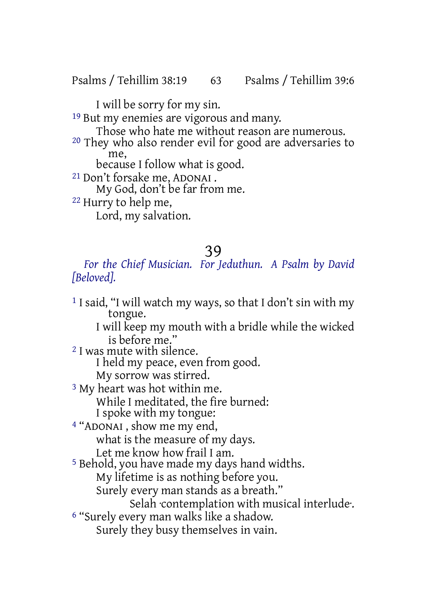Psalms / Tehillim 38:19 63 Psalms / Tehillim 39:6

I will be sorry for my sin.

19 But my enemies are vigorous and many.

Those who hate me without reason are numerous.

20 They who also render evil for good are adversaries to me,

because I follow what is good.

21 Don't forsake me, ADONAI .

My God, don't be far from me.

22 Hurry to help me,

Lord, my salvation.

## 39

*For the Chief Musician. For Jeduthun. A Psalm by David [Beloved].*

1 I said, "I will watch my ways, so that I don't sin with my tongue. I will keep my mouth with a bridle while the wicked is before me." 2 I was mute with silence. I held my peace, even from good. My sorrow was stirred. 3 My heart was hot within me. While I meditated, the fire burned: I spoke with my tongue: 4 "ADONAI , show me my end, what is the measure of my days. Let me know how frail I am. 5 Behold, you have made my days hand widths. My lifetime is as nothing before you. Surely every man stands as a breath." Selah ·contemplation with musical interlude·. 6 "Surely every man walks like a shadow. Surely they busy themselves in vain.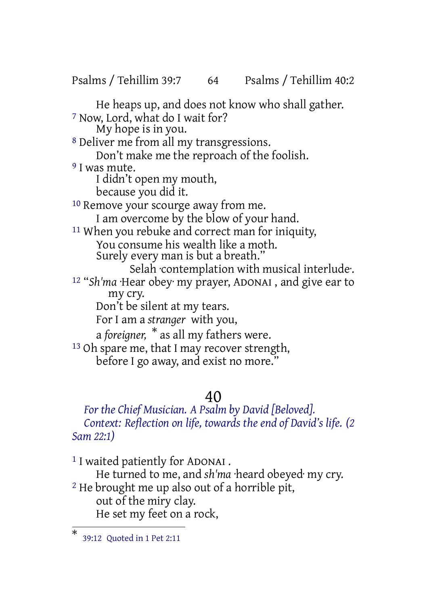Psalms / Tehillim 39:7 64 Psalms / Tehillim 40:2

He heaps up, and does not know who shall gather. 7 Now, Lord, what do I wait for? My hope is in you.

8 Deliver me from all my transgressions. Don't make me the reproach of the foolish.

<sup>9</sup> I was mute.

I didn't open my mouth,

because you did it.

<sup>10</sup> Remove your scourge away from me. I am overcome by the blow of your hand. 11 When you rebuke and correct man for iniquity,

You consume his wealth like a moth. Surely every man is but a breath."

Selah contemplation with musical interlude.

12 "*Sh'ma* ·Hear obey· my prayer, ADONAI , and give ear to my cry.

Don't be silent at my tears.

For I am a *stranger* with you,

a *foreigner,* \* as all my fathers were.

<sup>13</sup> Oh spare me, that I may recover strength, before I go away, and exist no more."

## 40

*For the Chief Musician. A Psalm by David [Beloved]. Context: Reflection on life, towards the end of David's life. (2 Sam 22:1)*

1 I waited patiently for ADONAI . He turned to me, and *sh'ma* ·heard obeyed· my cry. 2 He brought me up also out of a horrible pit, out of the miry clay. He set my feet on a rock,

<sup>\*</sup> 39:12 Quoted in 1 Pet 2:11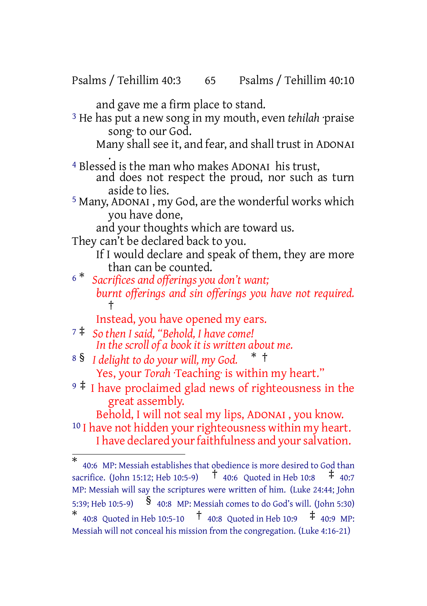Psalms / Tehillim 40:3 65 Psalms / Tehillim 40:10

and gave me a firm place to stand.

3 He has put a new song in my mouth, even *tehilah* ·praise song· to our God.

Many shall see it, and fear, and shall trust in ADONAI

- . 4 Blessed is the man who makes ADONAI his trust, and does not respect the proud, nor such as turn aside to lies.
- 5 Many, ADONAI , my God, are the wonderful works which you have done,

and your thoughts which are toward us.

They can't be declared back to you.

If I would declare and speak of them, they are more than can be counted.

<sup>6</sup> \* *Sacrifices and offerings you don't want; burnt offerings and sin offerings you have not required.* †

Instead, you have opened my ears.

- <sup>7</sup> ‡ *So then I said, "Behold, I have come! In the scroll of a book it is written about me.*
- <sup>8</sup> § *I delight to do your will, my God.* \* † Yes, your *Torah* ·Teaching· is within my heart."
- <sup>9</sup> ‡ I have proclaimed glad news of righteousness in the great assembly.

Behold, I will not seal my lips, ADONAI , you know. <sup>10</sup> I have not hidden your righteousness within my heart. I have declared your faithfulness and your salvation.

<sup>\*</sup> 40:6 MP: Messiah establishes that obedience is more desired to God than sacrifice. (John 15:12; Heb 10:5-9) † 40:6 Quoted in Heb 10:8 ‡ 40:7 MP: Messiah will say the scriptures were written of him. (Luke 24:44; John 5:39; Heb 10:5-9) § 40:8 MP: Messiah comes to do God's will. (John 5:30) \* 40:8 Quoted in Heb 10:5-10  $\frac{1}{4}$  40:8 Quoted in Heb 10:9  $\frac{1}{4}$  40:9 MP: Messiah will not conceal his mission from the congregation. (Luke 4:16-21)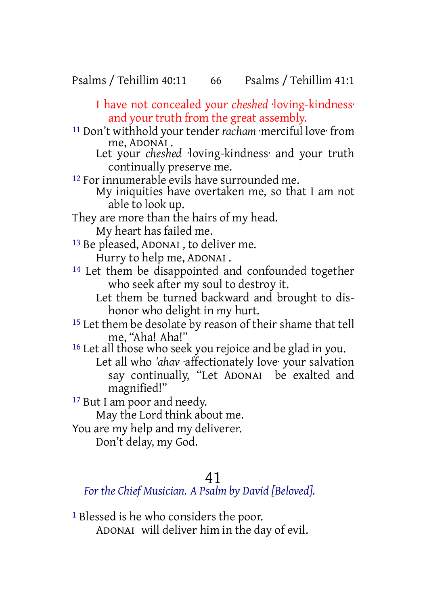Psalms / Tehillim 40:11 66 Psalms / Tehillim 41:1

I have not concealed your *cheshed* ·loving-kindness· and your truth from the great assembly.

11 Don't withhold your tender *racham* ·merciful love· from me, ADONAI .

Let your *cheshed* ·loving-kindness· and your truth continually preserve me.

12 For innumerable evils have surrounded me.

My iniquities have overtaken me, so that I am not able to look up.

They are more than the hairs of my head.

My heart has failed me.

13 Be pleased, ADONAI , to deliver me.

Hurry to help me, ADONAI .

- 14 Let them be disappointed and confounded together who seek after my soul to destroy it.
	- Let them be turned backward and brought to dishonor who delight in my hurt.

<sup>15</sup> Let them be desolate by reason of their shame that tell me, "Aha! Aha!"

16 Let all those who seek you rejoice and be glad in you. Let all who *'ahav* ·affectionately love· your salvation say continually, "Let ADONAI be exalted and magnified!"

<sup>17</sup> But I am poor and needy.

May the Lord think about me.

You are my help and my deliverer.

Don't delay, my God.

## 41

*For the Chief Musician. A Psalm by David [Beloved].*

1 Blessed is he who considers the poor. ADONAI will deliver him in the day of evil.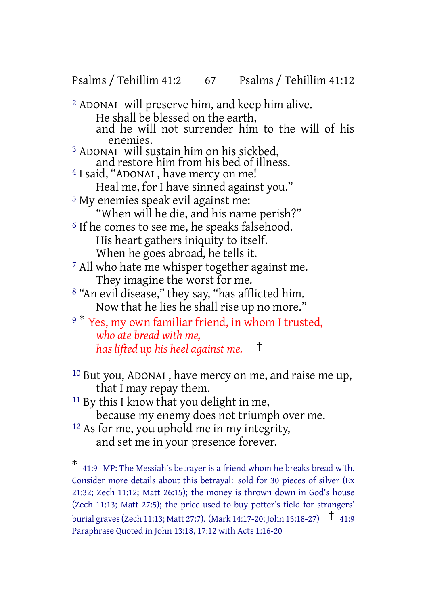Psalms / Tehillim 41:2 67 Psalms / Tehillim 41:12

2 ADONAI will preserve him, and keep him alive. He shall be blessed on the earth, and he will not surrender him to the will of his enemies. 3 ADONAI will sustain him on his sickbed, and restore him from his bed of illness. 4 I said, "ADONAI , have mercy on me! Heal me, for I have sinned against you." 5 My enemies speak evil against me: "When will he die, and his name perish?" <sup>6</sup> If he comes to see me, he speaks falsehood. His heart gathers iniquity to itself. When he goes abroad, he tells it. 7 All who hate me whisper together against me. They imagine the worst for me. 8 "An evil disease," they say, "has afflicted him. Now that he lies he shall rise up no more."

9<sup>\*</sup> Yes, my own familiar friend, in whom I trusted, *who ate bread with me, has lifted up his heel against me.* †

- 10 But you, ADONAI , have mercy on me, and raise me up, that I may repay them.
- 11 By this I know that you delight in me, because my enemy does not triumph over me.
- 12 As for me, you uphold me in my integrity, and set me in your presence forever.

<sup>\*</sup> 41:9 MP: The Messiah's betrayer is a friend whom he breaks bread with. Consider more details about this betrayal: sold for 30 pieces of silver (Ex 21:32; Zech 11:12; Matt 26:15); the money is thrown down in God's house (Zech 11:13; Matt 27:5); the price used to buy potter's field for strangers' burial graves(Zech 11:13; Matt 27:7). (Mark 14:17-20; John 13:18-27) † 41:9 Paraphrase Quoted in John 13:18, 17:12 with Acts 1:16-20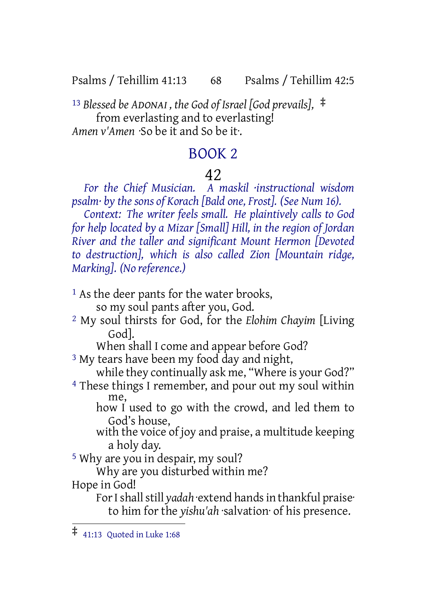Psalms / Tehillim 41:13 68 Psalms / Tehillim 42:5

<sup>13</sup> *Blessed be ADONAI , the God of Israel [God prevails],* ‡ from everlasting and to everlasting! *Amen v'Amen* ·So be it and So be it·.

## BOOK 2

## 42

*For the Chief Musician. A maskil ·instructional wisdom psalm· by the sons of Korach [Bald one, Frost]. (See Num 16).*

*Context: The writer feels small. He plaintively calls to God for help located by a Mizar [Small] Hill, in the region of Jordan River and the taller and significant Mount Hermon [Devoted to destruction], which is also called Zion [Mountain ridge, Marking]. (No reference.)*

<sup>1</sup> As the deer pants for the water brooks,

so my soul pants after you, God.

2 My soul thirsts for God, for the *Elohim Chayim* [Living God].

When shall I come and appear before God?

<sup>3</sup> My tears have been my food day and night,

while they continually ask me, "Where is your God?"

- 4 These things I remember, and pour out my soul within me,
	- how I used to go with the crowd, and led them to God's house,
	- with the voice of joy and praise, a multitude keeping a holy day.

5 Why are you in despair, my soul?

Why are you disturbed within me?

Hope in God!

For I shall still yadah extend hands in thankful praise<sup>.</sup> to him for the *yishu'ah* ·salvation· of his presence.

<sup>‡</sup> 41:13 Quoted in Luke 1:68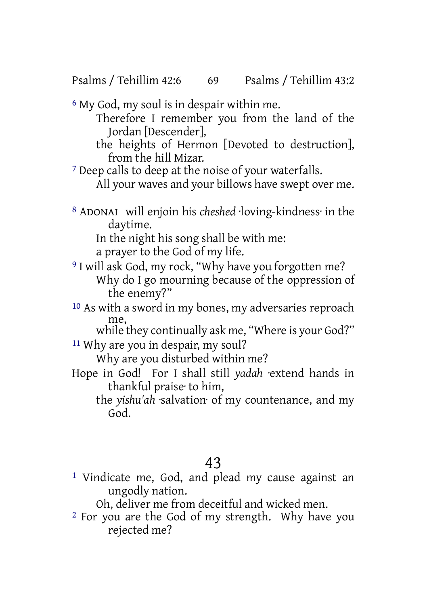Psalms / Tehillim 42:6 69 Psalms / Tehillim 43:2

6 My God, my soul is in despair within me.

Therefore I remember you from the land of the Jordan [Descender],

the heights of Hermon [Devoted to destruction], from the hill Mizar.

7 Deep calls to deep at the noise of your waterfalls. All your waves and your billows have swept over me.

- 
- 8 ADONAI will enjoin his *cheshed* ·loving-kindness· in the daytime.

In the night his song shall be with me: a prayer to the God of my life.

- 9 I will ask God, my rock, "Why have you forgotten me? Why do I go mourning because of the oppression of the enemy?"
- 10 As with a sword in my bones, my adversaries reproach me,

while they continually ask me, "Where is your God?" 11 Why are you in despair, my soul?

Why are you disturbed within me?

Hope in God! For I shall still *yadah* ·extend hands in thankful praise· to him,

the *yishu'ah* ·salvation· of my countenance, and my God.

# 43

1 Vindicate me, God, and plead my cause against an ungodly nation.

Oh, deliver me from deceitful and wicked men.

2 For you are the God of my strength. Why have you rejected me?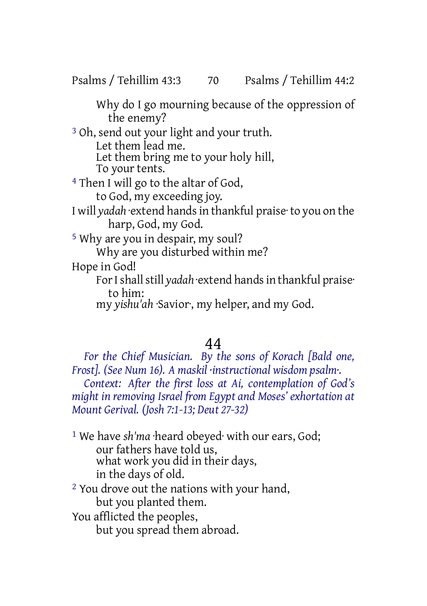Psalms / Tehillim 43:3 70 Psalms / Tehillim 44:2

Why do I go mourning because of the oppression of the enemy?

3 Oh, send out your light and your truth. Let them lead me.

Let them bring me to your holy hill, To your tents.

4 Then I will go to the altar of God,

to God, my exceeding joy.

I will *yadah* ·extend handsin thankful praise· to you on the harp, God, my God.

5 Why are you in despair, my soul? Why are you disturbed within me?

Hope in God!

For I shall still *yadah* extend hands in thankful praise<sup>.</sup> to him:

my *yishu'ah* ·Savior·, my helper, and my God.

# 44

*For the Chief Musician. By the sons of Korach [Bald one, Frost]. (See Num 16). A maskil ·instructional wisdom psalm·. Context: After the first loss at Ai, contemplation of God's might in removing Israel from Egypt and Moses' exhortation at Mount Gerival. (Josh 7:1-13; Deut 27-32)*

1 We have *sh'ma* ·heard obeyed· with our ears, God; our fathers have told us, what work you did in their days, in the days of old. <sup>2</sup> You drove out the nations with your hand, but you planted them.

You afflicted the peoples, but you spread them abroad.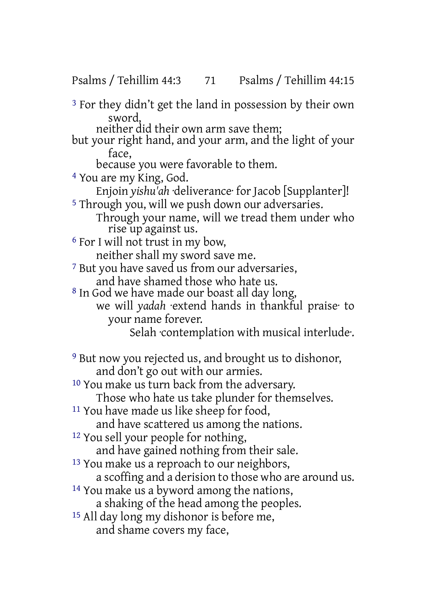Psalms / Tehillim 44:3 71 Psalms / Tehillim 44:15

3 For they didn't get the land in possession by their own sword,

neither did their own arm save them;

but your right hand, and your arm, and the light of your face,

because you were favorable to them.

4 You are my King, God.

Enjoin *yishu'ah* ·deliverance· for Jacob [Supplanter]! 5 Through you, will we push down our adversaries.

Through your name, will we tread them under who rise up against us.

6 For I will not trust in my bow, neither shall my sword save me.

7 But you have saved us from our adversaries, and have shamed those who hate us.

8 In God we have made our boast all day long,

we will *yadah* ·extend hands in thankful praise· to your name forever.

Selah ·contemplation with musical interlude·.

9 But now you rejected us, and brought us to dishonor, and don't go out with our armies.

10 You make us turn back from the adversary.

Those who hate us take plunder for themselves.

11 You have made us like sheep for food,

and have scattered us among the nations.

12 You sell your people for nothing,

and have gained nothing from their sale.

<sup>13</sup> You make us a reproach to our neighbors,

a scoffing and a derision to those who are around us.

14 You make us a byword among the nations,

a shaking of the head among the peoples.

15 All day long my dishonor is before me, and shame covers my face,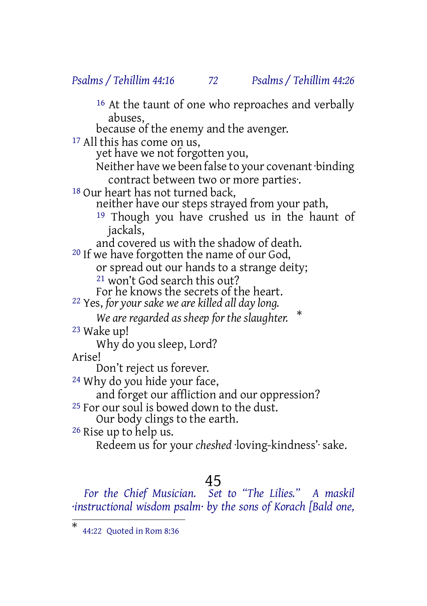## *Psalms / Tehillim 44:16 72 Psalms / Tehillim 44:26*

<sup>16</sup> At the taunt of one who reproaches and verbally abuses,

because of the enemy and the avenger.

17 All this has come on us,

yet have we not forgotten you,

Neither have we been false to your covenant·binding contract between two or more parties·.

18 Our heart has not turned back,

neither have our steps strayed from your path,

19 Though you have crushed us in the haunt of jackals,

and covered us with the shadow of death. 20 If we have forgotten the name of our God,

or spread out our hands to a strange deity;

21 won't God search this out?

For he knows the secrets of the heart.

22 Yes, *for your sake we are killed all day long.*

*We are regarded as sheep for the slaughter.* \* 23 Wake up!

Why do you sleep, Lord?

Arise!

Don't reject us forever.

24 Why do you hide your face,

and forget our affliction and our oppression?

<sup>25</sup> For our soul is bowed down to the dust.

Our body clings to the earth.

26 Rise up to help us.

Redeem us for your *cheshed* ·loving-kindness'· sake.

## 45

*For the Chief Musician. Set to "The Lilies." A maskil ·instructional wisdom psalm· by the sons of Korach [Bald one,*

<sup>\*</sup> 44:22 Quoted in Rom 8:36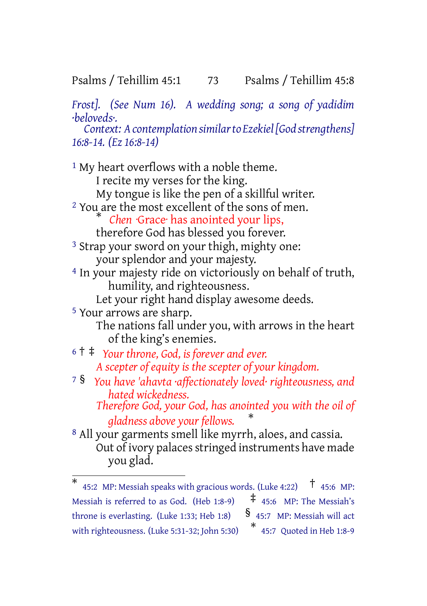## Psalms / Tehillim 45:1 73 Psalms / Tehillim 45:8

*Frost]. (See Num 16). A wedding song; a song of yadidim ·beloveds·. Context: Acontemplation similarto Ezekiel[God strengthens]*

*16:8-14. (Ez 16:8-14)*

<sup>1</sup> My heart overflows with a noble theme. I recite my verses for the king. My tongue is like the pen of a skillful writer. 2 You are the most excellent of the sons of men. *Chen* ·Grace· has anointed your lips, therefore God has blessed you forever. 3 Strap your sword on your thigh, mighty one: your splendor and your majesty. 4 In your majesty ride on victoriously on behalf of truth, humility, and righteousness. Let your right hand display awesome deeds. 5 Your arrows are sharp. The nations fall under you, with arrows in the heart of the king's enemies. <sup>6</sup> † ‡ *Your throne, God, is forever and ever. A scepter of equity is the scepter of your kingdom.* <sup>7</sup> § *You have 'ahavta ·affectionately loved· righteousness, and hated wickedness. Therefore God, your God, has anointed you with the oil of gladness above your fellows.* \* 8 All your garments smell like myrrh, aloes, and cassia. Out of ivory palaces stringed instruments have made you glad.

<sup>\*</sup> 45:2 MP: Messiah speaks with gracious words. (Luke 4:22)  $\uparrow$  45:6 MP: Messiah is referred to as God. (Heb 1:8-9)  $\uparrow$  45:6 MP: The Messiah's throne is everlasting. (Luke 1:33; Heb 1:8)  $\frac{1}{3}$  45:7 MP: Messiah will act with righteousness. (Luke 5:31-32; John 5:30) \* 45:7 Quoted in Heb 1:8-9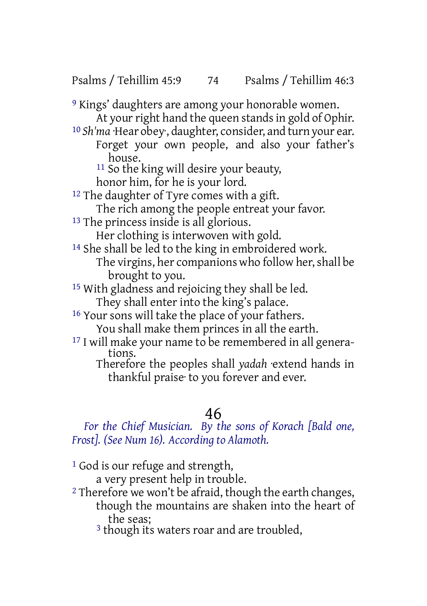Psalms / Tehillim 45:9 74 Psalms / Tehillim 46:3

9 Kings' daughters are among your honorable women. At your right hand the queen stands in gold of Ophir. 10 *Sh'ma* ·Hear obey·, daughter, consider, and turn your ear. Forget your own people, and also your father's house. 11 So the king will desire your beauty, honor him, for he is your lord. <sup>12</sup> The daughter of Tyre comes with a gift. The rich among the people entreat your favor. 13 The princess inside is all glorious. Her clothing is interwoven with gold. 14 She shall be led to the king in embroidered work. The virgins, her companions who follow her, shall be brought to you. 15 With gladness and rejoicing they shall be led. They shall enter into the king's palace. 16 Your sons will take the place of your fathers. You shall make them princes in all the earth. 17 I will make your name to be remembered in all genera-

tions. Therefore the peoples shall *yadah* ·extend hands in thankful praise· to you forever and ever.

## 46

*For the Chief Musician. By the sons of Korach [Bald one, Frost]. (See Num 16). According to Alamoth.*

<sup>1</sup> God is our refuge and strength, a very present help in trouble.

<sup>2</sup> Therefore we won't be afraid, though the earth changes, though the mountains are shaken into the heart of the seas;

<sup>3</sup> though its waters roar and are troubled,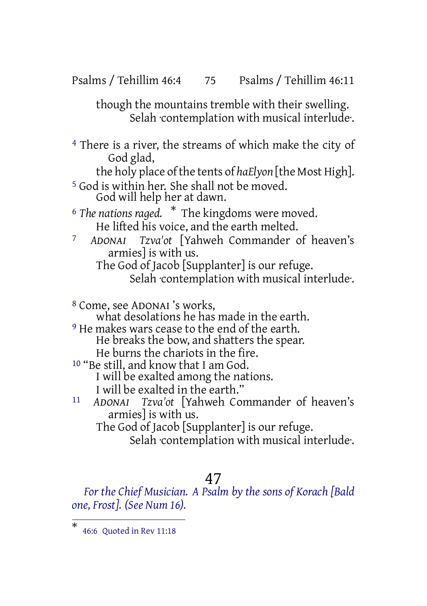Psalms / Tehillim 46:4 75 Psalms / Tehillim 46:11

though the mountains tremble with their swelling. Selah contemplation with musical interlude.

4 There is a river, the streams of which make the city of God glad,

the holy place of the tents of *haElyon* [the Most High].

5 God is within her. She shall not be moved. God will help her at dawn.

<sup>6</sup> *The nations raged.* \* The kingdoms were moved. He lifted his voice, and the earth melted.

7 *ADONAI Tzva'ot* [Yahweh Commander of heaven's armies] is with us.

The God of Jacob [Supplanter] is our refuge. Selah contemplation with musical interlude.

8 Come, see ADONAI 's works,

what desolations he has made in the earth.

<sup>9</sup> He makes wars cease to the end of the earth.

He breaks the bow, and shatters the spear. He burns the chariots in the fire.

10 "Be still, and know that I am God.

I will be exalted among the nations.

I will be exalted in the earth."

11 *ADONAI Tzva'ot* [Yahweh Commander of heaven's armies] is with us. The God of Jacob [Supplanter] is our refuge.

Selah contemplation with musical interlude.

#### 47

*For the Chief Musician. A Psalm by the sons of Korach [Bald one, Frost]. (See Num 16).*

<sup>\*</sup> 46:6 Quoted in Rev 11:18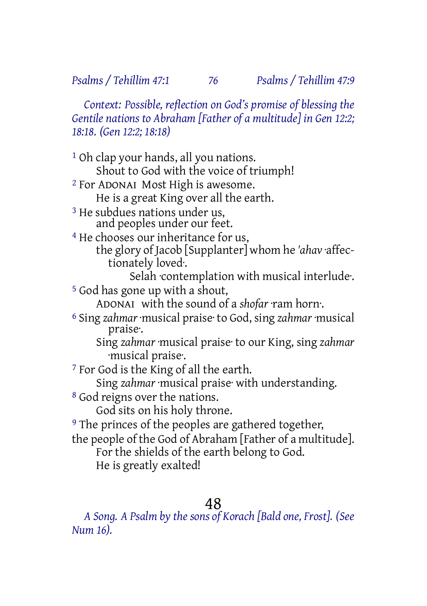*Context: Possible, reflection on God's promise of blessing the Gentile nations to Abraham [Father of a multitude] in Gen 12:2; 18:18. (Gen 12:2; 18:18)*

1 Oh clap your hands, all you nations. Shout to God with the voice of triumph! 2 For ADONAI Most High is awesome. He is a great King over all the earth. 3 He subdues nations under us, and peoples under our feet. 4 He chooses our inheritance for us, the glory of Jacob [Supplanter] whom he *'ahav* ·affectionately loved·. Selah contemplation with musical interlude. 5 God has gone up with a shout, ADONAI with the sound of a *shofar* ·ram horn·. 6 Sing *zahmar* ·musical praise· to God, sing *zahmar* ·musical praise·. Sing *zahmar* ·musical praise· to our King, sing *zahmar* ·musical praise·. 7 For God is the King of all the earth. Sing *zahmar* ·musical praise· with understanding. 8 God reigns over the nations. God sits on his holy throne. <sup>9</sup> The princes of the peoples are gathered together, the people of the God of Abraham [Father of a multitude]. For the shields of the earth belong to God. He is greatly exalted!

## 48

*A Song. A Psalm by the sons of Korach [Bald one, Frost]. (See Num 16).*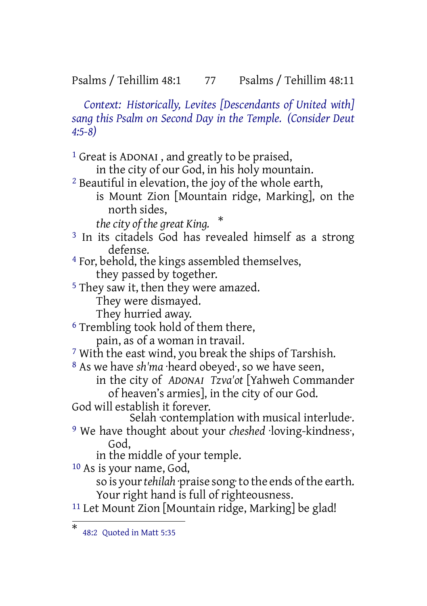Psalms / Tehillim 48:1 77 Psalms / Tehillim 48:11

*Context: Historically, Levites [Descendants of United with] sang this Psalm on Second Day in the Temple. (Consider Deut 4:5-8)*

1 Great is ADONAI , and greatly to be praised, in the city of our God, in his holy mountain. 2 Beautiful in elevation, the joy of the whole earth, is Mount Zion [Mountain ridge, Marking], on the north sides, *the city of the great King.* \* <sup>3</sup> In its citadels God has revealed himself as a strong defense. 4 For, behold, the kings assembled themselves, they passed by together. 5 They saw it, then they were amazed. They were dismayed. They hurried away. 6 Trembling took hold of them there, pain, as of a woman in travail. 7 With the east wind, you break the ships of Tarshish. 8 As we have *sh'ma* ·heard obeyed·, so we have seen, in the city of *ADONAI Tzva'ot* [Yahweh Commander of heaven's armies], in the city of our God. God will establish it forever. Selah contemplation with musical interlude. 9 We have thought about your *cheshed* ·loving-kindness·, God, in the middle of your temple. 10 As is your name, God, so is your*tehilah* ·praise song·to the ends ofthe earth. Your right hand is full of righteousness.  $11$  Let Mount Zion [Mountain ridge, Marking] be glad!

<sup>\*</sup> 48:2 Quoted in Matt 5:35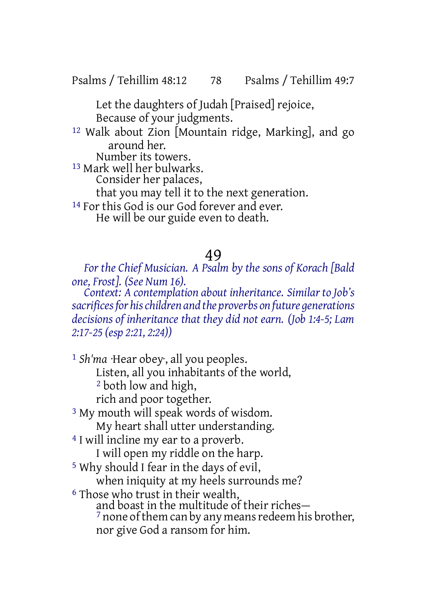Psalms / Tehillim 48:12 78 Psalms / Tehillim 49:7

Let the daughters of Judah [Praised] rejoice, Because of your judgments.

12 Walk about Zion [Mountain ridge, Marking], and go around her.

Number its towers.

13 Mark well her bulwarks.

Consider her palaces,

that you may tell it to the next generation.

<sup>14</sup> For this God is our God forever and ever. He will be our guide even to death.

### 49

*For the Chief Musician. A Psalm by the sons of Korach [Bald one, Frost]. (See Num 16).*

*Context: A contemplation about inheritance. Similar to Job's sacrificesfor hischildren and the proverbs on future generations decisions of inheritance that they did not earn. (Job 1:4-5; Lam 2:17-25 (esp 2:21, 2:24))*

1 *Sh'ma* ·Hear obey·, all you peoples. Listen, all you inhabitants of the world, 2 both low and high, rich and poor together. 3 My mouth will speak words of wisdom. My heart shall utter understanding. 4 I will incline my ear to a proverb. I will open my riddle on the harp. 5 Why should I fear in the days of evil, when iniquity at my heels surrounds me? 6 Those who trust in their wealth, and boast in the multitude of their riches—  $<sup>7</sup>$  none of them can by any means redeem his brother,</sup> nor give God a ransom for him.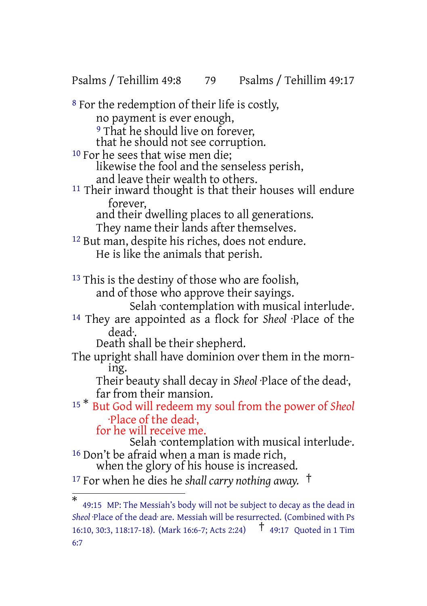Psalms / Tehillim 49:8 79 Psalms / Tehillim 49:17

8 For the redemption of their life is costly, no payment is ever enough, <sup>9</sup> That he should live on forever, that he should not see corruption. 10 For he sees that wise men die; likewise the fool and the senseless perish, and leave their wealth to others. <sup>11</sup> Their inward thought is that their houses will endure forever, and their dwelling places to all generations. They name their lands after themselves. 12 But man, despite his riches, does not endure. He is like the animals that perish. <sup>13</sup> This is the destiny of those who are foolish, and of those who approve their sayings. Selah ·contemplation with musical interlude·. 14 They are appointed as a flock for *Sheol* ·Place of the dead·. Death shall be their shepherd. The upright shall have dominion over them in the morning. Their beauty shall decay in *Sheol* ·Place of the dead·, far from their mansion. <sup>15</sup> \* But God will redeem my soul from the power of *Sheol* ·Place of the dead·, for he will receive me. Selah ·contemplation with musical interlude·. 16 Don't be afraid when a man is made rich, when the glory of his house is increased. <sup>17</sup> For when he dies he *shall carry nothing away.* †

<sup>\*</sup> 49:15 MP: The Messiah's body will not be subject to decay as the dead in Sheol Place of the dead<sup>-</sup> are. Messiah will be resurrected. (Combined with Ps 16:10, 30:3, 118:17-18). (Mark 16:6-7; Acts 2:24) † 49:17 Quoted in <sup>1</sup> Tim 6:7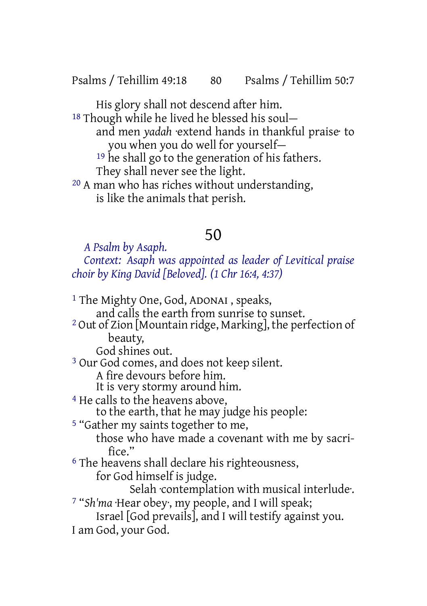Psalms / Tehillim 49:18 80 Psalms / Tehillim 50:7

His glory shall not descend after him. 18 Though while he lived he blessed his soul and men *yadah* ·extend hands in thankful praise· to you when you do well for yourself— <sup>19</sup> he shall go to the generation of his fathers. They shall never see the light. 20 A man who has riches without understanding, is like the animals that perish.

# 50

*A Psalm by Asaph.*

*Context: Asaph was appointed as leader of Levitical praise choir by King David [Beloved]. (1 Chr 16:4, 4:37)*

1 The Mighty One, God, ADONAI , speaks, and calls the earth from sunrise to sunset. 2 Out of Zion [Mountain ridge, Marking], the perfection of beauty, God shines out. 3 Our God comes, and does not keep silent. A fire devours before him. It is very stormy around him. 4 He calls to the heavens above, to the earth, that he may judge his people: 5 "Gather my saints together to me, those who have made a covenant with me by sacrifice." 6 The heavens shall declare his righteousness, for God himself is judge. Selah ·contemplation with musical interlude·. 7 "*Sh'ma* ·Hear obey·, my people, and I will speak; Israel [God prevails], and I will testify against you. I am God, your God.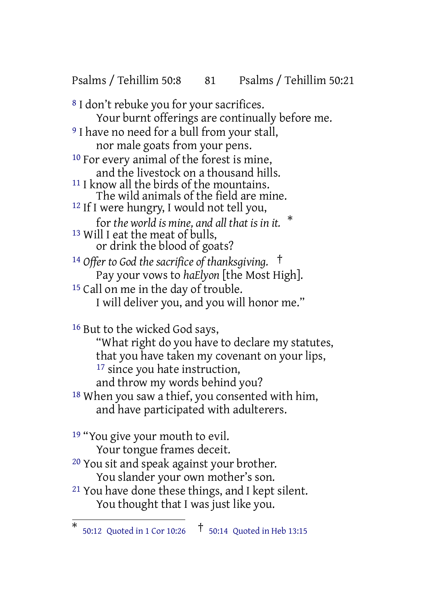Psalms / Tehillim 50:8 81 Psalms / Tehillim 50:21

8 I don't rebuke you for your sacrifices. Your burnt offerings are continually before me. <sup>9</sup> I have no need for a bull from your stall, nor male goats from your pens. 10 For every animal of the forest is mine, and the livestock on a thousand hills. 11 I know all the birds of the mountains. The wild animals of the field are mine. 12 If I were hungry, I would not tell you, for *the world is mine, and all that is in it.* \* 13 Will I eat the meat of bulls, or drink the blood of goats? <sup>14</sup> *Offer to God the sacrifice of thanksgiving.* † Pay your vows to *haElyon* [the Most High]. <sup>15</sup> Call on me in the day of trouble. I will deliver you, and you will honor me." 16 But to the wicked God says, "What right do you have to declare my statutes, that you have taken my covenant on your lips, <sup>17</sup> since you hate instruction, and throw my words behind you? 18 When you saw a thief, you consented with him, and have participated with adulterers. <sup>19</sup> "You give your mouth to evil. Your tongue frames deceit. 20 You sit and speak against your brother. You slander your own mother's son. 21 You have done these things, and I kept silent.

You thought that I was just like you.

<sup>\*</sup> 50:12 Quoted in <sup>1</sup> Cor 10:26 † 50:14 Quoted in Heb 13:15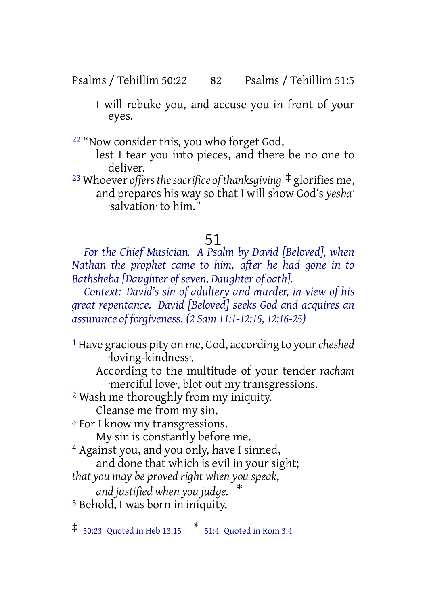Psalms / Tehillim 50:22 82 Psalms / Tehillim 51:5

I will rebuke you, and accuse you in front of your eyes.

22 "Now consider this, you who forget God,

lest I tear you into pieces, and there be no one to deliver.

<sup>23</sup> Whoever *offersthesacrifice ofthanksgiving* ‡ glorifies me, and prepares his way so that I will show God's *yesha'* ·salvation· to him."

# 51

*For the Chief Musician. A Psalm by David [Beloved], when Nathan the prophet came to him, after he had gone in to Bathsheba [Daughter of seven, Daughter of oath].*

*Context: David's sin of adultery and murder, in view of his great repentance. David [Beloved] seeks God and acquires an assurance of forgiveness. (2 Sam 11:1-12:15, 12:16-25)*

1 Have gracious pity on me, God, according to your*cheshed* ·loving-kindness·.

According to the multitude of your tender *racham* ·merciful love·, blot out my transgressions.

2 Wash me thoroughly from my iniquity.

Cleanse me from my sin. 3 For I know my transgressions.

My sin is constantly before me.

4 Against you, and you only, have I sinned,

and done that which is evil in your sight;

*that you may be proved right when you speak,*

*and justified when you judge.* \* 5 Behold, I was born in iniquity.

<sup>‡</sup> 50:23 Quoted in Heb 13:15 \* 51:4 Quoted in Rom 3:4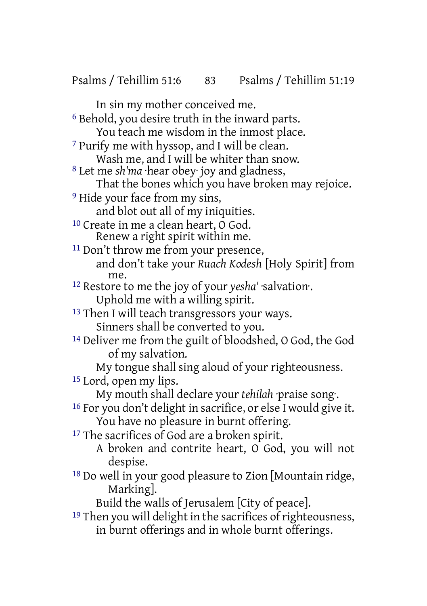In sin my mother conceived me. 6 Behold, you desire truth in the inward parts. You teach me wisdom in the inmost place. 7 Purify me with hyssop, and I will be clean. Wash me, and I will be whiter than snow. 8 Let me *sh'ma* ·hear obey· joy and gladness, That the bones which you have broken may rejoice. 9 Hide your face from my sins, and blot out all of my iniquities. 10 Create in me a clean heart, O God. Renew a right spirit within me. <sup>11</sup> Don't throw me from your presence, and don't take your *Ruach Kodesh* [Holy Spirit] from me. 12 Restore to me the joy of your *yesha'* ·salvation·. Uphold me with a willing spirit. <sup>13</sup> Then I will teach transgressors your ways. Sinners shall be converted to you. 14 Deliver me from the guilt of bloodshed, O God, the God of my salvation. My tongue shall sing aloud of your righteousness. 15 Lord, open my lips. My mouth shall declare your *tehilah* ·praise song·. 16 For you don't delight in sacrifice, or else I would give it. You have no pleasure in burnt offering. <sup>17</sup> The sacrifices of God are a broken spirit. A broken and contrite heart, O God, you will not despise. 18 Do well in your good pleasure to Zion [Mountain ridge, Marking]. Build the walls of Jerusalem [City of peace]. <sup>19</sup> Then you will delight in the sacrifices of righteousness,

in burnt offerings and in whole burnt offerings.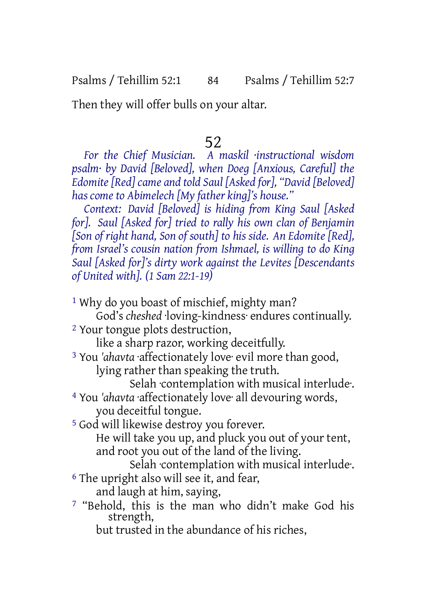Psalms / Tehillim 52:1 84 Psalms / Tehillim 52:7

Then they will offer bulls on your altar.

## 52

*For the Chief Musician. A maskil ·instructional wisdom psalm· by David [Beloved], when Doeg [Anxious, Careful] the Edomite[Red] came and told Saul [Asked for], "David [Beloved] has come to Abimelech [My father king]'s house."*

*Context: David [Beloved] is hiding from King Saul [Asked for]. Saul [Asked for] tried to rally his own clan of Benjamin [Son of right hand, Son of south] to his side. An Edomite [Red], from Israel's cousin nation from Ishmael, is willing to do King Saul [Asked for]'s dirty work against the Levites [Descendants of United with]. (1 Sam 22:1-19)*

- <sup>1</sup> Why do you boast of mischief, mighty man?
- God's *cheshed* ·loving-kindness· endures continually. 2 Your tongue plots destruction,

like a sharp razor, working deceitfully.

3 You *'ahavta* ·affectionately love· evil more than good, lying rather than speaking the truth.

Selah ·contemplation with musical interlude·. 4 You *'ahavta* ·affectionately love· all devouring words, you deceitful tongue.

5 God will likewise destroy you forever.

He will take you up, and pluck you out of your tent, and root you out of the land of the living.

Selah ·contemplation with musical interlude·. 6 The upright also will see it, and fear,

- and laugh at him, saying,
- 7 "Behold, this is the man who didn't make God his strength,

but trusted in the abundance of his riches,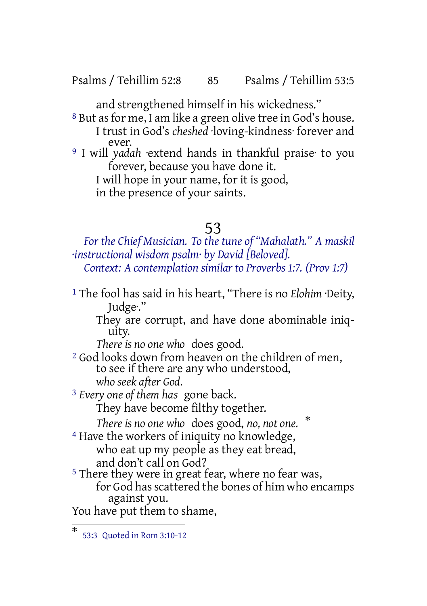Psalms / Tehillim 52:8 85 Psalms / Tehillim 53:5

and strengthened himself in his wickedness."

8 But as for me, I am like a green olive tree in God's house. I trust in God's *cheshed* ·loving-kindness· forever and ever.

9 I will *yadah* ·extend hands in thankful praise· to you forever, because you have done it. I will hope in your name, for it is good,

in the presence of your saints.

#### 53

*For the Chief Musician. To the tune of "Mahalath." A maskil ·instructional wisdom psalm· by David [Beloved]. Context: A contemplation similar to Proverbs 1:7. (Prov 1:7)*

1 The fool has said in his heart, "There is no *Elohim* ·Deity, Judge·."

They are corrupt, and have done abominable iniquity.

*There is no one who* does good.

2 God looks down from heaven on the children of men, to see if there are any who understood, *who seek after God.*

3 *Every one of them has* gone back. They have become filthy together.

*There is no one who* does good, *no, not one.* \* <sup>4</sup> Have the workers of iniquity no knowledge,

who eat up my people as they eat bread, and don't call on God?

<sup>5</sup> There they were in great fear, where no fear was, for God has scattered the bones of him who encamps against you.

You have put them to shame,

<sup>\*</sup> 53:3 Quoted in Rom 3:10-12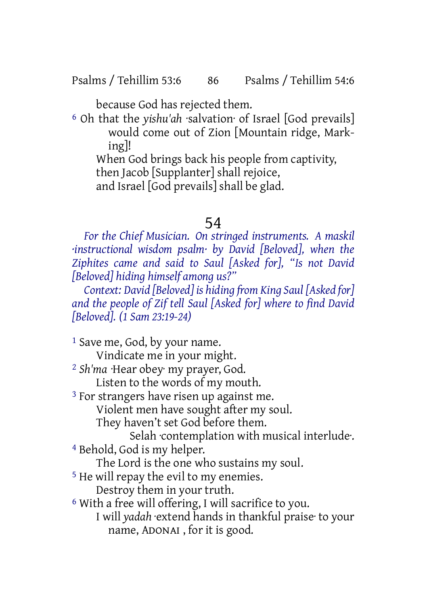because God has rejected them.

6 Oh that the *yishu'ah* ·salvation· of Israel [God prevails] would come out of Zion [Mountain ridge, Marking]!

When God brings back his people from captivity, then Jacob [Supplanter] shall rejoice,

and Israel [God prevails] shall be glad.

### 54

*For the Chief Musician. On stringed instruments. A maskil ·instructional wisdom psalm· by David [Beloved], when the Ziphites came and said to Saul [Asked for], "Is not David [Beloved] hiding himself among us?"*

*Context: David [Beloved] is hiding from King Saul [Asked for] and the people of Zif tell Saul [Asked for] where to find David [Beloved]. (1 Sam 23:19-24)*

<sup>1</sup> Save me, God, by your name. Vindicate me in your might. 2 *Sh'ma* ·Hear obey· my prayer, God. Listen to the words of my mouth. 3 For strangers have risen up against me. Violent men have sought after my soul. They haven't set God before them. Selah ·contemplation with musical interlude·. 4 Behold, God is my helper. The Lord is the one who sustains my soul. 5 He will repay the evil to my enemies. Destroy them in your truth. 6 With a free will offering, I will sacrifice to you. I will *yadah* ·extend hands in thankful praise· to your name, ADONAI , for it is good.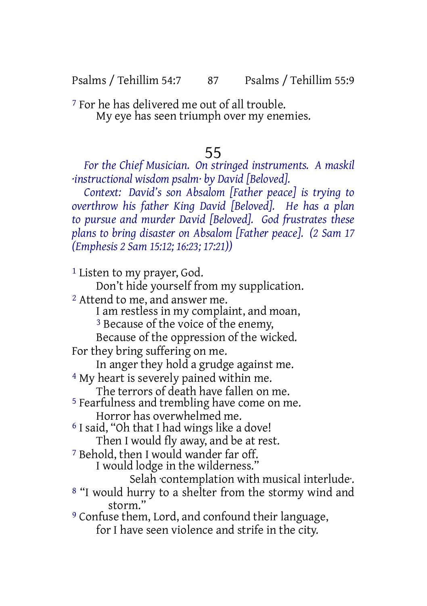7 For he has delivered me out of all trouble. My eye has seen triumph over my enemies.

## 55

*For the Chief Musician. On stringed instruments. A maskil ·instructional wisdom psalm· by David [Beloved].*

*Context: David's son Absalom [Father peace] is trying to overthrow his father King David [Beloved]. He has a plan to pursue and murder David [Beloved]. God frustrates these plans to bring disaster on Absalom [Father peace]. (2 Sam 17 (Emphesis 2 Sam 15:12; 16:23; 17:21))*

1 Listen to my prayer, God.

Don't hide yourself from my supplication.

2 Attend to me, and answer me.

I am restless in my complaint, and moan,

<sup>3</sup> Because of the voice of the enemy,

Because of the oppression of the wicked.

For they bring suffering on me.

In anger they hold a grudge against me.

4 My heart is severely pained within me.

The terrors of death have fallen on me.

5 Fearfulness and trembling have come on me. Horror has overwhelmed me.

6 I said, "Oh that I had wings like a dove! Then I would fly away, and be at rest.

7 Behold, then I would wander far off.

I would lodge in the wilderness."

Selah ·contemplation with musical interlude·.

8 "I would hurry to a shelter from the stormy wind and storm.'

9 Confuse them, Lord, and confound their language, for I have seen violence and strife in the city.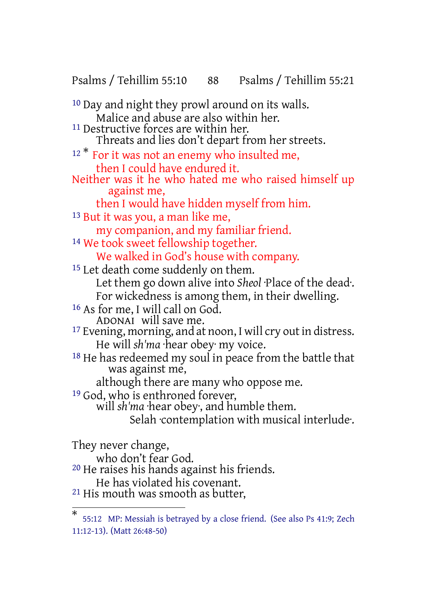Psalms / Tehillim 55:10 88 Psalms / Tehillim 55:21

10 Day and night they prowl around on its walls. Malice and abuse are also within her. <sup>11</sup> Destructive forces are within her. Threats and lies don't depart from her streets. <sup>12</sup> \* For it was not an enemy who insulted me, then I could have endured it. Neither was it he who hated me who raised himself up against me, then I would have hidden myself from him. 13 But it was you, a man like me, my companion, and my familiar friend. <sup>14</sup> We took sweet fellowship together. We walked in God's house with company. <sup>15</sup> Let death come suddenly on them. Let them go down alive into *Sheol* ·Place of the dead·. For wickedness is among them, in their dwelling. 16 As for me, I will call on God. ADONAI will save me. <sup>17</sup> Evening, morning, and at noon, I will cry out in distress. He will *sh'ma* ·hear obey· my voice. <sup>18</sup> He has redeemed my soul in peace from the battle that was against me, although there are many who oppose me. <sup>19</sup> God, who is enthroned forever, will *sh'ma* ·hear obey·, and humble them. Selah contemplation with musical interlude. They never change, who don't fear God. 20 He raises his hands against his friends. He has violated his covenant.

21 His mouth was smooth as butter,

<sup>\*</sup> 55:12 MP: Messiah is betrayed by a close friend. (See also Ps 41:9; Zech 11:12-13). (Matt 26:48-50)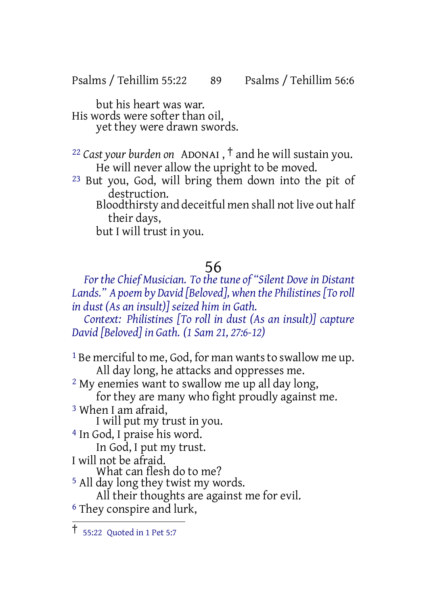Psalms / Tehillim 55:22 89 Psalms / Tehillim 56:6

but his heart was war. His words were softer than oil, yet they were drawn swords.

<sup>22</sup> *Cast your burden on* ADONAI , † and he will sustain you. He will never allow the upright to be moved.

23 But you, God, will bring them down into the pit of destruction.

Bloodthirsty and deceitful men shall not live out half their days,

but I will trust in you.

## 56

*For the Chief Musician. To the tune of "Silent Dove in Distant Lands." A poem by David [Beloved], when the Philistines[To roll in dust (As an insult)] seized him in Gath. Context: Philistines [To roll in dust (As an insult)] capture*

*David [Beloved] in Gath. (1 Sam 21, 27:6-12)*

 $1$  Be merciful to me, God, for man wants to swallow me up. All day long, he attacks and oppresses me. 2 My enemies want to swallow me up all day long,

for they are many who fight proudly against me. 3 When I am afraid,

I will put my trust in you.

4 In God, I praise his word.

In God, I put my trust.

I will not be afraid.

What can flesh do to me?

<sup>5</sup> All day long they twist my words.

All their thoughts are against me for evil.

6 They conspire and lurk,

<sup>†</sup> 55:22 Quoted in <sup>1</sup> Pet 5:7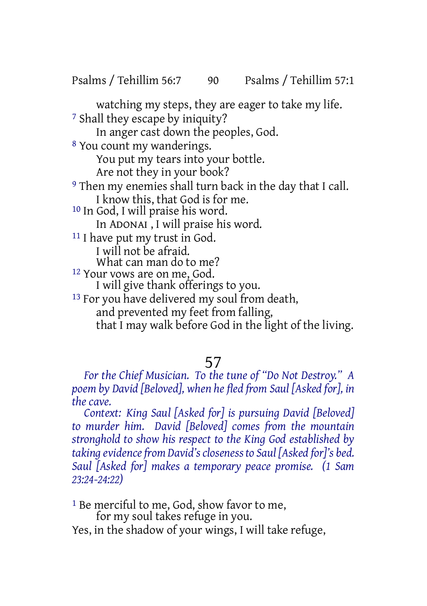Psalms / Tehillim 56:7 90 Psalms / Tehillim 57:1

watching my steps, they are eager to take my life. 7 Shall they escape by iniquity? In anger cast down the peoples, God. 8 You count my wanderings. You put my tears into your bottle. Are not they in your book? 9 Then my enemies shall turn back in the day that I call. I know this, that God is for me. 10 In God, I will praise his word. In ADONAI , I will praise his word. 11 I have put my trust in God. I will not be afraid. What can man do to me? 12 Your vows are on me, God. I will give thank offerings to you. <sup>13</sup> For you have delivered my soul from death, and prevented my feet from falling, that I may walk before God in the light of the living.

## 57

*For the Chief Musician. To the tune of "Do Not Destroy." A poem by David [Beloved], when he fled from Saul [Asked for], in the cave.*

*Context: King Saul [Asked for] is pursuing David [Beloved] to murder him. David [Beloved] comes from the mountain stronghold to show his respect to the King God established by taking evidencefrom David'sclosenessto Saul [Asked for]'s bed. Saul [Asked for] makes a temporary peace promise. (1 Sam 23:24-24:22)*

<sup>1</sup> Be merciful to me, God, show favor to me, for my soul takes refuge in you.

Yes, in the shadow of your wings, I will take refuge,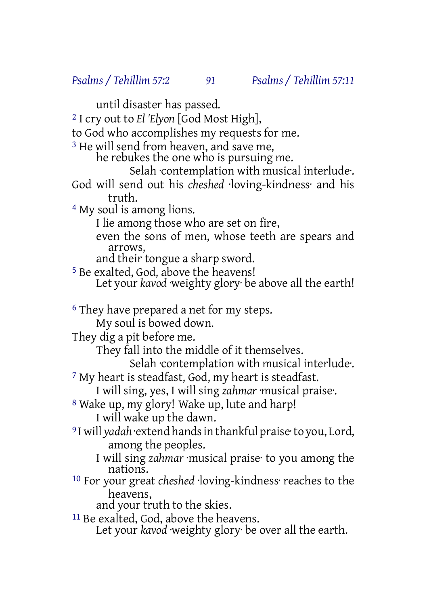until disaster has passed.

2 I cry out to *El 'Elyon* [God Most High],

to God who accomplishes my requests for me.

<sup>3</sup> He will send from heaven, and save me,

he rebukes the one who is pursuing me.

Selah ·contemplation with musical interlude·.

God will send out his *cheshed* ·loving-kindness· and his truth.

4 My soul is among lions.

I lie among those who are set on fire,

even the sons of men, whose teeth are spears and arrows,

and their tongue a sharp sword.

5 Be exalted, God, above the heavens! Let your *kavod* weighty glory be above all the earth!

6 They have prepared a net for my steps.

My soul is bowed down.

They dig a pit before me.

They fall into the middle of it themselves.

Selah contemplation with musical interlude.

7 My heart is steadfast, God, my heart is steadfast.

I will sing, yes, I will sing *zahmar* ·musical praise·.

8 Wake up, my glory! Wake up, lute and harp! I will wake up the dawn.

9 I will *yadah* ·extend handsin thankful praise·to you, Lord, among the peoples.

I will sing *zahmar* ·musical praise· to you among the nations.

10 For your great *cheshed* ·loving-kindness· reaches to the heavens,

and your truth to the skies.

11 Be exalted, God, above the heavens. Let your *kavod* weighty glory be over all the earth.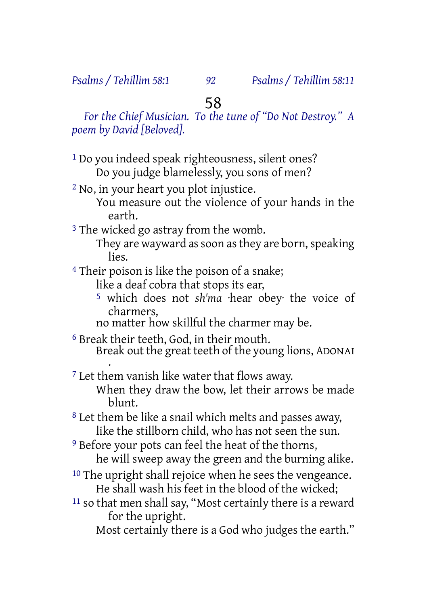*Psalms / Tehillim 58:1 92 Psalms / Tehillim 58:11*

## 58

*For the Chief Musician. To the tune of "Do Not Destroy." A poem by David [Beloved].*

- 1 Do you indeed speak righteousness, silent ones? Do you judge blamelessly, you sons of men?
- 2 No, in your heart you plot injustice. You measure out the violence of your hands in the earth.
- <sup>3</sup> The wicked go astray from the womb.
	- They are wayward as soon as they are born, speaking lies.

4 Their poison is like the poison of a snake;

like a deaf cobra that stops its ear,

- 5 which does not *sh'ma* ·hear obey· the voice of charmers,
- no matter how skillful the charmer may be.

6 Break their teeth, God, in their mouth. Break out the great teeth of the young lions, ADONAI .

7 Let them vanish like water that flows away.

When they draw the bow, let their arrows be made blunt.

8 Let them be like a snail which melts and passes away, like the stillborn child, who has not seen the sun.

<sup>9</sup> Before your pots can feel the heat of the thorns,

he will sweep away the green and the burning alike.

- 10 The upright shall rejoice when he sees the vengeance. He shall wash his feet in the blood of the wicked;
- 11 so that men shall say, "Most certainly there is a reward for the upright.

Most certainly there is a God who judges the earth."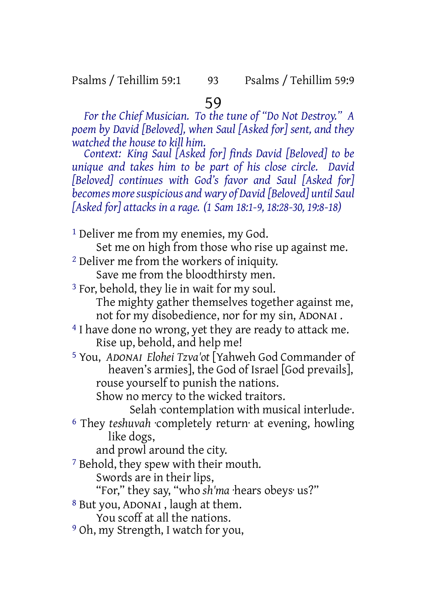*For the Chief Musician. To the tune of "Do Not Destroy." A poem by David [Beloved], when Saul [Asked for] sent, and they watched the house to kill him.*

*Context: King Saul [Asked for] finds David [Beloved] to be unique and takes him to be part of his close circle. David [Beloved] continues with God's favor and Saul [Asked for] becomes moresuspicious and wary of David [Beloved] until Saul [Asked for] attacks in a rage. (1 Sam 18:1-9, 18:28-30, 19:8-18)*

<sup>1</sup> Deliver me from my enemies, my God.

Set me on high from those who rise up against me.

<sup>2</sup> Deliver me from the workers of iniquity.

Save me from the bloodthirsty men.

3 For, behold, they lie in wait for my soul. The mighty gather themselves together against me, not for my disobedience, nor for my sin, ADONAI .

<sup>4</sup> I have done no wrong, yet they are ready to attack me. Rise up, behold, and help me!

5 You, *ADONAI Elohei Tzva'ot* [Yahweh God Commander of heaven's armies], the God of Israel [God prevails], rouse yourself to punish the nations.

Show no mercy to the wicked traitors.

Selah ·contemplation with musical interlude·. 6 They *teshuvah* ·completely return· at evening, howling like dogs,

and prowl around the city.

7 Behold, they spew with their mouth.

Swords are in their lips,

"For," they say, "who *sh'ma* ·hears obeys· us?"

8 But you, ADONAI , laugh at them.

You scoff at all the nations.

9 Oh, my Strength, I watch for you,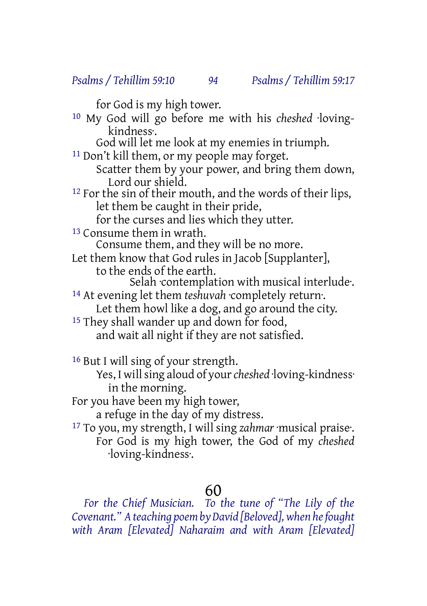for God is my high tower. 10 My God will go before me with his *cheshed* ·lovingkindness·. God will let me look at my enemies in triumph. 11 Don't kill them, or my people may forget. Scatter them by your power, and bring them down, Lord our shield. 12 For the sin of their mouth, and the words of their lips, let them be caught in their pride, for the curses and lies which they utter. 13 Consume them in wrath. Consume them, and they will be no more. Let them know that God rules in Jacob [Supplanter], to the ends of the earth. Selah ·contemplation with musical interlude·. 14 At evening let them *teshuvah* ·completely return·. Let them howl like a dog, and go around the city. <sup>15</sup> They shall wander up and down for food, and wait all night if they are not satisfied. 16 But I will sing of your strength.

Yes, I will sing aloud of your *cheshed* loving-kindness·

in the morning.

For you have been my high tower,

a refuge in the day of my distress.

17 To you, my strength, I will sing *zahmar* ·musical praise·. For God is my high tower, the God of my *cheshed* ·loving-kindness·.

# 60

*For the Chief Musician. To the tune of "The Lily of the Covenant." Ateaching poemby David [Beloved],when hefought with Aram [Elevated] Naharaim and with Aram [Elevated]*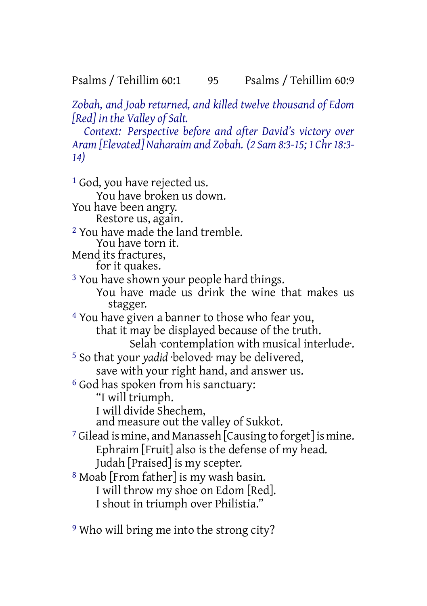Psalms / Tehillim 60:1 95 Psalms / Tehillim 60:9

*Zobah, and Joab returned, and killed twelve thousand of Edom [Red] in the Valley of Salt.*

*Context: Perspective before and after David's victory over Aram [Elevated] Naharaim and Zobah. (2 Sam 8:3-15; 1 Chr 18:3- 14)*

1 God, you have rejected us. You have broken us down. You have been angry. Restore us, again. 2 You have made the land tremble. You have torn it. Mend its fractures, for it quakes. <sup>3</sup> You have shown your people hard things. You have made us drink the wine that makes us stagger. 4 You have given a banner to those who fear you, that it may be displayed because of the truth. Selah ·contemplation with musical interlude·. 5 So that your *yadid* ·beloved· may be delivered, save with your right hand, and answer us. 6 God has spoken from his sanctuary: "I will triumph. I will divide Shechem, and measure out the valley of Sukkot. 7 Gilead is mine, and Manasseh [Causing to forget] is mine. Ephraim [Fruit] also is the defense of my head. Judah [Praised] is my scepter. 8 Moab [From father] is my wash basin. I will throw my shoe on Edom [Red]. I shout in triumph over Philistia."

9 Who will bring me into the strong city?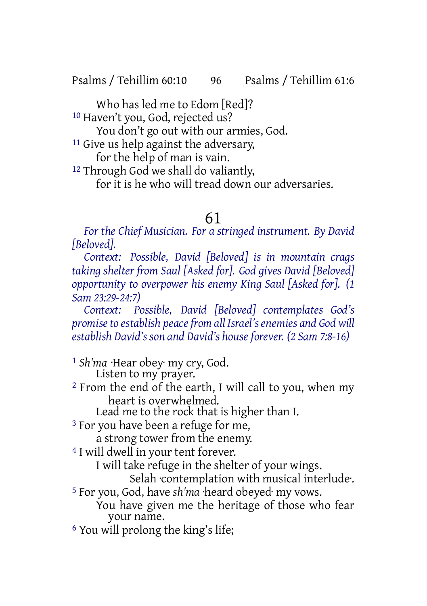Psalms / Tehillim 60:10 96 Psalms / Tehillim 61:6

Who has led me to Edom [Red]?

10 Haven't you, God, rejected us?

You don't go out with our armies, God.

11 Give us help against the adversary,

for the help of man is vain.

<sup>12</sup> Through God we shall do valiantly,

for it is he who will tread down our adversaries.

## 61

*For the Chief Musician. For a stringed instrument. By David [Beloved].*

*Context: Possible, David [Beloved] is in mountain crags taking shelter from Saul [Asked for]. God gives David [Beloved] opportunity to overpower his enemy King Saul [Asked for]. (1 Sam 23:29-24:7)*

*Context: Possible, David [Beloved] contemplates God's promiseto establish peacefrom all Israel'senemies and God will establish David's son and David's house forever. (2 Sam 7:8-16)*

1 *Sh'ma* ·Hear obey· my cry, God. Listen to my prayer.

2 From the end of the earth, I will call to you, when my heart is overwhelmed.

Lead me to the rock that is higher than I.

3 For you have been a refuge for me,

a strong tower from the enemy.

4 I will dwell in your tent forever.

I will take refuge in the shelter of your wings.

Selah ·contemplation with musical interlude·.

5 For you, God, have *sh'ma* ·heard obeyed· my vows.

You have given me the heritage of those who fear your name.

6 You will prolong the king's life;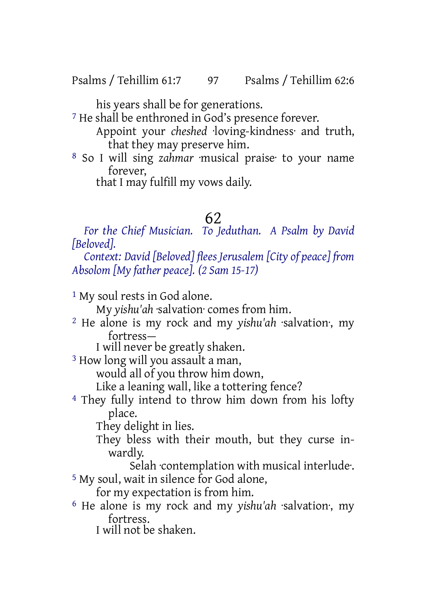Psalms / Tehillim 61:7 97 Psalms / Tehillim 62:6

his years shall be for generations.

7 He shall be enthroned in God's presence forever. Appoint your *cheshed* ·loving-kindness· and truth, that they may preserve him.

8 So I will sing *zahmar* ·musical praise· to your name forever,

that I may fulfill my vows daily.

# 62

*For the Chief Musician. To Jeduthan. A Psalm by David [Beloved].*

*Context: David [Beloved] flees Jerusalem [City of peace] from Absolom [My father peace]. (2 Sam 15-17)*

1 My soul rests in God alone.

My *yishu'ah* ·salvation· comes from him.

- 2 He alone is my rock and my *yishu'ah* ·salvation·, my fortress—
	- I will never be greatly shaken.

3 How long will you assault a man,

would all of you throw him down,

- Like a leaning wall, like a tottering fence?
- 4 They fully intend to throw him down from his lofty place.

They delight in lies.

- They bless with their mouth, but they curse inwardly.
- Selah ·contemplation with musical interlude·. 5 My soul, wait in silence for God alone,

for my expectation is from him.

6 He alone is my rock and my *yishu'ah* ·salvation·, my fortress.

I will not be shaken.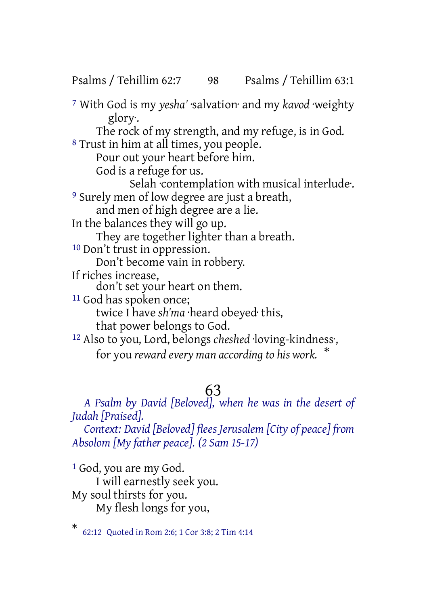Psalms / Tehillim 62:7 98 Psalms / Tehillim 63:1

7 With God is my *yesha'* ·salvation· and my *kavod* ·weighty glory·. The rock of my strength, and my refuge, is in God. <sup>8</sup> Trust in him at all times, you people. Pour out your heart before him. God is a refuge for us. Selah ·contemplation with musical interlude·. 9 Surely men of low degree are just a breath, and men of high degree are a lie. In the balances they will go up. They are together lighter than a breath. 10 Don't trust in oppression. Don't become vain in robbery. If riches increase, don't set your heart on them. 11 God has spoken once; twice I have *sh'ma* ·heard obeyed· this, that power belongs to God. 12 Also to you, Lord, belongs *cheshed* ·loving-kindness·, for you *reward every man according to his work.* \*

# 63

*A Psalm by David [Beloved], when he was in the desert of Judah [Praised]. Context: David [Beloved] flees Jerusalem [City of peace] from Absolom [My father peace]. (2 Sam 15-17)*

1 God, you are my God. I will earnestly seek you. My soul thirsts for you. My flesh longs for you,

<sup>\*</sup> 62:12 Quoted in Rom 2:6; 1 Cor 3:8; 2 Tim 4:14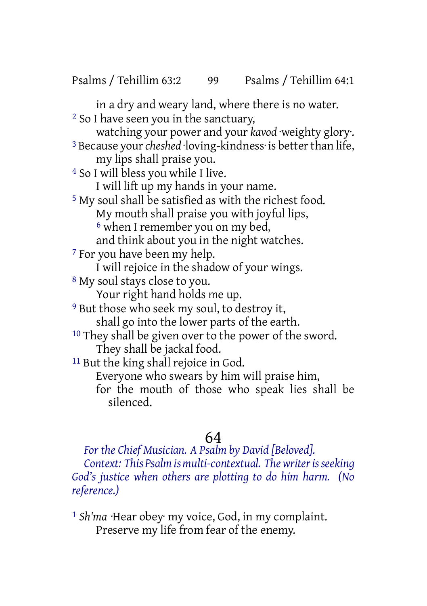in a dry and weary land, where there is no water.

2 So I have seen you in the sanctuary,

watching your power and your *kavod* ·weighty glory·. <sup>3</sup> Because your *cheshed* loving-kindness is better than life,

my lips shall praise you.

4 So I will bless you while I live.

I will lift up my hands in your name.

5 My soul shall be satisfied as with the richest food. My mouth shall praise you with joyful lips, 6 when I remember you on my bed,

and think about you in the night watches.

7 For you have been my help.

I will rejoice in the shadow of your wings.

8 My soul stays close to you.

Your right hand holds me up.

9 But those who seek my soul, to destroy it,

shall go into the lower parts of the earth.

<sup>10</sup> They shall be given over to the power of the sword. They shall be jackal food.

<sup>11</sup> But the king shall rejoice in God.

Everyone who swears by him will praise him,

for the mouth of those who speak lies shall be silenced.

# 64

*For the Chief Musician. A Psalm by David [Beloved]. Context: This Psalmismulti-contextual. Thewriterisseeking God's justice when others are plotting to do him harm. (No reference.)*

1 *Sh'ma* ·Hear obey· my voice, God, in my complaint. Preserve my life from fear of the enemy.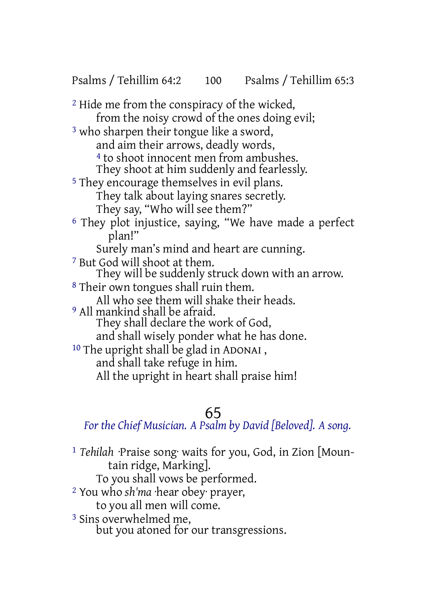2 Hide me from the conspiracy of the wicked, from the noisy crowd of the ones doing evil; 3 who sharpen their tongue like a sword, and aim their arrows, deadly words, 4 to shoot innocent men from ambushes. They shoot at him suddenly and fearlessly. 5 They encourage themselves in evil plans. They talk about laying snares secretly. They say, "Who will see them?" 6 They plot injustice, saying, "We have made a perfect plan!" Surely man's mind and heart are cunning. 7 But God will shoot at them. They will be suddenly struck down with an arrow. 8 Their own tongues shall ruin them. All who see them will shake their heads. 9 All mankind shall be afraid. They shall declare the work of God, and shall wisely ponder what he has done. 10 The upright shall be glad in ADONAI , and shall take refuge in him. All the upright in heart shall praise him!

# 65

*For the Chief Musician. A Psalm by David [Beloved]. A song.*

- 1 *Tehilah* ·Praise song· waits for you, God, in Zion [Mountain ridge, Marking].
	- To you shall vows be performed.
- 2 You who *sh'ma* ·hear obey· prayer,
	- to you all men will come.
- 3 Sins overwhelmed me, but you atoned for our transgressions.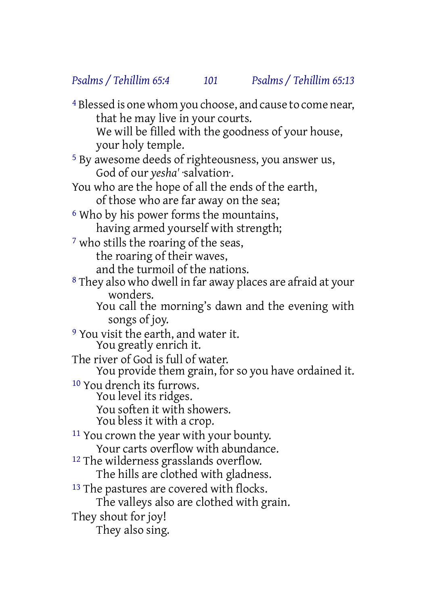4 Blessed is one whom you choose, and cause to come near, that he may live in your courts. We will be filled with the goodness of your house, your holy temple. 5 By awesome deeds of righteousness, you answer us, God of our *yesha'* ·salvation·. You who are the hope of all the ends of the earth, of those who are far away on the sea; 6 Who by his power forms the mountains, having armed yourself with strength; 7 who stills the roaring of the seas, the roaring of their waves, and the turmoil of the nations. 8 They also who dwell in far away places are afraid at your wonders. You call the morning's dawn and the evening with songs of joy. <sup>9</sup> You visit the earth, and water it. You greatly enrich it. The river of God is full of water. You provide them grain, for so you have ordained it. 10 You drench its furrows. You level its ridges. You soften it with showers. You bless it with a crop. 11 You crown the year with your bounty. Your carts overflow with abundance. 12 The wilderness grasslands overflow. The hills are clothed with gladness. <sup>13</sup> The pastures are covered with flocks. The valleys also are clothed with grain. They shout for joy! They also sing.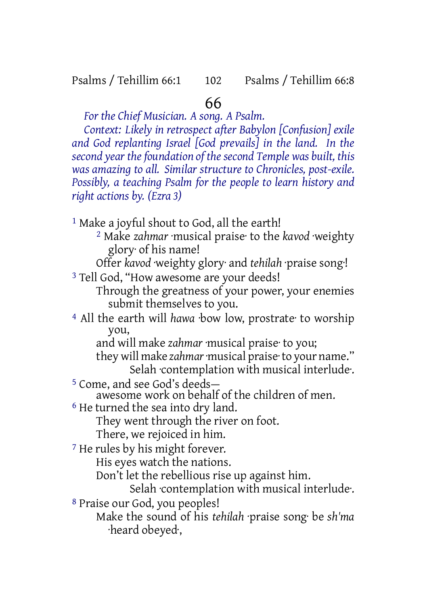Psalms / Tehillim 66:1 102 Psalms / Tehillim 66:8

## 66

*For the Chief Musician. A song. A Psalm.*

*Context: Likely in retrospect after Babylon [Confusion] exile and God replanting Israel [God prevails] in the land. In the second year thefoundation of thesecond Temple was built, this was amazing to all. Similar structure to Chronicles, post-exile. Possibly, a teaching Psalm for the people to learn history and right actions by. (Ezra 3)*

<sup>1</sup> Make a joyful shout to God, all the earth!

2 Make *zahmar* ·musical praise· to the *kavod* ·weighty glory· of his name!

Offer *kavod* ·weighty glory· and *tehilah* ·praise song·!

3 Tell God, "How awesome are your deeds!

Through the greatness of your power, your enemies submit themselves to you.

4 All the earth will *hawa* ·bow low, prostrate· to worship you,

and will make *zahmar* ·musical praise· to you;

they will make *zahmar*·musical praise·to your name." Selah ·contemplation with musical interlude·.

5 Come, and see God's deeds—

awesome work on behalf of the children of men.

6 He turned the sea into dry land.

They went through the river on foot.

There, we rejoiced in him.

7 He rules by his might forever.

His eyes watch the nations.

Don't let the rebellious rise up against him.

Selah ·contemplation with musical interlude·.

8 Praise our God, you peoples!

Make the sound of his *tehilah* ·praise song· be *sh'ma* ·heard obeyed·,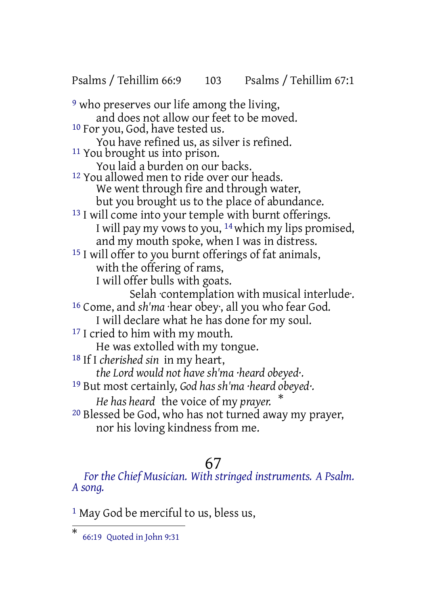Psalms / Tehillim 66:9 103 Psalms / Tehillim 67:1

<sup>9</sup> who preserves our life among the living, and does not allow our feet to be moved. 10 For you, God, have tested us. You have refined us, as silver is refined. 11 You brought us into prison. You laid a burden on our backs. 12 You allowed men to ride over our heads. We went through fire and through water, but you brought us to the place of abundance. <sup>13</sup> I will come into your temple with burnt offerings. I will pay my vows to you,  $14$  which my lips promised, and my mouth spoke, when I was in distress. 15 I will offer to you burnt offerings of fat animals, with the offering of rams, I will offer bulls with goats. Selah ·contemplation with musical interlude·. 16 Come, and *sh'ma* ·hear obey·, all you who fear God. I will declare what he has done for my soul. <sup>17</sup> I cried to him with my mouth. He was extolled with my tongue. 18 If I *cherished sin* in my heart, *the Lord would not have sh'ma ·heard obeyed·.* 19 But most certainly, *God has sh'ma ·heard obeyed·. He has heard* the voice of my *prayer.* \* 20 Blessed be God, who has not turned away my prayer, nor his loving kindness from me.

## 67

*For the Chief Musician. With stringed instruments. A Psalm. A song.*

<sup>1</sup> May God be merciful to us, bless us,

<sup>\*</sup> 66:19 Quoted in John 9:31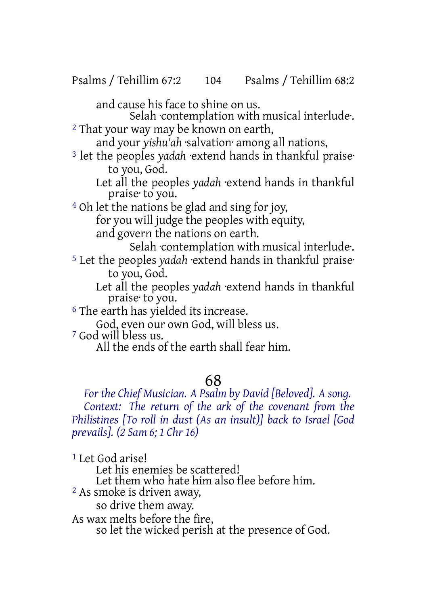and cause his face to shine on us.

Selah contemplation with musical interlude. <sup>2</sup> That your way may be known on earth,

and your *yishu'ah* ·salvation· among all nations,

3 let the peoples *yadah* ·extend hands in thankful praise· to you, God.

Let all the peoples *yadah* ·extend hands in thankful praise· to you.

4 Oh let the nations be glad and sing for joy, for you will judge the peoples with equity, and govern the nations on earth.

Selah ·contemplation with musical interlude·. 5 Let the peoples *yadah* ·extend hands in thankful praise· to you, God.

Let all the peoples *yadah* ·extend hands in thankful praise· to you.

6 The earth has yielded its increase.

God, even our own God, will bless us.

7 God will bless us.

All the ends of the earth shall fear him.

# 68

*For the Chief Musician. A Psalm by David [Beloved]. A song. Context: The return of the ark of the covenant from the Philistines [To roll in dust (As an insult)] back to Israel [God prevails]. (2 Sam 6; 1 Chr 16)*

1 Let God arise! Let his enemies be scattered! Let them who hate him also flee before him. 2 As smoke is driven away, so drive them away. As wax melts before the fire, so let the wicked perish at the presence of God.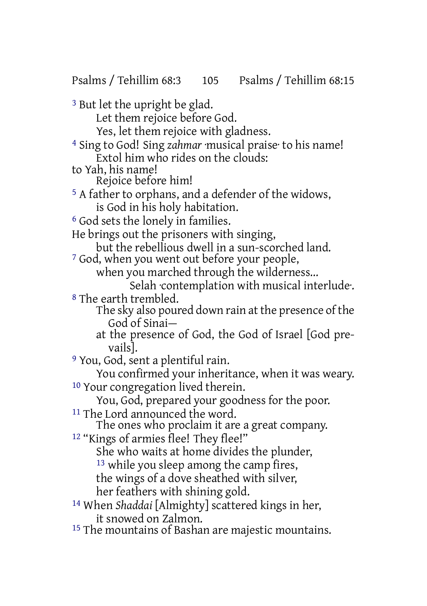Psalms / Tehillim 68:3 105 Psalms / Tehillim 68:15

3 But let the upright be glad. Let them rejoice before God. Yes, let them rejoice with gladness. 4 Sing to God! Sing *zahmar* ·musical praise· to his name! Extol him who rides on the clouds: to Yah, his name! Rejoice before him! 5 A father to orphans, and a defender of the widows, is God in his holy habitation. 6 God sets the lonely in families. He brings out the prisoners with singing, but the rebellious dwell in a sun-scorched land. 7 God, when you went out before your people, when you marched through the wilderness... Selah ·contemplation with musical interlude·. 8 The earth trembled. The sky also poured down rain at the presence of the God of Sinai at the presence of God, the God of Israel [God prevails]. 9 You, God, sent a plentiful rain. You confirmed your inheritance, when it was weary. 10 Your congregation lived therein. You, God, prepared your goodness for the poor. 11 The Lord announced the word. The ones who proclaim it are a great company. <sup>12</sup> "Kings of armies flee! They flee!" She who waits at home divides the plunder, 13 while you sleep among the camp fires, the wings of a dove sheathed with silver, her feathers with shining gold. 14 When *Shaddai* [Almighty] scattered kings in her, it snowed on Zalmon. 15 The mountains of Bashan are majestic mountains.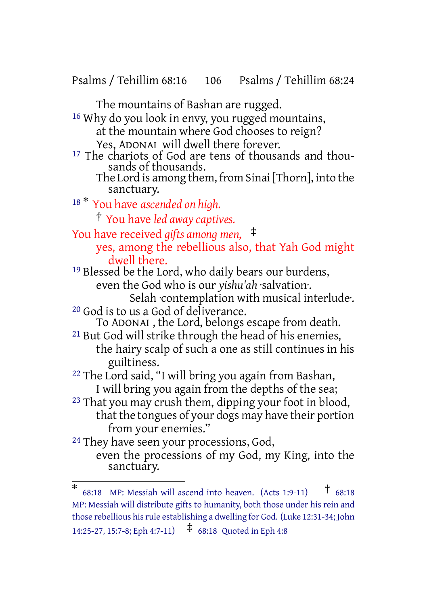Psalms / Tehillim 68:16 106 Psalms / Tehillim 68:24

The mountains of Bashan are rugged.

16 Why do you look in envy, you rugged mountains, at the mountain where God chooses to reign? Yes, ADONAI will dwell there forever. <sup>17</sup> The chariots of God are tens of thousands and thousands of thousands. The Lord is among them, from Sinai [Thorn], into the sanctuary. <sup>18</sup> \* You have *ascended on high.* † You have *led away captives.* You have received *gifts among men,* ‡ yes, among the rebellious also, that Yah God might dwell there. 19 Blessed be the Lord, who daily bears our burdens, even the God who is our *yishu'ah* ·salvation·.

Selah ·contemplation with musical interlude·. 20 God is to us a God of deliverance.

To ADONAI , the Lord, belongs escape from death.

- 21 But God will strike through the head of his enemies, the hairy scalp of such a one as still continues in his guiltiness.
- 22 The Lord said, "I will bring you again from Bashan, I will bring you again from the depths of the sea;
- 23 That you may crush them, dipping your foot in blood, that the tongues of your dogs may have their portion from your enemies."
- <sup>24</sup> They have seen your processions, God, even the processions of my God, my King, into the sanctuary.

<sup>\*</sup> 68:18 MP: Messiah will ascend into heaven. (Acts 1:9-11) † 68:18 MP: Messiah will distribute gifts to humanity, both those under his rein and those rebellious hisrule establishing a dwelling for God. (Luke 12:31-34; John 14:25-27, 15:7-8; Eph 4:7-11) ‡ 68:18 Quoted in Eph 4:8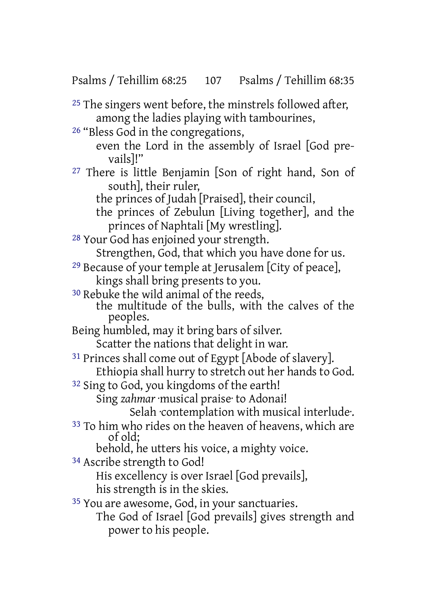Psalms / Tehillim 68:25 107 Psalms / Tehillim 68:35

<sup>25</sup> The singers went before, the minstrels followed after, among the ladies playing with tambourines,

26 "Bless God in the congregations,

even the Lord in the assembly of Israel [God prevails]!"

- 27 There is little Benjamin [Son of right hand, Son of south], their ruler,
	- the princes of Judah [Praised], their council,
	- the princes of Zebulun [Living together], and the princes of Naphtali [My wrestling].

28 Your God has enjoined your strength. Strengthen, God, that which you have done for us.

29 Because of your temple at Jerusalem [City of peace], kings shall bring presents to you.

30 Rebuke the wild animal of the reeds, the multitude of the bulls, with the calves of the peoples.

Being humbled, may it bring bars of silver. Scatter the nations that delight in war.

31 Princes shall come out of Egypt [Abode of slavery]. Ethiopia shall hurry to stretch out her hands to God.

32 Sing to God, you kingdoms of the earth!

Sing *zahmar* ·musical praise· to Adonai!

Selah ·contemplation with musical interlude·.

33 To him who rides on the heaven of heavens, which are of old;

behold, he utters his voice, a mighty voice.

34 Ascribe strength to God!

His excellency is over Israel [God prevails], his strength is in the skies.

35 You are awesome, God, in your sanctuaries.

The God of Israel [God prevails] gives strength and power to his people.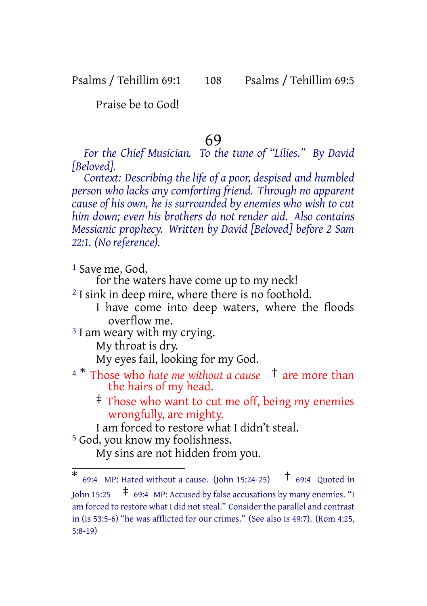#### Psalms / Tehillim 69:1 108 Psalms / Tehillim 69:5

Praise be to God!

#### 69

*For the Chief Musician. To the tune of "Lilies." By David [Beloved].*

*Context: Describing the life of a poor, despised and humbled person who lacks any comforting friend. Through no apparent cause of his own, he is surrounded by enemies who wish to cut him down; even his brothers do not render aid. Also contains Messianic prophecy. Written by David [Beloved] before 2 Sam 22:1. (No reference).*

1 Save me, God,

for the waters have come up to my neck!

<sup>2</sup> I sink in deep mire, where there is no foothold.

I have come into deep waters, where the floods overflow me.

<sup>3</sup> I am weary with my crying.

My throat is dry.

My eyes fail, looking for my God.

<sup>4</sup> \* Those who *hate me without a cause* † are more than the hairs of my head.

‡ Those who want to cut me off, being my enemies wrongfully, are mighty.

I am forced to restore what I didn't steal.

5 God, you know my foolishness.

My sins are not hidden from you.

<sup>\*</sup> 69:4 MP: Hated without a cause. (John 15:24-25)  $\uparrow$  69:4 Quoted in John 15:25 ‡ 69:4 MP: Accused by false accusations by many enemies. "I am forced to restore what I did not steal." Consider the parallel and contrast in (Is 53:5-6) "he was afflicted for our crimes." (See also Is 49:7). (Rom 4:25, 5:8-19)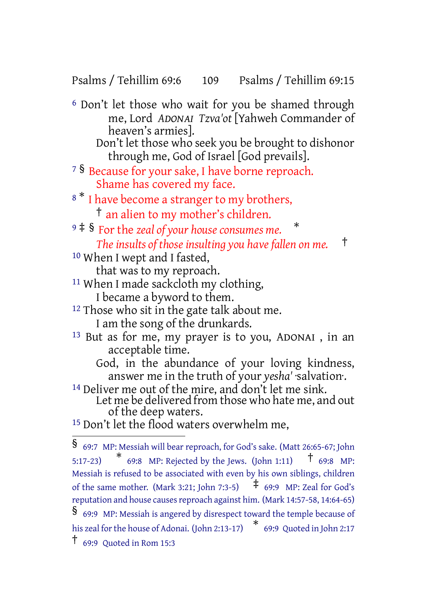Psalms / Tehillim 69:6 109 Psalms / Tehillim 69:15

- 6 Don't let those who wait for you be shamed through me, Lord *ADONAI Tzva'ot* [Yahweh Commander of heaven's armies].
	- Don't let those who seek you be brought to dishonor through me, God of Israel [God prevails].
- <sup>7</sup> § Because for your sake, I have borne reproach. Shame has covered my face.
- <sup>8</sub> \*</sup> I have become a stranger to my brothers, † an alien to my mother's children.
- <sup>9</sup> ‡ § For the *zeal of your house consumes me.*
	- *The insults of those insulting you have fallen on me.* †

\*

- 10 When I wept and I fasted, that was to my reproach.
- <sup>11</sup> When I made sackcloth my clothing,
	- I became a byword to them.
- <sup>12</sup> Those who sit in the gate talk about me. I am the song of the drunkards.
- 13 But as for me, my prayer is to you, ADONAI , in an acceptable time.
	- God, in the abundance of your loving kindness, answer me in the truth of your *yesha'* ·salvation·.
- <sup>14</sup> Deliver me out of the mire, and don't let me sink. Let me be delivered from those who hate me, and out of the deep waters.
- <sup>15</sup> Don't let the flood waters overwhelm me,

<sup>§</sup> 69:7 MP: Messiah will bear reproach, for God's sake. (Matt 26:65-67; John 5:17-23)  $*$  69:8 MP: Rejected by the Jews. (John 1:11)  $*$  69:8 MP: Messiah is refused to be associated with even by his own siblings, children of the same mother. (Mark 3:21; John 7:3-5)  $\uparrow$  69:9 MP: Zeal for God's reputation and house causes reproach against him. (Mark 14:57-58, 14:64-65) § 69:9 MP: Messiah is angered by disrespect toward the temple because of his zeal forthe house of Adonai. (John 2:13-17) \* 69:9 Quoted in John 2:17 † 69:9 Quoted in Rom 15:3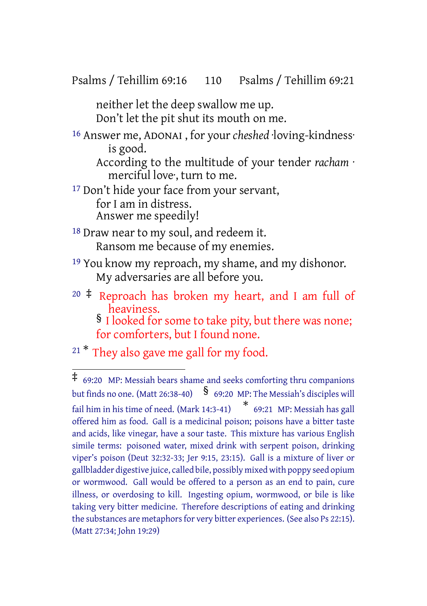Psalms / Tehillim 69:16 110 Psalms / Tehillim 69:21

neither let the deep swallow me up. Don't let the pit shut its mouth on me.

16 Answer me, ADONAI , for your *cheshed* ·loving-kindness· is good.

According to the multitude of your tender *racham* · merciful love, turn to me.

<sup>17</sup> Don't hide your face from your servant, for I am in distress.

Answer me speedily!

- 18 Draw near to my soul, and redeem it. Ransom me because of my enemies.
- 19 You know my reproach, my shame, and my dishonor. My adversaries are all before you.
- $20 \div$  Reproach has broken my heart, and I am full of heaviness. § I looked for some to take pity, but there was none;

for comforters, but I found none.

 $21 *$  They also gave me gall for my food.

<sup>‡</sup> 69:20 MP: Messiah bears shame and seeks comforting thru companions but finds no one. (Matt 26:38-40)  $\frac{1}{5}$  69:20 MP: The Messiah's disciples will fail him in his time of need. (Mark 14:3-41) \* 69:21 MP: Messiah has gall offered him as food. Gall is a medicinal poison; poisons have a bitter taste and acids, like vinegar, have a sour taste. This mixture has various English simile terms: poisoned water, mixed drink with serpent poison, drinking viper's poison (Deut 32:32-33; Jer 9:15, 23:15). Gall is a mixture of liver or gallbladder digestive juice, called bile, possibly mixed with poppy seed opium or wormwood. Gall would be offered to a person as an end to pain, cure illness, or overdosing to kill. Ingesting opium, wormwood, or bile is like taking very bitter medicine. Therefore descriptions of eating and drinking the substances are metaphors for very bitter experiences. (See also Ps 22:15). (Matt 27:34; John 19:29)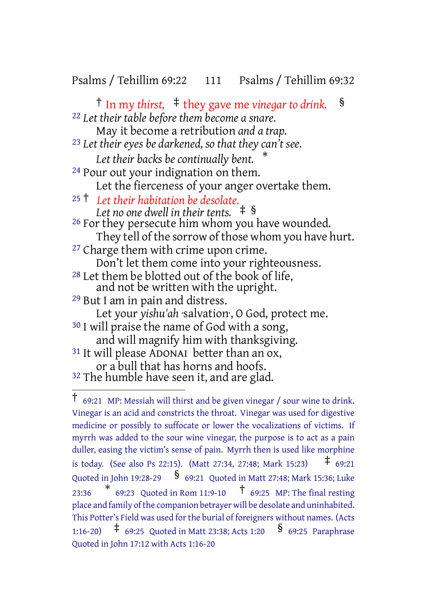#### Psalms / Tehillim 69:22 111 Psalms / Tehillim 69:32

† In my *thirst,* ‡ they gave me *vinegar to drink.* § 22 *Let their table before them become a snare.* May it become a retribution *and a trap.* 23 *Let their eyes be darkened, so that they can't see. Let their backs be continually bent.* \* 24 Pour out your indignation on them. Let the fierceness of your anger overtake them. <sup>25</sup> † *Let their habitation be desolate. Let no one dwell in their tents.* ‡ § <sup>26</sup> For they persecute him whom you have wounded. They tell of the sorrow of those whom you have hurt. 27 Charge them with crime upon crime. Don't let them come into your righteousness. 28 Let them be blotted out of the book of life, and not be written with the upright. 29 But I am in pain and distress. Let your *yishu'ah* ·salvation·, O God, protect me. 30 I will praise the name of God with a song, and will magnify him with thanksgiving. 31 It will please ADONAI better than an ox, or a bull that has horns and hoofs.

<sup>&</sup>lt;sup>32</sup> The humble have seen it, and are glad.

<sup>†</sup> 69:21 MP: Messiah will thirst and be given vinegar / sour wine to drink. Vinegar is an acid and constricts the throat. Vinegar was used for digestive medicine or possibly to suffocate or lower the vocalizations of victims. If myrrh was added to the sour wine vinegar, the purpose is to act as a pain duller, easing the victim's sense of pain. Myrrh then is used like morphine is today. (See also Ps 22:15). (Matt 27:34, 27:48; Mark 15:23)  $\pm$  69:21 Quoted in John 19:28-29  $\frac{\$}{}$  69:21 Quoted in Matt 27:48; Mark 15:36: Luke 23:36  $*$  69:23 Quoted in Rom 11:9-10  $\uparrow$  69:25 MP: The final resting place and family of the companion betrayer will be desolate and uninhabited. This Potter's Field was used forthe burial of foreigners without names. (Acts 1:16-20) ‡ 69:25 Quoted in Matt 23:38; Acts 1:20 § 69:25 Paraphrase Quoted in John 17:12 with Acts 1:16-20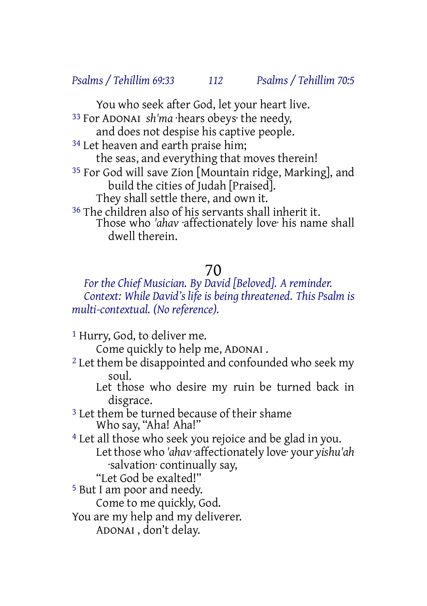You who seek after God, let your heart live. 33 For ADONAI *sh'ma* ·hears obeys· the needy, and does not despise his captive people. <sup>34</sup> Let heaven and earth praise him; the seas, and everything that moves therein! 35 For God will save Zion [Mountain ridge, Marking], and build the cities of Judah [Praised]. They shall settle there, and own it. 36 The children also of his servants shall inherit it. Those who *'ahav* ·affectionately love· his name shall dwell therein.

# 70

#### *For the Chief Musician. By David [Beloved]. A reminder. Context: While David's life is being threatened. This Psalm is multi-contextual. (No reference).*

1 Hurry, God, to deliver me.

Come quickly to help me, ADONAI .

<sup>2</sup> Let them be disappointed and confounded who seek my soul.

Let those who desire my ruin be turned back in disgrace.

3 Let them be turned because of their shame Who say, "Aha! Aha!"

4 Let all those who seek you rejoice and be glad in you. Letthose who *'ahav* ·affectionately love· your *yishu'ah* ·salvation· continually say,

"Let God be exalted!"

5 But I am poor and needy.

Come to me quickly, God.

You are my help and my deliverer.

ADONAI , don't delay.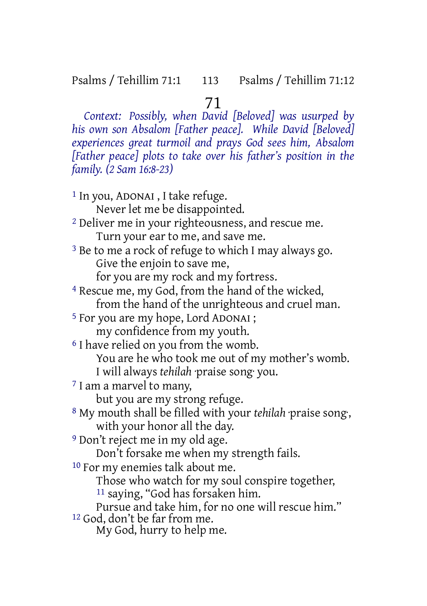### 71

*Context: Possibly, when David [Beloved] was usurped by his own son Absalom [Father peace]. While David [Beloved] experiences great turmoil and prays God sees him, Absalom [Father peace] plots to take over his father's position in the family. (2 Sam 16:8-23)*

1 In you, ADONAI , I take refuge. Never let me be disappointed. 2 Deliver me in your righteousness, and rescue me. Turn your ear to me, and save me. 3 Be to me a rock of refuge to which I may always go. Give the enjoin to save me, for you are my rock and my fortress. 4 Rescue me, my God, from the hand of the wicked, from the hand of the unrighteous and cruel man. 5 For you are my hope, Lord ADONAI ; my confidence from my youth. 6 I have relied on you from the womb. You are he who took me out of my mother's womb. I will always *tehilah* ·praise song· you. 7 I am a marvel to many, but you are my strong refuge. 8 My mouth shall be filled with your *tehilah* ·praise song·, with your honor all the day. 9 Don't reject me in my old age. Don't forsake me when my strength fails. 10 For my enemies talk about me. Those who watch for my soul conspire together, 11 saying, "God has forsaken him. Pursue and take him, for no one will rescue him." 12 God, don't be far from me. My God, hurry to help me.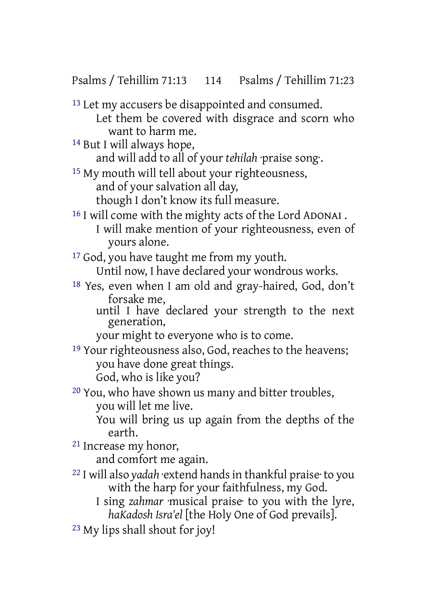Psalms / Tehillim 71:13 114 Psalms / Tehillim 71:23

<sup>13</sup> Let my accusers be disappointed and consumed. Let them be covered with disgrace and scorn who want to harm me.

14 But I will always hope,

and will add to all of your *tehilah* ·praise song·.

15 My mouth will tell about your righteousness, and of your salvation all day, though I don't know its full measure.

16 I will come with the mighty acts of the Lord ADONAI . I will make mention of your righteousness, even of yours alone.

17 God, you have taught me from my youth. Until now, I have declared your wondrous works.

18 Yes, even when I am old and gray-haired, God, don't forsake me,

until I have declared your strength to the next generation,

your might to everyone who is to come.

19 Your righteousness also, God, reaches to the heavens; you have done great things. God, who is like you?

20 You, who have shown us many and bitter troubles, you will let me live.

You will bring us up again from the depths of the earth.

21 Increase my honor,

and comfort me again.

22 I will also *yadah* ·extend handsin thankful praise· to you with the harp for your faithfulness, my God.

I sing *zahmar* ·musical praise· to you with the lyre, *haKadosh Isra'el* [the Holy One of God prevails].

23 My lips shall shout for joy!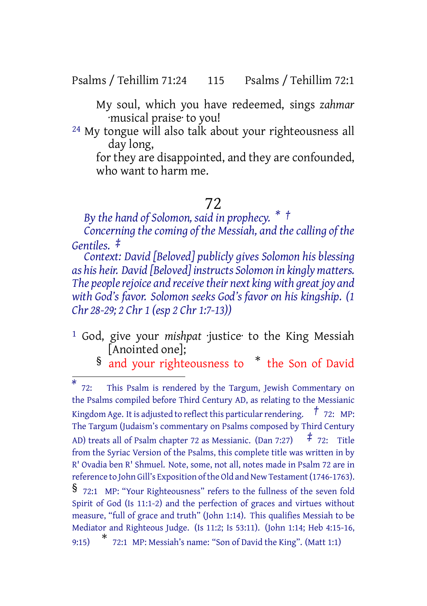Psalms / Tehillim 71:24 115 Psalms / Tehillim 72:1

My soul, which you have redeemed, sings *zahmar* ·musical praise· to you!

<sup>24</sup> My tongue will also talk about your righteousness all day long,

for they are disappointed, and they are confounded, who want to harm me.

### 72

*By the hand of Solomon, said in prophecy. \* †*

*Concerning the coming of the Messiah, and the calling of the Gentiles. ‡*

*Context: David [Beloved] publicly gives Solomon his blessing as his heir. David [Beloved] instructs Solomon in kingly matters. The peoplerejoice and receivetheir next king with great joy and with God's favor. Solomon seeks God's favor on his kingship. (1 Chr 28-29; 2 Chr 1 (esp 2 Chr 1:7-13))*

1 God, give your *mishpat* ·justice· to the King Messiah [Anointed one];

§ and your righteousness to \* the Son of David

*<sup>\*</sup>* 72: This Psalm is rendered by the Targum, Jewish Commentary on the Psalms compiled before Third Century AD, as relating to the Messianic Kingdom Age. It is adjusted to reflect this particularrendering. *†* 72: MP: The Targum (Judaism's commentary on Psalms composed by Third Century AD) treats all of Psalm chapter <sup>72</sup> as Messianic. (Dan 7:27) *‡* 72: Title from the Syriac Version of the Psalms, this complete title was written in by R' Ovadia ben R' Shmuel. Note, some, not all, notes made in Psalm 72 are in reference to John Gill's Exposition of the Old and New Testament (1746-1763). § 72:1 MP: "Your Righteousness" refers to the fullness of the seven fold Spirit of God (Is 11:1-2) and the perfection of graces and virtues without measure, "full of grace and truth" (John 1:14). This qualifies Messiah to be Mediator and Righteous Judge. (Is 11:2; Is 53:11). (John 1:14; Heb 4:15-16, 9:15) \* 72:1 MP: Messiah's name: "Son of David the King". (Matt 1:1)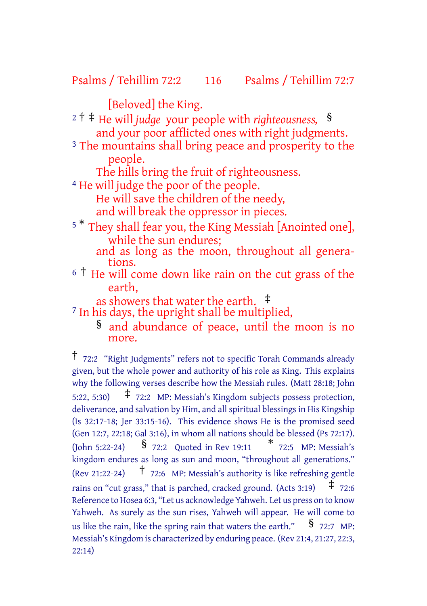Psalms / Tehillim 72:2 116 Psalms / Tehillim 72:7

[Beloved] the King.

<sup>2</sup> † ‡ He will *judge* your people with *righteousness,* § and your poor afflicted ones with right judgments.

<sup>3</sup> The mountains shall bring peace and prosperity to the people.

The hills bring the fruit of righteousness.

4 He will judge the poor of the people.

He will save the children of the needy,

and will break the oppressor in pieces.

<sup>5</sup> \* They shall fear you, the King Messiah [Anointed one], while the sun endures;

and as long as the moon, throughout all generations.

<sup>6</sup> † He will come down like rain on the cut grass of the earth,

as showers that water the earth. ‡

<sup>7</sup> In his days, the upright shall be multiplied,

§ and abundance of peace, until the moon is no more.

<sup>†</sup> 72:2 "Right Judgments" refers not to specific Torah Commands already given, but the whole power and authority of his role as King. This explains why the following verses describe how the Messiah rules. (Matt 28:18; John 5:22, 5:30)  $\uparrow$  72:2 MP: Messiah's Kingdom subjects possess protection, deliverance, and salvation by Him, and all spiritual blessings in His Kingship (Is 32:17-18; Jer 33:15-16). This evidence shows He is the promised seed (Gen 12:7, 22:18; Gal 3:16), in whom all nations should be blessed (Ps 72:17). (John 5:22-24) § 72:2 Quoted in Rev 19:11 \* 72:5 MP: Messiah's kingdom endures as long as sun and moon, "throughout all generations." (Rev 21:22-24)  $\uparrow$  72:6 MP: Messiah's authority is like refreshing gentle rains on "cut grass," that is parched, cracked ground. (Acts 3:19)  $\pm$  72:6 Reference to Hosea 6:3, "Let us acknowledge Yahweh. Let us press on to know Yahweh. As surely as the sun rises, Yahweh will appear. He will come to us like the rain, like the spring rain that waters the earth."  $\frac{S}{9}$  72:7 MP: Messiah's Kingdom is characterized by enduring peace. (Rev 21:4, 21:27, 22:3, 22:14)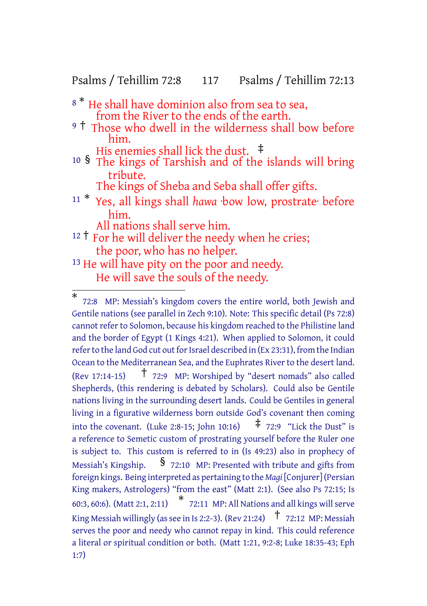Psalms / Tehillim 72:8 117 Psalms / Tehillim 72:13

- <sup>8</sub> \*</sup> He shall have dominion also from sea to sea, from the River to the ends of the earth.
- <sup>9</sup> <sup>†</sup> Those who dwell in the wilderness shall bow before him.
	- His enemies shall lick the dust.  $\pm$
- <sup>10</sup> § The kings of Tarshish and of the islands will bring tribute.
	- The kings of Sheba and Seba shall offer gifts.
- <sup>11</sup> \* Yes, all kings shall *hawa* ·bow low, prostrate· before him.
	- All nations shall serve him.
- $12 \uparrow$  For he will deliver the needy when he cries; the poor, who has no helper.
- <sup>13</sup> He will have pity on the poor and needy. He will save the souls of the needy.

<sup>\*</sup> 72:8 MP: Messiah's kingdom covers the entire world, both Jewish and Gentile nations (see parallel in Zech 9:10). Note: This specific detail (Ps 72:8) cannot refer to Solomon, because his kingdom reached to the Philistine land and the border of Egypt (1 Kings 4:21). When applied to Solomon, it could refer to the land God cut out for Israel described in (Ex 23:31), from the Indian Ocean to the Mediterranean Sea, and the Euphrates River to the desert land. (Rev 17:14-15)  $\uparrow$  72:9 MP: Worshiped by "desert nomads" also called Shepherds, (this rendering is debated by Scholars). Could also be Gentile nations living in the surrounding desert lands. Could be Gentiles in general living in a figurative wilderness born outside God's covenant then coming into the covenant. (Luke 2:8-15: John 10:16)  $\pm$  72:9 "Lick the Dust" is a reference to Semetic custom of prostrating yourself before the Ruler one is subject to. This custom is referred to in (Is 49:23) also in prophecy of Messiah's Kingship.  $\frac{1}{2}$  72:10 MP: Presented with tribute and gifts from foreign kings. Being interpreted as pertaining to the *Magi* [Conjurer](Persian King makers, Astrologers) "from the east" (Matt 2:1). (See also Ps 72:15; Is 60:3, 60:6). (Matt 2:1, 2:11) \* 72:11 MP: All Nations and all kings willserve King Messiah willingly (as see in Is 2:2-3). (Rev 21:24)  $\uparrow$  72:12 MP: Messiah serves the poor and needy who cannot repay in kind. This could reference a literal or spiritual condition or both. (Matt 1:21, 9:2-8; Luke 18:35-43; Eph 1:7)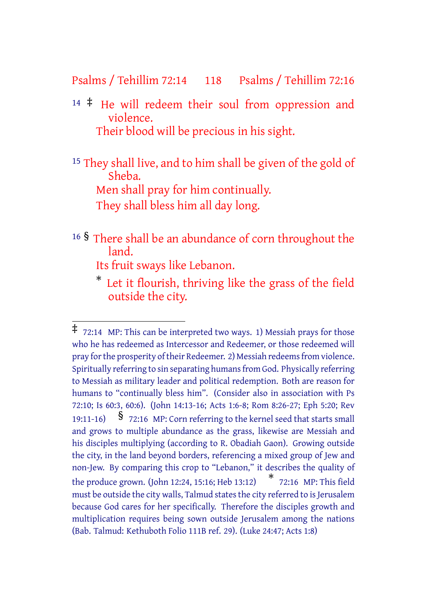### Psalms / Tehillim 72:14 118 Psalms / Tehillim 72:16

<sup>14</sup> ‡ He will redeem their soul from oppression and violence. Their blood will be precious in his sight.

<sup>15</sup> They shall live, and to him shall be given of the gold of Sheba. Men shall pray for him continually. They shall bless him all day long.

<sup>16</sup> § There shall be an abundance of corn throughout the land.

Its fruit sways like Lebanon.

\* Let it flourish, thriving like the grass of the field outside the city.

<sup>‡</sup> 72:14 MP: This can be interpreted two ways. 1) Messiah prays for those who he has redeemed as Intercessor and Redeemer, or those redeemed will pray forthe prosperity oftheir Redeemer. 2) Messiah redeemsfrom violence. Spiritually referring to sin separating humans from God. Physically referring to Messiah as military leader and political redemption. Both are reason for humans to "continually bless him". (Consider also in association with Ps 72:10; Is 60:3, 60:6). (John 14:13-16; Acts 1:6-8; Rom 8:26-27; Eph 5:20; Rev 19:11-16) § 72:16 MP: Corn referring to the kernel seed that starts small and grows to multiple abundance as the grass, likewise are Messiah and his disciples multiplying (according to R. Obadiah Gaon). Growing outside the city, in the land beyond borders, referencing a mixed group of Jew and non-Jew. By comparing this crop to "Lebanon," it describes the quality of the produce grown. (John 12:24, 15:16; Heb 13:12) \* 72:16 MP: This field must be outside the city walls, Talmud states the city referred to is Jerusalem because God cares for her specifically. Therefore the disciples growth and multiplication requires being sown outside Jerusalem among the nations (Bab. Talmud: Kethuboth Folio 111B ref. 29). (Luke 24:47; Acts 1:8)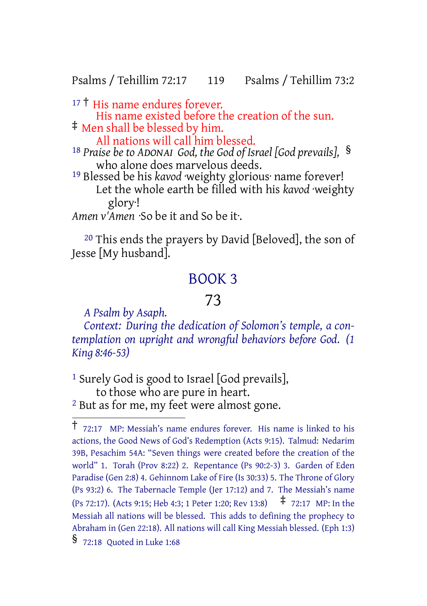#### Psalms / Tehillim 72:17 119 Psalms / Tehillim 73:2

17<sup>†</sup> His name endures forever. His name existed before the creation of the sun. ‡ Men shall be blessed by him.

All nations will call him blessed.

<sup>18</sup> *Praise be to ADONAI God, the God of Israel [God prevails],* § who alone does marvelous deeds.

19 Blessed be his *kavod* ·weighty glorious· name forever! Let the whole earth be filled with his *kavod* ·weighty glory·!

*Amen v'Amen* ·So be it and So be it·.

20 This ends the prayers by David [Beloved], the son of Jesse [My husband].

## BOOK 3

## 73

*A Psalm by Asaph.*

*Context: During the dedication of Solomon's temple, a contemplation on upright and wrongful behaviors before God. (1 King 8:46-53)*

<sup>1</sup> Surely God is good to Israel [God prevails], to those who are pure in heart. 2 But as for me, my feet were almost gone.

<sup>†</sup> 72:17 MP: Messiah's name endures forever. His name is linked to his actions, the Good News of God's Redemption (Acts 9:15). Talmud: Nedarim 39B, Pesachim 54A: "Seven things were created before the creation of the world" 1. Torah (Prov 8:22) 2. Repentance (Ps 90:2-3) 3. Garden of Eden Paradise (Gen 2:8) 4. Gehinnom Lake of Fire (Is 30:33) 5. The Throne of Glory (Ps 93:2) 6. The Tabernacle Temple (Jer 17:12) and 7. The Messiah's name (Ps 72:17). (Acts 9:15; Heb 4:3; <sup>1</sup> Peter 1:20; Rev 13:8) ‡ 72:17 MP: In the Messiah all nations will be blessed. This adds to defining the prophecy to Abraham in (Gen 22:18). All nations will call King Messiah blessed. (Eph 1:3) § 72:18 Quoted in Luke 1:68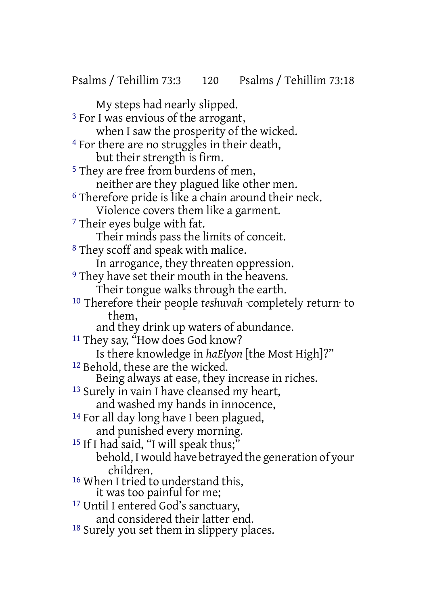Psalms / Tehillim 73:3 120 Psalms / Tehillim 73:18

My steps had nearly slipped. 3 For I was envious of the arrogant, when I saw the prosperity of the wicked. <sup>4</sup> For there are no struggles in their death, but their strength is firm. 5 They are free from burdens of men, neither are they plagued like other men. 6 Therefore pride is like a chain around their neck. Violence covers them like a garment. 7 Their eyes bulge with fat. Their minds pass the limits of conceit. 8 They scoff and speak with malice. In arrogance, they threaten oppression. 9 They have set their mouth in the heavens. Their tongue walks through the earth. 10 Therefore their people *teshuvah* ·completely return· to them, and they drink up waters of abundance. <sup>11</sup> They say, "How does God know? Is there knowledge in *haElyon* [the Most High]?" 12 Behold, these are the wicked. Being always at ease, they increase in riches. 13 Surely in vain I have cleansed my heart, and washed my hands in innocence, 14 For all day long have I been plagued, and punished every morning. <sup>15</sup> If I had said, "I will speak thus;" behold, I would have betrayed the generation of your children. <sup>16</sup> When I tried to understand this, it was too painful for me; 17 Until I entered God's sanctuary, and considered their latter end.

18 Surely you set them in slippery places.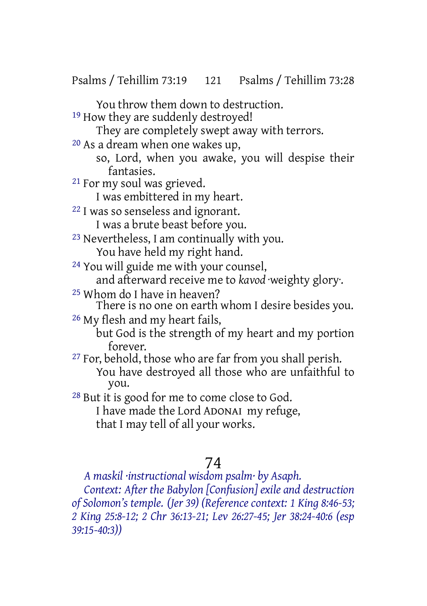Psalms / Tehillim 73:19 121 Psalms / Tehillim 73:28

You throw them down to destruction.

<sup>19</sup> How they are suddenly destroyed!

They are completely swept away with terrors.

20 As a dream when one wakes up,

so, Lord, when you awake, you will despise their fantasies.

21 For my soul was grieved.

I was embittered in my heart.

22 I was so senseless and ignorant.

I was a brute beast before you.

- 23 Nevertheless, I am continually with you. You have held my right hand.
- 24 You will guide me with your counsel, and afterward receive me to *kavod* ·weighty glory·.
- 25 Whom do I have in heaven?

There is no one on earth whom I desire besides you.

26 My flesh and my heart fails,

but God is the strength of my heart and my portion forever.

<sup>27</sup> For, behold, those who are far from you shall perish. You have destroyed all those who are unfaithful to you.

28 But it is good for me to come close to God. I have made the Lord ADONAI my refuge, that I may tell of all your works.

# 74

*A maskil ·instructional wisdom psalm· by Asaph.*

*Context: After the Babylon [Confusion] exile and destruction of Solomon's temple. (Jer 39) (Reference context: 1 King 8:46-53; 2 King 25:8-12; 2 Chr 36:13-21; Lev 26:27-45; Jer 38:24-40:6 (esp 39:15-40:3))*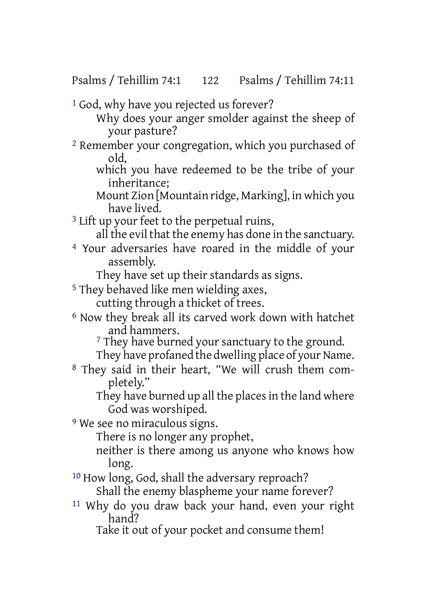Psalms / Tehillim 74:1 122 Psalms / Tehillim 74:11

<sup>1</sup> God, why have you rejected us forever?

Why does your anger smolder against the sheep of your pasture?

- 2 Remember your congregation, which you purchased of old,
	- which you have redeemed to be the tribe of your inheritance;

Mount Zion [Mountain ridge, Marking], in which you have lived.

<sup>3</sup> Lift up your feet to the perpetual ruins,

all the evil that the enemy has done in the sanctuary.

4 Your adversaries have roared in the middle of your assembly.

They have set up their standards as signs.

5 They behaved like men wielding axes,

cutting through a thicket of trees.

6 Now they break all its carved work down with hatchet and hammers.

<sup>7</sup> They have burned your sanctuary to the ground.

They have profaned the dwelling place of your Name.

8 They said in their heart, "We will crush them completely."

They have burned up all the places in the land where God was worshiped.

<sup>9</sup> We see no miraculous signs.

There is no longer any prophet,

neither is there among us anyone who knows how long.

10 How long, God, shall the adversary reproach? Shall the enemy blaspheme your name forever?

11 Why do you draw back your hand, even your right hand?

Take it out of your pocket and consume them!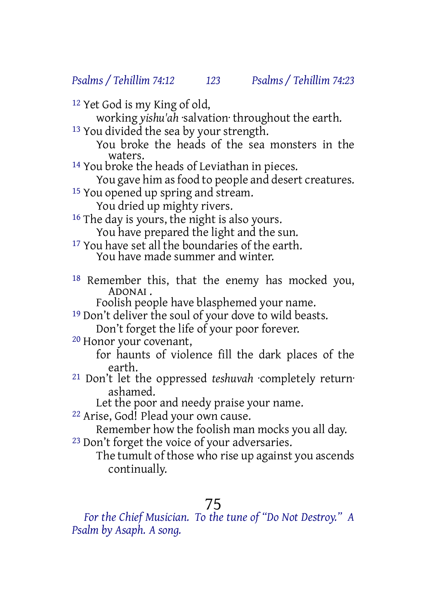*Psalms / Tehillim 74:12 123 Psalms / Tehillim 74:23*

12 Yet God is my King of old,

working *yishu'ah* ·salvation· throughout the earth.

- 13 You divided the sea by your strength.
	- You broke the heads of the sea monsters in the waters.
- 14 You broke the heads of Leviathan in pieces.
	- You gave him as food to people and desert creatures.
- <sup>15</sup> You opened up spring and stream.
	- You dried up mighty rivers.
- 16 The day is yours, the night is also yours.

You have prepared the light and the sun.

- <sup>17</sup> You have set all the boundaries of the earth. You have made summer and winter.
- 18 Remember this, that the enemy has mocked you, ADONAI .

Foolish people have blasphemed your name.

19 Don't deliver the soul of your dove to wild beasts.

Don't forget the life of your poor forever.

20 Honor your covenant,

for haunts of violence fill the dark places of the earth.

21 Don't let the oppressed *teshuvah* ·completely return· ashamed.

Let the poor and needy praise your name.

22 Arise, God! Plead your own cause.

Remember how the foolish man mocks you all day.

23 Don't forget the voice of your adversaries.

The tumult of those who rise up against you ascends continually.

# 75

*For the Chief Musician. To the tune of "Do Not Destroy." A Psalm by Asaph. A song.*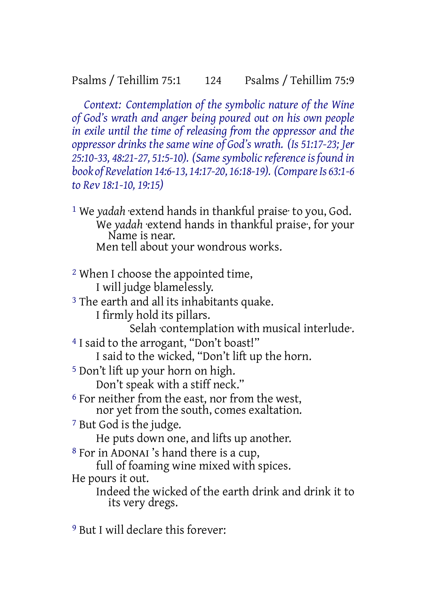*Context: Contemplation of the symbolic nature of the Wine of God's wrath and anger being poured out on his own people in exile until the time of releasing from the oppressor and the oppressor drinks the same wine of God's wrath. (Is 51:17-23; Jer 25:10-33, 48:21-27, 51:5-10). (Samesymbolicreferenceis found in book of Revelation 14:6-13, 14:17-20, 16:18-19). (CompareIs 63:1-6 to Rev 18:1-10, 19:15)*

1 We *yadah* ·extend hands in thankful praise· to you, God. We *yadah* ·extend hands in thankful praise·, for your Name is near. Men tell about your wondrous works.

2 When I choose the appointed time, I will judge blamelessly. <sup>3</sup> The earth and all its inhabitants quake.

I firmly hold its pillars.

Selah contemplation with musical interlude.

4 I said to the arrogant, "Don't boast!" I said to the wicked, "Don't lift up the horn.

5 Don't lift up your horn on high. Don't speak with a stiff neck."

6 For neither from the east, nor from the west, nor yet from the south, comes exaltation.

7 But God is the judge.

He puts down one, and lifts up another.

8 For in ADONAI 's hand there is a cup,

full of foaming wine mixed with spices.

He pours it out.

Indeed the wicked of the earth drink and drink it to its very dregs.

9 But I will declare this forever: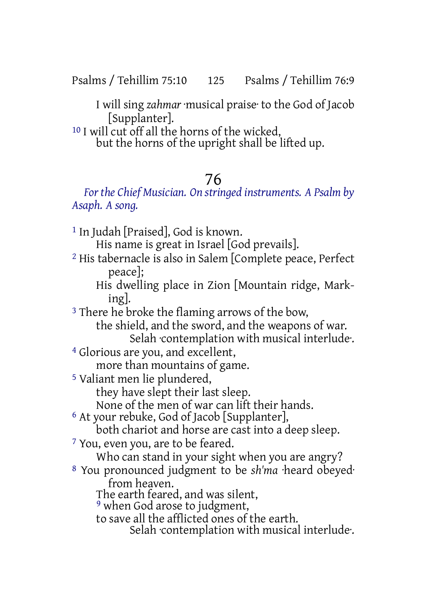Psalms / Tehillim 75:10 125 Psalms / Tehillim 76:9

I will sing *zahmar* ·musical praise· to the God of Jacob [Supplanter].

10 I will cut off all the horns of the wicked,

but the horns of the upright shall be lifted up.

# 76

### *For the Chief Musician. On stringed instruments. A Psalm by Asaph. A song.*

1 In Judah [Praised], God is known. His name is great in Israel [God prevails]. 2 His tabernacle is also in Salem [Complete peace, Perfect peace]; His dwelling place in Zion [Mountain ridge, Marking]. <sup>3</sup> There he broke the flaming arrows of the bow, the shield, and the sword, and the weapons of war. Selah ·contemplation with musical interlude·. 4 Glorious are you, and excellent, more than mountains of game. 5 Valiant men lie plundered, they have slept their last sleep. None of the men of war can lift their hands. 6 At your rebuke, God of Jacob [Supplanter], both chariot and horse are cast into a deep sleep. 7 You, even you, are to be feared. Who can stand in your sight when you are angry? 8 You pronounced judgment to be *sh'ma* ·heard obeyed· from heaven. The earth feared, and was silent, 9 when God arose to judgment, to save all the afflicted ones of the earth. Selah ·contemplation with musical interlude·.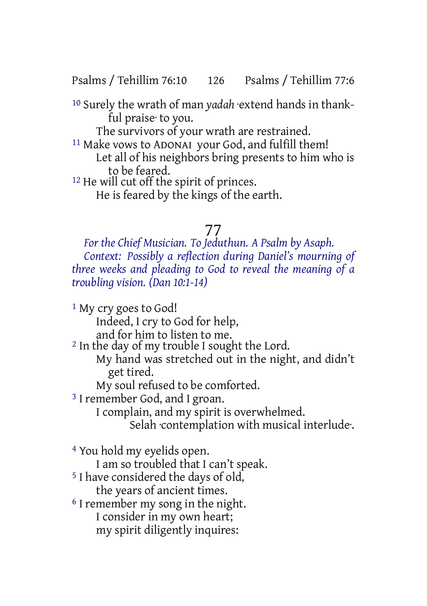Psalms / Tehillim 76:10 126 Psalms / Tehillim 77:6

10 Surely the wrath of man *yadah* ·extend hands in thankful praise· to you.

The survivors of your wrath are restrained.

11 Make vows to ADONAI your God, and fulfill them! Let all of his neighbors bring presents to him who is to be feared.

12 He will cut off the spirit of princes.

He is feared by the kings of the earth.

## 77

*For the Chief Musician. To Jeduthun. A Psalm by Asaph. Context: Possibly a reflection during Daniel's mourning of three weeks and pleading to God to reveal the meaning of a troubling vision. (Dan 10:1-14)*

1 My cry goes to God! Indeed, I cry to God for help, and for him to listen to me. 2 In the day of my trouble I sought the Lord. My hand was stretched out in the night, and didn't get tired. My soul refused to be comforted. 3 I remember God, and I groan. I complain, and my spirit is overwhelmed. Selah ·contemplation with musical interlude·. 4 You hold my eyelids open. I am so troubled that I can't speak. 5 I have considered the days of old, the years of ancient times. 6 I remember my song in the night.

I consider in my own heart; my spirit diligently inquires: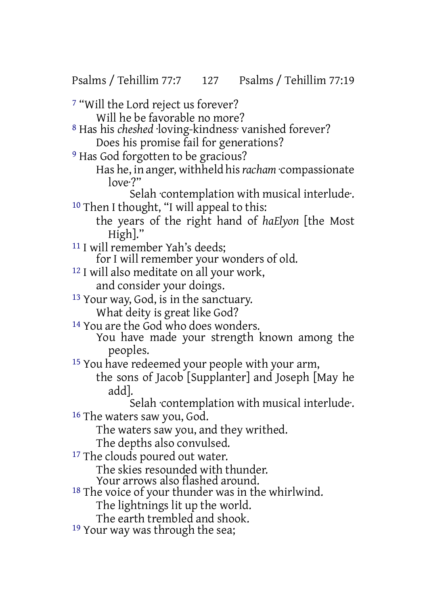Psalms / Tehillim 77:7 127 Psalms / Tehillim 77:19

7 "Will the Lord reject us forever? Will he be favorable no more? 8 Has his *cheshed* ·loving-kindness· vanished forever? Does his promise fail for generations? <sup>9</sup> Has God forgotten to be gracious? Has he, in anger, withheld his*racham* ·compassionate  $\ln 2$ Selah ·contemplation with musical interlude·. 10 Then I thought, "I will appeal to this: the years of the right hand of *haElyon* [the Most High]." 11 I will remember Yah's deeds; for I will remember your wonders of old. 12 I will also meditate on all your work, and consider your doings. 13 Your way, God, is in the sanctuary. What deity is great like God? 14 You are the God who does wonders. You have made your strength known among the peoples. 15 You have redeemed your people with your arm, the sons of Jacob [Supplanter] and Joseph [May he add]. Selah ·contemplation with musical interlude·. 16 The waters saw you, God. The waters saw you, and they writhed. The depths also convulsed. <sup>17</sup> The clouds poured out water. The skies resounded with thunder. Your arrows also flashed around. <sup>18</sup> The voice of your thunder was in the whirlwind. The lightnings lit up the world. The earth trembled and shook. 19 Your way was through the sea;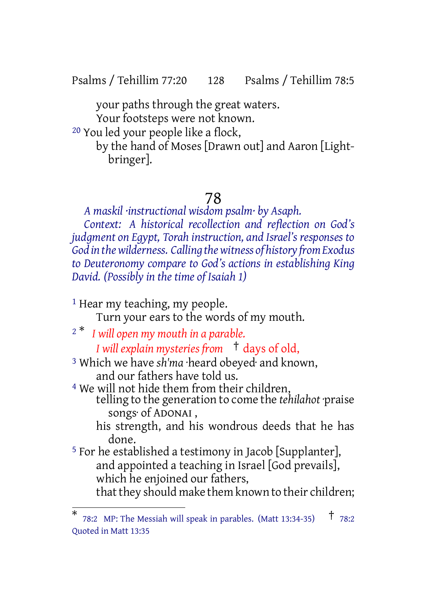Psalms / Tehillim 77:20 128 Psalms / Tehillim 78:5

your paths through the great waters. Your footsteps were not known.

20 You led your people like a flock,

by the hand of Moses [Drawn out] and Aaron [Lightbringer].

## 78

*A maskil ·instructional wisdom psalm· by Asaph. Context: A historical recollection and reflection on God's judgment on Egypt, Torah instruction, and Israel's responses to God in thewilderness. Calling thewitness of history fromExodus to Deuteronomy compare to God's actions in establishing King David. (Possibly in the time of Isaiah 1)*

<sup>1</sup> Hear my teaching, my people.

Turn your ears to the words of my mouth.

<sup>2</sup> \* *I will open my mouth in a parable.*

*I will explain mysteries from* † days of old,

3 Which we have *sh'ma* ·heard obeyed· and known, and our fathers have told us.

4 We will not hide them from their children, telling to the generation to come the *tehilahot* ·praise

songs· of ADONAI ,

his strength, and his wondrous deeds that he has done.

5 For he established a testimony in Jacob [Supplanter], and appointed a teaching in Israel [God prevails], which he enjoined our fathers, that they should make them known to their children;

<sup>\*</sup> 78:2 MP: The Messiah will speak in parables. (Matt 13:34-35) † 78:2 Quoted in Matt 13:35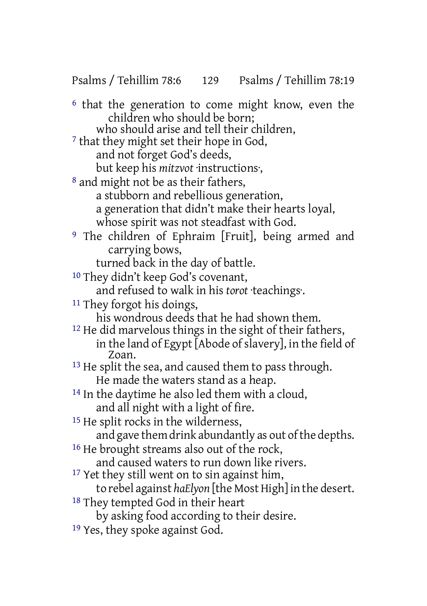Psalms / Tehillim 78:6 129 Psalms / Tehillim 78:19

6 that the generation to come might know, even the children who should be born;

who should arise and tell their children.

7 that they might set their hope in God, and not forget God's deeds,

but keep his *mitzvot* ·instructions·,

8 and might not be as their fathers,

a stubborn and rebellious generation,

- a generation that didn't make their hearts loyal,
- whose spirit was not steadfast with God.
- 9 The children of Ephraim [Fruit], being armed and carrying bows,

turned back in the day of battle.

10 They didn't keep God's covenant,

and refused to walk in his *torot* ·teachings·.

11 They forgot his doings,

his wondrous deeds that he had shown them.

- <sup>12</sup> He did marvelous things in the sight of their fathers, in the land of Egypt [Abode of slavery], in the field of Zoan.
- <sup>13</sup> He split the sea, and caused them to pass through. He made the waters stand as a heap.
- <sup>14</sup> In the daytime he also led them with a cloud, and all night with a light of fire.
- <sup>15</sup> He split rocks in the wilderness,

and gave them drink abundantly as out of the depths.

<sup>16</sup> He brought streams also out of the rock,

and caused waters to run down like rivers.

- <sup>17</sup> Yet they still went on to sin against him,
	- to rebel against *haElyon* [the Most High] in the desert.
- 18 They tempted God in their heart

by asking food according to their desire.

19 Yes, they spoke against God.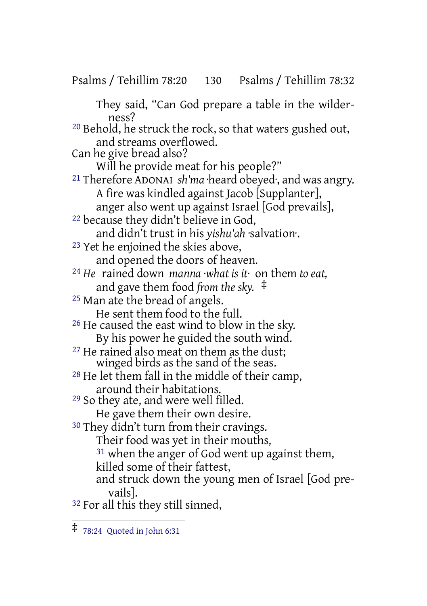Psalms / Tehillim 78:20 130 Psalms / Tehillim 78:32

They said, "Can God prepare a table in the wilderness? 20 Behold, he struck the rock, so that waters gushed out, and streams overflowed. Can he give bread also? Will he provide meat for his people?" 21 Therefore ADONAI *sh'ma* ·heard obeyed·, and was angry. A fire was kindled against Jacob [Supplanter], anger also went up against Israel [God prevails], 22 because they didn't believe in God, and didn't trust in his *yishu'ah* ·salvation·. 23 Yet he enjoined the skies above, and opened the doors of heaven. 24 *He* rained down *manna ·what is it·* on them *to eat,* and gave them food *from the sky.* ‡ 25 Man ate the bread of angels. He sent them food to the full. 26 He caused the east wind to blow in the sky. By his power he guided the south wind. <sup>27</sup> He rained also meat on them as the dust; winged birds as the sand of the seas. 28 He let them fall in the middle of their camp, around their habitations. 29 So they ate, and were well filled. He gave them their own desire. 30 They didn't turn from their cravings. Their food was yet in their mouths, <sup>31</sup> when the anger of God went up against them, killed some of their fattest, and struck down the young men of Israel [God prevails]. 32 For all this they still sinned,

<sup>‡</sup> 78:24 Quoted in John 6:31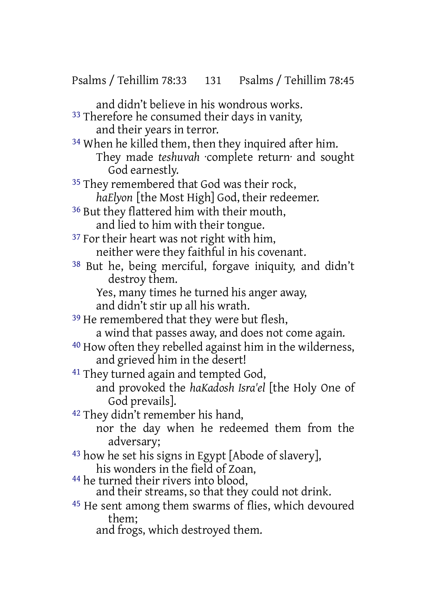and didn't believe in his wondrous works. <sup>33</sup> Therefore he consumed their days in vanity, and their years in terror. 34 When he killed them, then they inquired after him. They made *teshuvah* ·complete return· and sought God earnestly. <sup>35</sup> They remembered that God was their rock, *haElyon* [the Most High] God, their redeemer. <sup>36</sup> But they flattered him with their mouth, and lied to him with their tongue. <sup>37</sup> For their heart was not right with him, neither were they faithful in his covenant. 38 But he, being merciful, forgave iniquity, and didn't destroy them. Yes, many times he turned his anger away, and didn't stir up all his wrath. <sup>39</sup> He remembered that they were but flesh, a wind that passes away, and does not come again. 40 How often they rebelled against him in the wilderness, and grieved him in the desert! 41 They turned again and tempted God, and provoked the *haKadosh Isra'el* [the Holy One of God prevails]. 42 They didn't remember his hand, nor the day when he redeemed them from the adversary; 43 how he set his signs in Egypt [Abode of slavery], his wonders in the field of Zoan, 44 he turned their rivers into blood, and their streams, so that they could not drink. 45 He sent among them swarms of flies, which devoured them;

and frogs, which destroyed them.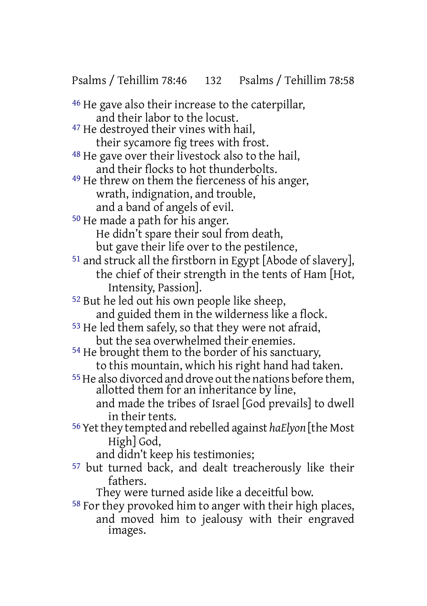Psalms / Tehillim 78:46 132 Psalms / Tehillim 78:58

46 He gave also their increase to the caterpillar, and their labor to the locust. 47 He destroyed their vines with hail, their sycamore fig trees with frost. 48 He gave over their livestock also to the hail, and their flocks to hot thunderbolts. 49 He threw on them the fierceness of his anger, wrath, indignation, and trouble, and a band of angels of evil. 50 He made a path for his anger. He didn't spare their soul from death, but gave their life over to the pestilence, 51 and struck all the firstborn in Egypt [Abode of slavery], the chief of their strength in the tents of Ham [Hot, Intensity, Passion]. 52 But he led out his own people like sheep, and guided them in the wilderness like a flock. 53 He led them safely, so that they were not afraid, but the sea overwhelmed their enemies. 54 He brought them to the border of his sanctuary, to this mountain, which his right hand had taken. <sup>55</sup> He also divorced and drove out the nations before them, allotted them for an inheritance by line, and made the tribes of Israel [God prevails] to dwell in their tents. 56 Yetthey tempted and rebelled against *haElyon* [the Most High] God, and didn't keep his testimonies;

57 but turned back, and dealt treacherously like their fathers.

They were turned aside like a deceitful bow.

58 For they provoked him to anger with their high places, and moved him to jealousy with their engraved images.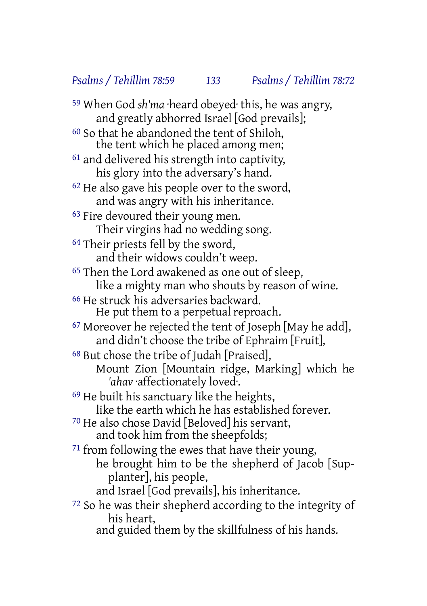*Psalms / Tehillim 78:59 133 Psalms / Tehillim 78:72*

59 When God *sh'ma* ·heard obeyed· this, he was angry, and greatly abhorred Israel [God prevails]; 60 So that he abandoned the tent of Shiloh, the tent which he placed among men; 61 and delivered his strength into captivity, his glory into the adversary's hand. <sup>62</sup> He also gave his people over to the sword, and was angry with his inheritance. 63 Fire devoured their young men. Their virgins had no wedding song. <sup>64</sup> Their priests fell by the sword, and their widows couldn't weep. 65 Then the Lord awakened as one out of sleep, like a mighty man who shouts by reason of wine. 66 He struck his adversaries backward. He put them to a perpetual reproach. 67 Moreover he rejected the tent of Joseph [May he add], and didn't choose the tribe of Ephraim [Fruit], 68 But chose the tribe of Judah [Praised], Mount Zion [Mountain ridge, Marking] which he *'ahav* ·affectionately loved·. 69 He built his sanctuary like the heights, like the earth which he has established forever. 70 He also chose David [Beloved] his servant, and took him from the sheepfolds; 71 from following the ewes that have their young, he brought him to be the shepherd of Jacob [Supplanter], his people, and Israel [God prevails], his inheritance. 72 So he was their shepherd according to the integrity of his heart, and guided them by the skillfulness of his hands.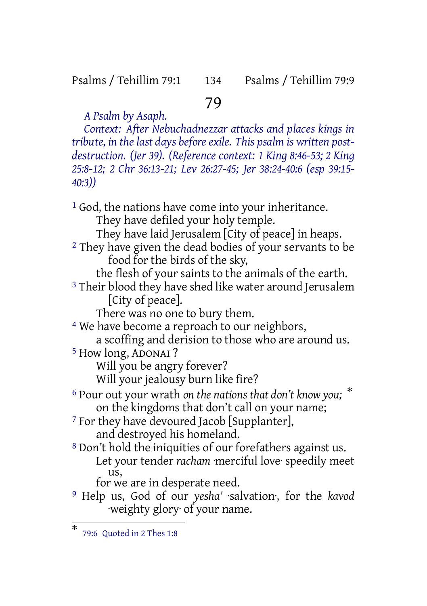#### Psalms / Tehillim 79:1 134 Psalms / Tehillim 79:9

# 79

*A Psalm by Asaph. Context: After Nebuchadnezzar attacks and places kings in tribute, in the last days before exile. This psalm is written postdestruction. (Jer 39). (Reference context: 1 King 8:46-53; 2 King 25:8-12; 2 Chr 36:13-21; Lev 26:27-45; Jer 38:24-40:6 (esp 39:15- 40:3))*

<sup>1</sup> God, the nations have come into your inheritance. They have defiled your holy temple. They have laid Jerusalem [City of peace] in heaps. <sup>2</sup> They have given the dead bodies of your servants to be food for the birds of the sky, the flesh of your saints to the animals of the earth. <sup>3</sup> Their blood they have shed like water around Jerusalem [City of peace]. There was no one to bury them. <sup>4</sup> We have become a reproach to our neighbors, a scoffing and derision to those who are around us. 5 How long, ADONAI ? Will you be angry forever? Will your jealousy burn like fire? 6 Pour out your wrath *on the nations that don't know you;* \* on the kingdoms that don't call on your name; <sup>7</sup> For they have devoured Jacob [Supplanter], and destroyed his homeland. 8 Don't hold the iniquities of our forefathers against us. Let your tender *racham* ·merciful love· speedily meet us, for we are in desperate need. 9 Help us, God of our *yesha'* ·salvation·, for the *kavod* ·weighty glory· of your name.

<sup>\*</sup> 79:6 Quoted in 2 Thes 1:8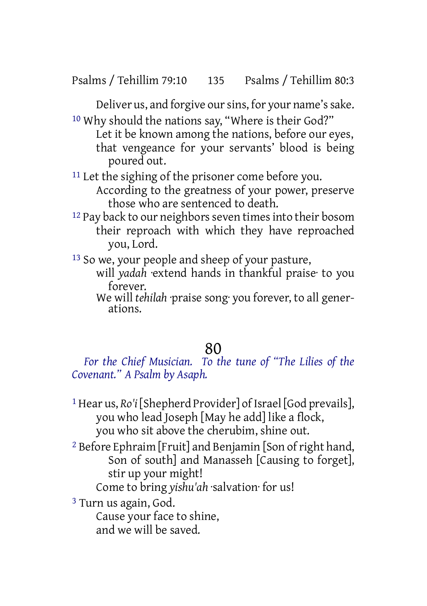Deliver us, and forgive our sins, for your name's sake. 10 Why should the nations say, "Where is their God?"

Let it be known among the nations, before our eyes, that vengeance for your servants' blood is being poured out.

<sup>11</sup> Let the sighing of the prisoner come before you.

According to the greatness of your power, preserve those who are sentenced to death.

<sup>12</sup> Pay back to our neighbors seven times into their bosom their reproach with which they have reproached you, Lord.

<sup>13</sup> So we, your people and sheep of your pasture,

- will *yadah* ·extend hands in thankful praise· to you forever.
- We will *tehilah* ·praise song· you forever, to all generations.

## 80

*For the Chief Musician. To the tune of "The Lilies of the Covenant." A Psalm by Asaph.*

- 1 Hear us, *Ro'i* [Shepherd Provider] of Israel [God prevails], you who lead Joseph [May he add] like a flock, you who sit above the cherubim, shine out.
- <sup>2</sup> Before Ephraim [Fruit] and Benjamin [Son of right hand, Son of south] and Manasseh [Causing to forget], stir up your might!

Come to bring *yishu'ah* ·salvation· for us!

3 Turn us again, God.

Cause your face to shine, and we will be saved.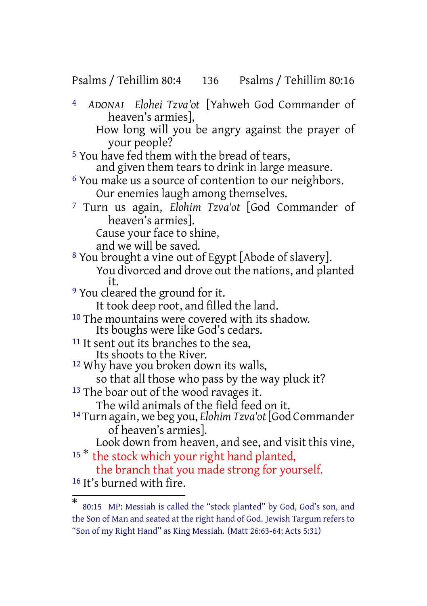Psalms / Tehillim 80:4 136 Psalms / Tehillim 80:16

4 *ADONAI Elohei Tzva'ot* [Yahweh God Commander of heaven's armies], How long will you be angry against the prayer of your people? <sup>5</sup> You have fed them with the bread of tears, and given them tears to drink in large measure. 6 You make us a source of contention to our neighbors. Our enemies laugh among themselves. 7 Turn us again, *Elohim Tzva'ot* [God Commander of heaven's armies]. Cause your face to shine, and we will be saved. <sup>8</sup> You brought a vine out of Egypt [Abode of slavery]. You divorced and drove out the nations, and planted it. 9 You cleared the ground for it. It took deep root, and filled the land. 10 The mountains were covered with its shadow. Its boughs were like God's cedars. <sup>11</sup> It sent out its branches to the sea, Its shoots to the River. 12 Why have you broken down its walls, so that all those who pass by the way pluck it? <sup>13</sup> The boar out of the wood ravages it. The wild animals of the field feed on it. 14 Turn again, we beg you, *Elohim Tzva'ot* [God Commander of heaven's armies]. Look down from heaven, and see, and visit this vine, <sup>15\*</sup> the stock which your right hand planted, the branch that you made strong for yourself. 16 It's burned with fire.

<sup>\*</sup> 80:15 MP: Messiah is called the "stock planted" by God, God's son, and the Son of Man and seated at the right hand of God. Jewish Targum refers to "Son of my Right Hand" as King Messiah. (Matt 26:63-64; Acts 5:31)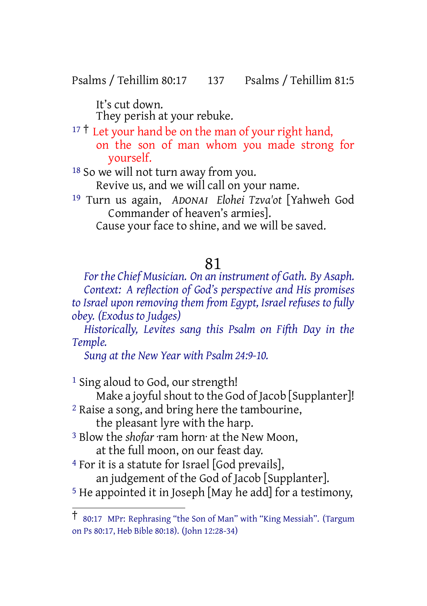Psalms / Tehillim 80:17 137 Psalms / Tehillim 81:5

It's cut down. They perish at your rebuke.

 $17 \dagger$  Let your hand be on the man of your right hand, on the son of man whom you made strong for yourself.

18 So we will not turn away from you. Revive us, and we will call on your name.

19 Turn us again, *ADONAI Elohei Tzva'ot* [Yahweh God Commander of heaven's armies]. Cause your face to shine, and we will be saved.

#### 81

*For the Chief Musician. On an instrument of Gath. By Asaph. Context: A reflection of God's perspective and His promises to Israel upon removing them from Egypt, Israel refuses to fully obey. (Exodus to Judges)*

*Historically, Levites sang this Psalm on Fifth Day in the Temple.*

*Sung at the New Year with Psalm 24:9-10.*

<sup>1</sup> Sing aloud to God, our strength!

Make a joyful shout to the God of Jacob [Supplanter]!

- 2 Raise a song, and bring here the tambourine, the pleasant lyre with the harp.
- 3 Blow the *shofar* ·ram horn· at the New Moon, at the full moon, on our feast day.

4 For it is a statute for Israel [God prevails], an judgement of the God of Jacob [Supplanter].

<sup>5</sup> He appointed it in Joseph [May he add] for a testimony,

<sup>†</sup> 80:17 MPr: Rephrasing "the Son of Man" with "King Messiah". (Targum on Ps 80:17, Heb Bible 80:18). (John 12:28-34)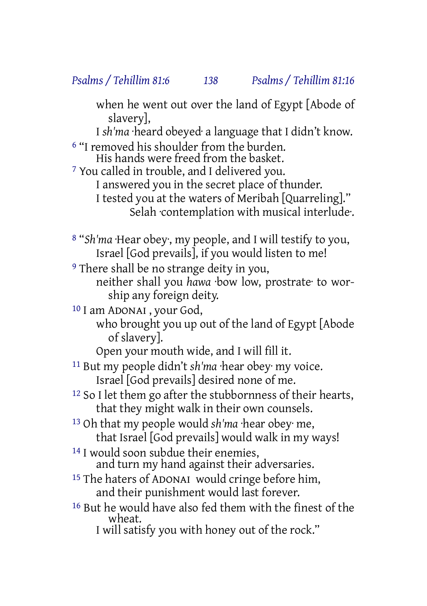when he went out over the land of Egypt [Abode of slavery],

I *sh'ma* ·heard obeyed· a language that I didn't know.

6 "I removed his shoulder from the burden. His hands were freed from the basket.

7 You called in trouble, and I delivered you. I answered you in the secret place of thunder. I tested you at the waters of Meribah [Quarreling]." Selah ·contemplation with musical interlude·.

8 "*Sh'ma* ·Hear obey·, my people, and I will testify to you, Israel [God prevails], if you would listen to me!

<sup>9</sup> There shall be no strange deity in you,

neither shall you *hawa* ·bow low, prostrate· to worship any foreign deity.

10 I am ADONAI , your God,

who brought you up out of the land of Egypt [Abode of slavery].

Open your mouth wide, and I will fill it.

11 But my people didn't *sh'ma* ·hear obey· my voice. Israel [God prevails] desired none of me.

12 So I let them go after the stubbornness of their hearts, that they might walk in their own counsels.

13 Oh that my people would *sh'ma* ·hear obey· me, that Israel [God prevails] would walk in my ways!

<sup>14</sup> I would soon subdue their enemies, and turn my hand against their adversaries.

- 15 The haters of ADONAI would cringe before him, and their punishment would last forever.
- 16 But he would have also fed them with the finest of the wheat.

I will satisfy you with honey out of the rock."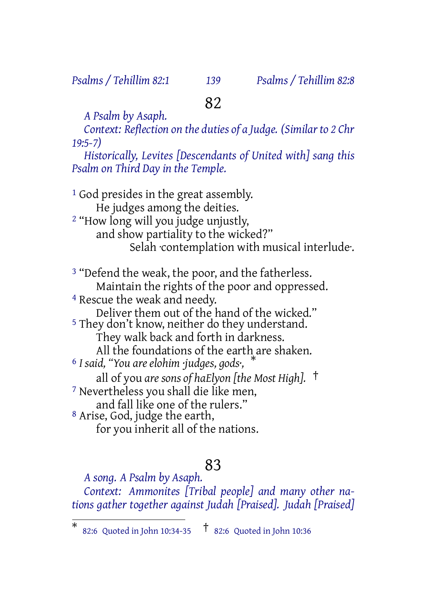*Psalms / Tehillim 82:1 139 Psalms / Tehillim 82:8*

# 82

*A Psalm by Asaph. Context: Reflection on the duties of a Judge. (Similar to 2 Chr 19:5-7)*

*Historically, Levites [Descendants of United with] sang this Psalm on Third Day in the Temple.*

<sup>1</sup> God presides in the great assembly. He judges among the deities. 2 "How long will you judge unjustly, and show partiality to the wicked?" Selah contemplation with musical interlude.

<sup>3</sup> "Defend the weak, the poor, and the fatherless. Maintain the rights of the poor and oppressed.

4 Rescue the weak and needy.

Deliver them out of the hand of the wicked."

5 They don't know, neither do they understand.

They walk back and forth in darkness.

All the foundations of the earth are shaken.

<sup>6</sup> *I said, "You are elohim ·judges, gods·,* \*

all of you *are sons of haElyon [the Most High].* †

7 Nevertheless you shall die like men,

and fall like one of the rulers." 8 Arise, God, judge the earth,

for you inherit all of the nations.

## 83

*A song. A Psalm by Asaph. Context: Ammonites [Tribal people] and many other nations gather together against Judah [Praised]. Judah [Praised]*

<sup>\*</sup> 82:6 Quoted in John 10:34-35 † 82:6 Quoted in John 10:36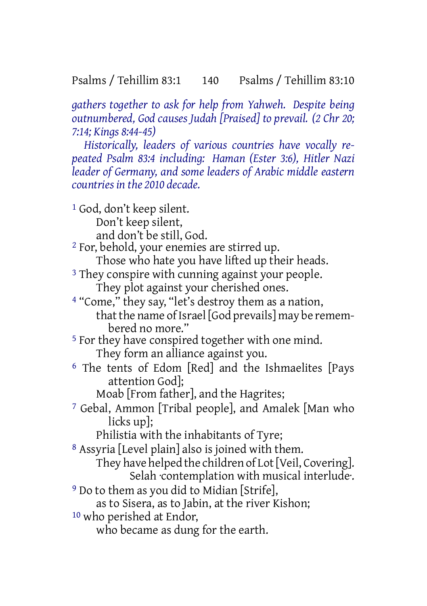Psalms / Tehillim 83:1 140 Psalms / Tehillim 83:10

*gathers together to ask for help from Yahweh. Despite being outnumbered, God causes Judah [Praised] to prevail. (2 Chr 20; 7:14; Kings 8:44-45)*

*Historically, leaders of various countries have vocally repeated Psalm 83:4 including: Haman (Ester 3:6), Hitler Nazi leader of Germany, and some leaders of Arabic middle eastern countries in the 2010 decade.*

1 God, don't keep silent. Don't keep silent, and don't be still, God. 2 For, behold, your enemies are stirred up. Those who hate you have lifted up their heads. <sup>3</sup> They conspire with cunning against your people. They plot against your cherished ones. 4 "Come," they say, "let's destroy them as a nation, that the name of Israel [God prevails] may be remembered no more." 5 For they have conspired together with one mind. They form an alliance against you. 6 The tents of Edom [Red] and the Ishmaelites [Pays attention God]; Moab [From father], and the Hagrites; 7 Gebal, Ammon [Tribal people], and Amalek [Man who licks up]; Philistia with the inhabitants of Tyre; 8 Assyria [Level plain] also is joined with them. They have helped the children of Lot [Veil, Covering]. Selah ·contemplation with musical interlude·. 9 Do to them as you did to Midian [Strife], as to Sisera, as to Jabin, at the river Kishon; 10 who perished at Endor,

who became as dung for the earth.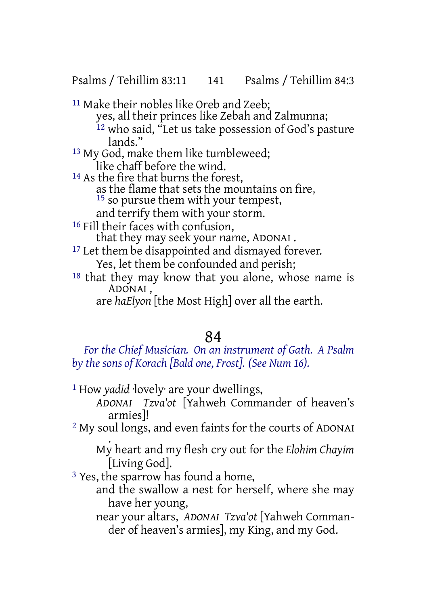Psalms / Tehillim 83:11 141 Psalms / Tehillim 84:3

11 Make their nobles like Oreb and Zeeb; yes, all their princes like Zebah and Zalmunna; <sup>12</sup> who said, "Let us take possession of God's pasture lands"

- 13 My God, make them like tumbleweed; like chaff before the wind.
- <sup>14</sup> As the fire that burns the forest, as the flame that sets the mountains on fire, <sup>15</sup> so pursue them with your tempest, and terrify them with your storm.
- <sup>16</sup> Fill their faces with confusion, that they may seek your name, ADONAI .
- <sup>17</sup> Let them be disappointed and dismayed forever. Yes, let them be confounded and perish;
- 18 that they may know that you alone, whose name is ADONAI ,
	- are *haElyon* [the Most High] over all the earth.

# 84

*For the Chief Musician. On an instrument of Gath. A Psalm by the sons of Korach [Bald one, Frost]. (See Num 16).*

- 1 How *yadid* ·lovely· are your dwellings,
	- *ADONAI Tzva'ot* [Yahweh Commander of heaven's armies]!
- 2 My soul longs, and even faints for the courts of ADONAI

. My heart and my flesh cry out for the *Elohim Chayim* [Living God].

3 Yes, the sparrow has found a home,

and the swallow a nest for herself, where she may have her young,

near your altars, *ADONAI Tzva'ot* [Yahweh Commander of heaven's armies], my King, and my God.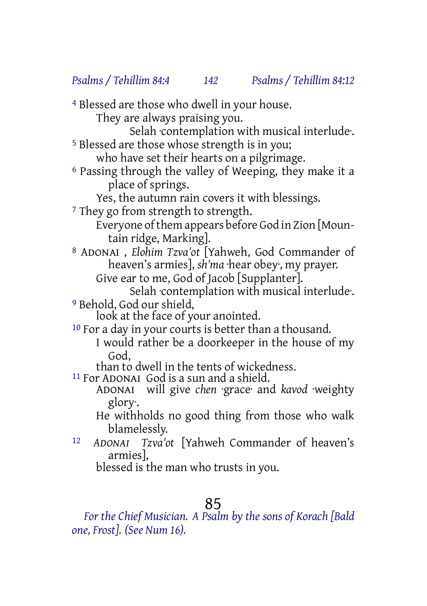*Psalms / Tehillim 84:4 142 Psalms / Tehillim 84:12*

4 Blessed are those who dwell in your house.

They are always praising you.

Selah ·contemplation with musical interlude·.

5 Blessed are those whose strength is in you;

who have set their hearts on a pilgrimage.

6 Passing through the valley of Weeping, they make it a place of springs.

Yes, the autumn rain covers it with blessings.

<sup>7</sup> They go from strength to strength.

Everyone of them appears before God in Zion [Mountain ridge, Marking].

8 ADONAI , *Elohim Tzva'ot* [Yahweh, God Commander of heaven's armies], *sh'ma* ·hear obey·, my prayer.

Give ear to me, God of Jacob [Supplanter].

Selah contemplation with musical interlude. 9 Behold, God our shield,

look at the face of your anointed.

10 For a day in your courts is better than a thousand.

I would rather be a doorkeeper in the house of my God,

than to dwell in the tents of wickedness.

11 For ADONAI God is a sun and a shield.

ADONAI will give *chen* ·grace· and *kavod* ·weighty glory·.

He withholds no good thing from those who walk blamelessly.

12 *ADONAI Tzva'ot* [Yahweh Commander of heaven's armies],

blessed is the man who trusts in you.

## 85

*For the Chief Musician. A Psalm by the sons of Korach [Bald one, Frost]. (See Num 16).*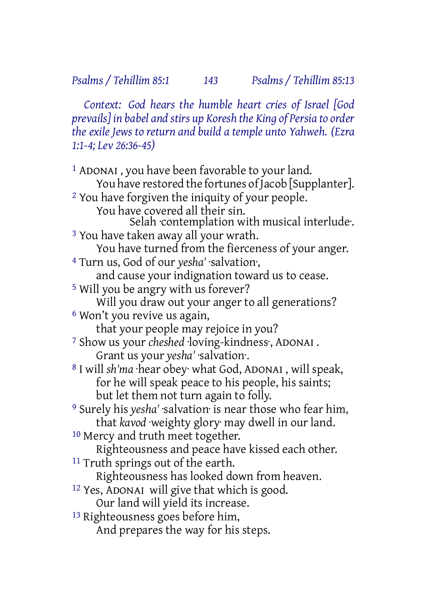*Context: God hears the humble heart cries of Israel [God prevails] in babel and stirs up Koresh the King of Persia to order the exile Jews to return and build a temple unto Yahweh. (Ezra 1:1-4; Lev 26:36-45)*

1 ADONAI , you have been favorable to your land. You have restored the fortunes of Jacob [Supplanter]. 2 You have forgiven the iniquity of your people. You have covered all their sin. Selah ·contemplation with musical interlude·. 3 You have taken away all your wrath. You have turned from the fierceness of your anger. 4 Turn us, God of our *yesha'* ·salvation·, and cause your indignation toward us to cease. 5 Will you be angry with us forever? Will you draw out your anger to all generations? 6 Won't you revive us again, that your people may rejoice in you? 7 Show us your *cheshed* ·loving-kindness·, ADONAI . Grant us your *yesha'* ·salvation·. 8 I will *sh'ma* ·hear obey· what God, ADONAI , will speak, for he will speak peace to his people, his saints; but let them not turn again to folly. 9 Surely his *yesha'* ·salvation· is near those who fear him, that *kavod* ·weighty glory· may dwell in our land. <sup>10</sup> Mercy and truth meet together. Righteousness and peace have kissed each other. <sup>11</sup> Truth springs out of the earth. Righteousness has looked down from heaven. 12 Yes, ADONAI will give that which is good. Our land will yield its increase. 13 Righteousness goes before him,

And prepares the way for his steps.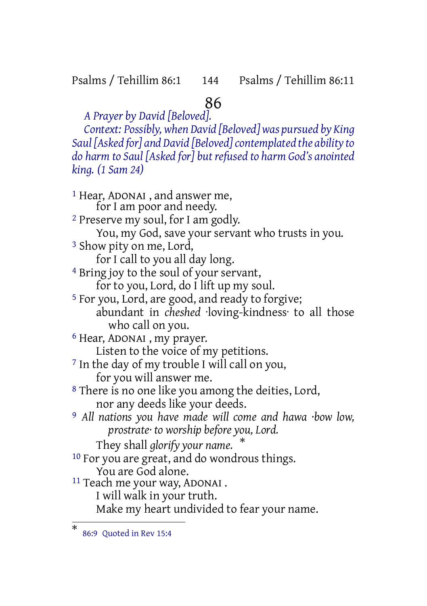#### Psalms / Tehillim 86:1 144 Psalms / Tehillim 86:11

# 86

*A Prayer by David [Beloved]. Context: Possibly, when David [Beloved] was pursued by King Saul [Asked for] and David [Beloved]contemplated the ability to do harm to Saul [Asked for] but refused to harm God's anointed king. (1 Sam 24)*

1 Hear, ADONAI , and answer me, for I am poor and needy. 2 Preserve my soul, for I am godly. You, my God, save your servant who trusts in you. 3 Show pity on me, Lord, for I call to you all day long. 4 Bring joy to the soul of your servant, for to you, Lord, do I lift up my soul. 5 For you, Lord, are good, and ready to forgive; abundant in *cheshed* ·loving-kindness· to all those who call on you. 6 Hear, ADONAI , my prayer. Listen to the voice of my petitions. 7 In the day of my trouble I will call on you, for you will answer me. 8 There is no one like you among the deities, Lord, nor any deeds like your deeds. 9 *All nations you have made will come and hawa ·bow low, prostrate· to worship before you, Lord.* They shall *glorify your name.* \* 10 For you are great, and do wondrous things. You are God alone. 11 Teach me your way, ADONAI . I will walk in your truth. Make my heart undivided to fear your name.

<sup>\*</sup> 86:9 Quoted in Rev 15:4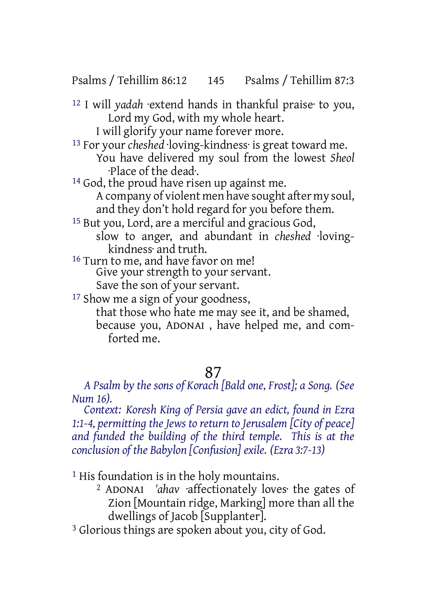Psalms / Tehillim 86:12 145 Psalms / Tehillim 87:3

12 I will *yadah* ·extend hands in thankful praise· to you, Lord my God, with my whole heart.

I will glorify your name forever more.

13 For your *cheshed* ·loving-kindness· is great toward me. You have delivered my soul from the lowest *Sheol* ·Place of the dead·.

- <sup>14</sup> God, the proud have risen up against me. A company of violent men have sought after my soul, and they don't hold regard for you before them.
- 15 But you, Lord, are a merciful and gracious God, slow to anger, and abundant in *cheshed* ·lovingkindness· and truth.
- <sup>16</sup> Turn to me, and have favor on me! Give your strength to your servant. Save the son of your servant.

17 Show me a sign of your goodness,

that those who hate me may see it, and be shamed, because you, ADONAI , have helped me, and comforted me.

### 87

*A Psalm by the sons of Korach [Bald one, Frost]; a Song. (See Num 16).*

*Context: Koresh King of Persia gave an edict, found in Ezra 1:1-4, permitting the Jews to return to Jerusalem [City of peace] and funded the building of the third temple. This is at the conclusion of the Babylon [Confusion] exile. (Ezra 3:7-13)*

<sup>1</sup> His foundation is in the holy mountains.

2 ADONAI *'ahav* ·affectionately loves· the gates of Zion [Mountain ridge, Marking] more than all the dwellings of Jacob [Supplanter].

3 Glorious things are spoken about you, city of God.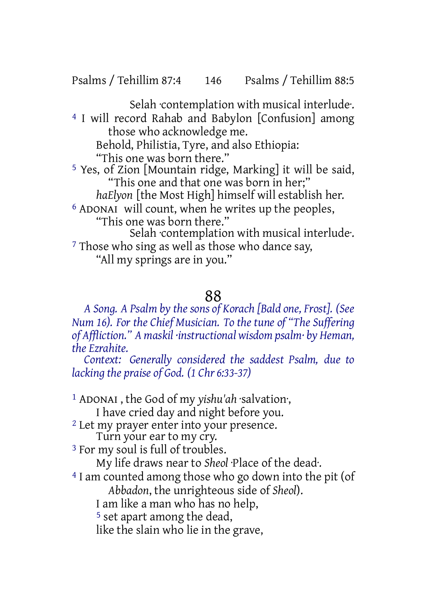Psalms / Tehillim 87:4 146 Psalms / Tehillim 88:5

Selah contemplation with musical interlude. 4 I will record Rahab and Babylon [Confusion] among those who acknowledge me. Behold, Philistia, Tyre, and also Ethiopia: "This one was born there." 5 Yes, of Zion [Mountain ridge, Marking] it will be said, "This one and that one was born in her;" *haElyon* [the Most High] himself will establish her. 6 ADONAI will count, when he writes up the peoples, "This one was born there." Selah ·contemplation with musical interlude·. <sup>7</sup> Those who sing as well as those who dance say, "All my springs are in you."

## 88

*A Song. A Psalm by the sons of Korach [Bald one, Frost]. (See Num 16). For the Chief Musician. To the tune of "The Suffering of Affliction." A maskil ·instructional wisdom psalm· by Heman, the Ezrahite.*

*Context: Generally considered the saddest Psalm, due to lacking the praise of God. (1 Chr 6:33-37)*

1 ADONAI , the God of my *yishu'ah* ·salvation·,

I have cried day and night before you.

2 Let my prayer enter into your presence.

Turn your ear to my cry.

<sup>3</sup> For my soul is full of troubles.

My life draws near to *Sheol* ·Place of the dead·.

4 I am counted among those who go down into the pit (of

*Abbadon*, the unrighteous side of *Sheol*).

I am like a man who has no help,

5 set apart among the dead,

like the slain who lie in the grave,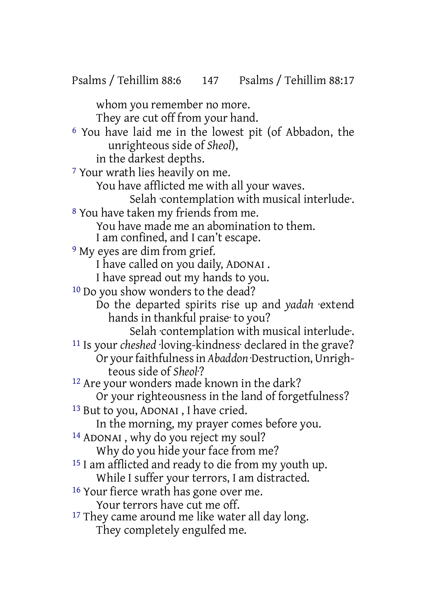Psalms / Tehillim 88:6 147 Psalms / Tehillim 88:17

whom you remember no more. They are cut off from your hand. 6 You have laid me in the lowest pit (of Abbadon, the unrighteous side of *Sheol*), in the darkest depths. 7 Your wrath lies heavily on me. You have afflicted me with all your waves. Selah ·contemplation with musical interlude·. 8 You have taken my friends from me. You have made me an abomination to them. I am confined, and I can't escape. <sup>9</sup> My eyes are dim from grief. I have called on you daily, ADONAI . I have spread out my hands to you. <sup>10</sup> Do you show wonders to the dead? Do the departed spirits rise up and *yadah* ·extend hands in thankful praise· to you? Selah ·contemplation with musical interlude·. 11 Is your *cheshed* ·loving-kindness· declared in the grave? Or yourfaithfulnessin *Abaddon* ·Destruction,Unrighteous side of *Sheol*·? <sup>12</sup> Are your wonders made known in the dark? Or your righteousness in the land of forgetfulness? 13 But to you, ADONAI , I have cried. In the morning, my prayer comes before you. 14 ADONAI , why do you reject my soul? Why do you hide your face from me? 15 I am afflicted and ready to die from my youth up. While I suffer your terrors, I am distracted. 16 Your fierce wrath has gone over me. Your terrors have cut me off. <sup>17</sup> They came around me like water all day long. They completely engulfed me.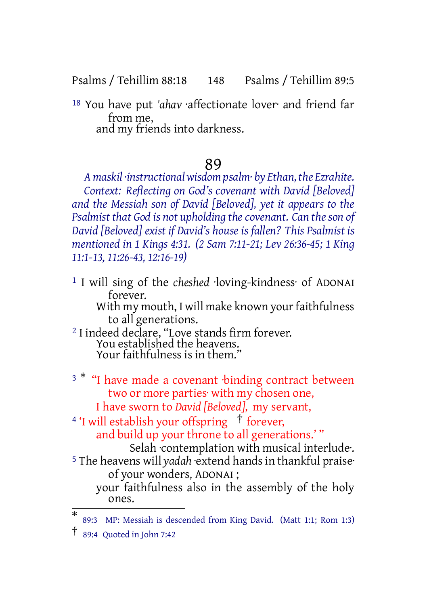Psalms / Tehillim 88:18 148 Psalms / Tehillim 89:5

18 You have put *'ahav* ·affectionate lover· and friend far from me, and my friends into darkness.

# 89

*A maskil ·instructionalwisdom psalm· by Ethan, the Ezrahite. Context: Reflecting on God's covenant with David [Beloved] and the Messiah son of David [Beloved], yet it appears to the Psalmist that God is not upholding thecovenant. Can theson of David [Beloved] exist if David's house is fallen? This Psalmist is mentioned in 1 Kings 4:31. (2 Sam 7:11-21; Lev 26:36-45; 1 King 11:1-13, 11:26-43, 12:16-19)*

| <sup>1</sup> I will sing of the cheshed loving-kindness of ADONAI |
|-------------------------------------------------------------------|
| forever.                                                          |
| With my mouth, I will make known your faithfulness                |
| to all generations.                                               |
| <sup>2</sup> I indeed declare, "Love stands firm forever.         |

- You established the heavens. Your faithfulness is in them."
- <sup>3</sub> \*</sup> "I have made a covenant binding contract between two or more parties· with my chosen one,

I have sworn to *David [Beloved],* my servant,

<sup>4</sup> 'I will establish your offspring <sup>†</sup> forever,

and build up your throne to all generations.' "

Selah ·contemplation with musical interlude·.

<sup>5</sup> The heavens will yadah extend hands in thankful praise<sup>.</sup> of your wonders, ADONAI ; your faithfulness also in the assembly of the holy

ones.

<sup>\*</sup> 89:3 MP: Messiah is descended from King David. (Matt 1:1; Rom 1:3)

<sup>†</sup> 89:4 Quoted in John 7:42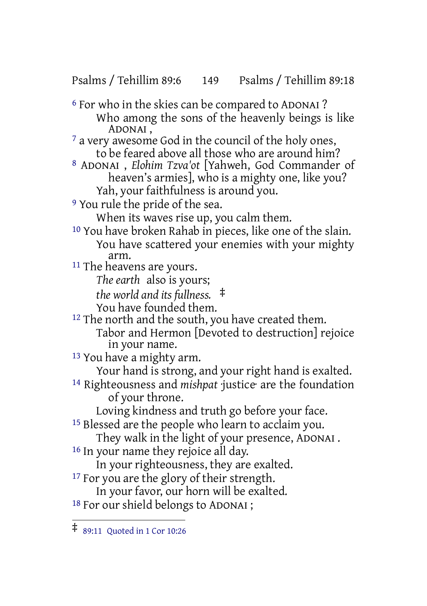Psalms / Tehillim 89:6 149 Psalms / Tehillim 89:18

- 6 For who in the skies can be compared to ADONAI ? Who among the sons of the heavenly beings is like ADONAI ,
- $7$  a very awesome God in the council of the holy ones, to be feared above all those who are around him?
- 8 ADONAI , *Elohim Tzva'ot* [Yahweh, God Commander of heaven's armies], who is a mighty one, like you? Yah, your faithfulness is around you.
- 9 You rule the pride of the sea.

When its waves rise up, you calm them.

10 You have broken Rahab in pieces, like one of the slain. You have scattered your enemies with your mighty arm.

- <sup>11</sup> The heavens are yours.
	- *The earth* also is yours;

*the world and its fullness.* ‡

- You have founded them.
- <sup>12</sup> The north and the south, you have created them. Tabor and Hermon [Devoted to destruction] rejoice in your name.

13 You have a mighty arm.

Your hand is strong, and your right hand is exalted.

14 Righteousness and *mishpat* ·justice· are the foundation of your throne.

Loving kindness and truth go before your face.

- 15 Blessed are the people who learn to acclaim you.
- They walk in the light of your presence, ADONAI .
- 16 In your name they rejoice all day.

In your righteousness, they are exalted.

- <sup>17</sup> For you are the glory of their strength.
	- In your favor, our horn will be exalted.
- <sup>18</sup> For our shield belongs to ADONAI ;

<sup>‡</sup> 89:11 Quoted in <sup>1</sup> Cor 10:26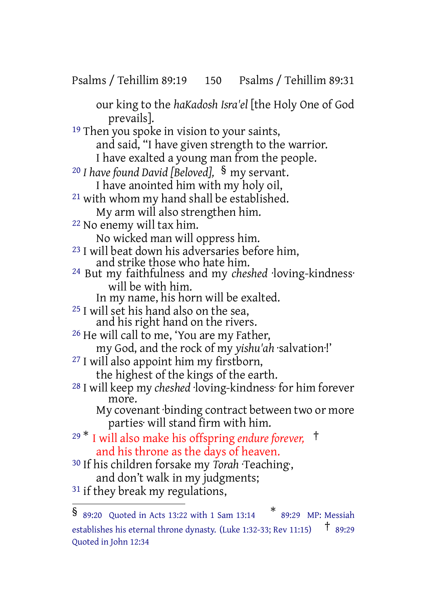Psalms / Tehillim 89:19 150 Psalms / Tehillim 89:31

our king to the *haKadosh Isra'el* [the Holy One of God prevails]. <sup>19</sup> Then you spoke in vision to your saints, and said, "I have given strength to the warrior. I have exalted a young man from the people. <sup>20</sup> *I have found David [Beloved],* § my servant. I have anointed him with my holy oil, 21 with whom my hand shall be established. My arm will also strengthen him. 22 No enemy will tax him. No wicked man will oppress him. <sup>23</sup> I will beat down his adversaries before him, and strike those who hate him. 24 But my faithfulness and my *cheshed* ·loving-kindness· will be with him. In my name, his horn will be exalted. 25 I will set his hand also on the sea, and his right hand on the rivers. 26 He will call to me, 'You are my Father, my God, and the rock of my *yishu'ah* ·salvation·!' 27 I will also appoint him my firstborn, the highest of the kings of the earth. 28 I will keep my *cheshed* ·loving-kindness· for him forever more. My covenant ·binding contract between two or more parties· will stand firm with him. <sup>29</sup> \* I will also make his offspring *endure forever,* † and his throne as the days of heaven. 30 If his children forsake my *Torah* ·Teaching·, and don't walk in my judgments; <sup>31</sup> if they break my regulations, § 89:20 Quoted in Acts 13:22 with <sup>1</sup> Sam 13:14 \* 89:29 MP: Messiah

establishes his eternal throne dynasty. (Luke 1:32-33; Rev 11:15)  $\uparrow$  89:29 Quoted in John 12:34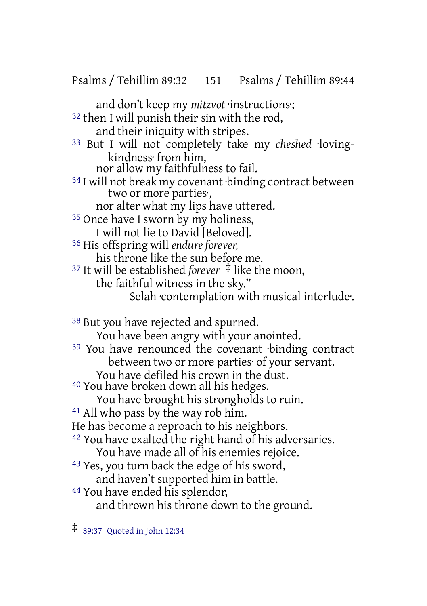Psalms / Tehillim 89:32 151 Psalms / Tehillim 89:44

and don't keep my *mitzvot* ·instructions·; 32 then I will punish their sin with the rod, and their iniquity with stripes. 33 But I will not completely take my *cheshed* ·lovingkindness· from him, nor allow my faithfulness to fail. 34 I will not break my covenant ·binding contract between two or more parties·, nor alter what my lips have uttered. <sup>35</sup> Once have I sworn by my holiness, I will not lie to David [Beloved]. 36 His offspring will *endure forever,* his throne like the sun before me. <sup>37</sup> It will be established *forever* ‡ like the moon, the faithful witness in the sky." Selah ·contemplation with musical interlude·. 38 But you have rejected and spurned. You have been angry with your anointed. 39 You have renounced the covenant ·binding contract between two or more parties· of your servant. You have defiled his crown in the dust. <sup>40</sup> You have broken down all his hedges. You have brought his strongholds to ruin. 41 All who pass by the way rob him. He has become a reproach to his neighbors.  $42$  You have exalted the right hand of his adversaries. You have made all of his enemies rejoice. 43 Yes, you turn back the edge of his sword, and haven't supported him in battle. 44 You have ended his splendor, and thrown his throne down to the ground.

<sup>‡</sup> 89:37 Quoted in John 12:34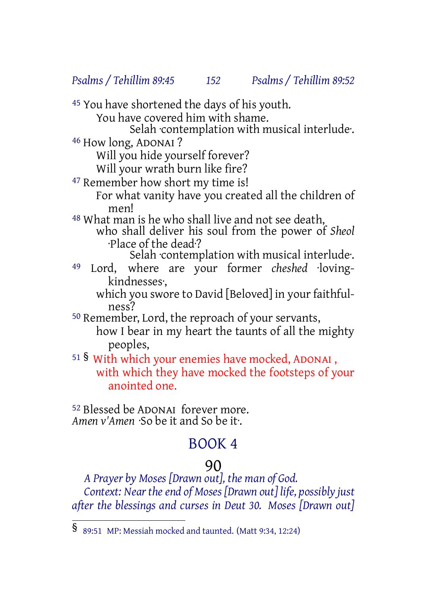#### *Psalms / Tehillim 89:45 152 Psalms / Tehillim 89:52*

45 You have shortened the days of his youth.

You have covered him with shame.

Selah ·contemplation with musical interlude·.

46 How long, ADONAI ?

Will you hide yourself forever?

Will your wrath burn like fire?

47 Remember how short my time is!

For what vanity have you created all the children of men!

48 What man is he who shall live and not see death, who shall deliver his soul from the power of *Sheol* ·Place of the dead·?

Selah ·contemplation with musical interlude·.

49 Lord, where are your former *cheshed* ·lovingkindnesses·,

which you swore to David [Beloved] in your faithfulness?

50 Remember, Lord, the reproach of your servants, how I bear in my heart the taunts of all the mighty peoples,

<sup>51</sup> § With which your enemies have mocked, ADONAI , with which they have mocked the footsteps of your anointed one.

52 Blessed be ADONAI forever more. *Amen v'Amen* ·So be it and So be it·.

# BOOK 4

#### 90

*A Prayer by Moses [Drawn out], the man of God. Context: Near the end of Moses [Drawn out] life, possibly just after the blessings and curses in Deut 30. Moses [Drawn out]*

<sup>§</sup> 89:51 MP: Messiah mocked and taunted. (Matt 9:34, 12:24)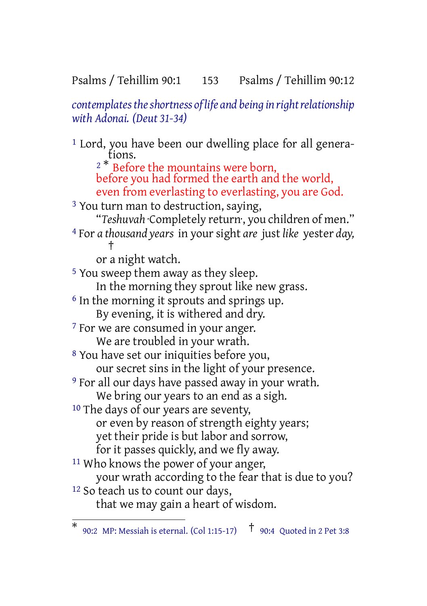#### Psalms / Tehillim 90:1 153 Psalms / Tehillim 90:12

*contemplates the shortness of life and being in right relationship with Adonai. (Deut 31-34)*

1 Lord, you have been our dwelling place for all generations.  $2^*$  Before the mountains were born, before you had formed the earth and the world, even from everlasting to everlasting, you are God. <sup>3</sup> You turn man to destruction, saying, "*Teshuvah* ·Completely return·, you children of men." 4 For *a thousand years* in yoursight *are* just *like* yester *day,* † or a night watch. 5 You sweep them away as they sleep. In the morning they sprout like new grass. 6 In the morning it sprouts and springs up. By evening, it is withered and dry. <sup>7</sup> For we are consumed in your anger. We are troubled in your wrath. 8 You have set our iniquities before you, our secret sins in the light of your presence. 9 For all our days have passed away in your wrath. We bring our years to an end as a sigh. 10 The days of our years are seventy, or even by reason of strength eighty years; yet their pride is but labor and sorrow, for it passes quickly, and we fly away. 11 Who knows the power of your anger, your wrath according to the fear that is due to you? 12 So teach us to count our days,

that we may gain a heart of wisdom.

<sup>\*</sup> 90:2 MP: Messiah is eternal. (Col 1:15-17) † 90:4 Quoted in <sup>2</sup> Pet 3:8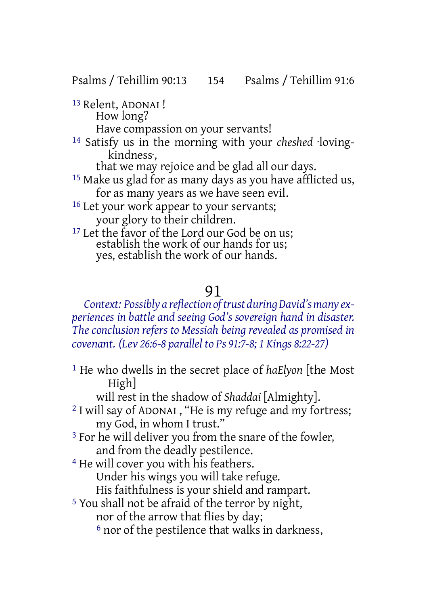Psalms / Tehillim 90:13 154 Psalms / Tehillim 91:6

13 Relent, ADONAI ! How long? Have compassion on your servants!

14 Satisfy us in the morning with your *cheshed* ·lovingkindness·,

that we may rejoice and be glad all our days.

15 Make us glad for as many days as you have afflicted us, for as many years as we have seen evil.

<sup>16</sup> Let your work appear to your servants; your glory to their children.

<sup>17</sup> Let the favor of the Lord our God be on us; establish the work of our hands for us; yes, establish the work of our hands.

# 91

#### *Context: Possibly a reflection oftrust during David'smany experiences in battle and seeing God's sovereign hand in disaster. The conclusion refers to Messiah being revealed as promised in covenant. (Lev 26:6-8 parallel to Ps 91:7-8; 1 Kings 8:22-27)*

1 He who dwells in the secret place of *haElyon* [the Most High]

will rest in the shadow of *Shaddai* [Almighty].

- 2 I will say of ADONAI , "He is my refuge and my fortress; my God, in whom I trust."
- <sup>3</sup> For he will deliver you from the snare of the fowler, and from the deadly pestilence.
- 4 He will cover you with his feathers. Under his wings you will take refuge. His faithfulness is your shield and rampart.
- 5 You shall not be afraid of the terror by night, nor of the arrow that flies by day; 6 nor of the pestilence that walks in darkness,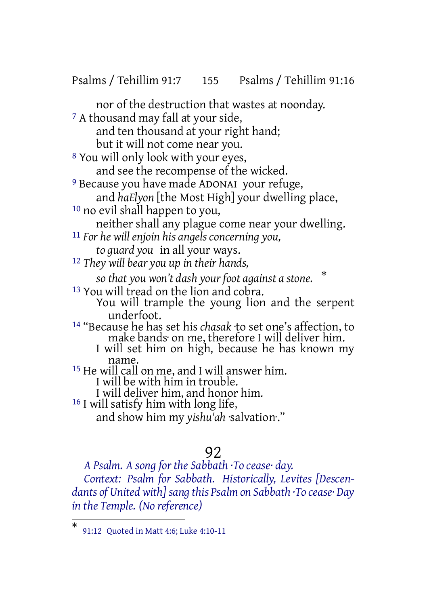Psalms / Tehillim 91:7 155 Psalms / Tehillim 91:16

nor of the destruction that wastes at noonday. 7 A thousand may fall at your side, and ten thousand at your right hand; but it will not come near you. 8 You will only look with your eyes, and see the recompense of the wicked. 9 Because you have made ADONAI your refuge, and *haElyon* [the Most High] your dwelling place, 10 no evil shall happen to you, neither shall any plague come near your dwelling. 11 *For he will enjoin his angels concerning you, to guard you* in all your ways. 12 *They will bear you up in their hands, so that you won't dash your foot against a stone.* \* 13 You will tread on the lion and cobra. You will trample the young lion and the serpent underfoot. 14 "Because he has set his *chasak* ·to set one's affection, to make bands· on me, therefore I will deliver him. I will set him on high, because he has known my name. <sup>15</sup> He will call on me, and I will answer him. I will be with him in trouble. I will deliver him, and honor him. 16 I will satisfy him with long life, and show him my *yishu'ah* ·salvation·."

### 92

*A Psalm. A song for the Sabbath ·To cease· day. Context: Psalm for Sabbath. Historically, Levites [Descendants of United with]sang this Psalm on Sabbath ·To cease· Day in the Temple. (No reference)*

<sup>\*</sup> 91:12 Quoted in Matt 4:6; Luke 4:10-11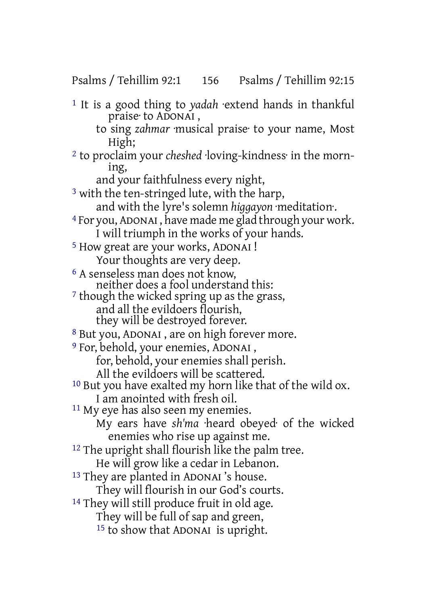#### Psalms / Tehillim 92:1 156 Psalms / Tehillim 92:15

1 It is a good thing to *yadah* ·extend hands in thankful praise· to ADONAI , to sing *zahmar* ·musical praise· to your name, Most High; 2 to proclaim your *cheshed* ·loving-kindness· in the morning, and your faithfulness every night, <sup>3</sup> with the ten-stringed lute, with the harp, and with the lyre's solemn *higgayon* ·meditation·. 4 For you, ADONAI , have made me glad through your work. I will triumph in the works of your hands. 5 How great are your works, ADONAI ! Your thoughts are very deep. 6 A senseless man does not know, neither does a fool understand this: <sup>7</sup> though the wicked spring up as the grass, and all the evildoers flourish, they will be destroyed forever. 8 But you, ADONAI , are on high forever more. 9 For, behold, your enemies, ADONAI , for, behold, your enemies shall perish. All the evildoers will be scattered. 10 But you have exalted my horn like that of the wild ox. I am anointed with fresh oil. <sup>11</sup> My eye has also seen my enemies. My ears have *sh'ma* ·heard obeyed· of the wicked enemies who rise up against me. <sup>12</sup> The upright shall flourish like the palm tree. He will grow like a cedar in Lebanon. 13 They are planted in ADONAI 's house. They will flourish in our God's courts. <sup>14</sup> They will still produce fruit in old age. They will be full of sap and green, 15 to show that ADONAI is upright.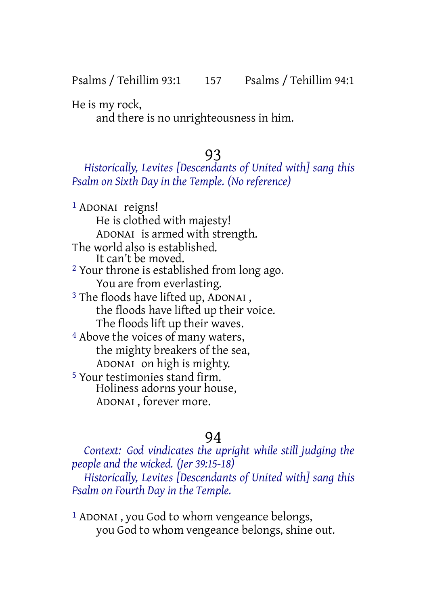He is my rock,

and there is no unrighteousness in him.

# 93

#### *Historically, Levites [Descendants of United with] sang this Psalm on Sixth Day in the Temple. (No reference)*

<sup>1</sup> ADONAI reigns! He is clothed with majesty! ADONAI is armed with strength. The world also is established. It can't be moved. <sup>2</sup> Your throne is established from long ago. You are from everlasting. <sup>3</sup> The floods have lifted up, ADONAI, the floods have lifted up their voice. The floods lift up their waves. 4 Above the voices of many waters, the mighty breakers of the sea, ADONAI on high is mighty. 5 Your testimonies stand firm. Holiness adorns your house, ADONAI , forever more.

# 94

*Context: God vindicates the upright while still judging the people and the wicked. (Jer 39:15-18) Historically, Levites [Descendants of United with] sang this Psalm on Fourth Day in the Temple.*

1 ADONAI , you God to whom vengeance belongs, you God to whom vengeance belongs, shine out.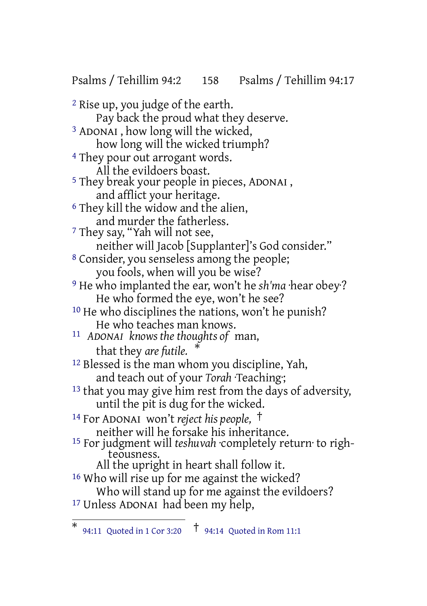Psalms / Tehillim 94:2 158 Psalms / Tehillim 94:17

2 Rise up, you judge of the earth. Pay back the proud what they deserve. 3 ADONAI , how long will the wicked, how long will the wicked triumph? 4 They pour out arrogant words. All the evildoers boast. 5 They break your people in pieces, ADONAI , and afflict your heritage. 6 They kill the widow and the alien, and murder the fatherless. 7 They say, "Yah will not see, neither will Jacob [Supplanter]'s God consider." 8 Consider, you senseless among the people; you fools, when will you be wise? 9 He who implanted the ear, won't he *sh'ma* ·hear obey·? He who formed the eye, won't he see? 10 He who disciplines the nations, won't he punish? He who teaches man knows. 11 *ADONAI knows the thoughts of* man, that they *are futile.* \* 12 Blessed is the man whom you discipline, Yah, and teach out of your *Torah* ·Teaching·; <sup>13</sup> that you may give him rest from the days of adversity, until the pit is dug for the wicked. <sup>14</sup> For ADONAI won't *reject his people,* † neither will he forsake his inheritance. 15 For judgment will *teshuvah* ·completely return· to righteousness. All the upright in heart shall follow it. 16 Who will rise up for me against the wicked? Who will stand up for me against the evildoers? 17 Unless ADONAI had been my help,

<sup>\*</sup> 94:11 Quoted in <sup>1</sup> Cor 3:20 † 94:14 Quoted in Rom 11:1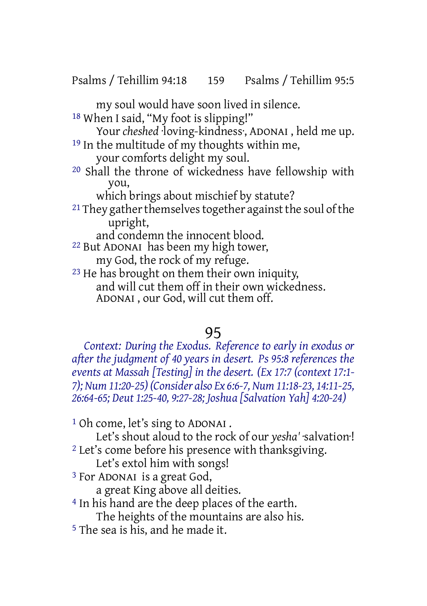Psalms / Tehillim 94:18 159 Psalms / Tehillim 95:5

my soul would have soon lived in silence.

18 When I said, "My foot is slipping!"

Your *cheshed* ·loving-kindness·, ADONAI , held me up. 19 In the multitude of my thoughts within me,

your comforts delight my soul.

20 Shall the throne of wickedness have fellowship with you,

which brings about mischief by statute?

 $21$  They gather themselves together against the soul of the upright,

and condemn the innocent blood.

- 22 But ADONAI has been my high tower, my God, the rock of my refuge.
- 23 He has brought on them their own iniquity, and will cut them off in their own wickedness. ADONAI , our God, will cut them off.

# 95

*Context: During the Exodus. Reference to early in exodus or after the judgment of 40 years in desert. Ps 95:8 references the events at Massah [Testing] in the desert. (Ex 17:7 (context 17:1- 7); Num 11:20-25) (Consider also Ex 6:6-7, Num 11:18-23, 14:11-25, 26:64-65; Deut 1:25-40, 9:27-28; Joshua [Salvation Yah] 4:20-24)*

1 Oh come, let's sing to ADONAI .

Let's shout aloud to the rock of our *yesha'* ·salvation·! <sup>2</sup> Let's come before his presence with thanksgiving.

Let's extol him with songs!

3 For ADONAI is a great God,

a great King above all deities.

4 In his hand are the deep places of the earth.

The heights of the mountains are also his.

5 The sea is his, and he made it.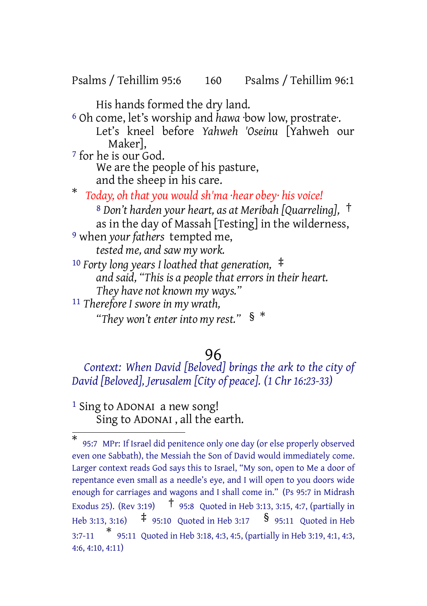Psalms / Tehillim 95:6 160 Psalms / Tehillim 96:1

His hands formed the dry land.

6 Oh come, let's worship and *hawa* ·bow low, prostrate·. Let's kneel before *Yahweh 'Oseinu* [Yahweh our Maker], 7 for he is our God.

We are the people of his pasture, and the sheep in his care.

\* *Today, oh that you would sh'ma ·hear obey· his voice!*

<sup>8</sup> *Don't harden your heart, as at Meribah [Quarreling],* † as in the day of Massah [Testing] in the wilderness,

9 when *your fathers* tempted me, *tested me, and saw my work.*

<sup>10</sup> *Forty long years I loathed that generation,* ‡ *and said, "This is a people that errors in their heart. They have not known my ways."*

11 *Therefore I swore in my wrath, "They won't enter into my rest."* § \*

#### 96

*Context: When David [Beloved] brings the ark to the city of David [Beloved], Jerusalem [City of peace]. (1 Chr 16:23-33)*

1 Sing to ADONAI a new song! Sing to ADONAI , all the earth.

<sup>\*</sup> 95:7 MPr: If Israel did penitence only one day (or else properly observed even one Sabbath), the Messiah the Son of David would immediately come. Larger context reads God says this to Israel, "My son, open to Me a door of repentance even small as a needle's eye, and I will open to you doors wide enough for carriages and wagons and I shall come in." (Ps 95:7 in Midrash Exodus 25). (Rev 3:19) † 95:8 Quoted in Heb 3:13, 3:15, 4:7, (partially in Heb 3:13, 3:16)  $\uparrow$  95:10 Quoted in Heb 3:17  $\frac{1}{5}$  95:11 Quoted in Heb 3:7-11 \* 95:11 Quoted in Heb 3:18, 4:3, 4:5, (partially in Heb 3:19, 4:1, 4:3, 4:6, 4:10, 4:11)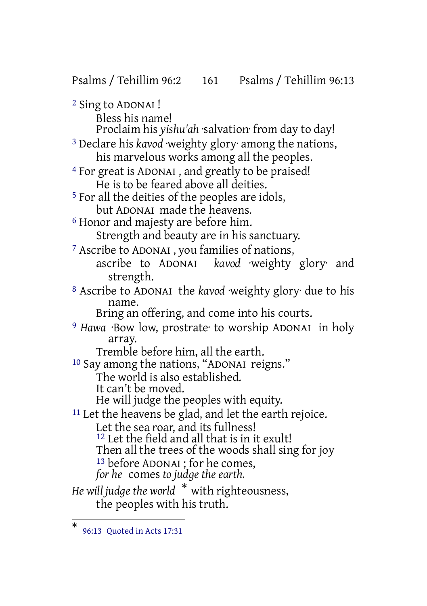Psalms / Tehillim 96:2 161 Psalms / Tehillim 96:13 2 Sing to ADONAI ! Bless his name! Proclaim his *yishu'ah* ·salvation· from day to day! 3 Declare his *kavod* ·weighty glory· among the nations, his marvelous works among all the peoples. 4 For great is ADONAI , and greatly to be praised! He is to be feared above all deities. 5 For all the deities of the peoples are idols, but ADONAI made the heavens. 6 Honor and majesty are before him. Strength and beauty are in his sanctuary. 7 Ascribe to ADONAI , you families of nations, ascribe to ADONAI *kavod* ·weighty glory· and strength. 8 Ascribe to ADONAI the *kavod* ·weighty glory· due to his name. Bring an offering, and come into his courts. 9 *Hawa* ·Bow low, prostrate· to worship ADONAI in holy array. Tremble before him, all the earth. 10 Say among the nations, "ADONAI reigns." The world is also established. It can't be moved. He will judge the peoples with equity. <sup>11</sup> Let the heavens be glad, and let the earth rejoice. Let the sea roar, and its fullness! <sup>12</sup> Let the field and all that is in it exult! Then all the trees of the woods shall sing for joy 13 before ADONAI ; for he comes, *for he* comes *to judge the earth. He will judge the world* \* with righteousness, the peoples with his truth.

<sup>\*</sup> 96:13 Quoted in Acts 17:31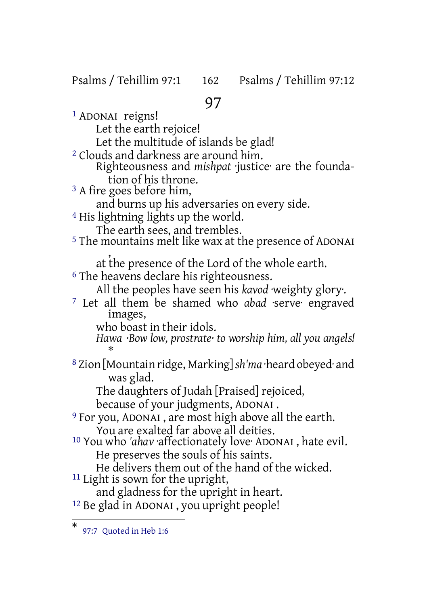#### Psalms / Tehillim 97:1 162 Psalms / Tehillim 97:12

# 97

1 ADONAI reigns! Let the earth rejoice! Let the multitude of islands be glad! 2 Clouds and darkness are around him. Righteousness and *mishpat* ·justice· are the foundation of his throne. <sup>3</sup> A fire goes before him, and burns up his adversaries on every side. 4 His lightning lights up the world. The earth sees, and trembles. 5 The mountains melt like wax at the presence of ADONAI , at the presence of the Lord of the whole earth. 6 The heavens declare his righteousness. All the peoples have seen his *kavod* ·weighty glory·. 7 Let all them be shamed who *abad* ·serve· engraved images, who boast in their idols. *Hawa ·Bow low, prostrate· to worship him, all you angels!* \* 8 Zion [Mountain ridge, Marking]*sh'ma* ·heard obeyed· and was glad. The daughters of Judah [Praised] rejoiced, because of your judgments, ADONAI . 9 For you, ADONAI , are most high above all the earth. You are exalted far above all deities. 10 You who *'ahav* ·affectionately love· ADONAI , hate evil. He preserves the souls of his saints. He delivers them out of the hand of the wicked. <sup>11</sup> Light is sown for the upright, and gladness for the upright in heart. 12 Be glad in ADONAI , you upright people!

<sup>\*</sup> 97:7 Quoted in Heb 1:6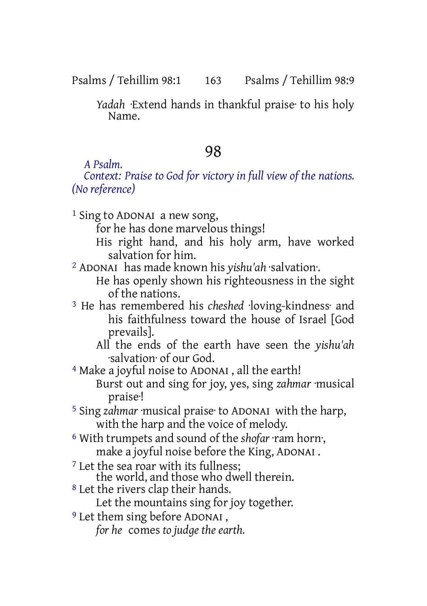Psalms / Tehillim 98:1 163 Psalms / Tehillim 98:9

*Yadah* ·Extend hands in thankful praise· to his holy Name.

# 98

*A Psalm.*

*Context: Praise to God for victory in full view of the nations. (No reference)*

1 Sing to ADONAI a new song,

for he has done marvelous things!

- His right hand, and his holy arm, have worked salvation for him.
- 2 ADONAI has made known his *yishu'ah* ·salvation·.
	- He has openly shown his righteousness in the sight of the nations.
- 3 He has remembered his *cheshed* ·loving-kindness· and his faithfulness toward the house of Israel [God prevails].
	- All the ends of the earth have seen the *yishu'ah* ·salvation· of our God.
- 4 Make a joyful noise to ADONAI , all the earth! Burst out and sing for joy, yes, sing *zahmar* ·musical praise·!
- 5 Sing *zahmar* ·musical praise· to ADONAI with the harp, with the harp and the voice of melody.
- 6 With trumpets and sound of the *shofar* ·ram horn·, make a joyful noise before the King, ADONAI .
- <sup>7</sup> Let the sea roar with its fullness:
- the world, and those who dwell therein.
- 8 Let the rivers clap their hands.

Let the mountains sing for joy together.

- 9 Let them sing before ADONAI ,
	- *for he* comes *to judge the earth.*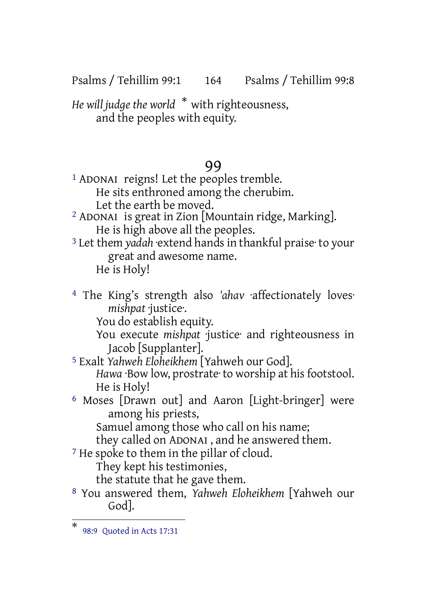Psalms / Tehillim 99:1 164 Psalms / Tehillim 99:8

*He will judge the world* \* with righteousness, and the peoples with equity.

#### 99

- <sup>1</sup> ADONAI reigns! Let the peoples tremble. He sits enthroned among the cherubim. Let the earth be moved.
- 2 ADONAI is great in Zion [Mountain ridge, Marking]. He is high above all the peoples.
- 3 Let them *yadah* ·extend hands in thankful praise· to your great and awesome name. He is Holy!
- 4 The King's strength also *'ahav* ·affectionately loves· *mishpat* ·justice·.

You do establish equity.

You execute *mishpat* ·justice· and righteousness in Jacob [Supplanter].

- 5 Exalt *Yahweh Eloheikhem* [Yahweh our God]. Hawa ·Bow low, prostrate· to worship at his footstool. He is Holy!
- 6 Moses [Drawn out] and Aaron [Light-bringer] were among his priests,

Samuel among those who call on his name;

they called on ADONAI , and he answered them.

<sup>7</sup> He spoke to them in the pillar of cloud.

They kept his testimonies,

the statute that he gave them.

8 You answered them, *Yahweh Eloheikhem* [Yahweh our God].

<sup>\*</sup> 98:9 Quoted in Acts 17:31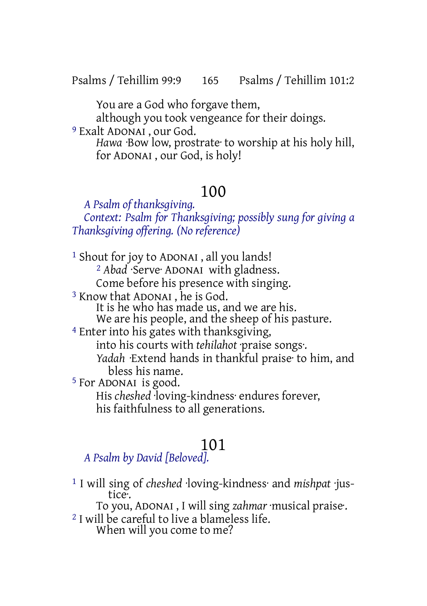Psalms / Tehillim 99:9 165 Psalms / Tehillim 101:2

You are a God who forgave them,

although you took vengeance for their doings.

9 Exalt ADONAI , our God.

*Hawa* ·Bow low, prostrate· to worship at his holy hill, for ADONAI , our God, is holy!

# 100

*A Psalm of thanksgiving. Context: Psalm for Thanksgiving; possibly sung for giving a Thanksgiving offering. (No reference)*

1 Shout for joy to ADONAI , all you lands! 2 *Abad* ·Serve· ADONAI with gladness. Come before his presence with singing. 3 Know that ADONAI , he is God. It is he who has made us, and we are his. We are his people, and the sheep of his pasture. 4 Enter into his gates with thanksgiving, into his courts with *tehilahot* ·praise songs·. *Yadah* ·Extend hands in thankful praise· to him, and bless his name. 5 For ADONAI is good. His *cheshed* ·loving-kindness· endures forever, his faithfulness to all generations.

# 101

#### *A Psalm by David [Beloved].*

1 I will sing of *cheshed* ·loving-kindness· and *mishpat* ·justice·.

To you, ADONAI , I will sing *zahmar* ·musical praise·.

2 I will be careful to live a blameless life. When will you come to me?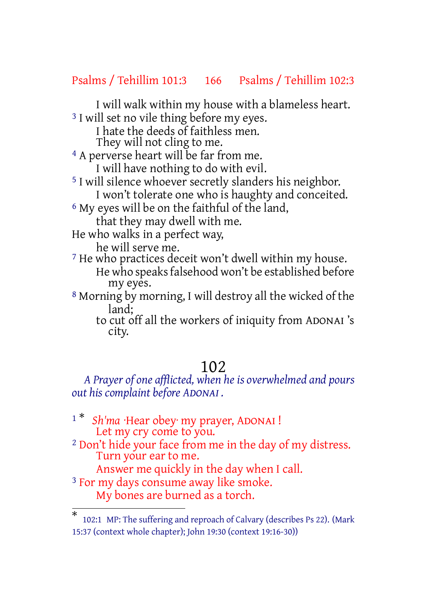#### Psalms / Tehillim 101:3 166 Psalms / Tehillim 102:3

I will walk within my house with a blameless heart. <sup>3</sup> I will set no vile thing before my eyes.

I hate the deeds of faithless men.

They will not cling to me.

4 A perverse heart will be far from me.

I will have nothing to do with evil.

5 I will silence whoever secretly slanders his neighbor. I won't tolerate one who is haughty and conceited.

6 My eyes will be on the faithful of the land,

that they may dwell with me.

He who walks in a perfect way,

he will serve me.

7 He who practices deceit won't dwell within my house. He who speaks falsehood won't be established before my eyes.

8 Morning by morning, I will destroy all the wicked of the land;

to cut off all the workers of iniquity from ADONAI 's city.

#### 102

*A Prayer of one afflicted, when he is overwhelmed and pours out his complaint before ADONAI .*

<sup>1\*</sup> *Sh'ma* ·Hear obey· my prayer, ADONAI ! Let my cry come to you. 2 Don't hide your face from me in the day of my distress. Turn your ear to me. Answer me quickly in the day when I call. <sup>3</sup> For my days consume away like smoke.

My bones are burned as a torch.

<sup>\*</sup> 102:1 MP: The suffering and reproach of Calvary (describes Ps 22). (Mark 15:37 (context whole chapter); John 19:30 (context 19:16-30))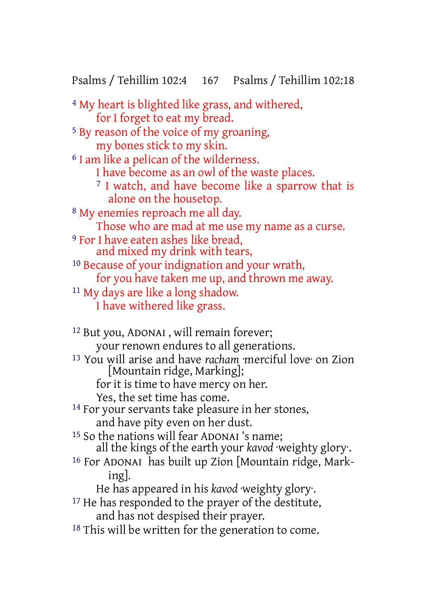Psalms / Tehillim 102:4 167 Psalms / Tehillim 102:18

4 My heart is blighted like grass, and withered, for I forget to eat my bread. 5 By reason of the voice of my groaning, my bones stick to my skin. 6 I am like a pelican of the wilderness. I have become as an owl of the waste places. <sup>7</sup> I watch, and have become like a sparrow that is alone on the housetop. 8 My enemies reproach me all day. Those who are mad at me use my name as a curse. 9 For I have eaten ashes like bread, and mixed my drink with tears, 10 Because of your indignation and your wrath, for you have taken me up, and thrown me away. 11 My days are like a long shadow. I have withered like grass.

12 But you, ADONAI , will remain forever; your renown endures to all generations. 13 You will arise and have *racham* ·merciful love· on Zion [Mountain ridge, Marking]; for it is time to have mercy on her. Yes, the set time has come. 14 For your servants take pleasure in her stones, and have pity even on her dust. 15 So the nations will fear ADONAI 's name; all the kings of the earth your *kavod* ·weighty glory·. 16 For ADONAI has built up Zion [Mountain ridge, Marking]. He has appeared in his *kavod* ·weighty glory·. <sup>17</sup> He has responded to the prayer of the destitute, and has not despised their prayer. 18 This will be written for the generation to come.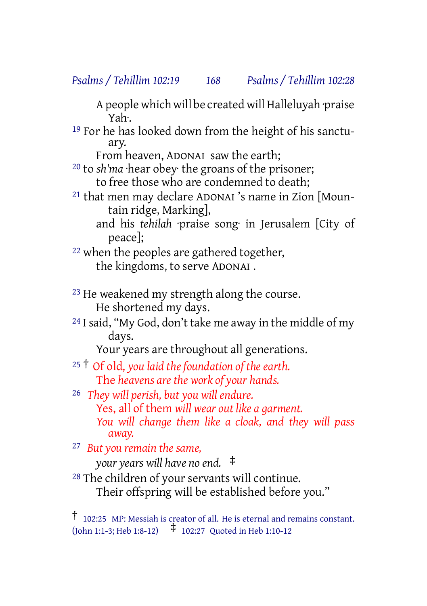#### *Psalms / Tehillim 102:19 168 Psalms / Tehillim 102:28*

A people which will be created will Halleluyah praise Yah·.

19 For he has looked down from the height of his sanctuary.

From heaven, ADONAI saw the earth;

20 to *sh'ma* ·hear obey· the groans of the prisoner; to free those who are condemned to death;

21 that men may declare ADONAI 's name in Zion [Mountain ridge, Marking],

and his *tehilah* ·praise song· in Jerusalem [City of peace];

22 when the peoples are gathered together, the kingdoms, to serve ADONAI .

<sup>23</sup> He weakened my strength along the course. He shortened my days.

<sup>24</sup> I said, "My God, don't take me away in the middle of my days.

Your years are throughout all generations.

<sup>25</sup> † Of old, *you laid the foundation of the earth.* The *heavens are the work of your hands.*

26 *They will perish, but you will endure.* Yes, all of them *will wear out like a garment. You will change them like a cloak, and they will pass away.*

27 *But you remain the same,*

*your years will have no end.* ‡

28 The children of your servants will continue. Their offspring will be established before you."

<sup>†</sup> 102:25 MP: Messiah is creator of all. He is eternal and remains constant. (John 1:1-3; Heb 1:8-12) ‡ 102:27 Quoted in Heb 1:10-12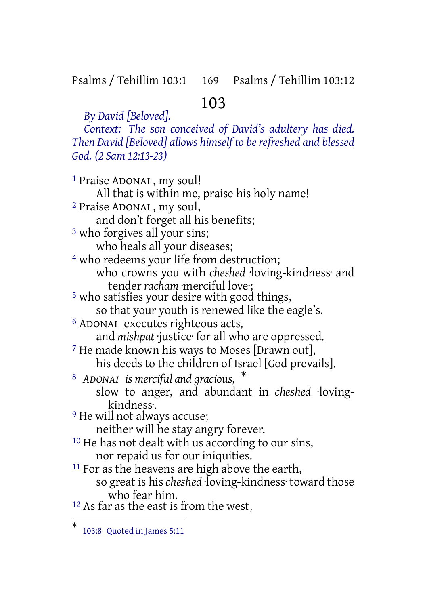#### Psalms / Tehillim 103:1 169 Psalms / Tehillim 103:12

# 103

*Context: The son conceived of David's adultery has died. Then David [Beloved] allows himself to berefreshed and blessed God. (2 Sam 12:13-23)*

1 Praise ADONAI , my soul! All that is within me, praise his holy name! 2 Praise ADONAI , my soul, and don't forget all his benefits; 3 who forgives all your sins; who heals all your diseases; <sup>4</sup> who redeems your life from destruction; who crowns you with *cheshed* ·loving-kindness· and tender *racham* ·merciful love; 5 who satisfies your desire with good things, so that your youth is renewed like the eagle's. 6 ADONAI executes righteous acts, and *mishpat* ·justice· for all who are oppressed. 7 He made known his ways to Moses [Drawn out], his deeds to the children of Israel [God prevails]. <sup>8</sup> *ADONAI is merciful and gracious,* \* slow to anger, and abundant in *cheshed* ·lovingkindness·. <sup>9</sup> He will not always accuse; neither will he stay angry forever. <sup>10</sup> He has not dealt with us according to our sins, nor repaid us for our iniquities. <sup>11</sup> For as the heavens are high above the earth, so great is his *cheshed* ·loving-kindness· toward those who fear him. 12 As far as the east is from the west,

*By David [Beloved].*

<sup>\*</sup> 103:8 Quoted in James 5:11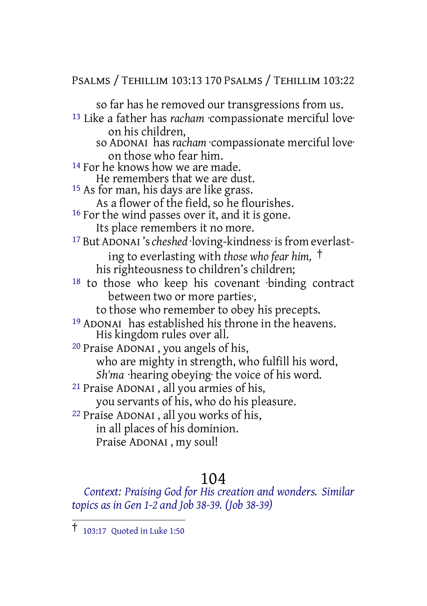#### PSALMS / TEHILLIM 103:13 170 PSALMS / TEHILLIM 103:22

so far has he removed our transgressions from us.

- 13 Like a father has *racham* ·compassionate merciful love· on his children, so ADONAI has *racham* ·compassionate merciful love·
	- on those who fear him.
- <sup>14</sup> For he knows how we are made.
- He remembers that we are dust.

15 As for man, his days are like grass.

- As a flower of the field, so he flourishes.
- <sup>16</sup> For the wind passes over it, and it is gone.
	- Its place remembers it no more.
- 17 But ADONAI 's*cheshed* ·loving-kindness· isfrom everlasting to everlasting with *those who fear him,* † his righteousness to children's children;
- 18 to those who keep his covenant ·binding contract between two or more parties·,
	- to those who remember to obey his precepts.
- 19 ADONAI has established his throne in the heavens. His kingdom rules over all.
- 20 Praise ADONAI , you angels of his, who are mighty in strength, who fulfill his word, *Sh'ma* ·hearing obeying· the voice of his word.
- 21 Praise ADONAI , all you armies of his, you servants of his, who do his pleasure.
- 22 Praise ADONAI , all you works of his, in all places of his dominion. Praise ADONAI , my soul!

#### 104

*Context: Praising God for His creation and wonders. Similar topics as in Gen 1-2 and Job 38-39. (Job 38-39)*

<sup>†</sup> 103:17 Quoted in Luke 1:50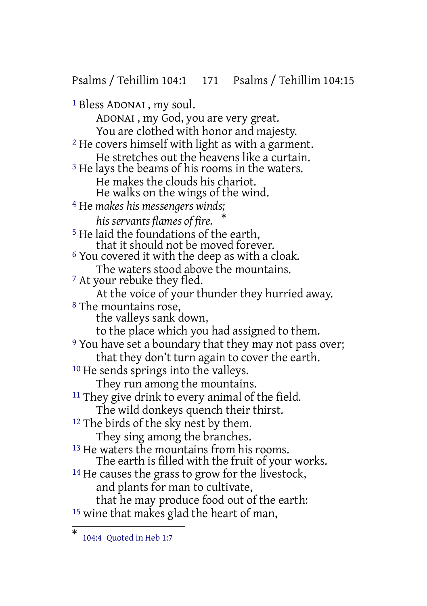Psalms / Tehillim 104:1 171 Psalms / Tehillim 104:15

1 Bless ADONAI , my soul. ADONAI , my God, you are very great. You are clothed with honor and majesty. 2 He covers himself with light as with a garment. He stretches out the heavens like a curtain. <sup>3</sup> He lays the beams of his rooms in the waters. He makes the clouds his chariot. He walks on the wings of the wind. 4 He *makes his messengers winds; his servants flames of fire.* \* 5 He laid the foundations of the earth, that it should not be moved forever.  $6$  You covered it with the deep as with a cloak. The waters stood above the mountains. 7 At your rebuke they fled. At the voice of your thunder they hurried away. 8 The mountains rose, the valleys sank down, to the place which you had assigned to them. <sup>9</sup> You have set a boundary that they may not pass over; that they don't turn again to cover the earth. 10 He sends springs into the valleys. They run among the mountains. <sup>11</sup> They give drink to every animal of the field. The wild donkeys quench their thirst. <sup>12</sup> The birds of the sky nest by them. They sing among the branches. <sup>13</sup> He waters the mountains from his rooms. The earth is filled with the fruit of your works. <sup>14</sup> He causes the grass to grow for the livestock, and plants for man to cultivate, that he may produce food out of the earth: 15 wine that makes glad the heart of man,

<sup>\*</sup> 104:4 Quoted in Heb 1:7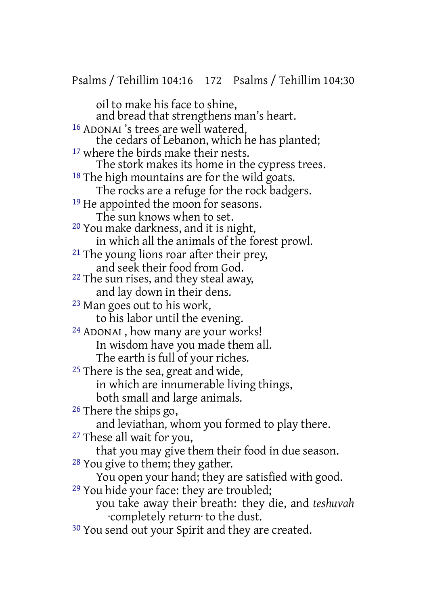oil to make his face to shine, and bread that strengthens man's heart. 16 ADONAI 's trees are well watered, the cedars of Lebanon, which he has planted; <sup>17</sup> where the birds make their nests. The stork makes its home in the cypress trees. <sup>18</sup> The high mountains are for the wild goats. The rocks are a refuge for the rock badgers. <sup>19</sup> He appointed the moon for seasons. The sun knows when to set. 20 You make darkness, and it is night, in which all the animals of the forest prowl. 21 The young lions roar after their prey, and seek their food from God. 22 The sun rises, and they steal away, and lay down in their dens. 23 Man goes out to his work, to his labor until the evening. 24 ADONAI , how many are your works! In wisdom have you made them all. The earth is full of your riches. <sup>25</sup> There is the sea, great and wide, in which are innumerable living things, both small and large animals. 26 There the ships go, and leviathan, whom you formed to play there. 27 These all wait for you, that you may give them their food in due season. 28 You give to them; they gather. You open your hand; they are satisfied with good. 29 You hide your face: they are troubled; you take away their breath: they die, and *teshuvah* ·completely return· to the dust. <sup>30</sup> You send out your Spirit and they are created.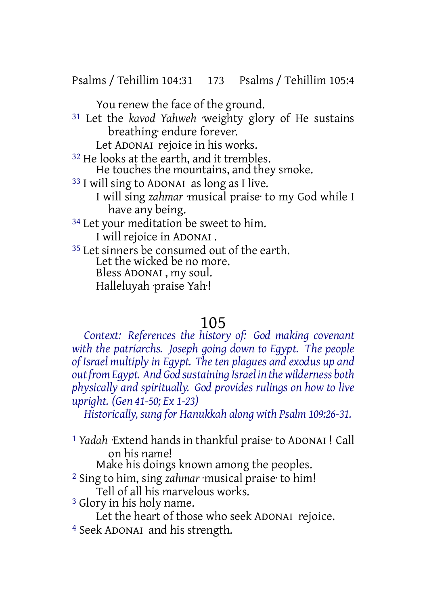Psalms / Tehillim 104:31 173 Psalms / Tehillim 105:4

You renew the face of the ground.

31 Let the *kavod Yahweh* ·weighty glory of He sustains breathing· endure forever.

Let ADONAI rejoice in his works.

<sup>32</sup> He looks at the earth, and it trembles.

- He touches the mountains, and they smoke.
- 33 I will sing to ADONAI as long as I live.
	- I will sing *zahmar* ·musical praise· to my God while I have any being.
- <sup>34</sup> Let your meditation be sweet to him.

I will rejoice in ADONAI .

<sup>35</sup> Let sinners be consumed out of the earth. Let the wicked be no more. Bless ADONAI , my soul. Halleluyah ·praise Yah·!

# 105

*Context: References the history of: God making covenant with the patriarchs. Joseph going down to Egypt. The people of Israel multiply in Egypt. The ten plagues and exodus up and outfromEgypt. And God sustaining Israel in thewilderness both physically and spiritually. God provides rulings on how to live upright. (Gen 41-50; Ex 1-23)*

*Historically, sung for Hanukkah along with Psalm 109:26-31.*

1 *Yadah* ·Extend hands in thankful praise· to ADONAI ! Call on his name!

Make his doings known among the peoples.

- 2 Sing to him, sing *zahmar* ·musical praise· to him! Tell of all his marvelous works.
- 3 Glory in his holy name.
	- Let the heart of those who seek ADONAI rejoice.
- 4 Seek ADONAI and his strength.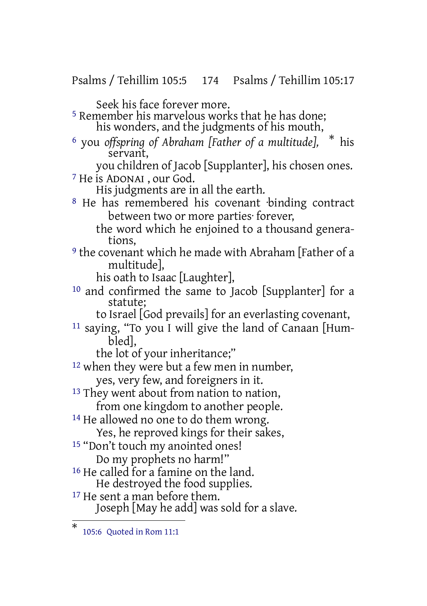Psalms / Tehillim 105:5 174 Psalms / Tehillim 105:17

Seek his face forever more.

- 5 Remember his marvelous works that he has done; his wonders, and the judgments of his mouth,
- <sup>6</sup> you *offspring of Abraham [Father of a multitude],* \* his servant,
- you children of Jacob [Supplanter], his chosen ones. 7 He is ADONAI , our God.

His judgments are in all the earth.

- <sup>8</sup> He has remembered his covenant binding contract between two or more parties· forever,
	- the word which he enjoined to a thousand generations,
- 9 the covenant which he made with Abraham [Father of a multitude],

his oath to Isaac [Laughter],

- 10 and confirmed the same to Jacob [Supplanter] for a statute;
	- to Israel [God prevails] for an everlasting covenant,
- 11 saying, "To you I will give the land of Canaan [Humbled],

the lot of your inheritance;"

<sup>12</sup> when they were but a few men in number,

- yes, very few, and foreigners in it.
- <sup>13</sup> They went about from nation to nation, from one kingdom to another people.
- <sup>14</sup> He allowed no one to do them wrong.

Yes, he reproved kings for their sakes,

15 "Don't touch my anointed ones!

Do my prophets no harm!"

- 16 He called for a famine on the land. He destroyed the food supplies.
- <sup>17</sup> He sent a man before them. Joseph [May he add] was sold for a slave.

<sup>\*</sup> 105:6 Quoted in Rom 11:1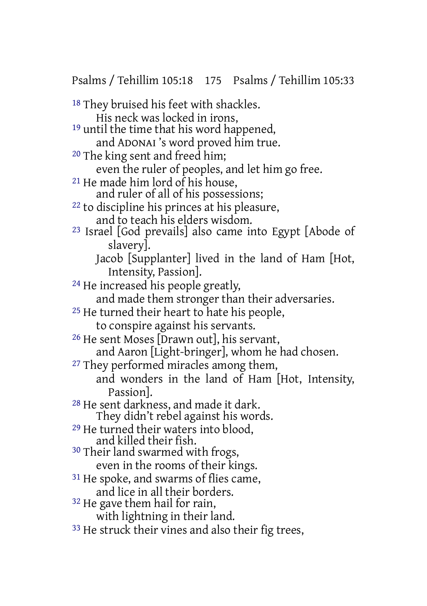Psalms / Tehillim 105:18 175 Psalms / Tehillim 105:33

18 They bruised his feet with shackles. His neck was locked in irons, 19 until the time that his word happened, and ADONAI 's word proved him true. 20 The king sent and freed him; even the ruler of peoples, and let him go free. 21 He made him lord of his house, and ruler of all of his possessions; 22 to discipline his princes at his pleasure, and to teach his elders wisdom. 23 Israel [God prevails] also came into Egypt [Abode of slavery]. Jacob [Supplanter] lived in the land of Ham [Hot, Intensity, Passion]. 24 He increased his people greatly, and made them stronger than their adversaries. 25 He turned their heart to hate his people, to conspire against his servants. 26 He sent Moses [Drawn out], his servant, and Aaron [Light-bringer], whom he had chosen. <sup>27</sup> They performed miracles among them, and wonders in the land of Ham [Hot, Intensity, Passion]. 28 He sent darkness, and made it dark. They didn't rebel against his words. 29 He turned their waters into blood, and killed their fish. 30 Their land swarmed with frogs, even in the rooms of their kings. <sup>31</sup> He spoke, and swarms of flies came, and lice in all their borders. <sup>32</sup> He gave them hail for rain, with lightning in their land. <sup>33</sup> He struck their vines and also their fig trees,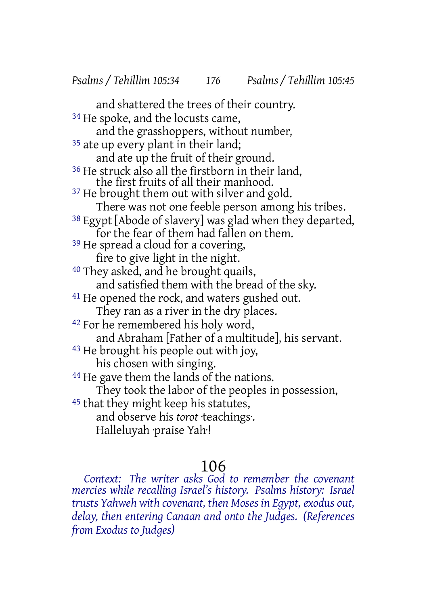and shattered the trees of their country. <sup>34</sup> He spoke, and the locusts came, and the grasshoppers, without number, <sup>35</sup> ate up every plant in their land; and ate up the fruit of their ground. 36 He struck also all the firstborn in their land, the first fruits of all their manhood. <sup>37</sup> He brought them out with silver and gold. There was not one feeble person among his tribes. 38 Egypt [Abode of slavery] was glad when they departed, for the fear of them had fallen on them. <sup>39</sup> He spread a cloud for a covering, fire to give light in the night. 40 They asked, and he brought quails, and satisfied them with the bread of the sky. <sup>41</sup> He opened the rock, and waters gushed out. They ran as a river in the dry places. 42 For he remembered his holy word, and Abraham [Father of a multitude], his servant. 43 He brought his people out with joy, his chosen with singing. 44 He gave them the lands of the nations. They took the labor of the peoples in possession, 45 that they might keep his statutes, and observe his *torot* ·teachings·. Halleluyah ·praise Yah·!

# 106

*Context: The writer asks God to remember the covenant mercies while recalling Israel's history. Psalms history: Israel trusts Yahweh with covenant, then Moses in Egypt, exodus out, delay, then entering Canaan and onto the Judges. (References from Exodus to Judges)*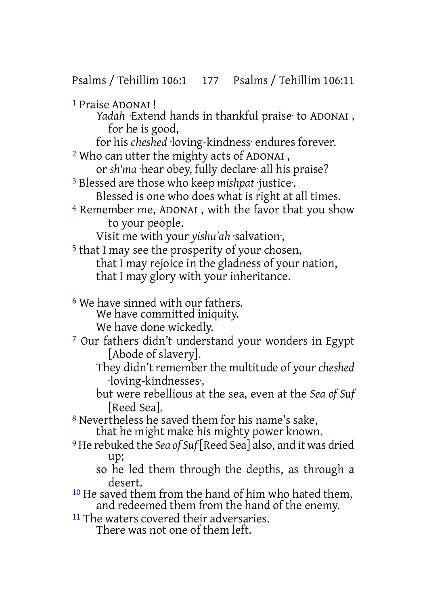1 Praise ADONAI ! *Yadah* ·Extend hands in thankful praise· to ADONAI , for he is good, for his *cheshed* ·loving-kindness· endures forever. 2 Who can utter the mighty acts of ADONAI , or *sh'ma* ·hear obey, fully declare· all his praise? 3 Blessed are those who keep *mishpat* ·justice·. Blessed is one who does what is right at all times. 4 Remember me, ADONAI , with the favor that you show to your people. Visit me with your *yishu'ah* ·salvation·, 5 that I may see the prosperity of your chosen, that I may rejoice in the gladness of your nation, that I may glory with your inheritance. 6 We have sinned with our fathers. We have committed iniquity. We have done wickedly. 7 Our fathers didn't understand your wonders in Egypt [Abode of slavery]. They didn't remember the multitude of your *cheshed* ·loving-kindnesses·,

but were rebellious at the sea, even at the *Sea of Suf* [Reed Sea].

8 Nevertheless he saved them for his name's sake, that he might make his mighty power known.

- 9 He rebuked the *Sea of Suf* [Reed Sea] also, and it was dried up;
	- so he led them through the depths, as through a desert.
- 10 He saved them from the hand of him who hated them, and redeemed them from the hand of the enemy.
- 11 The waters covered their adversaries. There was not one of them left.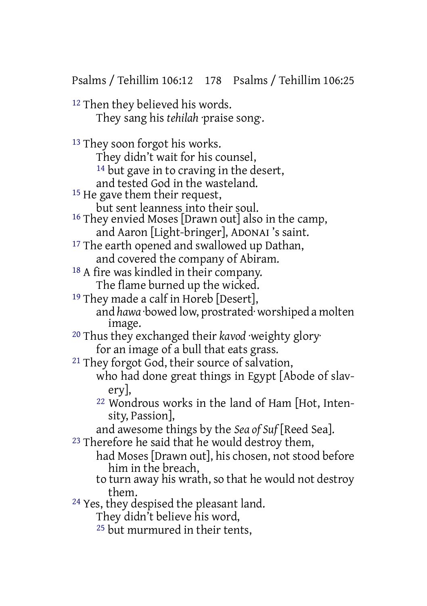Psalms / Tehillim 106:12 178 Psalms / Tehillim 106:25

12 Then they believed his words. They sang his *tehilah* ·praise song·.

13 They soon forgot his works. They didn't wait for his counsel, <sup>14</sup> but gave in to craving in the desert, and tested God in the wasteland. <sup>15</sup> He gave them their request, but sent leanness into their soul. 16 They envied Moses [Drawn out] also in the camp, and Aaron [Light-bringer], ADONAI 's saint. <sup>17</sup> The earth opened and swallowed up Dathan, and covered the company of Abiram. 18 A fire was kindled in their company. The flame burned up the wicked. <sup>19</sup> They made a calf in Horeb [Desert], and *hawa* ·bowed low, prostrated· worshiped a molten image. 20 Thus they exchanged their *kavod* ·weighty glory· for an image of a bull that eats grass. 21 They forgot God, their source of salvation, who had done great things in Egypt [Abode of slavery], 22 Wondrous works in the land of Ham [Hot, Intensity, Passion], and awesome things by the *Sea of Suf* [Reed Sea]. <sup>23</sup> Therefore he said that he would destroy them, had Moses [Drawn out], his chosen, not stood before him in the breach, to turn away his wrath, so that he would not destroy them. 24 Yes, they despised the pleasant land. They didn't believe his word,

25 but murmured in their tents,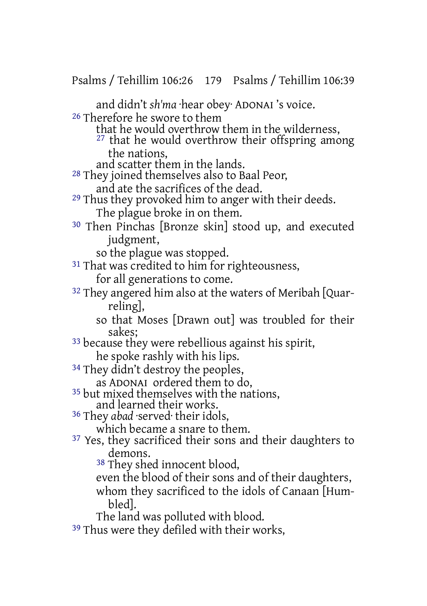Psalms / Tehillim 106:26 179 Psalms / Tehillim 106:39

and didn't *sh'ma* ·hear obey· ADONAI 's voice.

26 Therefore he swore to them

that he would overthrow them in the wilderness,

27 that he would overthrow their offspring among the nations,

and scatter them in the lands.

28 They joined themselves also to Baal Peor,

- and ate the sacrifices of the dead.
- 29 Thus they provoked him to anger with their deeds. The plague broke in on them.
- 30 Then Pinchas [Bronze skin] stood up, and executed judgment,

so the plague was stopped.

- <sup>31</sup> That was credited to him for righteousness, for all generations to come.
- 32 They angered him also at the waters of Meribah [Quarreling],

so that Moses [Drawn out] was troubled for their sakes;

- 33 because they were rebellious against his spirit, he spoke rashly with his lips.
- <sup>34</sup> They didn't destroy the peoples,
	- as ADONAI ordered them to do,
- 35 but mixed themselves with the nations, and learned their works.
- 36 They *abad* ·served· their idols,

- which became a snare to them.
- 37 Yes, they sacrificed their sons and their daughters to demons.

38 They shed innocent blood,

even the blood of their sons and of their daughters,

whom they sacrificed to the idols of Canaan [Humbled].

The land was polluted with blood.

<sup>39</sup> Thus were they defiled with their works,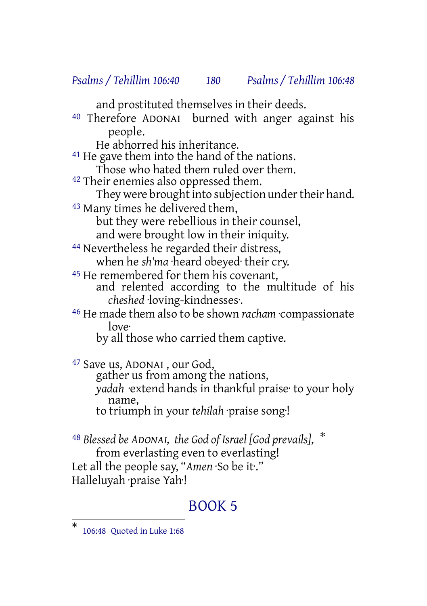#### *Psalms / Tehillim 106:40 180 Psalms / Tehillim 106:48*

and prostituted themselves in their deeds.

40 Therefore ADONAI burned with anger against his people.

He abhorred his inheritance.

41 He gave them into the hand of the nations.

Those who hated them ruled over them.

<sup>42</sup> Their enemies also oppressed them.

They were brought into subjection under their hand.

43 Many times he delivered them,

but they were rebellious in their counsel,

and were brought low in their iniquity.

44 Nevertheless he regarded their distress, when he *sh'ma* ·heard obeyed· their cry.

45 He remembered for them his covenant,

and relented according to the multitude of his *cheshed* ·loving-kindnesses·.

46 He made them also to be shown *racham* ·compassionate love·

by all those who carried them captive.

<sup>47</sup> Save us, ADONAI, our God, gather us from among the nations, *yadah* ·extend hands in thankful praise· to your holy name, to triumph in your *tehilah* ·praise song·!

<sup>48</sup> *Blessed be ADONAI, the God of Israel [God prevails],* \* from everlasting even to everlasting! Let all the people say, "*Amen* ·So be it·." Halleluyah ·praise Yah·!

#### BOOK 5

<sup>\*</sup> 106:48 Quoted in Luke 1:68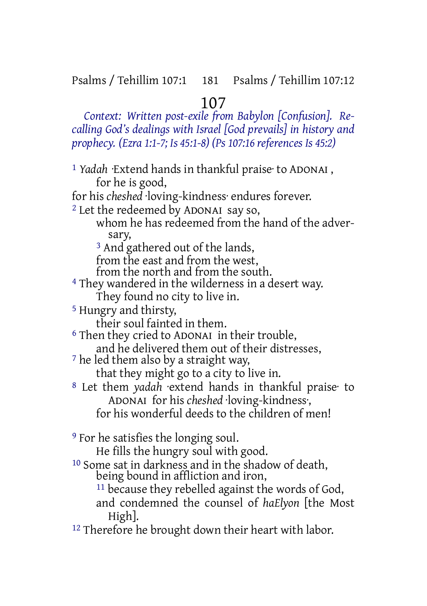# 107

*Context: Written post-exile from Babylon [Confusion]. Recalling God's dealings with Israel [God prevails] in history and prophecy. (Ezra 1:1-7; Is 45:1-8) (Ps 107:16 references Is 45:2)*

1 *Yadah* ·Extend hands in thankful praise· to ADONAI , for he is good, for his *cheshed* ·loving-kindness· endures forever. 2 Let the redeemed by ADONAI say so, whom he has redeemed from the hand of the adversary, 3 And gathered out of the lands, from the east and from the west, from the north and from the south. 4 They wandered in the wilderness in a desert way. They found no city to live in. 5 Hungry and thirsty, their soul fainted in them. 6 Then they cried to ADONAI in their trouble, and he delivered them out of their distresses, 7 he led them also by a straight way, that they might go to a city to live in. 8 Let them *yadah* ·extend hands in thankful praise· to ADONAI for his *cheshed* ·loving-kindness·, for his wonderful deeds to the children of men! 9 For he satisfies the longing soul. He fills the hungry soul with good. 10 Some sat in darkness and in the shadow of death, being bound in affliction and iron, <sup>11</sup> because they rebelled against the words of God, and condemned the counsel of *haElyon* [the Most High].

<sup>12</sup> Therefore he brought down their heart with labor.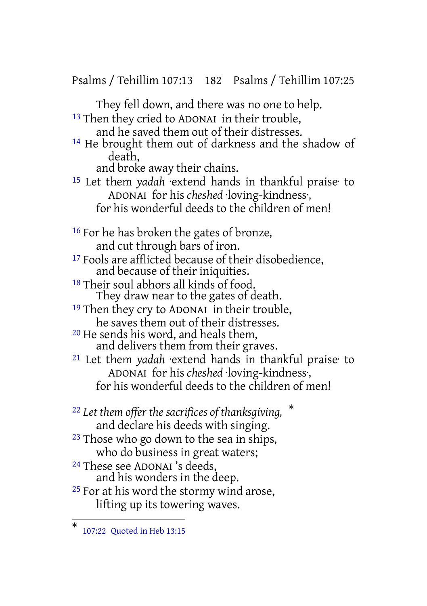Psalms / Tehillim 107:13 182 Psalms / Tehillim 107:25

They fell down, and there was no one to help. 13 Then they cried to ADONAI in their trouble,

and he saved them out of their distresses. 14 He brought them out of darkness and the shadow of death,

and broke away their chains.

15 Let them *yadah* ·extend hands in thankful praise· to ADONAI for his *cheshed* ·loving-kindness·, for his wonderful deeds to the children of men!

16 For he has broken the gates of bronze, and cut through bars of iron.

17 Fools are afflicted because of their disobedience, and because of their iniquities.

18 Their soul abhors all kinds of food. They draw near to the gates of death.

19 Then they cry to ADONAI in their trouble, he saves them out of their distresses.

20 He sends his word, and heals them, and delivers them from their graves.

21 Let them *yadah* ·extend hands in thankful praise· to ADONAI for his *cheshed* ·loving-kindness·, for his wonderful deeds to the children of men!

<sup>22</sup> *Let them offer the sacrifices of thanksgiving,* \* and declare his deeds with singing.

23 Those who go down to the sea in ships, who do business in great waters;

24 These see ADONAI 's deeds,

and his wonders in the deep.

<sup>25</sup> For at his word the stormy wind arose, lifting up its towering waves.

<sup>\*</sup> 107:22 Quoted in Heb 13:15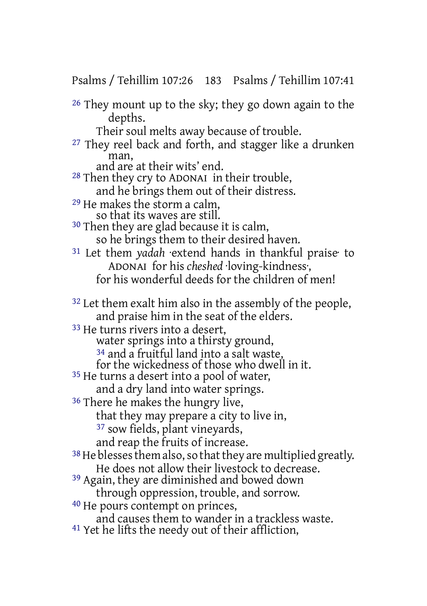Psalms / Tehillim 107:26 183 Psalms / Tehillim 107:41

26 They mount up to the sky; they go down again to the depths.

Their soul melts away because of trouble.

27 They reel back and forth, and stagger like a drunken man,

and are at their wits' end.

- 28 Then they cry to ADONAI in their trouble, and he brings them out of their distress.
- 29 He makes the storm a calm, so that its waves are still.
- 30 Then they are glad because it is calm, so he brings them to their desired haven.
- 31 Let them *yadah* ·extend hands in thankful praise· to ADONAI for his *cheshed* ·loving-kindness·, for his wonderful deeds for the children of men!
- 32 Let them exalt him also in the assembly of the people, and praise him in the seat of the elders.
- 33 He turns rivers into a desert,
	- water springs into a thirsty ground,
	- 34 and a fruitful land into a salt waste,
	- for the wickedness of those who dwell in it.
- <sup>35</sup> He turns a desert into a pool of water, and a dry land into water springs.
- 
- <sup>36</sup> There he makes the hungry live,
	- that they may prepare a city to live in,
	- 37 sow fields, plant vineyards,
	- and reap the fruits of increase.
- $38$  He blesses them also, so that they are multiplied greatly. He does not allow their livestock to decrease.
- 39 Again, they are diminished and bowed down through oppression, trouble, and sorrow.
- 40 He pours contempt on princes,
- and causes them to wander in a trackless waste.
- 41 Yet he lifts the needy out of their affliction,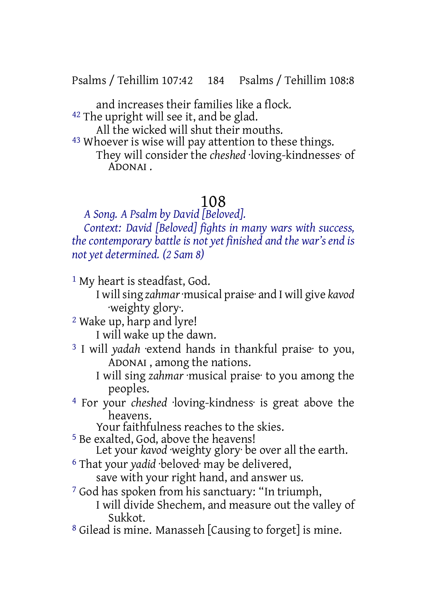Psalms / Tehillim 107:42 184 Psalms / Tehillim 108:8

and increases their families like a flock. <sup>42</sup> The upright will see it, and be glad.

All the wicked will shut their mouths.

43 Whoever is wise will pay attention to these things. They will consider the *cheshed* ·loving-kindnesses· of ADONAI .

### 108

*A Song. A Psalm by David [Beloved].*

*Context: David [Beloved] fights in many wars with success, the contemporary battle is not yet finished and the war's end is not yet determined. (2 Sam 8)*

<sup>1</sup> My heart is steadfast, God.

I willsing *zahmar*·musical praise· and I will give *kavod* ·weighty glory·.

2 Wake up, harp and lyre!

I will wake up the dawn.

- 3 I will *yadah* ·extend hands in thankful praise· to you, ADONAI , among the nations.
	- I will sing *zahmar* ·musical praise· to you among the peoples.
- 4 For your *cheshed* ·loving-kindness· is great above the heavens.

Your faithfulness reaches to the skies.

5 Be exalted, God, above the heavens!

Let your *kavod* weighty glory be over all the earth.

6 That your *yadid* ·beloved· may be delivered,

save with your right hand, and answer us.

7 God has spoken from his sanctuary: "In triumph,

I will divide Shechem, and measure out the valley of Sukkot.

8 Gilead is mine. Manasseh [Causing to forget] is mine.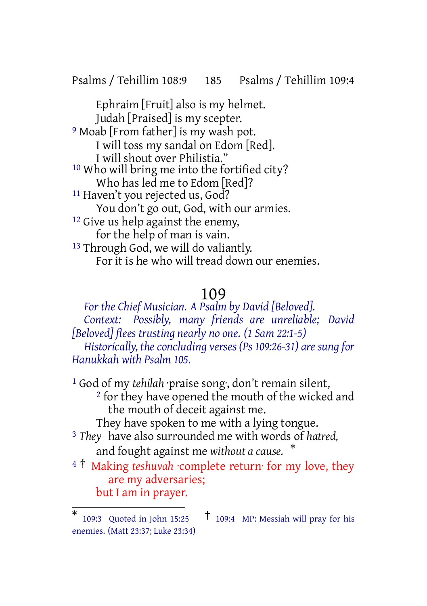Psalms / Tehillim 108:9 185 Psalms / Tehillim 109:4

Ephraim [Fruit] also is my helmet. Judah [Praised] is my scepter. <sup>9</sup> Moab [From father] is my wash pot. I will toss my sandal on Edom [Red]. I will shout over Philistia." 10 Who will bring me into the fortified city? Who has led me to Edom [Red]? 11 Haven't you rejected us, God? You don't go out, God, with our armies. 12 Give us help against the enemy, for the help of man is vain. <sup>13</sup> Through God, we will do valiantly. For it is he who will tread down our enemies.

### 109

*For the Chief Musician. A Psalm by David [Beloved]. Context: Possibly, many friends are unreliable; David [Beloved] flees trusting nearly no one. (1 Sam 22:1-5) Historically, the concluding verses (Ps 109:26-31) are sung for Hanukkah with Psalm 105.*

1 God of my *tehilah* ·praise song·, don't remain silent, <sup>2</sup> for they have opened the mouth of the wicked and the mouth of deceit against me. They have spoken to me with a lying tongue. 3 *They* have also surrounded me with words of *hatred,* and fought against me *without a cause.* \*

<sup>4</sup> † Making *teshuvah* ·complete return· for my love, they are my adversaries; but I am in prayer.

<sup>\*</sup> 109:3 Quoted in John 15:25 † 109:4 MP: Messiah will pray for his enemies. (Matt 23:37; Luke 23:34)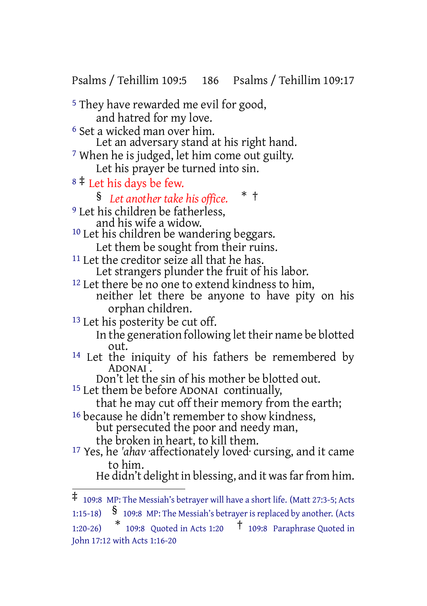Psalms / Tehillim 109:5 186 Psalms / Tehillim 109:17

5 They have rewarded me evil for good, and hatred for my love. 6 Set a wicked man over him. Let an adversary stand at his right hand. 7 When he is judged, let him come out guilty. Let his prayer be turned into sin. <sup>8</sup> ‡ Let his days be few. § *Let another take his office.* \* † <sup>9</sup> Let his children be fatherless, and his wife a widow. <sup>10</sup> Let his children be wandering beggars. Let them be sought from their ruins. <sup>11</sup> Let the creditor seize all that he has. Let strangers plunder the fruit of his labor. <sup>12</sup> Let there be no one to extend kindness to him, neither let there be anyone to have pity on his orphan children. <sup>13</sup> Let his posterity be cut off. In the generation following let their name be blotted out. <sup>14</sup> Let the iniquity of his fathers be remembered by ADONAI . Don't let the sin of his mother be blotted out. <sup>15</sup> Let them be before ADONAI continually, that he may cut off their memory from the earth; <sup>16</sup> because he didn't remember to show kindness, but persecuted the poor and needy man, the broken in heart, to kill them. 17 Yes, he *'ahav* ·affectionately loved· cursing, and it came to him. He didn't delight in blessing, and it was far from him.

<sup>‡</sup> 109:8 MP: The Messiah's betrayer will have <sup>a</sup> short life. (Matt 27:3-5; Acts

<sup>1:15-18)</sup>  $\frac{1}{5}$  109:8 MP: The Messiah's betrayer is replaced by another. (Acts

<sup>1:20-26)</sup> \* 109:8 Quoted in Acts 1:20 † 109:8 Paraphrase Quoted in John 17:12 with Acts 1:16-20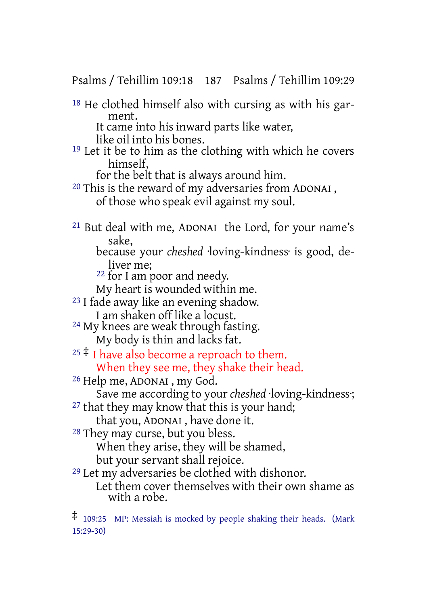Psalms / Tehillim 109:18 187 Psalms / Tehillim 109:29

18 He clothed himself also with cursing as with his garment.

It came into his inward parts like water,

like oil into his bones.

<sup>19</sup> Let it be to him as the clothing with which he covers himself,

for the belt that is always around him.

20 This is the reward of my adversaries from ADONAI , of those who speak evil against my soul.

21 But deal with me, ADONAI the Lord, for your name's sake,

because your *cheshed* ·loving-kindness· is good, deliver me;

<sup>22</sup> for I am poor and needy.

My heart is wounded within me.

23 I fade away like an evening shadow.

I am shaken off like a locust. <sup>24</sup> My knees are weak through fasting.

My body is thin and lacks fat.

 $25 \div 1$  have also become a reproach to them. When they see me, they shake their head.

26 Help me, ADONAI , my God.

Save me according to your *cheshed* ·loving-kindness·;

 $27$  that they may know that this is your hand; that you, ADONAI , have done it.

28 They may curse, but you bless.

When they arise, they will be shamed,

but your servant shall rejoice.

29 Let my adversaries be clothed with dishonor. Let them cover themselves with their own shame as with a robe.

<sup>‡</sup> 109:25 MP: Messiah is mocked by people shaking their heads. (Mark 15:29-30)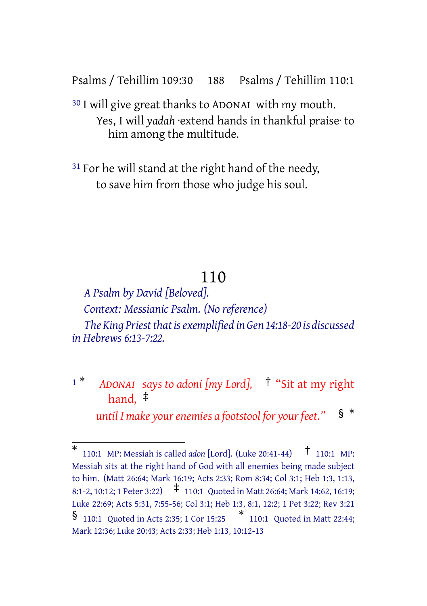Psalms / Tehillim 109:30 188 Psalms / Tehillim 110:1

30 I will give great thanks to ADONAI with my mouth. Yes, I will *yadah* ·extend hands in thankful praise· to him among the multitude.

<sup>31</sup> For he will stand at the right hand of the needy, to save him from those who judge his soul.

## 110

*A Psalm by David [Beloved]. Context: Messianic Psalm. (No reference) The King Priest that is exemplified in Gen 14:18-20 is discussed in Hebrews 6:13-7:22.*

<sup>1</sup> \* *ADONAI says to adoni [my Lord],* † "Sit at my right hand, ‡

*k until I make your enemies a footstool for your feet."* §  $*$ 

<sup>\*</sup> 110:1 MP: Messiah is called *adon* [Lord]. (Luke 20:41-44) † 110:1 MP: Messiah sits at the right hand of God with all enemies being made subject to him. (Matt 26:64; Mark 16:19; Acts 2:33; Rom 8:34; Col 3:1; Heb 1:3, 1:13, 8:1-2, 10:12; <sup>1</sup> Peter 3:22) ‡ 110:1 Quoted in Matt 26:64; Mark 14:62, 16:19; Luke 22:69; Acts 5:31, 7:55-56; Col 3:1; Heb 1:3, 8:1, 12:2; 1 Pet 3:22; Rev 3:21 § 110:1 Quoted in Acts 2:35; <sup>1</sup> Cor 15:25 \* 110:1 Quoted in Matt 22:44; Mark 12:36; Luke 20:43; Acts 2:33; Heb 1:13, 10:12-13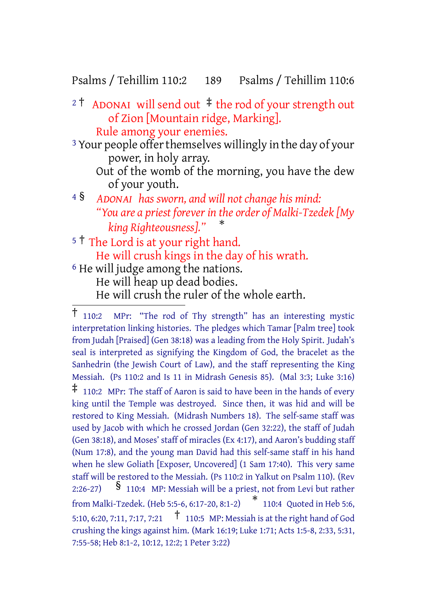### Psalms / Tehillim 110:2 189 Psalms / Tehillim 110:6

<sup>2</sup> † ADONAI will send out ‡ the rod of your strength out of Zion [Mountain ridge, Marking]. Rule among your enemies.

<sup>3</sup> Your people offer themselves willingly in the day of your power, in holy array.

- Out of the womb of the morning, you have the dew of your youth.
- <sup>4</sup> § *ADONAI has sworn, and will not change his mind: "You are a priest forever in the order of Malki-Tzedek [My king Righteousness]."* \*
- <sup>5</sup> <sup>†</sup> The Lord is at your right hand. He will crush kings in the day of his wrath. 6 He will judge among the nations. He will heap up dead bodies. He will crush the ruler of the whole earth.

<sup>†</sup> 110:2 MPr: "The rod of Thy strength" has an interesting mystic interpretation linking histories. The pledges which Tamar [Palm tree] took from Judah [Praised] (Gen 38:18) was a leading from the Holy Spirit. Judah's seal is interpreted as signifying the Kingdom of God, the bracelet as the Sanhedrin (the Jewish Court of Law), and the staff representing the King Messiah. (Ps 110:2 and Is 11 in Midrash Genesis 85). (Mal 3:3; Luke 3:16)  $\ddagger$  110:2 MPr: The staff of Aaron is said to have been in the hands of every king until the Temple was destroyed. Since then, it was hid and will be restored to King Messiah. (Midrash Numbers 18). The self-same staff was used by Jacob with which he crossed Jordan (Gen 32:22), the staff of Judah (Gen 38:18), and Moses' staff of miracles (Ex 4:17), and Aaron's budding staff (Num 17:8), and the young man David had this self-same staff in his hand when he slew Goliath [Exposer, Uncovered] (1 Sam 17:40). This very same staff will be restored to the Messiah. (Ps 110:2 in Yalkut on Psalm 110). (Rev 2:26-27)  $\frac{1}{2}$  110:4 MP: Messiah will be a priest, not from Levi but rather from Malki-Tzedek. (Heb 5:5-6, 6:17-20, 8:1-2) \* 110:4 Quoted in Heb 5:6, 5:10, 6:20, 7:11, 7:17, 7:21 † 110:5 MP: Messiah is at the right hand of God crushing the kings against him. (Mark 16:19; Luke 1:71; Acts 1:5-8, 2:33, 5:31, 7:55-58; Heb 8:1-2, 10:12, 12:2; 1 Peter 3:22)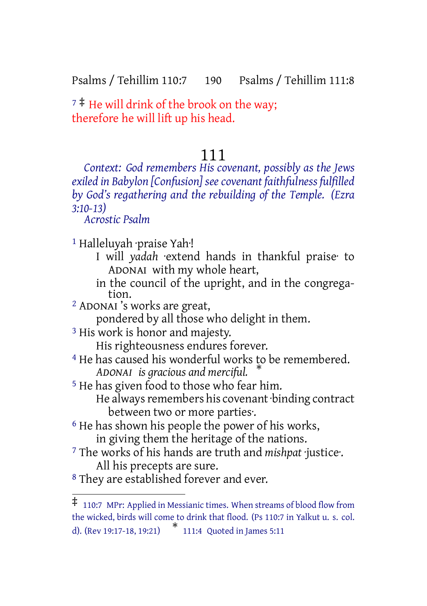Psalms / Tehillim 110:7 190 Psalms / Tehillim 111:8

 $7 \div 7$  He will drink of the brook on the way; therefore he will lift up his head.

### 111

*Context: God remembers His covenant, possibly as the Jews exiled in Babylon [Confusion] seecovenant faithfulness fulfilled by God's regathering and the rebuilding of the Temple. (Ezra 3:10-13)*

*Acrostic Psalm*

1 Halleluyah ·praise Yah·!

- I will *yadah* ·extend hands in thankful praise· to ADONAI with my whole heart,
- in the council of the upright, and in the congregation.
- 2 ADONAI 's works are great,

pondered by all those who delight in them.

3 His work is honor and majesty.

His righteousness endures forever.

- 4 He has caused his wonderful works to be remembered. *ADONAI is gracious and merciful.* \*
- 5 He has given food to those who fear him. He always remembers his covenant binding contract between two or more parties·.
- <sup>6</sup> He has shown his people the power of his works, in giving them the heritage of the nations.
- 7 The works of his hands are truth and *mishpat* ·justice·. All his precepts are sure.
- 8 They are established forever and ever.

<sup>‡</sup> 110:7 MPr: Applied in Messianic times. When streams of blood flow from the wicked, birds will come to drink that flood. (Ps 110:7 in Yalkut u. s. col. d). (Rev 19:17-18, 19:21) \* 111:4 Quoted in James 5:11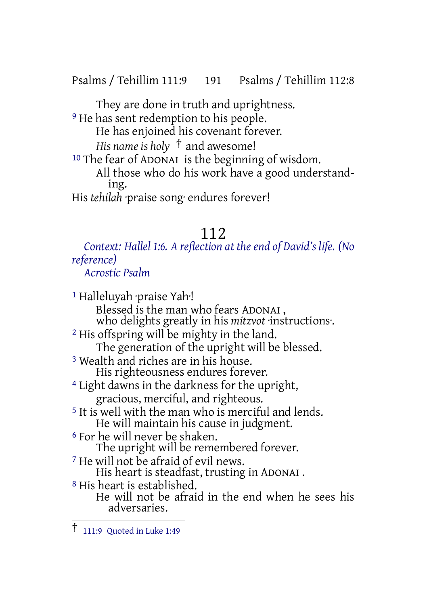Psalms / Tehillim 111:9 191 Psalms / Tehillim 112:8

They are done in truth and uprightness. <sup>9</sup> He has sent redemption to his people. He has enjoined his covenant forever. *His name is holy* † and awesome! 10 The fear of ADONAI is the beginning of wisdom.

All those who do his work have a good understanding. His *tehilah* ·praise song· endures forever!

## 112

*Context: Hallel 1:6. A reflection at the end of David's life. (No reference) Acrostic Psalm*

1 Halleluyah ·praise Yah·! Blessed is the man who fears ADONAI , who delights greatly in his *mitzvot* ·instructions·. 2 His offspring will be mighty in the land. The generation of the upright will be blessed. 3 Wealth and riches are in his house. His righteousness endures forever. 4 Light dawns in the darkness for the upright, gracious, merciful, and righteous. 5 It is well with the man who is merciful and lends. He will maintain his cause in judgment. 6 For he will never be shaken. The upright will be remembered forever. 7 He will not be afraid of evil news. His heart is steadfast, trusting in ADONAI . 8 His heart is established. He will not be afraid in the end when he sees his adversaries.

<sup>†</sup> 111:9 Quoted in Luke 1:49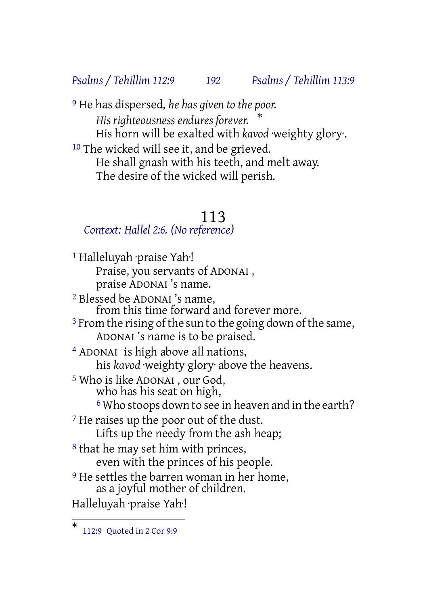### *Psalms / Tehillim 112:9 192 Psalms / Tehillim 113:9*

9 He has dispersed, *he has given to the poor. His righteousness endures forever.* \* His horn will be exalted with *kavod* ·weighty glory. <sup>10</sup> The wicked will see it, and be grieved. He shall gnash with his teeth, and melt away. The desire of the wicked will perish.

### 113

### *Context: Hallel 2:6. (No reference)*

1 Halleluyah ·praise Yah·! Praise, you servants of ADONAI , praise ADONAI 's name. 2 Blessed be ADONAI 's name, from this time forward and forever more. <sup>3</sup> From the rising of the sun to the going down of the same, ADONAI 's name is to be praised. 4 ADONAI is high above all nations, his *kavod* ·weighty glory· above the heavens. 5 Who is like ADONAI , our God, who has his seat on high, <sup>6</sup> Who stoops down to see in heaven and in the earth? <sup>7</sup> He raises up the poor out of the dust. Lifts up the needy from the ash heap; 8 that he may set him with princes, even with the princes of his people. <sup>9</sup> He settles the barren woman in her home, as a joyful mother of children. Halleluyah ·praise Yah·!

<sup>\*</sup> 112:9 Quoted in 2 Cor 9:9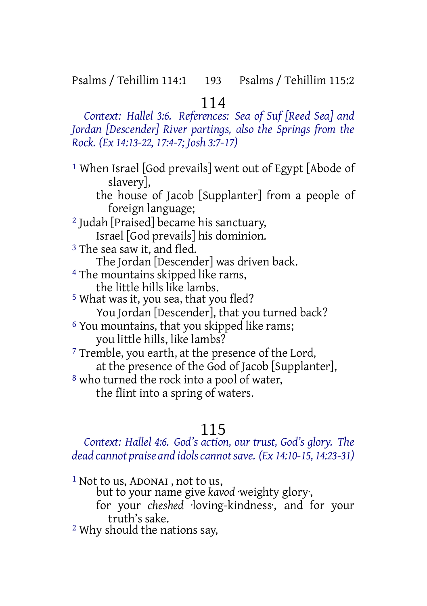## 114

*Context: Hallel 3:6. References: Sea of Suf [Reed Sea] and Jordan [Descender] River partings, also the Springs from the Rock. (Ex 14:13-22, 17:4-7; Josh 3:7-17)*

1 When Israel [God prevails] went out of Egypt [Abode of slavery], the house of Jacob [Supplanter] from a people of foreign language; 2 Judah [Praised] became his sanctuary, Israel [God prevails] his dominion. <sup>3</sup> The sea saw it, and fled. The Jordan [Descender] was driven back. 4 The mountains skipped like rams, the little hills like lambs. 5 What was it, you sea, that you fled? You Jordan [Descender], that you turned back? <sup>6</sup> You mountains, that you skipped like rams; you little hills, like lambs? <sup>7</sup> Tremble, you earth, at the presence of the Lord, at the presence of the God of Jacob [Supplanter], 8 who turned the rock into a pool of water, the flint into a spring of waters.

## 115

*Context: Hallel 4:6. God's action, our trust, God's glory. The dead cannot praise and idolscannotsave. (Ex 14:10-15, 14:23-31)*

1 Not to us, ADONAI , not to us, but to your name give *kavod* weighty glory, for your *cheshed* ·loving-kindness·, and for your truth's sake. 2 Why should the nations say,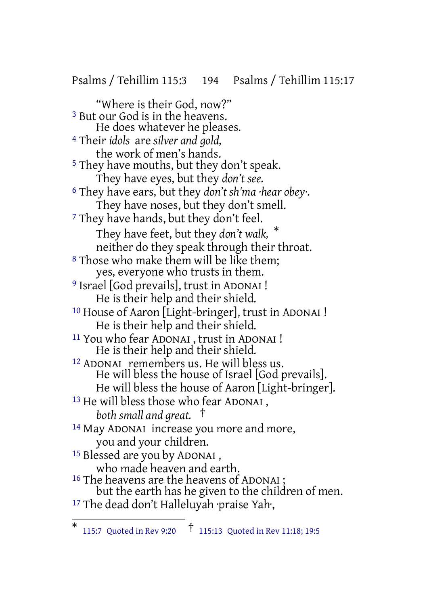Psalms / Tehillim 115:3 194 Psalms / Tehillim 115:17

"Where is their God, now?" 3 But our God is in the heavens. He does whatever he pleases. 4 Their *idols* are *silver and gold,* the work of men's hands. 5 They have mouths, but they don't speak. They have eyes, but they *don't see.* 6 They have ears, but they *don't sh'ma ·hear obey·.* They have noses, but they don't smell. <sup>7</sup> They have hands, but they don't feel. They have feet, but they *don't walk,* \* neither do they speak through their throat. 8 Those who make them will be like them; yes, everyone who trusts in them. <sup>9</sup> Israel [God prevails], trust in ADONAI ! He is their help and their shield. 10 House of Aaron [Light-bringer], trust in ADONAI ! He is their help and their shield. 11 You who fear ADONAI , trust in ADONAI ! He is their help and their shield. 12 ADONAI remembers us. He will bless us. He will bless the house of Israel [God prevails]. He will bless the house of Aaron [Light-bringer]. 13 He will bless those who fear ADONAI , *both small and great.* † 14 May ADONAI increase you more and more, you and your children. 15 Blessed are you by ADONAI , who made heaven and earth. <sup>16</sup> The heavens are the heavens of ADONAI ; but the earth has he given to the children of men.

<sup>17</sup> The dead don't Halleluyah ·praise Yah·,

<sup>\*</sup> 115:7 Quoted in Rev 9:20 † 115:13 Quoted in Rev 11:18; 19:5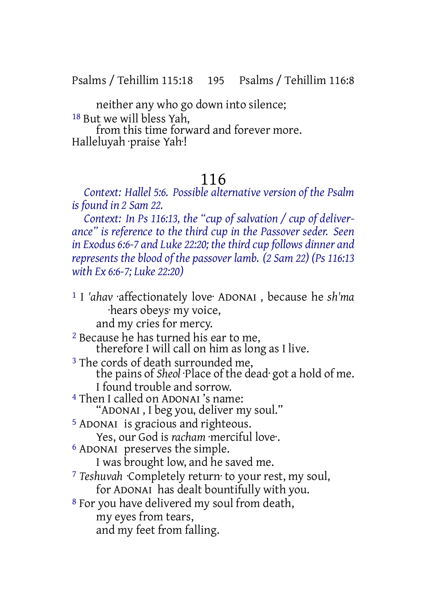Psalms / Tehillim 115:18 195 Psalms / Tehillim 116:8

neither any who go down into silence; 18 But we will bless Yah,

from this time forward and forever more. Halleluyah ·praise Yah·!

# 116

*Context: Hallel 5:6. Possible alternative version of the Psalm is found in 2 Sam 22.*

*Context: In Ps 116:13, the "cup of salvation / cup of deliverance" is reference to the third cup in the Passover seder. Seen in* Exodus 6:6-7 and Luke 22:20; the third cup follows dinner and *represents the blood of the passover lamb. (2 Sam 22) (Ps 116:13 with Ex 6:6-7; Luke 22:20)*

1 I *'ahav* ·affectionately love· ADONAI , because he *sh'ma* ·hears obeys· my voice, and my cries for mercy. 2 Because he has turned his ear to me, therefore I will call on him as long as I live. <sup>3</sup> The cords of death surrounded me, the pains of *Sheol* ·Place of the dead· got a hold of me. I found trouble and sorrow. 4 Then I called on ADONAI 's name: "ADONAI , I beg you, deliver my soul." 5 ADONAI is gracious and righteous. Yes, our God is *racham* ·merciful love·. 6 ADONAI preserves the simple. I was brought low, and he saved me. 7 *Teshuvah* ·Completely return· to your rest, my soul, for ADONAI has dealt bountifully with you. 8 For you have delivered my soul from death, my eyes from tears, and my feet from falling.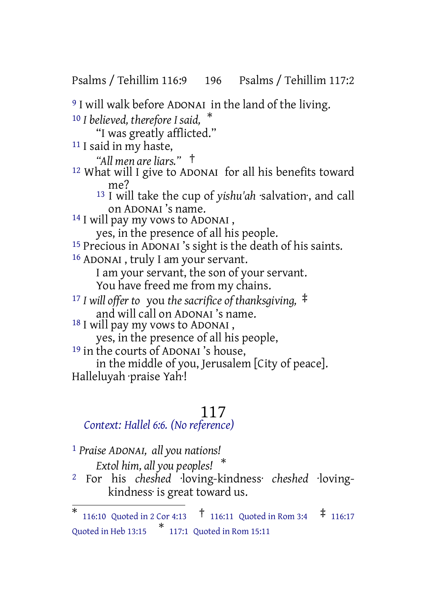Psalms / Tehillim 116:9 196 Psalms / Tehillim 117:2

9 I will walk before ADONAI in the land of the living. <sup>10</sup> *I believed, therefore I said,* \* "I was greatly afflicted." <sup>11</sup> I said in my haste, *"All men are liars."* † 12 What will I give to ADONAI for all his benefits toward me? 13 I will take the cup of *yishu'ah* ·salvation·, and call on ADONAI 's name. <sup>14</sup> I will pay my vows to ADONAI, yes, in the presence of all his people. 15 Precious in ADONAI 's sight is the death of his saints. 16 ADONAI , truly I am your servant. I am your servant, the son of your servant. You have freed me from my chains. <sup>17</sup> *I will offer to* you *the sacrifice of thanksgiving,* ‡ and will call on ADONAI 's name. <sup>18</sup> I will pay my vows to ADONAI, yes, in the presence of all his people, 19 in the courts of ADONAI 's house, in the middle of you, Jerusalem [City of peace]. Halleluyah ·praise Yah·!

# 117

## *Context: Hallel 6:6. (No reference)*

1 *Praise ADONAI, all you nations!*

*Extol him, all you peoples!* \*

2 For his *cheshed* ·loving-kindness· *cheshed* ·lovingkindness· is great toward us.

<sup>\* 116:10</sup> Quoted in 2 Cor 4:13  $\frac{1}{10}$  116:11 Quoted in Rom 3:4  $\frac{1}{10}$  116:17 Quoted in Heb 13:15 \* 117:1 Quoted in Rom 15:11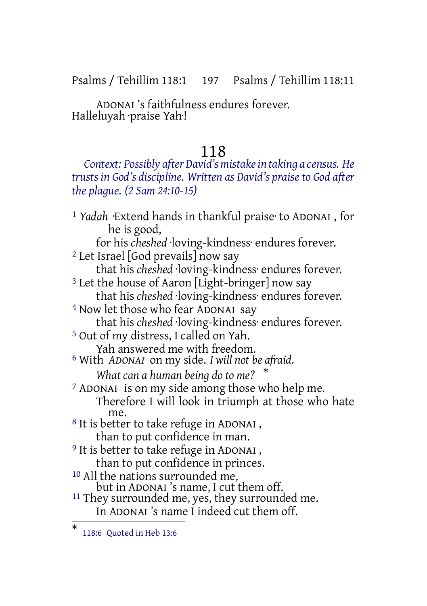Psalms / Tehillim 118:1 197 Psalms / Tehillim 118:11

ADONAI 's faithfulness endures forever. Halleluyah ·praise Yah·!

### 118

*Context: Possibly after David's mistakein taking a census. He trusts in God's discipline. Written as David's praise to God after the plague. (2 Sam 24:10-15)*

1 *Yadah* ·Extend hands in thankful praise· to ADONAI , for he is good, for his *cheshed* ·loving-kindness· endures forever. 2 Let Israel [God prevails] now say that his *cheshed* ·loving-kindness· endures forever. <sup>3</sup> Let the house of Aaron [Light-bringer] now say that his *cheshed* ·loving-kindness· endures forever. 4 Now let those who fear ADONAI say that his *cheshed* ·loving-kindness· endures forever. 5 Out of my distress, I called on Yah. Yah answered me with freedom. 6 With *ADONAI* on my side. *I will not be afraid. What can a human being do to me?* \* 7 ADONAI is on my side among those who help me. Therefore I will look in triumph at those who hate me. 8 It is better to take refuge in ADONAI , than to put confidence in man. <sup>9</sup> It is better to take refuge in ADONAI, than to put confidence in princes. 10 All the nations surrounded me, but in ADONAI 's name, I cut them off. <sup>11</sup> They surrounded me, yes, they surrounded me. In ADONAI 's name I indeed cut them off.

<sup>\*</sup> 118:6 Quoted in Heb 13:6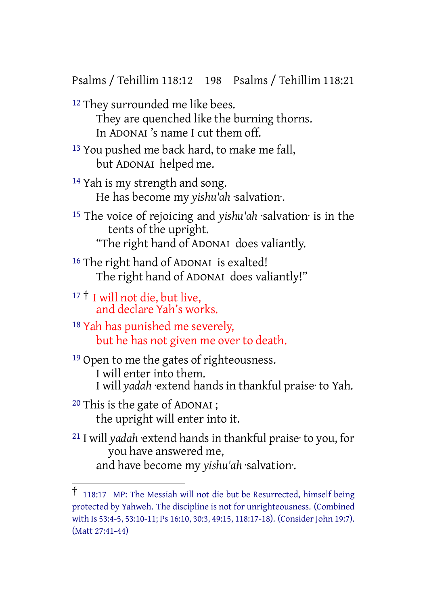Psalms / Tehillim 118:12 198 Psalms / Tehillim 118:21

- 12 They surrounded me like bees. They are quenched like the burning thorns. In ADONAI 's name I cut them off.
- <sup>13</sup> You pushed me back hard, to make me fall, but ADONAI helped me.
- 14 Yah is my strength and song. He has become my *yishu'ah* ·salvation·.
- 15 The voice of rejoicing and *yishu'ah* ·salvation· is in the tents of the upright. "The right hand of ADONAI does valiantly.
- 16 The right hand of ADONAI is exalted! The right hand of ADONAI does valiantly!"
- <sup>17</sup> † I will not die, but live, and declare Yah's works.
- 18 Yah has punished me severely, but he has not given me over to death.
- <sup>19</sup> Open to me the gates of righteousness. I will enter into them. I will *yadah* ·extend hands in thankful praise· to Yah.
- 20 This is the gate of ADONAI ; the upright will enter into it.
- 21 I will *yadah* ·extend hands in thankful praise· to you, for you have answered me, and have become my *yishu'ah* ·salvation·.

<sup>†</sup> 118:17 MP: The Messiah will not die but be Resurrected, himself being protected by Yahweh. The discipline is not for unrighteousness. (Combined with Is 53:4-5, 53:10-11; Ps 16:10, 30:3, 49:15, 118:17-18). (Consider John 19:7). (Matt 27:41-44)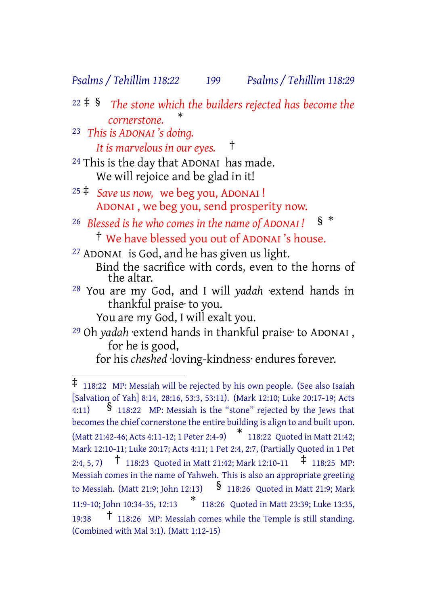#### *Psalms / Tehillim 118:22 199 Psalms / Tehillim 118:29*

<sup>22</sup> ‡ § *The stone which the builders rejected has become the cornerstone.* \*

23 *This is ADONAI 's doing. It is marvelous in our eyes.* †

- 24 This is the day that ADONAI has made. We will rejoice and be glad in it!
- <sup>25</sup> ‡ *Save us now,* we beg you, ADONAI ! ADONAI , we beg you, send prosperity now.
- <sup>26</sup> *Blessed is he who comes in the name of ADONAI !* § \* † We have blessed you out of ADONAI 's house.

27 ADONAI is God, and he has given us light. Bind the sacrifice with cords, even to the horns of the altar.

28 You are my God, and I will *yadah* ·extend hands in thankful praise· to you.

You are my God, I will exalt you.

29 Oh *yadah* ·extend hands in thankful praise· to ADONAI , for he is good,

for his *cheshed* ·loving-kindness· endures forever.

<sup>‡</sup> 118:22 MP: Messiah will be rejected by his own people. (See also Isaiah [Salvation of Yah] 8:14, 28:16, 53:3, 53:11). (Mark 12:10; Luke 20:17-19; Acts 4:11) § 118:22 MP: Messiah is the "stone" rejected by the Jews that becomes the chief cornerstone the entire building is align to and built upon. (Matt 21:42-46; Acts 4:11-12; <sup>1</sup> Peter 2:4-9) \* 118:22 Quoted in Matt 21:42; Mark 12:10-11; Luke 20:17; Acts 4:11; 1 Pet 2:4, 2:7, (Partially Quoted in 1 Pet 2:4, 5, 7) † 118:23 Quoted in Matt 21:42; Mark 12:10-11 ‡ 118:25 MP: Messiah comes in the name of Yahweh. This is also an appropriate greeting to Messiah. (Matt 21:9; John 12:13)  $\frac{1}{2}$  118:26 Quoted in Matt 21:9; Mark 11:9-10; John 10:34-35, 12:13 \* 118:26 Quoted in Matt 23:39; Luke 13:35, 19:38 † 118:26 MP: Messiah comes while the Temple is still standing. (Combined with Mal 3:1). (Matt 1:12-15)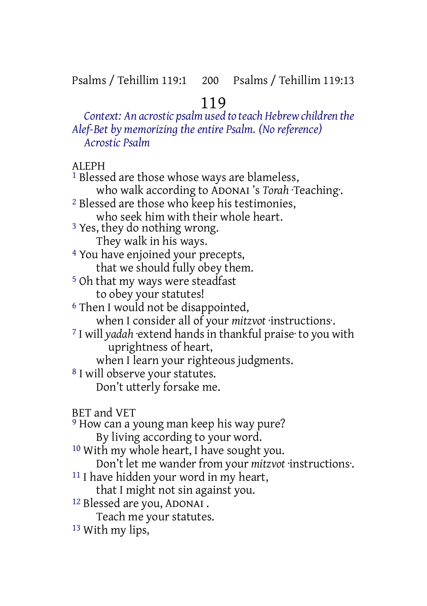# 119

*Context: An acrostic psalm used to teach Hebrewchildren the Alef-Bet by memorizing the entire Psalm. (No reference) Acrostic Psalm*

ALEPH

<sup>1</sup> Blessed are those whose ways are blameless, who walk according to ADONAI 's *Torah* ·Teaching·. 2 Blessed are those who keep his testimonies, who seek him with their whole heart. 3 Yes, they do nothing wrong. They walk in his ways. 4 You have enjoined your precepts, that we should fully obey them. 5 Oh that my ways were steadfast to obey your statutes! 6 Then I would not be disappointed, when I consider all of your *mitzvot* ·instructions·. 7 I will *yadah* ·extend handsin thankful praise· to you with uprightness of heart, when I learn your righteous judgments. 8 I will observe your statutes. Don't utterly forsake me. BET and VET <sup>9</sup> How can a young man keep his way pure? By living according to your word. 10 With my whole heart, I have sought you. Don't let me wander from your *mitzvot* ·instructions. 11 I have hidden your word in my heart, that I might not sin against you. 12 Blessed are you, ADONAI . Teach me your statutes. 13 With my lips,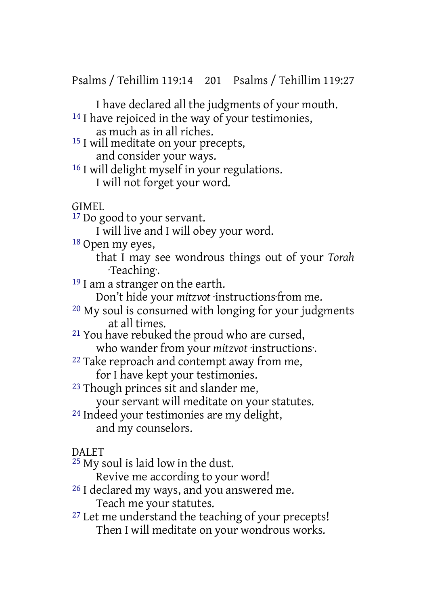Psalms / Tehillim 119:14 201 Psalms / Tehillim 119:27

I have declared all the judgments of your mouth.

<sup>14</sup> I have rejoiced in the way of your testimonies,

as much as in all riches.

15 I will meditate on your precepts, and consider your ways.

16 I will delight myself in your regulations. I will not forget your word.

GIMEL

17 Do good to your servant.

I will live and I will obey your word.

18 Open my eyes,

that I may see wondrous things out of your *Torah* ·Teaching·.

<sup>19</sup> I am a stranger on the earth.

Don't hide your *mitzvot* ·instructions·from me.

20 My soul is consumed with longing for your judgments at all times.

21 You have rebuked the proud who are cursed,

who wander from your *mitzvot* ·instructions·.

<sup>22</sup> Take reproach and contempt away from me,

for I have kept your testimonies.

23 Though princes sit and slander me,

your servant will meditate on your statutes.

24 Indeed your testimonies are my delight, and my counselors.

### DAI FT

25 My soul is laid low in the dust.

Revive me according to your word!

- <sup>26</sup> I declared my ways, and you answered me. Teach me your statutes.
- <sup>27</sup> Let me understand the teaching of your precepts! Then I will meditate on your wondrous works.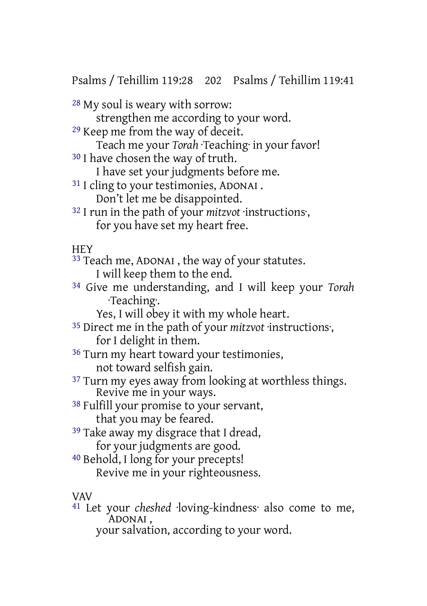Psalms / Tehillim 119:28 202 Psalms / Tehillim 119:41

- 28 My soul is weary with sorrow:
	- strengthen me according to your word.
- 29 Keep me from the way of deceit.
- Teach me your *Torah Teaching* in your favor! <sup>30</sup> I have chosen the way of truth.
	- I have set your judgments before me.
- 31 I cling to your testimonies, ADONAI . Don't let me be disappointed.
- 32 I run in the path of your *mitzvot* ·instructions·, for you have set my heart free.
- **HFY**
- <sup>33</sup> Teach me, ADONAI, the way of your statutes.
	- I will keep them to the end.
- 34 Give me understanding, and I will keep your *Torah* ·Teaching·.
	- Yes, I will obey it with my whole heart.
- 35 Direct me in the path of your *mitzvot* ·instructions·, for I delight in them.
- 36 Turn my heart toward your testimonies, not toward selfish gain.
- <sup>37</sup> Turn my eyes away from looking at worthless things. Revive me in your ways.
- 38 Fulfill your promise to your servant, that you may be feared.
- <sup>39</sup> Take away my disgrace that I dread, for your judgments are good.
- 40 Behold, I long for your precepts! Revive me in your righteousness.

### VAV

41 Let your *cheshed* ·loving-kindness· also come to me, ADONAI ,

your salvation, according to your word.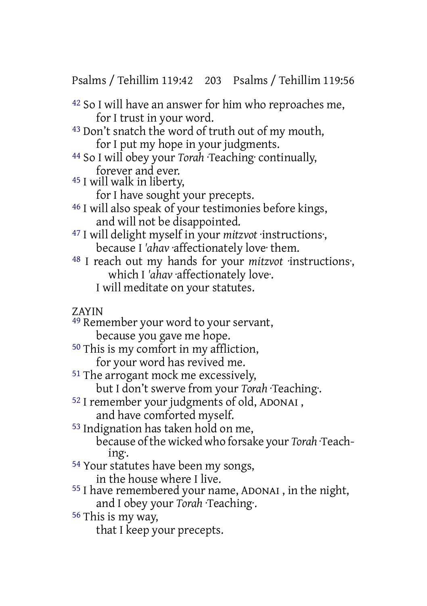Psalms / Tehillim 119:42 203 Psalms / Tehillim 119:56

42 So I will have an answer for him who reproaches me, for I trust in your word.

43 Don't snatch the word of truth out of my mouth, for I put my hope in your judgments.

44 So I will obey your *Torah* ·Teaching· continually, forever and ever.

45 I will walk in liberty,

for I have sought your precepts.

46 I will also speak of your testimonies before kings, and will not be disappointed.

47 I will delight myself in your *mitzvot* ·instructions·, because I *'ahav* ·affectionately love· them.

48 I reach out my hands for your *mitzvot* ·instructions·, which I 'ahav affectionately love. I will meditate on your statutes.

ZAYIN

49 Remember your word to your servant, because you gave me hope.

50 This is my comfort in my affliction,

for your word has revived me.

51 The arrogant mock me excessively,

but I don't swerve from your *Torah* ·Teaching·.

52 I remember your judgments of old, ADONAI , and have comforted myself.

53 Indignation has taken hold on me,

because ofthe wicked who forsake your *Torah* ·Teaching·.

54 Your statutes have been my songs, in the house where I live.

55 I have remembered your name, ADONAI , in the night, and I obey your *Torah* ·Teaching·.

56 This is my way,

that I keep your precepts.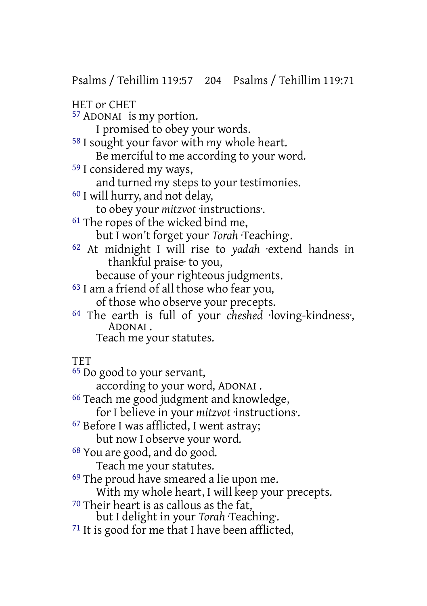Psalms / Tehillim 119:57 204 Psalms / Tehillim 119:71

HET or CHET

57 ADONAI is my portion.

I promised to obey your words.

58 I sought your favor with my whole heart.

Be merciful to me according to your word.

59 I considered my ways,

and turned my steps to your testimonies.

60 I will hurry, and not delay,

to obey your *mitzvot* ·instructions·.

61 The ropes of the wicked bind me,

but I won't forget your *Torah* ·Teaching·.

62 At midnight I will rise to *yadah* ·extend hands in thankful praise· to you,

because of your righteous judgments.

- 63 I am a friend of all those who fear you,
	- of those who observe your precepts.
- 64 The earth is full of your *cheshed* ·loving-kindness·, ADONAI .

Teach me your statutes.

**TFT** 

65 Do good to your servant,

according to your word, ADONAI .

66 Teach me good judgment and knowledge,

for I believe in your *mitzvot* ·instructions.

67 Before I was afflicted, I went astray;

but now I observe your word.

68 You are good, and do good.

Teach me your statutes.

69 The proud have smeared a lie upon me.

With my whole heart, I will keep your precepts.

70 Their heart is as callous as the fat,

but I delight in your *Torah* ·Teaching·.

 $71$  It is good for me that I have been afflicted,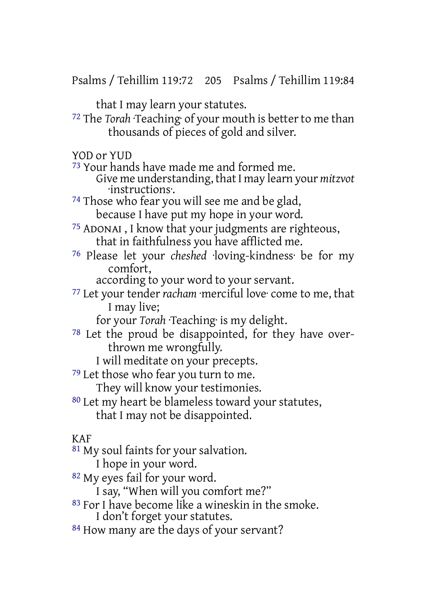Psalms / Tehillim 119:72 205 Psalms / Tehillim 119:84

that I may learn your statutes.

72 The *Torah* ·Teaching· of your mouth is betterto me than thousands of pieces of gold and silver.

YOD or YUD

73 Your hands have made me and formed me.

Give me understanding, thatI may learn your *mitzvot* ·instructions·.

<sup>74</sup> Those who fear you will see me and be glad, because I have put my hope in your word.

75 ADONAI , I know that your judgments are righteous, that in faithfulness you have afflicted me.

76 Please let your *cheshed* ·loving-kindness· be for my comfort,

according to your word to your servant.

77 Let your tender *racham* ·merciful love· come to me, that I may live;

for your *Torah* ·Teaching· is my delight.

78 Let the proud be disappointed, for they have overthrown me wrongfully.

I will meditate on your precepts.

79 Let those who fear you turn to me.

They will know your testimonies.

80 Let my heart be blameless toward your statutes, that I may not be disappointed.

### KAF

81 My soul faints for your salvation.

I hope in your word.

82 My eyes fail for your word.

I say, "When will you comfort me?"

- 83 For I have become like a wineskin in the smoke. I don't forget your statutes.
- 84 How many are the days of your servant?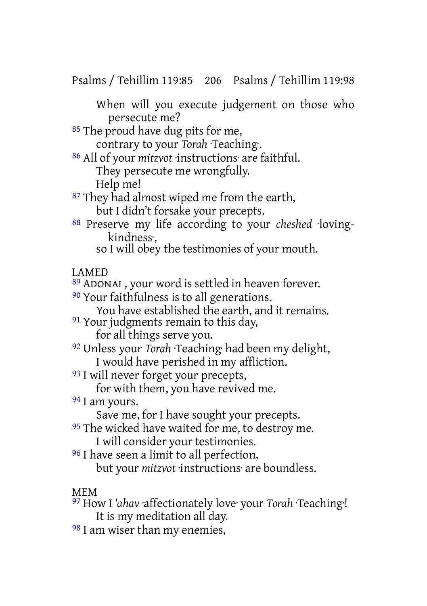Psalms / Tehillim 119:85 206 Psalms / Tehillim 119:98

When will you execute judgement on those who persecute me?

<sup>85</sup> The proud have dug pits for me,

contrary to your *Torah* ·Teaching·.

86 All of your *mitzvot* ·instructions· are faithful. They persecute me wrongfully. Help me!

<sup>87</sup> They had almost wiped me from the earth, but I didn't forsake your precepts.

88 Preserve my life according to your *cheshed* ·lovingkindness·,

so I will obey the testimonies of your mouth.

### LAMED

89 ADONAI , your word is settled in heaven forever.

<sup>90</sup> Your faithfulness is to all generations.

You have established the earth, and it remains.

<sup>91</sup> Your judgments remain to this day,

for all things serve you.

- 92 Unless your *Torah* ·Teaching· had been my delight, I would have perished in my affliction.
- 93 I will never forget your precepts,

for with them, you have revived me.

94 I am yours.

Save me, for I have sought your precepts.

- <sup>95</sup> The wicked have waited for me, to destroy me.
	- I will consider your testimonies.
- 96 I have seen a limit to all perfection,

but your *mitzvot* ·instructions· are boundless.

### MEM

97 How I *'ahav* ·affectionately love· your *Torah* ·Teaching·! It is my meditation all day.

98 I am wiser than my enemies,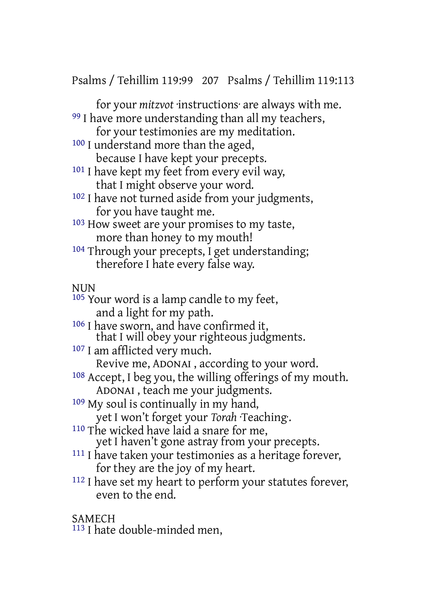Psalms / Tehillim 119:99 207 Psalms / Tehillim 119:113

for your *mitzvot* ·instructions· are always with me. 99 I have more understanding than all my teachers,

for your testimonies are my meditation.

100 I understand more than the aged,

because I have kept your precepts.

- <sup>101</sup> I have kept my feet from every evil way, that I might observe your word.
- 102 I have not turned aside from your judgments, for you have taught me.
- 103 How sweet are your promises to my taste, more than honey to my mouth!
- 104 Through your precepts, I get understanding; therefore I hate every false way.

### **NUN**

- 105 Your word is a lamp candle to my feet, and a light for my path.
- 106 I have sworn, and have confirmed it, that I will obey your righteous judgments.
- 107 I am afflicted very much.

Revive me, ADONAI , according to your word.

- 108 Accept, I beg you, the willing offerings of my mouth. ADONAI , teach me your judgments.
- 109 My soul is continually in my hand, yet I won't forget your *Torah* ·Teaching·.
- 110 The wicked have laid a snare for me, yet I haven't gone astray from your precepts.
- 111 I have taken your testimonies as a heritage forever, for they are the joy of my heart.
- 112 I have set my heart to perform your statutes forever, even to the end.
- SAMECH
- 113 I hate double-minded men,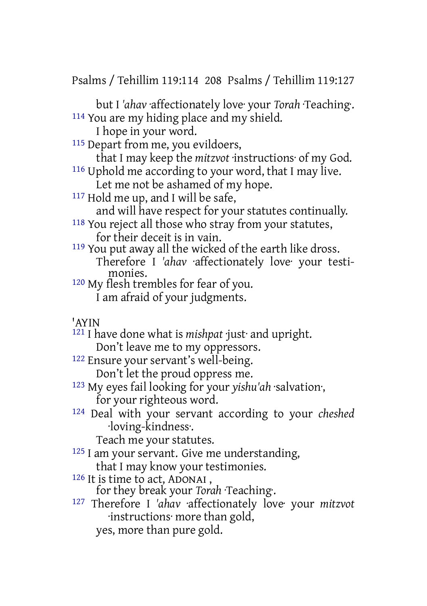Psalms / Tehillim 119:114 208 Psalms / Tehillim 119:127

but I *'ahav* ·affectionately love· your *Torah* ·Teaching·. 114 You are my hiding place and my shield.

I hope in your word.

115 Depart from me, you evildoers,

that I may keep the *mitzvot* ·instructions· of my God. 116 Uphold me according to your word, that I may live.

Let me not be ashamed of my hope.

117 Hold me up, and I will be safe,

and will have respect for your statutes continually.

118 You reject all those who stray from your statutes, for their deceit is in vain.

- 119 You put away all the wicked of the earth like dross. Therefore I *'ahav* ·affectionately love· your testimonies.
- 120 My flesh trembles for fear of you. I am afraid of your judgments.
- 'AYIN

121 I have done what is *mishpat* ·just· and upright. Don't leave me to my oppressors.

122 Ensure your servant's well-being.

Don't let the proud oppress me.

- 123 My eyes fail looking for your *yishu'ah* ·salvation·, for your righteous word.
- 124 Deal with your servant according to your *cheshed* ·loving-kindness·.

Teach me your statutes.

- 125 I am your servant. Give me understanding, that I may know your testimonies.
- 126 It is time to act, ADONAI , for they break your *Torah* ·Teaching·.
- 127 Therefore I *'ahav* ·affectionately love· your *mitzvot* ·instructions· more than gold,
	- yes, more than pure gold.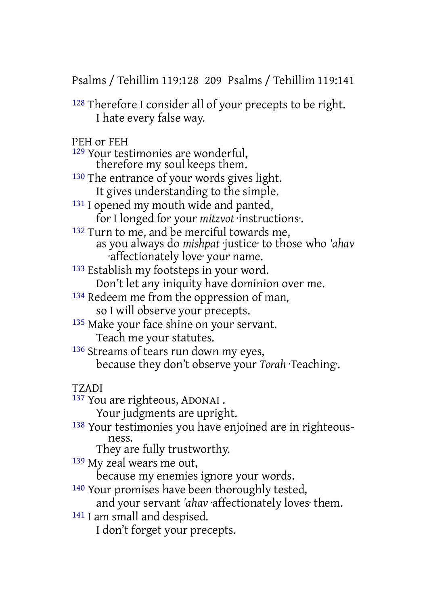Psalms / Tehillim 119:128 209 Psalms / Tehillim 119:141

128 Therefore I consider all of your precepts to be right. I hate every false way.

PEH or FEH

129 Your testimonies are wonderful, therefore my soul keeps them.

<sup>130</sup> The entrance of your words gives light. It gives understanding to the simple.

- <sup>131</sup> I opened my mouth wide and panted, for I longed for your *mitzvot* ·instructions·.
- <sup>132</sup> Turn to me, and be merciful towards me, as you always do *mishpat* ·justice· to those who *'ahav* ·affectionately love· your name.
- 133 Establish my footsteps in your word.
	- Don't let any iniquity have dominion over me.
- 134 Redeem me from the oppression of man, so I will observe your precepts.
- 135 Make your face shine on your servant. Teach me your statutes.
- 136 Streams of tears run down my eyes, because they don't observe your *Torah* ·Teaching·.

TZADI

137 You are righteous, ADONAI .

Your judgments are upright.

138 Your testimonies you have enjoined are in righteousness.

They are fully trustworthy.

139 My zeal wears me out,

because my enemies ignore your words.

140 Your promises have been thoroughly tested,

and your servant *'ahav* ·affectionately loves· them.

141 I am small and despised.

I don't forget your precepts.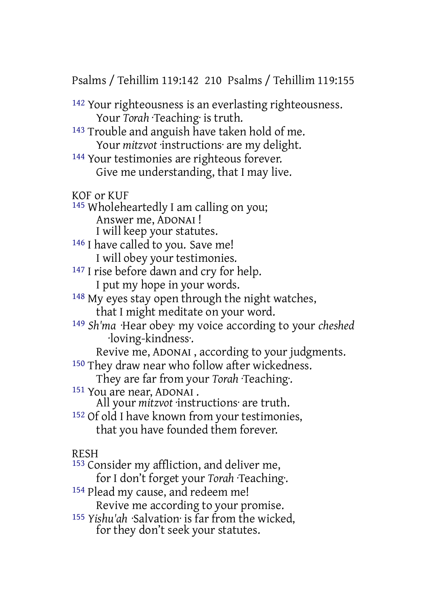Psalms / Tehillim 119:142 210 Psalms / Tehillim 119:155

142 Your righteousness is an everlasting righteousness. Your *Torah Teaching* is truth.

- 143 Trouble and anguish have taken hold of me. Your *mitzvot* ·instructions· are my delight.
- 144 Your testimonies are righteous forever. Give me understanding, that I may live.

KOF or KUF

- 145 Wholeheartedly I am calling on you; Answer me, ADONAI ! I will keep your statutes.
- 146 I have called to you. Save me! I will obey your testimonies.
- 147 I rise before dawn and cry for help.
	- I put my hope in your words.
- 148 My eyes stay open through the night watches,
	- that I might meditate on your word.
- 149 *Sh'ma* ·Hear obey· my voice according to your *cheshed* ·loving-kindness·.
	- Revive me, ADONAI , according to your judgments.
- 150 They draw near who follow after wickedness.
	- They are far from your *Torah* ·Teaching·.
- 151 You are near, ADONAI .
	- All your *mitzvot* ·instructions· are truth.
- 152 Of old I have known from your testimonies, that you have founded them forever.

### RESH

- 153 Consider my affliction, and deliver me,
	- for I don't forget your *Torah* ·Teaching·.
- 154 Plead my cause, and redeem me! Revive me according to your promise.
- 155 *Yishu'ah* ·Salvation· is far from the wicked, for they don't seek your statutes.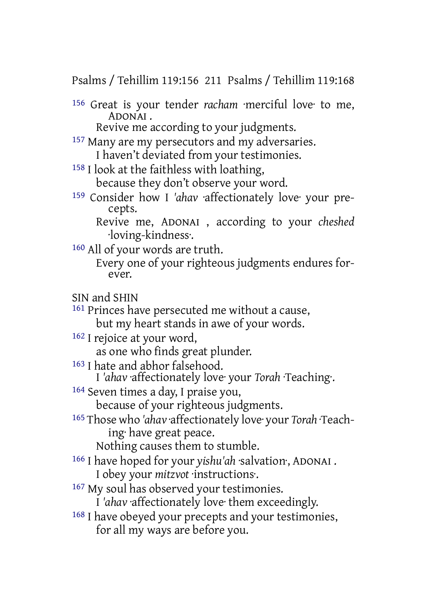Psalms / Tehillim 119:156 211 Psalms / Tehillim 119:168

156 Great is your tender *racham* ·merciful love· to me, ADONAI .

Revive me according to your judgments.

- 157 Many are my persecutors and my adversaries. I haven't deviated from your testimonies.
- 158 I look at the faithless with loathing, because they don't observe your word.
- 159 Consider how I *'ahav* ·affectionately love· your precepts.

Revive me, ADONAI , according to your *cheshed* ·loving-kindness·.

160 All of your words are truth.

Every one of your righteous judgments endures forever.

SIN and SHIN

161 Princes have persecuted me without a cause,

- but my heart stands in awe of your words.
- 162 I rejoice at your word,

as one who finds great plunder.

163 I hate and abhor falsehood.

I *'ahav* ·affectionately love· your *Torah* ·Teaching·.

164 Seven times a day, I praise you,

because of your righteous judgments.

165 Those who *'ahav* ·affectionately love· your *Torah* ·Teaching· have great peace.

Nothing causes them to stumble.

- 166 I have hoped for your *yishu'ah* ·salvation·, ADONAI . I obey your *mitzvot* ·instructions·.
- 167 My soul has observed your testimonies.

I *'ahav* ·affectionately love· them exceedingly.

168 I have obeyed your precepts and your testimonies, for all my ways are before you.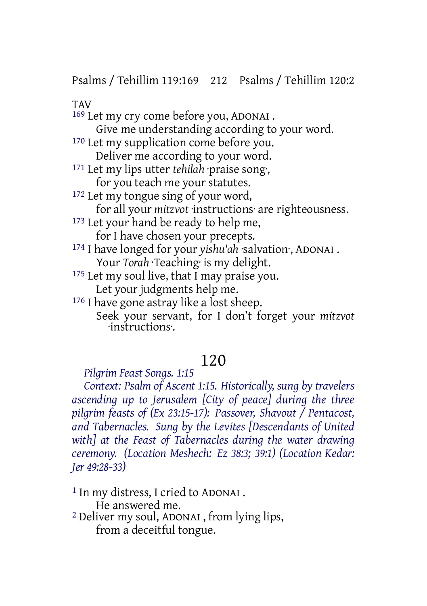Psalms / Tehillim 119:169 212 Psalms / Tehillim 120:2

**TAV** 

169 Let my cry come before you, ADONAI . Give me understanding according to your word. <sup>170</sup> Let my supplication come before you. Deliver me according to your word. 171 Let my lips utter *tehilah* ·praise song·, for you teach me your statutes. 172 Let my tongue sing of your word, for all your *mitzvot* ·instructions· are righteousness. <sup>173</sup> Let your hand be ready to help me, for I have chosen your precepts. 174 I have longed for your *yishu'ah* ·salvation·, ADONAI . Your *Torah Teaching* is my delight. <sup>175</sup> Let my soul live, that I may praise you. Let your judgments help me. 176 I have gone astray like a lost sheep. Seek your servant, for I don't forget your *mitzvot* ·instructions·.

## 120

*Pilgrim Feast Songs. 1:15*

*Context: Psalm of Ascent 1:15. Historically, sung by travelers ascending up to Jerusalem [City of peace] during the three pilgrim feasts of (Ex 23:15-17): Passover, Shavout / Pentacost, and Tabernacles. Sung by the Levites [Descendants of United with] at the Feast of Tabernacles during the water drawing ceremony. (Location Meshech: Ez 38:3; 39:1) (Location Kedar: Jer 49:28-33)*

1 In my distress, I cried to ADONAI . He answered me. 2 Deliver my soul, ADONAI , from lying lips, from a deceitful tongue.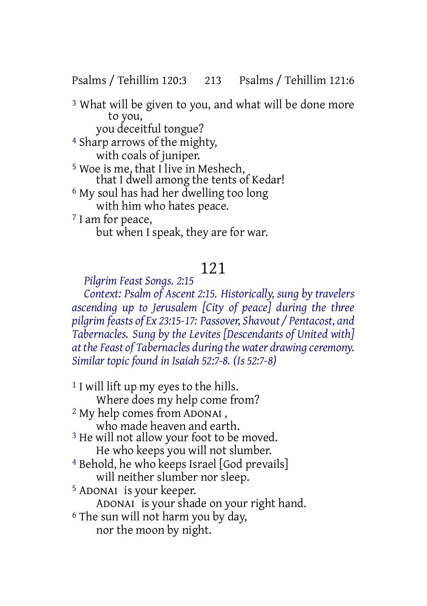Psalms / Tehillim 120:3 213 Psalms / Tehillim 121:6

3 What will be given to you, and what will be done more to you, you deceitful tongue?

4 Sharp arrows of the mighty, with coals of juniper. 5 Woe is me, that I live in Meshech, that I dwell among the tents of Kedar! 6 My soul has had her dwelling too long with him who hates peace. 7 I am for peace, but when I speak, they are for war.

# 121

*Pilgrim Feast Songs. 2:15*

*Context: Psalm of Ascent 2:15. Historically, sung by travelers ascending up to Jerusalem [City of peace] during the three pilgrim feasts of Ex 23:15-17: Passover, Shavout / Pentacost, and Tabernacles. Sung by the Levites [Descendants of United with] at the Feast of Tabernacles during the water drawing ceremony. Similar topic found in Isaiah 52:7-8. (Is 52:7-8)*

- 1 I will lift up my eyes to the hills. Where does my help come from? 2 My help comes from ADONAI , who made heaven and earth. <sup>3</sup> He will not allow your foot to be moved. He who keeps you will not slumber. 4 Behold, he who keeps Israel [God prevails] will neither slumber nor sleep. 5 ADONAI is your keeper. ADONAI is your shade on your right hand. 6 The sun will not harm you by day,
	- nor the moon by night.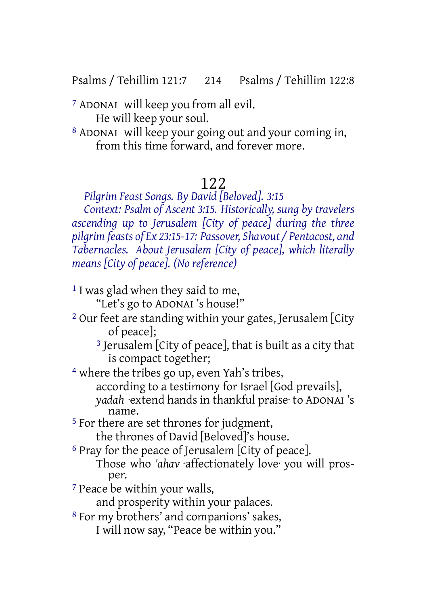Psalms / Tehillim 121:7 214 Psalms / Tehillim 122:8

7 ADONAI will keep you from all evil. He will keep your soul.

8 ADONAI will keep your going out and your coming in, from this time forward, and forever more.

### 122

*Pilgrim Feast Songs. By David [Beloved]. 3:15*

*Context: Psalm of Ascent 3:15. Historically, sung by travelers ascending up to Jerusalem [City of peace] during the three pilgrim feasts of Ex 23:15-17: Passover, Shavout / Pentacost, and Tabernacles. About Jerusalem [City of peace], which literally means [City of peace]. (No reference)*

- <sup>1</sup> I was glad when they said to me, "Let's go to ADONAI 's house!"
- 2 Our feet are standing within your gates, Jerusalem [City of peace];
	- 3 Jerusalem [City of peace], that is built as a city that is compact together;

4 where the tribes go up, even Yah's tribes, according to a testimony for Israel [God prevails], *yadah* ·extend hands in thankful praise· to ADONAI 's name.

- 5 For there are set thrones for judgment, the thrones of David [Beloved]'s house.
- 6 Pray for the peace of Jerusalem [City of peace]. Those who *'ahav* affectionately love you will prosper.
- 7 Peace be within your walls,

and prosperity within your palaces.

8 For my brothers' and companions' sakes, I will now say, "Peace be within you."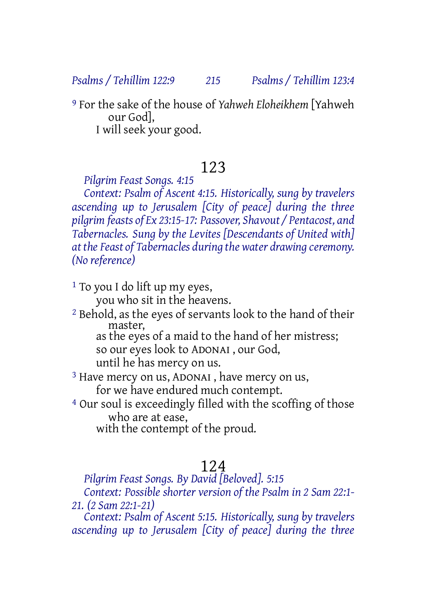*Psalms / Tehillim 122:9 215 Psalms / Tehillim 123:4*

9 For the sake of the house of *Yahweh Eloheikhem* [Yahweh our God], I will seek your good.

## 123

*Pilgrim Feast Songs. 4:15*

*Context: Psalm of Ascent 4:15. Historically, sung by travelers ascending up to Jerusalem [City of peace] during the three pilgrim feasts of Ex 23:15-17: Passover, Shavout / Pentacost, and Tabernacles. Sung by the Levites [Descendants of United with] at the Feast of Tabernacles during the water drawing ceremony. (No reference)*

1 To you I do lift up my eyes, you who sit in the heavens.

2 Behold, as the eyes of servants look to the hand of their master,

as the eyes of a maid to the hand of her mistress; so our eyes look to ADONAI , our God,

until he has mercy on us.

3 Have mercy on us, ADONAI , have mercy on us, for we have endured much contempt.

4 Our soul is exceedingly filled with the scoffing of those who are at ease,

with the contempt of the proud.

## 124

*Pilgrim Feast Songs. By David [Beloved]. 5:15*

*Context: Possible shorter version of the Psalm in 2 Sam 22:1- 21. (2 Sam 22:1-21)*

*Context: Psalm of Ascent 5:15. Historically, sung by travelers ascending up to Jerusalem [City of peace] during the three*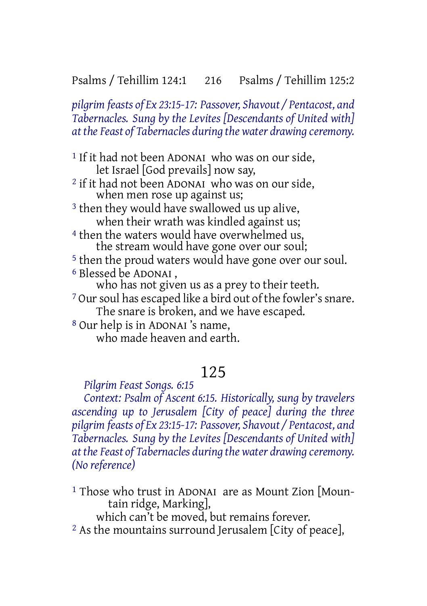*pilgrim feasts of Ex 23:15-17: Passover, Shavout / Pentacost, and Tabernacles. Sung by the Levites [Descendants of United with] at the Feast of Tabernacles during the water drawing ceremony.*

<sup>1</sup> If it had not been ADONAI who was on our side, let Israel [God prevails] now say, 2 if it had not been ADONAI who was on our side, when men rose up against us; <sup>3</sup> then they would have swallowed us up alive, when their wrath was kindled against us: <sup>4</sup> then the waters would have overwhelmed us, the stream would have gone over our soul; 5 then the proud waters would have gone over our soul. 6 Blessed be ADONAI , who has not given us as a prey to their teeth. <sup>7</sup> Our soul has escaped like a bird out of the fowler's snare. The snare is broken, and we have escaped. 8 Our help is in ADONAI 's name, who made heaven and earth.

## 125

*Pilgrim Feast Songs. 6:15*

*Context: Psalm of Ascent 6:15. Historically, sung by travelers ascending up to Jerusalem [City of peace] during the three pilgrim feasts of Ex 23:15-17: Passover, Shavout / Pentacost, and Tabernacles. Sung by the Levites [Descendants of United with] at the Feast of Tabernacles during the water drawing ceremony. (No reference)*

<sup>1</sup> Those who trust in ADONAI are as Mount Zion [Mountain ridge, Marking],

which can't be moved, but remains forever.

2 As the mountains surround Jerusalem [City of peace],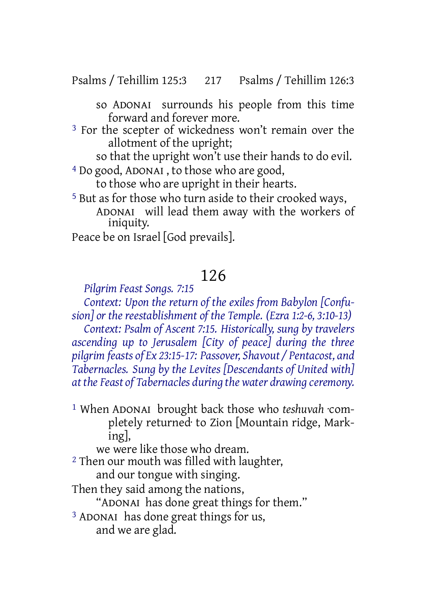Psalms / Tehillim 125:3 217 Psalms / Tehillim 126:3

so ADONAI surrounds his people from this time forward and forever more.

3 For the scepter of wickedness won't remain over the allotment of the upright;

so that the upright won't use their hands to do evil.

4 Do good, ADONAI , to those who are good,

to those who are upright in their hearts.

5 But as for those who turn aside to their crooked ways, ADONAI will lead them away with the workers of iniquity.

Peace be on Israel [God prevails].

## 126

#### *Pilgrim Feast Songs. 7:15*

*Context: Upon the return of the exiles from Babylon [Confusion] or the reestablishment of the Temple. (Ezra 1:2-6, 3:10-13)*

*Context: Psalm of Ascent 7:15. Historically, sung by travelers ascending up to Jerusalem [City of peace] during the three pilgrim feasts of Ex 23:15-17: Passover, Shavout / Pentacost, and Tabernacles. Sung by the Levites [Descendants of United with] at the Feast of Tabernacles during the water drawing ceremony.*

1 When ADONAI brought back those who *teshuvah* ·completely returned· to Zion [Mountain ridge, Marking],

we were like those who dream.

- 2 Then our mouth was filled with laughter, and our tongue with singing.
- Then they said among the nations,

"ADONAI has done great things for them."

3 ADONAI has done great things for us, and we are glad.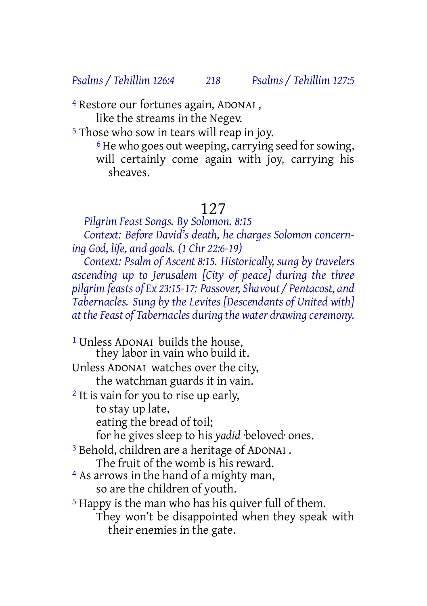*Psalms / Tehillim 126:4 218 Psalms / Tehillim 127:5*

4 Restore our fortunes again, ADONAI , like the streams in the Negev.

5 Those who sow in tears will reap in joy.

<sup>6</sup> He who goes out weeping, carrying seed for sowing, will certainly come again with joy, carrying his sheaves.

## 127

*Pilgrim Feast Songs. By Solomon. 8:15*

*Context: Before David's death, he charges Solomon concerning God, life, and goals. (1 Chr 22:6-19)*

*Context: Psalm of Ascent 8:15. Historically, sung by travelers ascending up to Jerusalem [City of peace] during the three pilgrim feasts of Ex 23:15-17: Passover, Shavout / Pentacost, and Tabernacles. Sung by the Levites [Descendants of United with] at the Feast of Tabernacles during the water drawing ceremony.*

1 Unless ADONAI builds the house, they labor in vain who build it. Unless ADONAI watches over the city, the watchman guards it in vain. 2 It is vain for you to rise up early, to stay up late, eating the bread of toil; for he gives sleep to his *yadid* ·beloved· ones. 3 Behold, children are a heritage of ADONAI . The fruit of the womb is his reward. 4 As arrows in the hand of a mighty man, so are the children of youth. 5 Happy is the man who has his quiver full of them. They won't be disappointed when they speak with their enemies in the gate.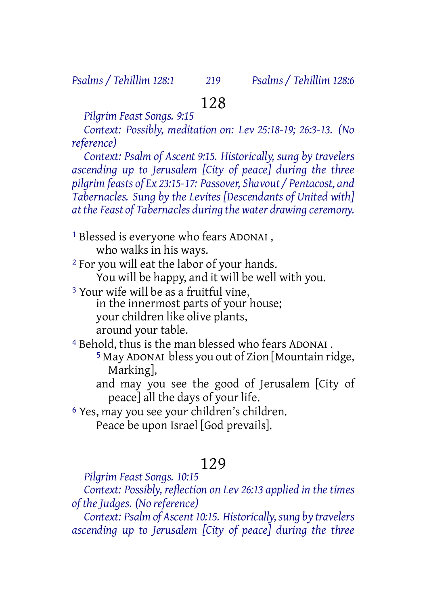## 128

*Pilgrim Feast Songs. 9:15*

*Context: Possibly, meditation on: Lev 25:18-19; 26:3-13. (No reference)*

*Context: Psalm of Ascent 9:15. Historically, sung by travelers ascending up to Jerusalem [City of peace] during the three pilgrim feasts of Ex 23:15-17: Passover, Shavout / Pentacost, and Tabernacles. Sung by the Levites [Descendants of United with] at the Feast of Tabernacles during the water drawing ceremony.*

1 Blessed is everyone who fears ADONAI , who walks in his ways.

2 For you will eat the labor of your hands. You will be happy, and it will be well with you.

3 Your wife will be as a fruitful vine, in the innermost parts of your house: your children like olive plants, around your table.

4 Behold, thus is the man blessed who fears ADONAI .

5 May ADONAI bless you out of Zion [Mountain ridge, Marking],

and may you see the good of Jerusalem [City of peace] all the days of your life.

6 Yes, may you see your children's children.

Peace be upon Israel [God prevails].

## 129

*Pilgrim Feast Songs. 10:15*

*Context: Possibly, reflection on Lev 26:13 applied in the times of the Judges. (No reference)*

*Context: Psalm of Ascent 10:15. Historically, sung by travelers ascending up to Jerusalem [City of peace] during the three*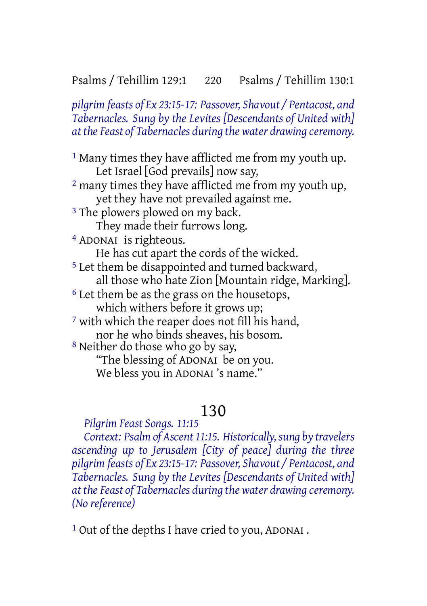*pilgrim feasts of Ex 23:15-17: Passover, Shavout / Pentacost, and Tabernacles. Sung by the Levites [Descendants of United with] at the Feast of Tabernacles during the water drawing ceremony.*

<sup>1</sup> Many times they have afflicted me from my youth up. Let Israel [God prevails] now say, 2 many times they have afflicted me from my youth up, yet they have not prevailed against me. <sup>3</sup> The plowers plowed on my back. They made their furrows long. 4 ADONAI is righteous. He has cut apart the cords of the wicked. 5 Let them be disappointed and turned backward, all those who hate Zion [Mountain ridge, Marking]. 6 Let them be as the grass on the housetops, which withers before it grows up; 7 with which the reaper does not fill his hand, nor he who binds sheaves, his bosom. 8 Neither do those who go by say, "The blessing of ADONAI be on you. We bless you in ADONAI 's name."

## 130

*Pilgrim Feast Songs. 11:15*

*Context: Psalm of Ascent 11:15. Historically, sung by travelers ascending up to Jerusalem [City of peace] during the three pilgrim feasts of Ex 23:15-17: Passover, Shavout / Pentacost, and Tabernacles. Sung by the Levites [Descendants of United with] at the Feast of Tabernacles during the water drawing ceremony. (No reference)*

1 Out of the depths I have cried to you, ADONAI .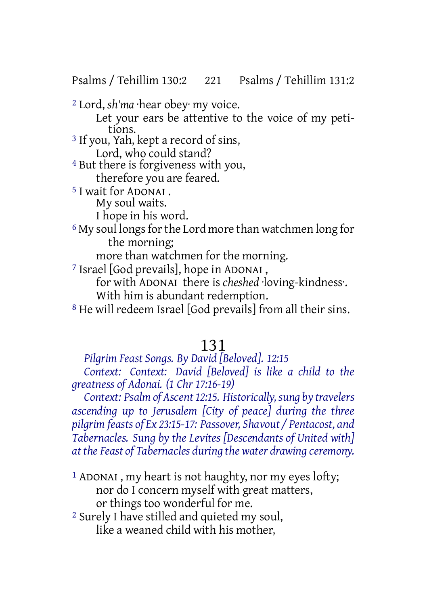Psalms / Tehillim 130:2 221 Psalms / Tehillim 131:2

2 Lord, *sh'ma* ·hear obey· my voice.

Let your ears be attentive to the voice of my petitions.

3 If you, Yah, kept a record of sins, Lord, who could stand?

4 But there is forgiveness with you, therefore you are feared.

5 I wait for ADONAI . My soul waits.

I hope in his word.

<sup>6</sup> My soul longs for the Lord more than watchmen long for the morning;

more than watchmen for the morning.

7 Israel [God prevails], hope in ADONAI ,

for with ADONAI there is *cheshed* ·loving-kindness·. With him is abundant redemption.

8 He will redeem Israel [God prevails] from all their sins.

#### 131

*Pilgrim Feast Songs. By David [Beloved]. 12:15*

*Context: Context: David [Beloved] is like a child to the greatness of Adonai. (1 Chr 17:16-19)*

*Context: Psalm of Ascent 12:15. Historically, sung by travelers ascending up to Jerusalem [City of peace] during the three pilgrim feasts of Ex 23:15-17: Passover, Shavout / Pentacost, and Tabernacles. Sung by the Levites [Descendants of United with] at the Feast of Tabernacles during the water drawing ceremony.*

1 ADONAI , my heart is not haughty, nor my eyes lofty; nor do I concern myself with great matters, or things too wonderful for me.

2 Surely I have stilled and quieted my soul, like a weaned child with his mother,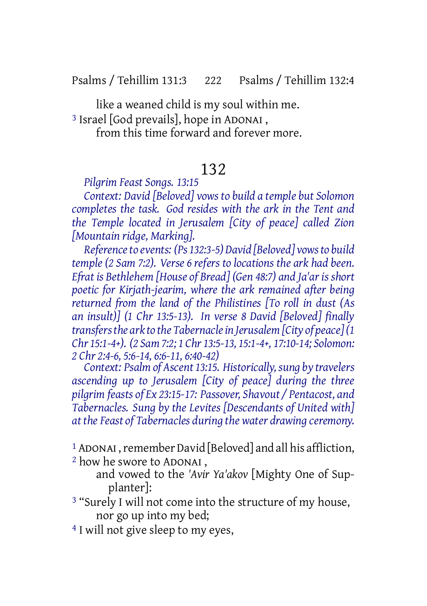Psalms / Tehillim 131:3 222 Psalms / Tehillim 132:4

like a weaned child is my soul within me.

3 Israel [God prevails], hope in ADONAI ,

from this time forward and forever more.

## 132

*Pilgrim Feast Songs. 13:15*

*Context: David [Beloved] vows to build a temple but Solomon completes the task. God resides with the ark in the Tent and the Temple located in Jerusalem [City of peace] called Zion [Mountain ridge, Marking].*

*Referenceto events: (Ps 132:3-5) David [Beloved] vowsto build temple (2 Sam 7:2). Verse 6 refers to locations the ark had been. Efrat is Bethlehem [House of Bread] (Gen 48:7) and Ja'ar is short poetic for Kirjath-jearim, where the ark remained after being returned from the land of the Philistines [To roll in dust (As an insult)] (1 Chr 13:5-13). In verse 8 David [Beloved] finally transfersthe ark to the Tabernaclein Jerusalem[City of peace](1 Chr 15:1-4+). (2 Sam 7:2; 1 Chr 13:5-13, 15:1-4+, 17:10-14; Solomon: 2 Chr 2:4-6, 5:6-14, 6:6-11, 6:40-42)*

*Context: Psalm of Ascent 13:15. Historically,sung by travelers ascending up to Jerusalem [City of peace] during the three pilgrim feasts of Ex 23:15-17: Passover, Shavout / Pentacost, and Tabernacles. Sung by the Levites [Descendants of United with] at the Feast of Tabernacles during the water drawing ceremony.*

<sup>1</sup> ADONAI, remember David [Beloved] and all his affliction,

2 how he swore to ADONAI ,

and vowed to the *'Avir Ya'akov* [Mighty One of Supplanter]:

3 "Surely I will not come into the structure of my house, nor go up into my bed;

<sup>4</sup> I will not give sleep to my eyes.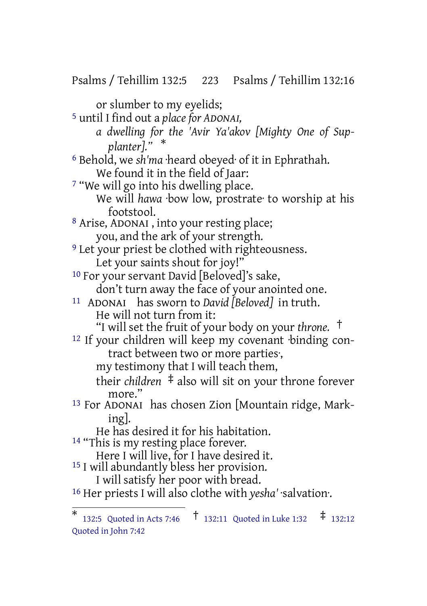Psalms / Tehillim 132:5 223 Psalms / Tehillim 132:16 or slumber to my eyelids; 5 until I find out a *place for ADONAI, a dwelling for the 'Avir Ya'akov [Mighty One of Supplanter]."* \* 6 Behold, we *sh'ma* ·heard obeyed· of it in Ephrathah. We found it in the field of Jaar: 7 "We will go into his dwelling place. We will *hawa* ·bow low, prostrate· to worship at his footstool. 8 Arise, ADONAI , into your resting place; you, and the ark of your strength. <sup>9</sup> Let your priest be clothed with righteousness. Let your saints shout for joy!" 10 For your servant David [Beloved]'s sake, don't turn away the face of your anointed one. 11 ADONAI has sworn to *David [Beloved]* in truth. He will not turn from it: "I will set the fruit of your body on your *throne.* † 12 If your children will keep my covenant ·binding contract between two or more parties·, my testimony that I will teach them, their *children* ‡ also will sit on your throne forever more." 13 For ADONAI has chosen Zion [Mountain ridge, Marking]. He has desired it for his habitation. <sup>14</sup> "This is my resting place forever. Here I will live, for I have desired it. 15 I will abundantly bless her provision. I will satisfy her poor with bread. 16 Her priests I will also clothe with *yesha'* ·salvation·.

<sup>\*</sup> 132:5 Quoted in Acts 7:46 † 132:11 Quoted in Luke 1:32 ‡ 132:12 Quoted in John 7:42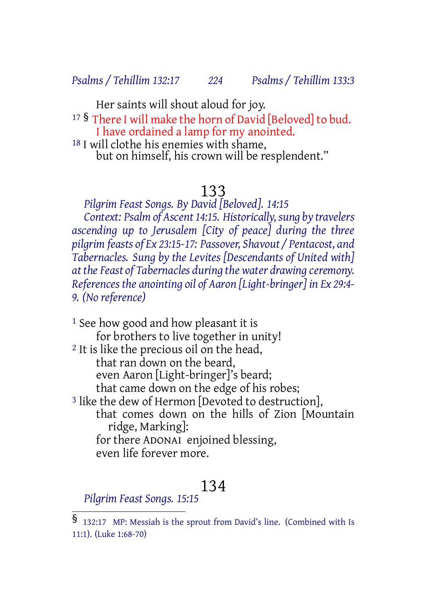*Psalms / Tehillim 132:17 224 Psalms / Tehillim 133:3*

Her saints will shout aloud for joy. <sup>17</sup> § There I will make the horn of David [Beloved] to bud. I have ordained a lamp for my anointed. 18 I will clothe his enemies with shame, but on himself, his crown will be resplendent."

# 133

*Pilgrim Feast Songs. By David [Beloved]. 14:15 Context: Psalm of Ascent 14:15. Historically, sung by travelers ascending up to Jerusalem [City of peace] during the three pilgrim feasts of Ex 23:15-17: Passover, Shavout / Pentacost, and Tabernacles. Sung by the Levites [Descendants of United with] at the Feast of Tabernacles during the water drawing ceremony. References the anointing oil of Aaron [Light-bringer] in Ex 29:4- 9. (No reference)*

<sup>1</sup> See how good and how pleasant it is for brothers to live together in unity! <sup>2</sup> It is like the precious oil on the head, that ran down on the beard, even Aaron [Light-bringer]'s beard; that came down on the edge of his robes; <sup>3</sup> like the dew of Hermon [Devoted to destruction], that comes down on the hills of Zion [Mountain ridge, Marking]:

for there ADONAI enjoined blessing, even life forever more.

### 134

*Pilgrim Feast Songs. 15:15*

<sup>§</sup> 132:17 MP: Messiah is the sprout from David's line. (Combined with Is 11:1). (Luke 1:68-70)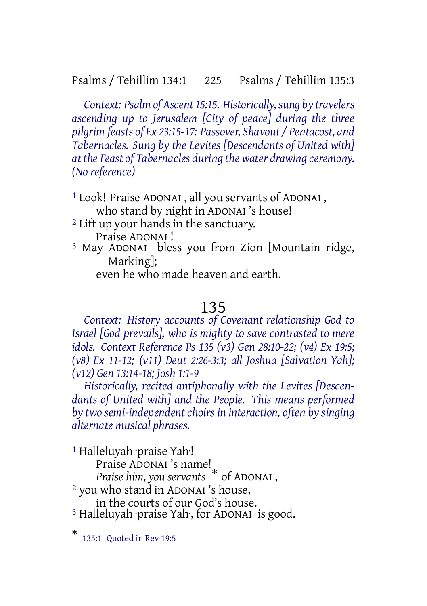#### Psalms / Tehillim 134:1 225 Psalms / Tehillim 135:3

*Context: Psalm of Ascent 15:15. Historically,sung by travelers ascending up to Jerusalem [City of peace] during the three pilgrim feasts of Ex 23:15-17: Passover, Shavout / Pentacost, and Tabernacles. Sung by the Levites [Descendants of United with] at the Feast of Tabernacles during the water drawing ceremony. (No reference)*

1 Look! Praise ADONAI , all you servants of ADONAI , who stand by night in ADONAI's house!

- 2 Lift up your hands in the sanctuary. Praise ADONAI !
- 3 May ADONAI bless you from Zion [Mountain ridge, Marking];

even he who made heaven and earth.

#### 135

*Context: History accounts of Covenant relationship God to Israel [God prevails], who is mighty to save contrasted to mere idols. Context Reference Ps 135 (v3) Gen 28:10-22; (v4) Ex 19:5; (v8) Ex 11-12; (v11) Deut 2:26-3:3; all Joshua [Salvation Yah]; (v12) Gen 13:14-18; Josh 1:1-9*

*Historically, recited antiphonally with the Levites [Descendants of United with] and the People. This means performed by two semi-independentchoirs in interaction, often by singing alternate musical phrases.*

1 Halleluyah ·praise Yah·! Praise ADONAI 's name! *Praise him, you servants* \* of ADONAI , 2 you who stand in ADONAI 's house, in the courts of our God's house. <sup>3</sup> Halleluyah praise Yah, for ADONAI is good.

<sup>\*</sup> 135:1 Quoted in Rev 19:5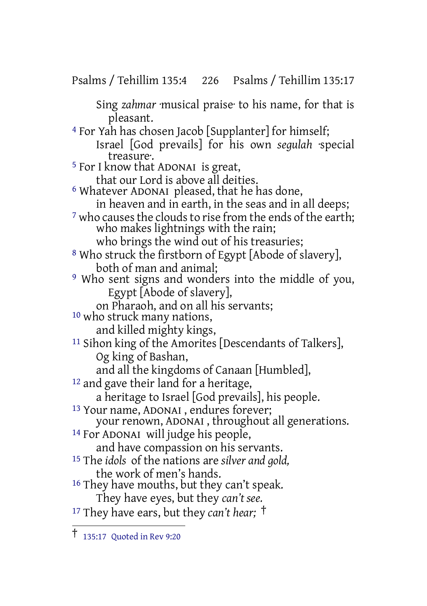Psalms / Tehillim 135:4 226 Psalms / Tehillim 135:17

Sing *zahmar* ·musical praise· to his name, for that is pleasant. 4 For Yah has chosen Jacob [Supplanter] for himself; Israel [God prevails] for his own *segulah* ·special treasure·. 5 For I know that ADONAI is great, that our Lord is above all deities. 6 Whatever ADONAI pleased, that he has done, in heaven and in earth, in the seas and in all deeps; <sup>7</sup> who causes the clouds to rise from the ends of the earth; who makes lightnings with the rain; who brings the wind out of his treasuries; 8 Who struck the firstborn of Egypt [Abode of slavery], both of man and animal; 9 Who sent signs and wonders into the middle of you, Egypt [Abode of slavery], on Pharaoh, and on all his servants; 10 who struck many nations, and killed mighty kings, <sup>11</sup> Sihon king of the Amorites [Descendants of Talkers], Og king of Bashan, and all the kingdoms of Canaan [Humbled], 12 and gave their land for a heritage, a heritage to Israel [God prevails], his people. 13 Your name, ADONAI , endures forever; your renown, ADONAI , throughout all generations. 14 For ADONAI will judge his people,

and have compassion on his servants.

15 The *idols* of the nations are *silver and gold,* the work of men's hands.

<sup>16</sup> They have mouths, but they can't speak. They have eyes, but they *can't see.*

<sup>17</sup> They have ears, but they *can't hear;* †

<sup>†</sup> 135:17 Quoted in Rev 9:20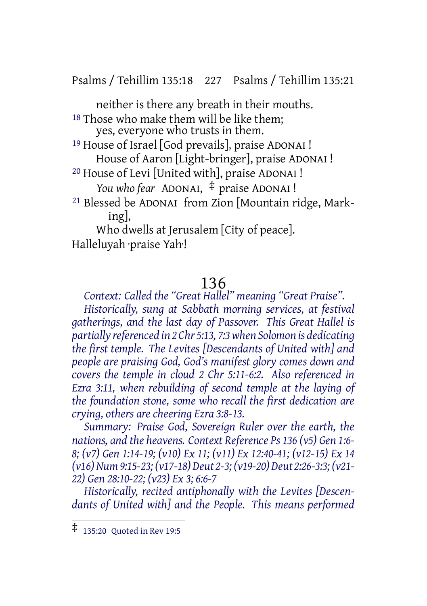Psalms / Tehillim 135:18 227 Psalms / Tehillim 135:21

neither is there any breath in their mouths. <sup>18</sup> Those who make them will be like them; yes, everyone who trusts in them. 19 House of Israel [God prevails], praise ADONAI ! House of Aaron [Light-bringer], praise ADONAI ! 20 House of Levi [United with], praise ADONAI ! *You who fear* ADONAI, ‡ praise ADONAI ! 21 Blessed be ADONAI from Zion [Mountain ridge, Marking],

Who dwells at Jerusalem [City of peace]. Halleluyah ·praise Yah·!

#### 136

*Context: Called the "Great Hallel" meaning "Great Praise". Historically, sung at Sabbath morning services, at festival gatherings, and the last day of Passover. This Great Hallel is partially referenced in 2 Chr 5:13, 7:3when Solomon is dedicating the first temple. The Levites [Descendants of United with] and people are praising God, God's manifest glory comes down and covers the temple in cloud 2 Chr 5:11-6:2. Also referenced in Ezra 3:11, when rebuilding of second temple at the laying of the foundation stone, some who recall the first dedication are crying, others are cheering Ezra 3:8-13.*

*Summary: Praise God, Sovereign Ruler over the earth, the nations, and the heavens. Context Reference Ps 136 (v5) Gen 1:6- 8; (v7) Gen 1:14-19; (v10) Ex 11; (v11) Ex 12:40-41; (v12-15) Ex 14 (v16)Num9:15-23; (v17-18) Deut 2-3; (v19-20) Deut 2:26-3:3; (v21- 22) Gen 28:10-22; (v23) Ex 3; 6:6-7*

*Historically, recited antiphonally with the Levites [Descendants of United with] and the People. This means performed*

<sup>‡</sup> 135:20 Quoted in Rev 19:5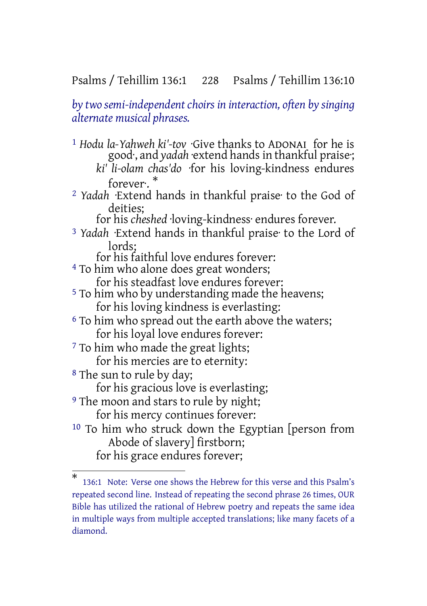#### Psalms / Tehillim 136:1 228 Psalms / Tehillim 136:10

*by two semi-independentchoirs in interaction, often by singing alternate musical phrases.*

1 *Hodu la-Yahweh ki'-tov* ·Give thanks to ADONAI for he is good·, and *yadah* ·extend hands in thankful praise·; *ki' li-olam chas'do* ·for his loving-kindness endures forever·. \* 2 *Yadah* ·Extend hands in thankful praise· to the God of deities; for his *cheshed* ·loving-kindness· endures forever. 3 *Yadah* ·Extend hands in thankful praise· to the Lord of lords; for his faithful love endures forever: <sup>4</sup> To him who alone does great wonders; for his steadfast love endures forever: <sup>5</sup> To him who by understanding made the heavens; for his loving kindness is everlasting: <sup>6</sup> To him who spread out the earth above the waters; for his loyal love endures forever: <sup>7</sup> To him who made the great lights; for his mercies are to eternity: 8 The sun to rule by day; for his gracious love is everlasting; <sup>9</sup> The moon and stars to rule by night; for his mercy continues forever: 10 To him who struck down the Egyptian [person from Abode of slavery] firstborn; for his grace endures forever;

<sup>\*</sup> 136:1 Note: Verse one shows the Hebrew for this verse and this Psalm's repeated second line. Instead of repeating the second phrase 26 times, OUR Bible has utilized the rational of Hebrew poetry and repeats the same idea in multiple ways from multiple accepted translations; like many facets of a diamond.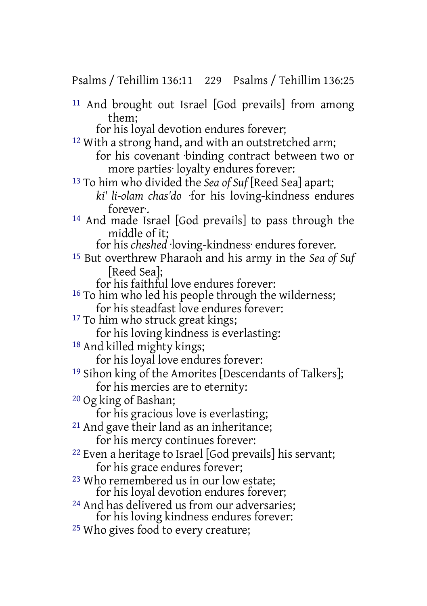Psalms / Tehillim 136:11 229 Psalms / Tehillim 136:25

11 And brought out Israel [God prevails] from among them;

for his loyal devotion endures forever;

- 12 With a strong hand, and with an outstretched arm; for his covenant binding contract between two or more parties· loyalty endures forever:
- 13 To him who divided the *Sea of Suf* [Reed Sea] apart; *ki' li-olam chas'do* ·for his loving-kindness endures forever·.
- 14 And made Israel [God prevails] to pass through the middle of it;

for his *cheshed* ·loving-kindness· endures forever.

- 15 But overthrew Pharaoh and his army in the *Sea of Suf* [Reed Sea];
	- for his faithful love endures forever:
- <sup>16</sup> To him who led his people through the wilderness; for his steadfast love endures forever:
- <sup>17</sup> To him who struck great kings;

for his loving kindness is everlasting:

18 And killed mighty kings;

for his loyal love endures forever:

19 Sihon king of the Amorites [Descendants of Talkers]; for his mercies are to eternity:

20 Og king of Bashan;

for his gracious love is everlasting;

- 21 And gave their land as an inheritance; for his mercy continues forever:
- 22 Even a heritage to Israel [God prevails] his servant; for his grace endures forever;
- 23 Who remembered us in our low estate; for his loyal devotion endures forever;
- 24 And has delivered us from our adversaries; for his loving kindness endures forever:
- <sup>25</sup> Who gives food to every creature;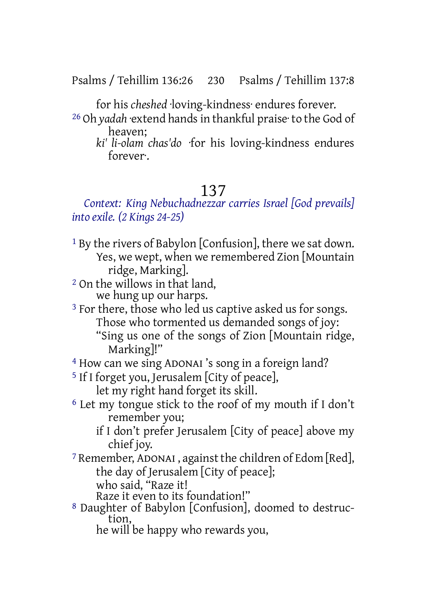Psalms / Tehillim 136:26 230 Psalms / Tehillim 137:8

for his *cheshed* ·loving-kindness· endures forever.

- 26 Oh *yadah* ·extend handsin thankful praise· to the God of heaven;
	- *ki' li-olam chas'do* ·for his loving-kindness endures forever·.

## 137

#### *Context: King Nebuchadnezzar carries Israel [God prevails] into exile. (2 Kings 24-25)*

- 1 By the rivers of Babylon [Confusion], there we sat down. Yes, we wept, when we remembered Zion [Mountain ridge, Marking].
- 2 On the willows in that land, we hung up our harps.
- <sup>3</sup> For there, those who led us captive asked us for songs. Those who tormented us demanded songs of joy: "Sing us one of the songs of Zion [Mountain ridge, Marking]!"
- 4 How can we sing ADONAI 's song in a foreign land?
- 5 If I forget you, Jerusalem [City of peace], let my right hand forget its skill.
- 6 Let my tongue stick to the roof of my mouth if I don't remember you;
	- if I don't prefer Jerusalem [City of peace] above my chief joy.
- 7 Remember, ADONAI , against the children of Edom [Red], the day of Jerusalem [City of peace]; who said, "Raze it!

Raze it even to its foundation!"

8 Daughter of Babylon [Confusion], doomed to destruction,

he will be happy who rewards you,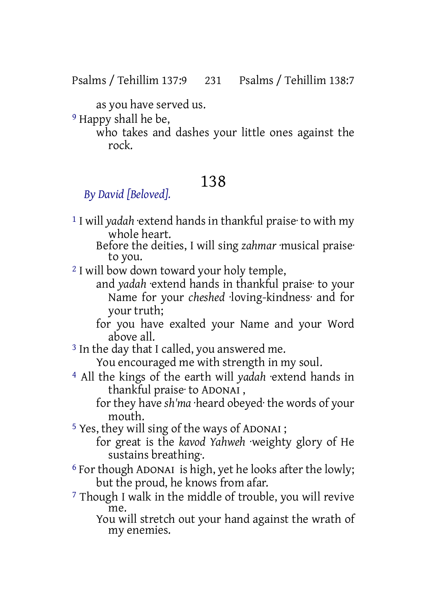Psalms / Tehillim 137:9 231 Psalms / Tehillim 138:7

as you have served us.

9 Happy shall he be,

who takes and dashes your little ones against the rock.

# 138

## *By David [Beloved].*

- 1 I will *yadah* ·extend hands in thankful praise· to with my whole heart.
	- Before the deities, I will sing *zahmar* ·musical praise· to you.
- <sup>2</sup> I will bow down toward your holy temple,
	- and *yadah* ·extend hands in thankful praise· to your Name for your *cheshed* ·loving-kindness· and for your truth;
	- for you have exalted your Name and your Word above all.
- <sup>3</sup> In the day that I called, you answered me.

You encouraged me with strength in my soul.

4 All the kings of the earth will *yadah* ·extend hands in thankful praise· to ADONAI ,

for they have *sh'ma* ·heard obeyed· the words of your mouth.

5 Yes, they will sing of the ways of ADONAI ;

- for great is the *kavod Yahweh* ·weighty glory of He sustains breathing·.
- 6 For though ADONAI is high, yet he looks after the lowly; but the proud, he knows from afar.
- 7 Though I walk in the middle of trouble, you will revive me.

You will stretch out your hand against the wrath of my enemies.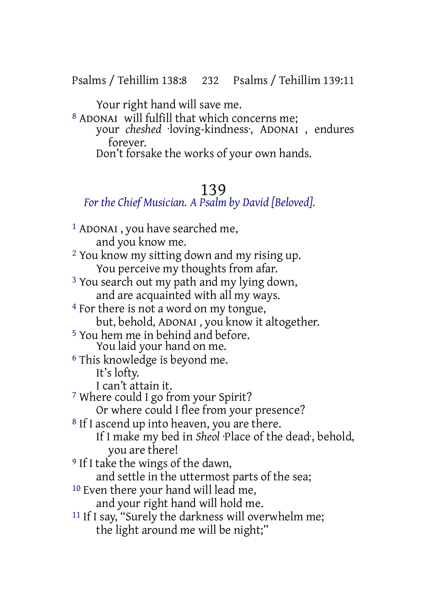Psalms / Tehillim 138:8 232 Psalms / Tehillim 139:11

Your right hand will save me.

8 ADONAI will fulfill that which concerns me; your *cheshed* ·loving-kindness·, ADONAI , endures forever. Don't forsake the works of your own hands.

#### 139

#### *For the Chief Musician. A Psalm by David [Beloved].*

1 ADONAI , you have searched me, and you know me. 2 You know my sitting down and my rising up. You perceive my thoughts from afar. <sup>3</sup> You search out my path and my lying down, and are acquainted with all my ways. 4 For there is not a word on my tongue, but, behold, ADONAI , you know it altogether. 5 You hem me in behind and before. You laid your hand on me. 6 This knowledge is beyond me. It's lofty. I can't attain it. 7 Where could I go from your Spirit? Or where could I flee from your presence? <sup>8</sup> If I ascend up into heaven, you are there. If I make my bed in *Sheol* ·Place of the dead·, behold, you are there! 9 If I take the wings of the dawn, and settle in the uttermost parts of the sea; <sup>10</sup> Even there your hand will lead me, and your right hand will hold me. <sup>11</sup> If I say, "Surely the darkness will overwhelm me; the light around me will be night;"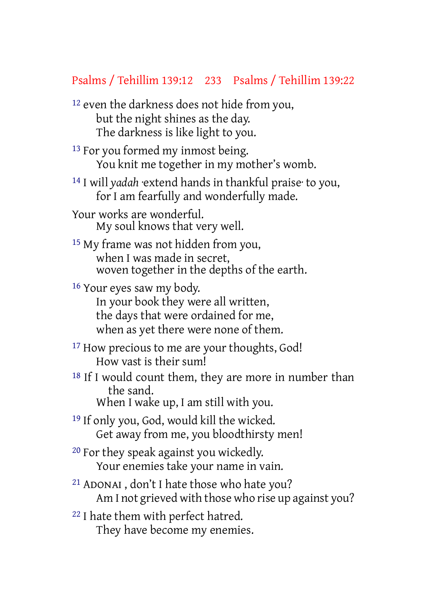#### Psalms / Tehillim 139:12 233 Psalms / Tehillim 139:22

12 even the darkness does not hide from you, but the night shines as the day. The darkness is like light to you.

<sup>13</sup> For you formed my inmost being. You knit me together in my mother's womb.

14 I will *yadah* ·extend hands in thankful praise· to you, for I am fearfully and wonderfully made.

Your works are wonderful. My soul knows that very well.

15 My frame was not hidden from you, when I was made in secret, woven together in the depths of the earth.

16 Your eyes saw my body. In your book they were all written, the days that were ordained for me, when as yet there were none of them.

<sup>17</sup> How precious to me are your thoughts, God! How vast is their sum!

<sup>18</sup> If I would count them, they are more in number than the sand. When I wake up, I am still with you.

19 If only you, God, would kill the wicked.

Get away from me, you bloodthirsty men!

20 For they speak against you wickedly. Your enemies take your name in vain.

21 ADONAI , don't I hate those who hate you? Am I not grieved with those who rise up against you?

22 I hate them with perfect hatred. They have become my enemies.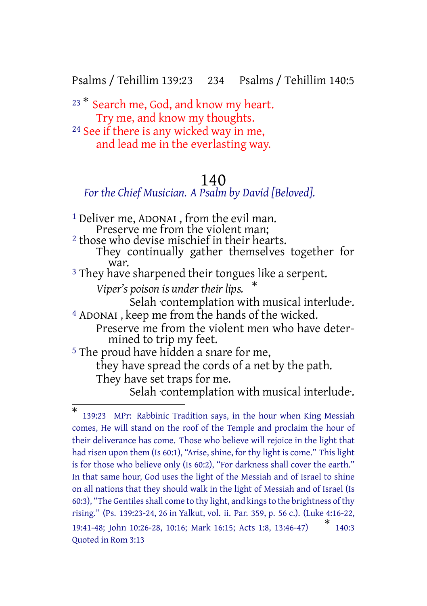Psalms / Tehillim 139:23 234 Psalms / Tehillim 140:5

<sup>23</sup> \* Search me, God, and know my heart. Try me, and know my thoughts. 24 See if there is any wicked way in me, and lead me in the everlasting way.

#### 140

*For the Chief Musician. A Psalm by David [Beloved].*

1 Deliver me, ADONAI , from the evil man. Preserve me from the violent man; 2 those who devise mischief in their hearts. They continually gather themselves together for war. <sup>3</sup> They have sharpened their tongues like a serpent. *Viper's poison is under their lips.* \* Selah ·contemplation with musical interlude·. 4 ADONAI , keep me from the hands of the wicked. Preserve me from the violent men who have determined to trip my feet. 5 The proud have hidden a snare for me, they have spread the cords of a net by the path. They have set traps for me. Selah contemplation with musical interlude.

<sup>\*</sup> 139:23 MPr: Rabbinic Tradition says, in the hour when King Messiah comes, He will stand on the roof of the Temple and proclaim the hour of their deliverance has come. Those who believe will rejoice in the light that had risen upon them (Is 60:1), "Arise, shine, for thy light is come." This light is for those who believe only (Is 60:2), "For darkness shall cover the earth." In that same hour, God uses the light of the Messiah and of Israel to shine on all nations that they should walk in the light of Messiah and of Israel (Is 60:3), "The Gentiles shall come to thy light, and kings to the brightness of thy rising." (Ps. 139:23-24, 26 in Yalkut, vol. ii. Par. 359, p. 56 c.). (Luke 4:16-22, 19:41-48; John 10:26-28, 10:16; Mark 16:15; Acts 1:8, 13:46-47) \*  $*$  140:3 Quoted in Rom 3:13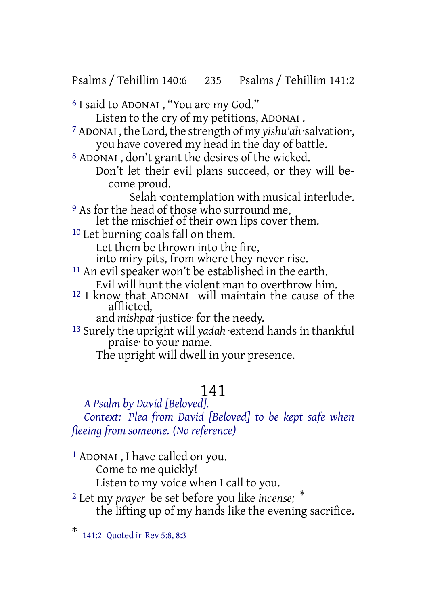Psalms / Tehillim 140:6 235 Psalms / Tehillim 141:2

6 I said to ADONAI , "You are my God."

Listen to the cry of my petitions, ADONAI .

<sup>7</sup> ADONAI, the Lord, the strength of my *yishu'ah* ·salvation. you have covered my head in the day of battle.

8 ADONAI , don't grant the desires of the wicked.

Don't let their evil plans succeed, or they will become proud.

Selah ·contemplation with musical interlude·.

<sup>9</sup> As for the head of those who surround me, let the mischief of their own lips cover them.

10 Let burning coals fall on them. Let them be thrown into the fire, into miry pits, from where they never rise. <sup>11</sup> An evil speaker won't be established in the earth.

Evil will hunt the violent man to overthrow him.

12 I know that ADONAI will maintain the cause of the afflicted,

and *mishpat* ·justice· for the needy.

13 Surely the upright will *yadah* ·extend hands in thankful praise· to your name.

The upright will dwell in your presence.

## 141

*A Psalm by David [Beloved]. Context: Plea from David [Beloved] to be kept safe when fleeing from someone. (No reference)*

1 ADONAI , I have called on you. Come to me quickly! Listen to my voice when I call to you.

<sup>2</sup> Let my *prayer* be set before you like *incense;* \* the lifting up of my hands like the evening sacrifice.

<sup>\*</sup> 141:2 Quoted in Rev 5:8, 8:3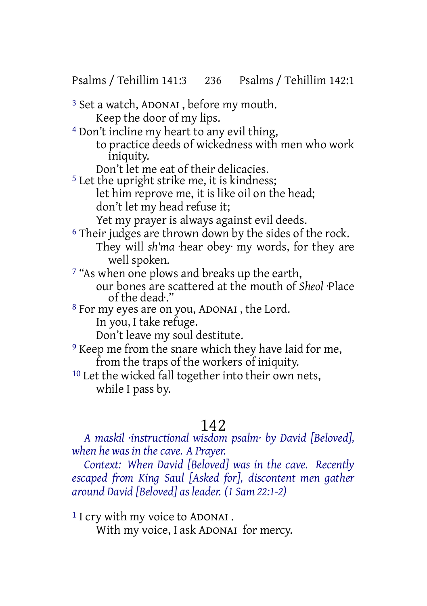Psalms / Tehillim 141:3 236 Psalms / Tehillim 142:1

3 Set a watch, ADONAI , before my mouth. Keep the door of my lips.

- 4 Don't incline my heart to any evil thing,
	- to practice deeds of wickedness with men who work iniquity.
	- Don't let me eat of their delicacies.

<sup>5</sup> Let the upright strike me, it is kindness; let him reprove me, it is like oil on the head; don't let my head refuse it;

Yet my prayer is always against evil deeds.

- <sup>6</sup> Their judges are thrown down by the sides of the rock. They will *sh'ma* ·hear obey· my words, for they are well spoken.
- 7 "As when one plows and breaks up the earth,
	- our bones are scattered at the mouth of *Sheol* ·Place of the dead·."
- 8 For my eyes are on you, ADONAI , the Lord. In you, I take refuge.

Don't leave my soul destitute.

9 Keep me from the snare which they have laid for me, from the traps of the workers of iniquity.

10 Let the wicked fall together into their own nets, while I pass by.

# 142

*A maskil ·instructional wisdom psalm· by David [Beloved], when he was in the cave. A Prayer.*

*Context: When David [Beloved] was in the cave. Recently escaped from King Saul [Asked for], discontent men gather around David [Beloved] as leader. (1 Sam 22:1-2)*

<sup>1</sup> I cry with my voice to ADONAI.

With my voice, I ask ADONAI for mercy.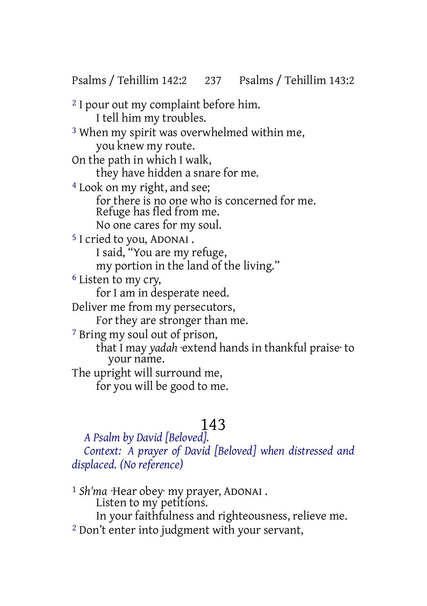Psalms / Tehillim 142:2 237 Psalms / Tehillim 143:2

2 I pour out my complaint before him. I tell him my troubles. 3 When my spirit was overwhelmed within me, you knew my route. On the path in which I walk, they have hidden a snare for me. 4 Look on my right, and see; for there is no one who is concerned for me. Refuge has fled from me. No one cares for my soul. 5 I cried to you, ADONAI . I said, "You are my refuge, my portion in the land of the living." 6 Listen to my cry, for I am in desperate need. Deliver me from my persecutors, For they are stronger than me. 7 Bring my soul out of prison, that I may *yadah* ·extend hands in thankful praise· to your name. The upright will surround me, for you will be good to me.

# 143

*A Psalm by David [Beloved]. Context: A prayer of David [Beloved] when distressed and displaced. (No reference)*

1 *Sh'ma* ·Hear obey· my prayer, ADONAI . Listen to my petitions. In your faithfulness and righteousness, relieve me. <sup>2</sup> Don't enter into judgment with your servant,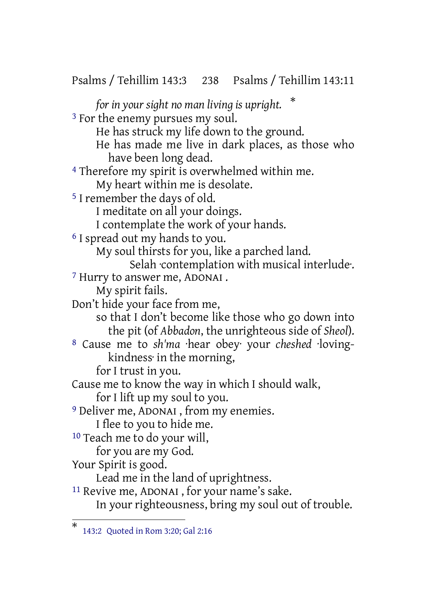Psalms / Tehillim 143:3 238 Psalms / Tehillim 143:11 *for in your sight no man living is upright.* \* <sup>3</sup> For the enemy pursues my soul. He has struck my life down to the ground. He has made me live in dark places, as those who have been long dead. 4 Therefore my spirit is overwhelmed within me. My heart within me is desolate. 5 I remember the days of old. I meditate on all your doings. I contemplate the work of your hands. 6 I spread out my hands to you. My soul thirsts for you, like a parched land. Selah contemplation with musical interlude. 7 Hurry to answer me, ADONAI . My spirit fails. Don't hide your face from me, so that I don't become like those who go down into the pit (of *Abbadon*, the unrighteous side of *Sheol*). 8 Cause me to *sh'ma* ·hear obey· your *cheshed* ·lovingkindness· in the morning, for I trust in you. Cause me to know the way in which I should walk, for I lift up my soul to you. 9 Deliver me, ADONAI , from my enemies. I flee to you to hide me. 10 Teach me to do your will, for you are my God. Your Spirit is good. Lead me in the land of uprightness. 11 Revive me, ADONAI , for your name's sake. In your righteousness, bring my soul out of trouble. \* 143:2 Quoted in Rom 3:20; Gal 2:16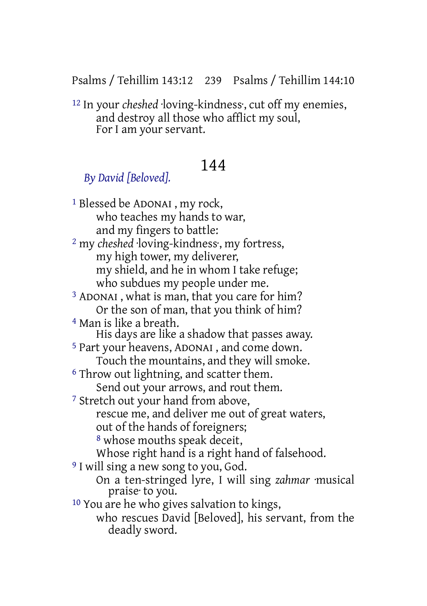Psalms / Tehillim 143:12 239 Psalms / Tehillim 144:10

12 In your *cheshed* ·loving-kindness·, cut off my enemies, and destroy all those who afflict my soul, For I am your servant.

## 144

#### *By David [Beloved].*

1 Blessed be ADONAI , my rock, who teaches my hands to war, and my fingers to battle: 2 my *cheshed* ·loving-kindness·, my fortress, my high tower, my deliverer, my shield, and he in whom I take refuge; who subdues my people under me. 3 ADONAI , what is man, that you care for him? Or the son of man, that you think of him? 4 Man is like a breath. His days are like a shadow that passes away. 5 Part your heavens, ADONAI , and come down. Touch the mountains, and they will smoke. 6 Throw out lightning, and scatter them. Send out your arrows, and rout them. 7 Stretch out your hand from above, rescue me, and deliver me out of great waters, out of the hands of foreigners; 8 whose mouths speak deceit, Whose right hand is a right hand of falsehood. <sup>9</sup> I will sing a new song to you, God. On a ten-stringed lyre, I will sing *zahmar* ·musical praise· to you. 10 You are he who gives salvation to kings, who rescues David [Beloved], his servant, from the deadly sword.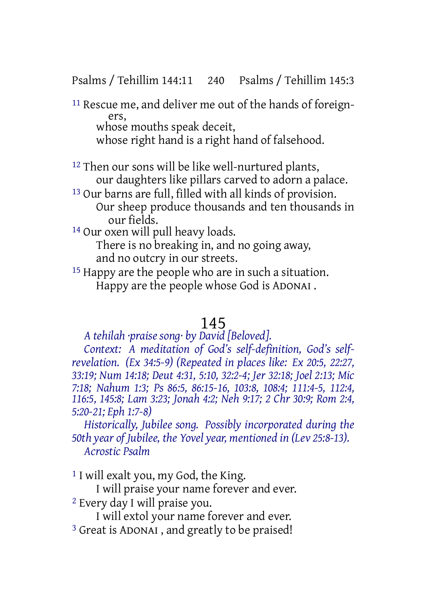Psalms / Tehillim 144:11 240 Psalms / Tehillim 145:3

11 Rescue me, and deliver me out of the hands of foreigners, whose mouths speak deceit.

whose right hand is a right hand of falsehood.

12 Then our sons will be like well-nurtured plants, our daughters like pillars carved to adorn a palace.

13 Our barns are full, filled with all kinds of provision. Our sheep produce thousands and ten thousands in our fields.

14 Our oxen will pull heavy loads.

There is no breaking in, and no going away,

and no outcry in our streets.

15 Happy are the people who are in such a situation. Happy are the people whose God is ADONAI .

#### 145

*A tehilah ·praise song· by David [Beloved].*

*Context: A meditation of God's self-definition, God's selfrevelation. (Ex 34:5-9) (Repeated in places like: Ex 20:5, 22:27, 33:19; Num 14:18; Deut 4:31, 5:10, 32:2-4; Jer 32:18; Joel 2:13; Mic 7:18; Nahum 1:3; Ps 86:5, 86:15-16, 103:8, 108:4; 111:4-5, 112:4, 116:5, 145:8; Lam 3:23; Jonah 4:2; Neh 9:17; 2 Chr 30:9; Rom 2:4, 5:20-21; Eph 1:7-8)*

*Historically, Jubilee song. Possibly incorporated during the 50th year of Jubilee, the Yovel year, mentioned in (Lev 25:8-13). Acrostic Psalm*

1 I will exalt you, my God, the King.

I will praise your name forever and ever.

2 Every day I will praise you.

I will extol your name forever and ever.

3 Great is ADONAI , and greatly to be praised!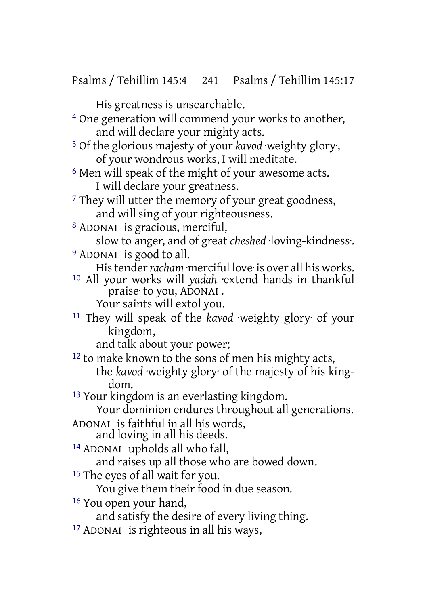Psalms / Tehillim 145:4 241 Psalms / Tehillim 145:17

His greatness is unsearchable.

4 One generation will commend your works to another, and will declare your mighty acts.

- 5 Of the glorious majesty of your *kavod* ·weighty glory·, of your wondrous works, I will meditate.
- <sup>6</sup> Men will speak of the might of your awesome acts. I will declare your greatness.
- <sup>7</sup> They will utter the memory of your great goodness, and will sing of your righteousness.
- 8 ADONAI is gracious, merciful,

slow to anger, and of great *cheshed* ·loving-kindness·.

9 ADONAI is good to all.

His tender *racham* ·merciful love· is over all his works.

10 All your works will *yadah* ·extend hands in thankful praise to you, ADONAI.

Your saints will extol you.

11 They will speak of the *kavod* ·weighty glory· of your kingdom,

and talk about your power;

12 to make known to the sons of men his mighty acts, the *kavod* ·weighty glory· of the majesty of his kingdom.

13 Your kingdom is an everlasting kingdom.

Your dominion endures throughout all generations.

ADONAI is faithful in all his words,

and loving in all his deeds.

14 ADONAI upholds all who fall,

and raises up all those who are bowed down.

15 The eyes of all wait for you.

You give them their food in due season.

16 You open your hand,

and satisfy the desire of every living thing.

17 ADONAI is righteous in all his ways,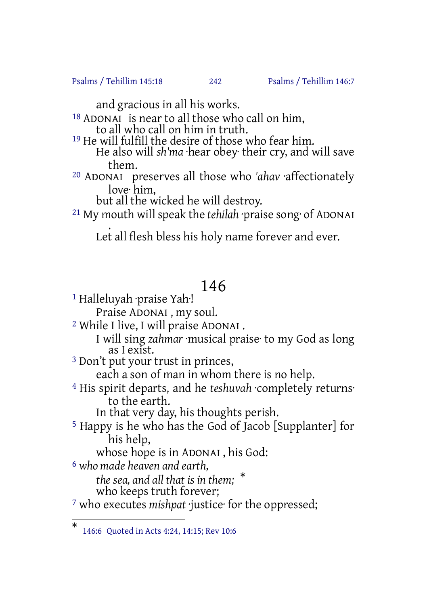Psalms / Tehillim 145:18 242 Psalms / Tehillim 146:7

and gracious in all his works.

- 18 ADONAI is near to all those who call on him, to all who call on him in truth.
- <sup>19</sup> He will fulfill the desire of those who fear him. He also will *sh'ma* ·hear obey· their cry, and will save them.
- 20 ADONAI preserves all those who *'ahav* ·affectionately love· him,

but all the wicked he will destroy.

21 My mouth will speak the *tehilah* ·praise song· of ADONAI

. Let all flesh bless his holy name forever and ever.

## 146

1 Halleluyah ·praise Yah·!

Praise ADONAI , my soul.

2 While I live, I will praise ADONAI .

I will sing *zahmar* ·musical praise· to my God as long as I exist.

3 Don't put your trust in princes,

each a son of man in whom there is no help.

4 His spirit departs, and he *teshuvah* ·completely returns· to the earth.

In that very day, his thoughts perish.

5 Happy is he who has the God of Jacob [Supplanter] for his help,

whose hope is in ADONAI , his God:

6 *who made heaven and earth,*

*the sea, and all that is in them;* \*

who keeps truth forever;

7 who executes *mishpat* ·justice· for the oppressed;

<sup>\*</sup> 146:6 Quoted in Acts 4:24, 14:15; Rev 10:6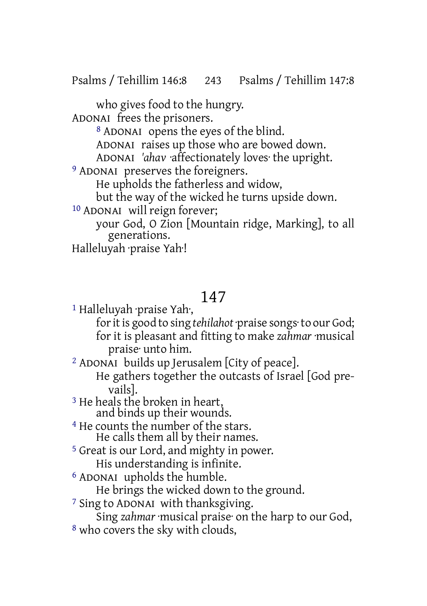who gives food to the hungry.

ADONAI frees the prisoners.

8 ADONAI opens the eyes of the blind.

ADONAI raises up those who are bowed down.

ADONAI *'ahav* ·affectionately loves· the upright.

9 ADONAI preserves the foreigners.

He upholds the fatherless and widow,

but the way of the wicked he turns upside down.

10 ADONAI will reign forever;

your God, O Zion [Mountain ridge, Marking], to all generations.

Halleluyah ·praise Yah·!

## 147

1 Halleluyah ·praise Yah·,

for it is good to sing *tehilahot* praise songs to our God; for it is pleasant and fitting to make *zahmar* ·musical praise· unto him.

2 ADONAI builds up Jerusalem [City of peace].

He gathers together the outcasts of Israel [God prevails].

3 He heals the broken in heart, and binds up their wounds.

4 He counts the number of the stars. He calls them all by their names.

5 Great is our Lord, and mighty in power. His understanding is infinite.

6 ADONAI upholds the humble.

He brings the wicked down to the ground.

7 Sing to ADONAI with thanksgiving.

Sing *zahmar* ·musical praise· on the harp to our God, 8 who covers the sky with clouds,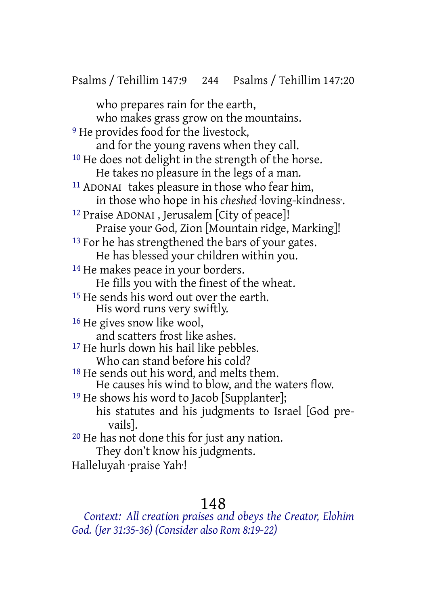who prepares rain for the earth, who makes grass grow on the mountains. <sup>9</sup> He provides food for the livestock, and for the young ravens when they call. 10 He does not delight in the strength of the horse. He takes no pleasure in the legs of a man. 11 ADONAI takes pleasure in those who fear him, in those who hope in his *cheshed* ·loving-kindness·. 12 Praise ADONAI , Jerusalem [City of peace]! Praise your God, Zion [Mountain ridge, Marking]! <sup>13</sup> For he has strengthened the bars of your gates. He has blessed your children within you. <sup>14</sup> He makes peace in your borders. He fills you with the finest of the wheat. <sup>15</sup> He sends his word out over the earth. His word runs very swiftly. 16 He gives snow like wool, and scatters frost like ashes. 17 He hurls down his hail like pebbles. Who can stand before his cold? <sup>18</sup> He sends out his word, and melts them. He causes his wind to blow, and the waters flow. <sup>19</sup> He shows his word to Jacob [Supplanter]; his statutes and his judgments to Israel [God prevails]. 20 He has not done this for just any nation. They don't know his judgments.

Halleluyah ·praise Yah·!

#### 148

*Context: All creation praises and obeys the Creator, Elohim God. (Jer 31:35-36) (Consider also Rom 8:19-22)*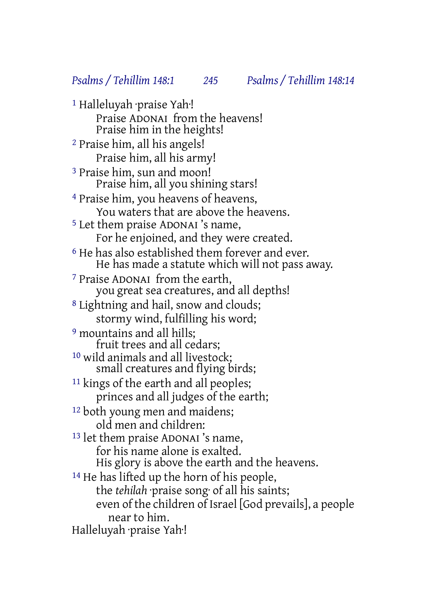1 Halleluyah ·praise Yah·! Praise ADONAI from the heavens! Praise him in the heights! 2 Praise him, all his angels! Praise him, all his army! 3 Praise him, sun and moon! Praise him, all you shining stars! 4 Praise him, you heavens of heavens, You waters that are above the heavens. 5 Let them praise ADONAI 's name, For he enjoined, and they were created. <sup>6</sup> He has also established them forever and ever. He has made a statute which will not pass away. 7 Praise ADONAI from the earth, you great sea creatures, and all depths! 8 Lightning and hail, snow and clouds; stormy wind, fulfilling his word; 9 mountains and all hills; fruit trees and all cedars; 10 wild animals and all livestock; small creatures and flying birds; <sup>11</sup> kings of the earth and all peoples: princes and all judges of the earth; 12 both young men and maidens; old men and children: 13 let them praise ADONAI 's name, for his name alone is exalted. His glory is above the earth and the heavens. <sup>14</sup> He has lifted up the horn of his people, the *tehilah* ·praise song· of all his saints; even of the children of Israel [God prevails], a people near to him. Halleluyah ·praise Yah·!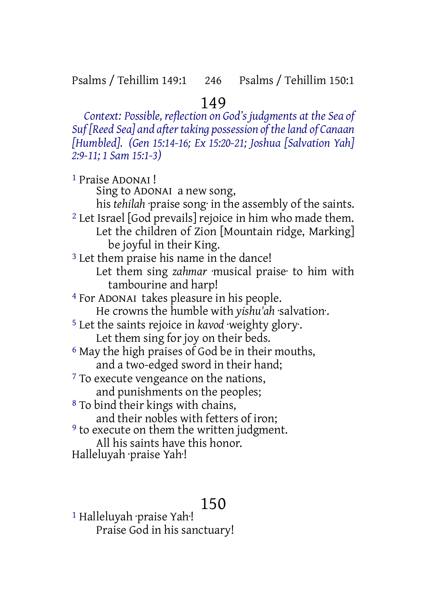#### 149

*Context: Possible, reflection on God's judgments at the Sea of Suf [Reed Sea] and aftertaking possession of theland of Canaan [Humbled]. (Gen 15:14-16; Ex 15:20-21; Joshua [Salvation Yah] 2:9-11; 1 Sam 15:1-3)*

1 Praise ADONAI ! Sing to ADONAI a new song, his *tehilah* ·praise song· in the assembly of the saints. 2 Let Israel [God prevails] rejoice in him who made them. Let the children of Zion [Mountain ridge, Marking] be joyful in their King. 3 Let them praise his name in the dance! Let them sing *zahmar* ·musical praise· to him with tambourine and harp! 4 For ADONAI takes pleasure in his people. He crowns the humble with *yishu'ah* ·salvation·. 5 Let the saints rejoice in *kavod* ·weighty glory·. Let them sing for joy on their beds. 6 May the high praises of God be in their mouths, and a two-edged sword in their hand; 7 To execute vengeance on the nations, and punishments on the peoples; 8 To bind their kings with chains, and their nobles with fetters of iron; <sup>9</sup> to execute on them the written judgment. All his saints have this honor. Halleluyah ·praise Yah·!

#### 150

1 Halleluyah ·praise Yah·! Praise God in his sanctuary!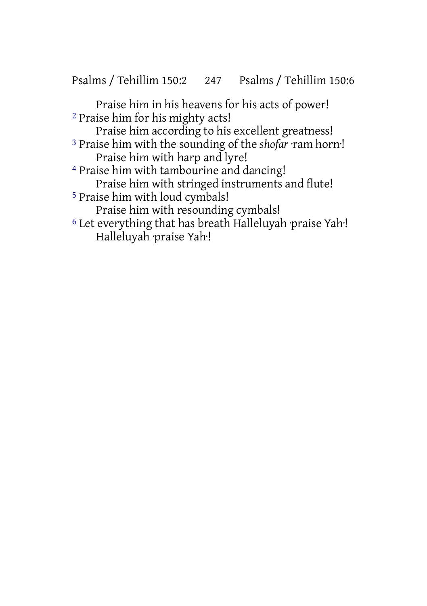Psalms / Tehillim 150:2 247 Psalms / Tehillim 150:6

Praise him in his heavens for his acts of power! 2 Praise him for his mighty acts!

Praise him according to his excellent greatness!

3 Praise him with the sounding of the *shofar* ·ram horn·! Praise him with harp and lyre!

4 Praise him with tambourine and dancing! Praise him with stringed instruments and flute!

5 Praise him with loud cymbals!

Praise him with resounding cymbals!

6 Let everything that has breath Halleluyah ·praise Yah·! Halleluyah ·praise Yah·!